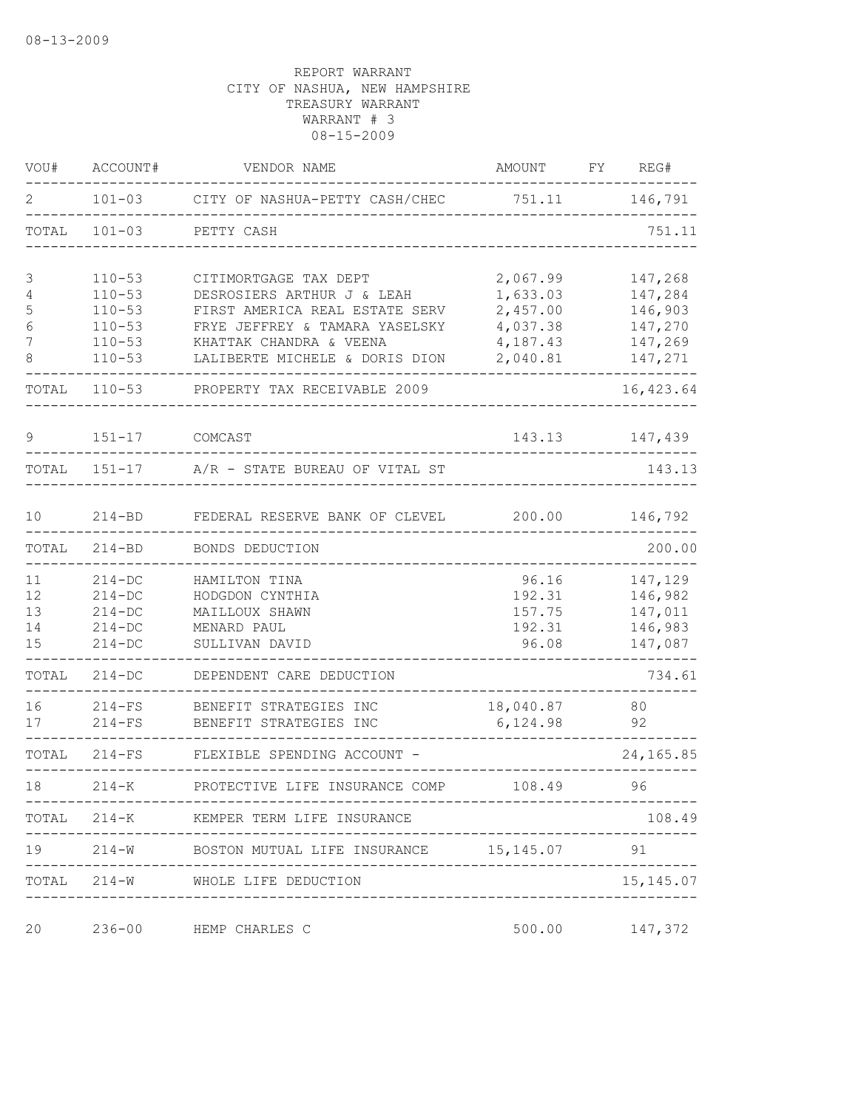| VOU#  | ACCOUNT#   | VENDOR NAME                                         | AMOUNT                      | FY | REG#       |
|-------|------------|-----------------------------------------------------|-----------------------------|----|------------|
| 2     | $101 - 03$ | CITY OF NASHUA-PETTY CASH/CHEC                      | 751.11                      |    | 146,791    |
| TOTAL | $101 - 03$ | PETTY CASH                                          |                             |    | 751.11     |
| 3     | $110 - 53$ | CITIMORTGAGE TAX DEPT                               | 2,067.99                    |    | 147,268    |
| 4     | $110 - 53$ | DESROSIERS ARTHUR J & LEAH                          | 1,633.03                    |    | 147,284    |
| 5     | $110 - 53$ | FIRST AMERICA REAL ESTATE SERV                      | 2,457.00                    |    | 146,903    |
| 6     | $110 - 53$ | FRYE JEFFREY & TAMARA YASELSKY                      | 4,037.38                    |    | 147,270    |
| 7     | $110 - 53$ | KHATTAK CHANDRA & VEENA                             | 4,187.43                    |    | 147,269    |
| 8     | $110 - 53$ | LALIBERTE MICHELE & DORIS DION                      | 2,040.81                    |    | 147,271    |
| TOTAL | $110 - 53$ | PROPERTY TAX RECEIVABLE 2009                        |                             |    | 16, 423.64 |
| 9     | $151 - 17$ | COMCAST                                             | 143.13                      |    | 147,439    |
| TOTAL | $151 - 17$ | A/R - STATE BUREAU OF VITAL ST                      |                             |    | 143.13     |
| 10    | $214 - BD$ | FEDERAL RESERVE BANK OF CLEVEL                      | 200.00                      |    | 146,792    |
|       |            |                                                     |                             |    |            |
| TOTAL | $214 - BD$ | BONDS DEDUCTION                                     |                             |    | 200.00     |
| 11    | $214-DC$   | HAMILTON TINA                                       | 96.16                       |    | 147,129    |
| 12    | $214-DC$   | HODGDON CYNTHIA                                     | 192.31                      |    | 146,982    |
| 13    | $214-DC$   | MAILLOUX SHAWN                                      | 157.75                      |    | 147,011    |
| 14    | $214-DC$   | MENARD PAUL                                         | 192.31                      |    | 146,983    |
| 15    | $214-DC$   | SULLIVAN DAVID                                      | 96.08                       |    | 147,087    |
| TOTAL | $214 - DC$ | DEPENDENT CARE DEDUCTION                            |                             |    | 734.61     |
|       |            |                                                     |                             |    |            |
| 16    | $214-FS$   | BENEFIT STRATEGIES INC                              | 18,040.87                   |    | 80         |
| 17    | $214-FS$   | BENEFIT STRATEGIES INC                              | 6,124.98                    |    | 92         |
| TOTAL | $214-FS$   | FLEXIBLE SPENDING ACCOUNT -                         |                             |    | 24,165.85  |
| 18    | $214 - K$  | PROTECTIVE LIFE INSURANCE COMP                      | 108.49<br>----------------  |    | 96         |
|       | ---------- | TOTAL 214-K KEMPER TERM LIFE INSURANCE              | . _ _ _ _ _ _ _ _ _ _ _ _ _ |    | 108.49     |
|       |            | ---------------------------                         |                             |    |            |
|       |            | TOTAL 214-W WHOLE LIFE DEDUCTION<br>--------------- |                             |    | 15, 145.07 |
| 20    | $236 - 00$ | HEMP CHARLES C                                      | 500.00                      |    | 147,372    |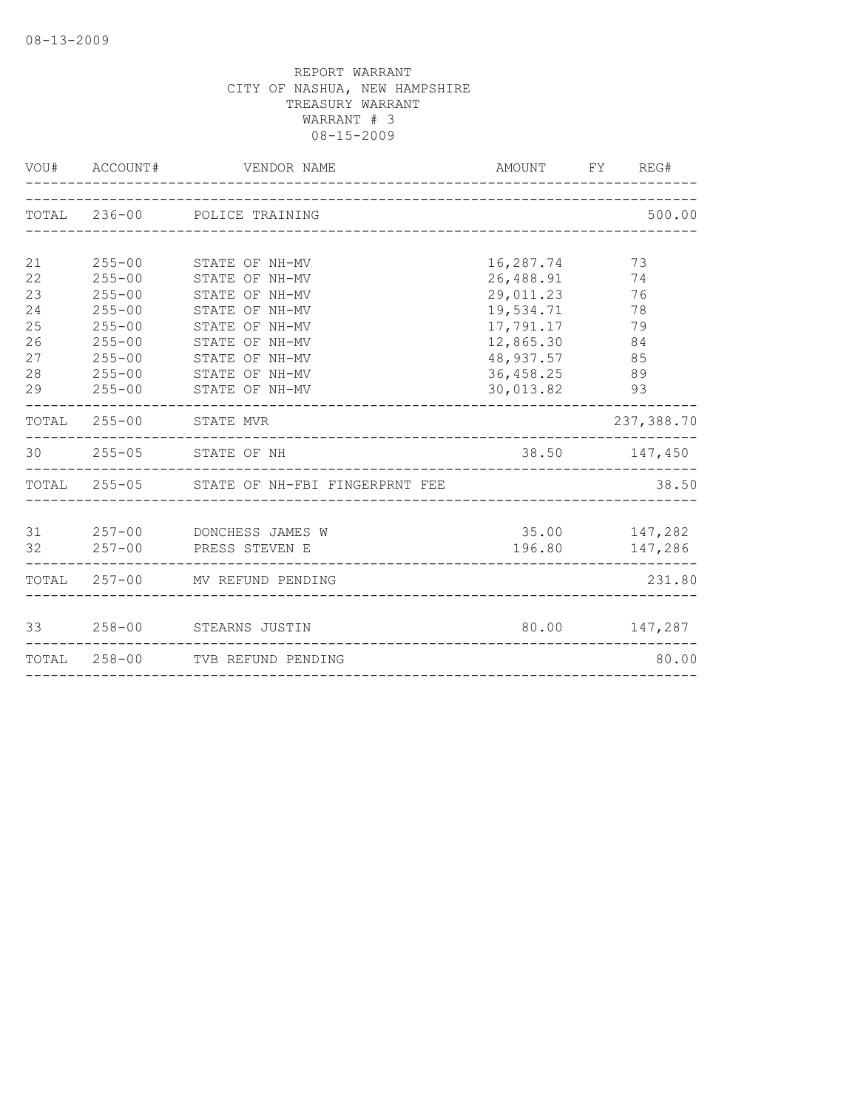|                                                    |                                                                                                                            | VOU# ACCOUNT# VENDOR NAME                                                                                                                                      | AMOUNT FY REG#                                                                                                     |                |                                  |
|----------------------------------------------------|----------------------------------------------------------------------------------------------------------------------------|----------------------------------------------------------------------------------------------------------------------------------------------------------------|--------------------------------------------------------------------------------------------------------------------|----------------|----------------------------------|
|                                                    |                                                                                                                            | TOTAL 236-00 POLICE TRAINING                                                                                                                                   |                                                                                                                    |                | 500.00                           |
| 21<br>22<br>23<br>24<br>25<br>26<br>27<br>28<br>29 | $255 - 00$<br>$255 - 00$<br>$255 - 00$<br>$255 - 00$<br>$255 - 00$<br>$255 - 00$<br>$255 - 00$<br>$255 - 00$<br>$255 - 00$ | STATE OF NH-MV<br>STATE OF NH-MV<br>STATE OF NH-MV<br>STATE OF NH-MV<br>STATE OF NH-MV<br>STATE OF NH-MV<br>STATE OF NH-MV<br>STATE OF NH-MV<br>STATE OF NH-MV | 16,287.74<br>26,488.91<br>29,011.23<br>19,534.71<br>17,791.17<br>12,865.30<br>48, 937.57<br>36,458.25<br>30,013.82 | 74<br>76<br>85 | 73<br>78<br>79<br>84<br>89<br>93 |
|                                                    |                                                                                                                            | TOTAL 255-00 STATE MVR                                                                                                                                         |                                                                                                                    |                | 237,388.70                       |
|                                                    |                                                                                                                            | 30 255-05 STATE OF NH<br>______________________________________                                                                                                |                                                                                                                    |                | 38.50 147,450                    |
|                                                    |                                                                                                                            | TOTAL 255-05 STATE OF NH-FBI FINGERPRNT FEE                                                                                                                    |                                                                                                                    |                | 38.50                            |
|                                                    |                                                                                                                            | 31 257-00 DONCHESS JAMES W<br>32 257-00 PRESS STEVEN E                                                                                                         | 35.00 147,282                                                                                                      |                | 196.80 147,286                   |
|                                                    |                                                                                                                            | TOTAL 257-00 MV REFUND PENDING                                                                                                                                 |                                                                                                                    |                | 231.80                           |
|                                                    |                                                                                                                            | 33 258-00 STEARNS JUSTIN                                                                                                                                       |                                                                                                                    |                | 80.00 147,287                    |
|                                                    |                                                                                                                            | TOTAL 258-00 TVB REFUND PENDING                                                                                                                                |                                                                                                                    |                | 80.00                            |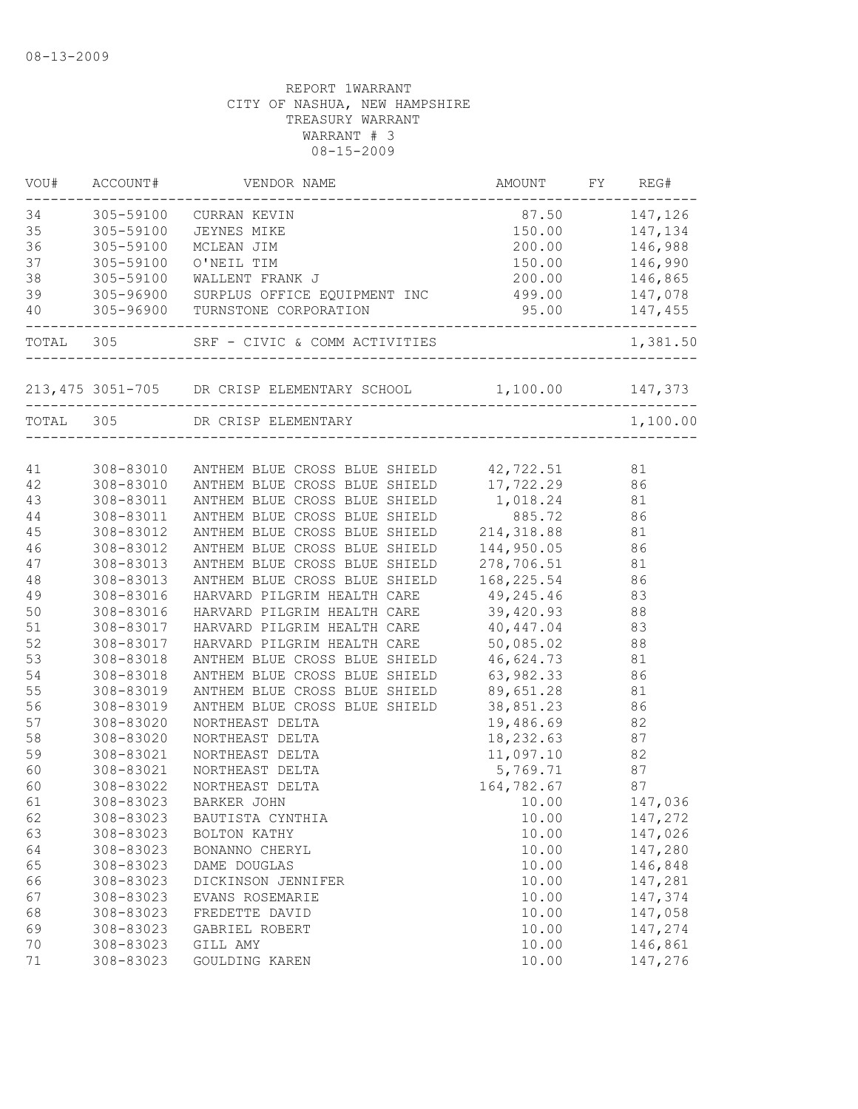| VOU# | ACCOUNT#  | VENDOR NAME                                                  | AMOUNT            |    | FY REG#        |
|------|-----------|--------------------------------------------------------------|-------------------|----|----------------|
| 34   |           | 305-59100 CURRAN KEVIN                                       | 87.50 147,126     |    |                |
| 35   | 305-59100 | <b>JEYNES MIKE</b>                                           |                   |    | 150.00 147,134 |
| 36   | 305-59100 | MCLEAN JIM                                                   |                   |    | 200.00 146,988 |
| 37   | 305-59100 | O'NEIL TIM                                                   |                   |    | 150.00 146,990 |
| 38   | 305-59100 | WALLENT FRANK J                                              |                   |    | 200.00 146,865 |
| 39   |           | 305-96900 SURPLUS OFFICE EQUIPMENT INC 499.00                |                   |    | 147,078        |
| 40   |           | 305-96900 TURNSTONE CORPORATION<br>______________            | $95.00$ $147,455$ |    |                |
|      |           | TOTAL 305 SRF - CIVIC & COMM ACTIVITIES 1,38                 |                   |    | 1,381.50       |
|      |           | 213,475 3051-705 DR CRISP ELEMENTARY SCHOOL 1,100.00 147,373 |                   |    |                |
|      |           |                                                              |                   |    |                |
|      |           | TOTAL 305 DR CRISP ELEMENTARY                                |                   |    | 1,100.00       |
| 41   |           | 308-83010 ANTHEM BLUE CROSS BLUE SHIELD 42,722.51            |                   |    | 81             |
| 42   |           | 308-83010 ANTHEM BLUE CROSS BLUE SHIELD                      | 17,722.29 86      |    |                |
| 43   | 308-83011 | ANTHEM BLUE CROSS BLUE SHIELD                                | 1,018.24 81       |    |                |
| 44   | 308-83011 | ANTHEM BLUE CROSS BLUE SHIELD                                | 885.72            |    | 86             |
| 45   | 308-83012 | ANTHEM BLUE CROSS BLUE SHIELD                                | 214, 318.88       |    | 81             |
| 46   | 308-83012 | ANTHEM BLUE CROSS BLUE SHIELD                                | 144,950.05        |    | 86             |
| 47   | 308-83013 | ANTHEM BLUE CROSS BLUE SHIELD                                | 278,706.51        |    | 81             |
| 48   | 308-83013 | ANTHEM BLUE CROSS BLUE SHIELD                                | 168,225.54        |    | 86             |
| 49   | 308-83016 | HARVARD PILGRIM HEALTH CARE                                  | 49,245.46         |    | 83             |
| 50   | 308-83016 | HARVARD PILGRIM HEALTH CARE                                  | 39,420.93         |    | 88             |
| 51   | 308-83017 | HARVARD PILGRIM HEALTH CARE                                  | 40, 447.04        | 83 |                |
| 52   | 308-83017 | HARVARD PILGRIM HEALTH CARE                                  | 50,085.02         |    | 88             |
| 53   | 308-83018 | ANTHEM BLUE CROSS BLUE SHIELD 46,624.73                      |                   |    | 81             |
| 54   | 308-83018 | ANTHEM BLUE CROSS BLUE SHIELD                                | 63,982.33         |    | 86             |
| 55   | 308-83019 | ANTHEM BLUE CROSS BLUE SHIELD                                | 89,651.28         |    | 81             |
| 56   | 308-83019 | ANTHEM BLUE CROSS BLUE SHIELD                                | 38,851.23         |    | 86             |
| 57   | 308-83020 | NORTHEAST DELTA                                              | 19,486.69         |    | 82             |
| 58   | 308-83020 | NORTHEAST DELTA                                              | 18,232.63         |    | 87             |
| 59   | 308-83021 | NORTHEAST DELTA                                              | 11,097.10         |    | 82             |
| 60   | 308-83021 | NORTHEAST DELTA                                              | 5,769.71          |    | 87             |
| 60   | 308-83022 | NORTHEAST DELTA                                              | 164,782.67        | 87 |                |
| 61   | 308-83023 | BARKER JOHN                                                  | 10.00             |    | 147,036        |
| 62   | 308-83023 | BAUTISTA CYNTHIA                                             | 10.00             |    | 147,272        |
| 63   | 308-83023 | BOLTON KATHY                                                 | 10.00             |    | 147,026        |
| 64   | 308-83023 | BONANNO CHERYL                                               | 10.00             |    | 147,280        |
| 65   | 308-83023 | DAME DOUGLAS                                                 | 10.00             |    | 146,848        |
| 66   | 308-83023 | DICKINSON JENNIFER                                           | 10.00             |    | 147,281        |
| 67   | 308-83023 | EVANS ROSEMARIE                                              | 10.00             |    | 147,374        |
| 68   | 308-83023 | FREDETTE DAVID                                               | 10.00             |    | 147,058        |
| 69   | 308-83023 | GABRIEL ROBERT                                               | 10.00             |    | 147,274        |
| 70   | 308-83023 | GILL AMY                                                     | 10.00             |    | 146,861        |
| 71   | 308-83023 | GOULDING KAREN                                               | 10.00             |    | 147,276        |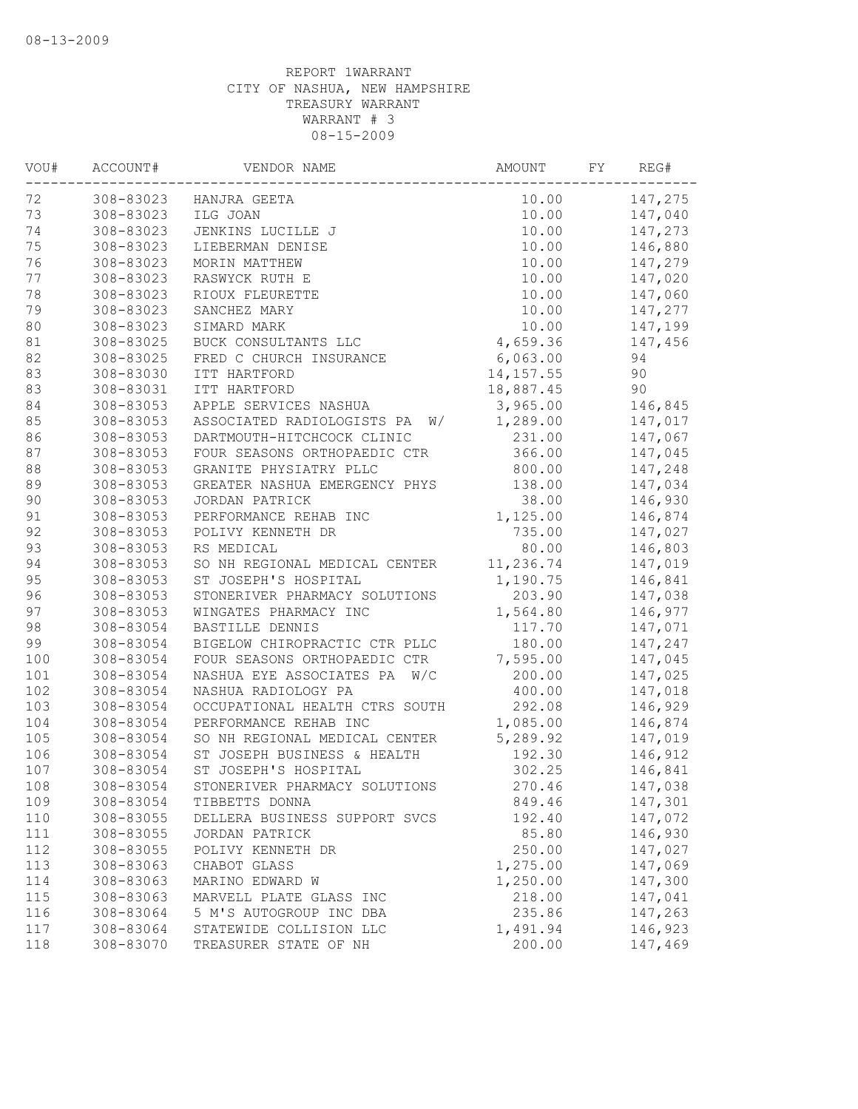| 147,275<br>308-83023<br>10.00<br>HANJRA GEETA<br>308-83023<br>147,040<br>ILG JOAN<br>10.00<br>308-83023<br>10.00<br>147,273<br>JENKINS LUCILLE J<br>308-83023<br>10.00<br>146,880<br>LIEBERMAN DENISE<br>10.00<br>147,279<br>308-83023<br>MORIN MATTHEW<br>308-83023<br>RASWYCK RUTH E<br>10.00<br>147,020<br>308-83023<br>RIOUX FLEURETTE<br>10.00<br>147,060<br>308-83023<br>10.00<br>147,277<br>SANCHEZ MARY<br>10.00<br>308-83023<br>SIMARD MARK<br>147,199<br>81<br>308-83025<br>BUCK CONSULTANTS LLC<br>4,659.36<br>147,456<br>308-83025<br>FRED C CHURCH INSURANCE<br>6,063.00<br>94<br>83<br>90<br>308-83030<br>ITT HARTFORD<br>14, 157.55<br>18,887.45<br>90<br>308-83031<br>ITT HARTFORD<br>3,965.00<br>146,845<br>308-83053<br>APPLE SERVICES NASHUA<br>308-83053<br>ASSOCIATED RADIOLOGISTS PA<br>1,289.00<br>147,017<br>W/<br>231.00<br>86<br>308-83053<br>DARTMOUTH-HITCHCOCK CLINIC<br>147,067<br>87<br>308-83053<br>366.00<br>147,045<br>FOUR SEASONS ORTHOPAEDIC CTR<br>$8\,8$<br>308-83053<br>GRANITE PHYSIATRY PLLC<br>800.00<br>147,248<br>89<br>308-83053<br>138.00<br>147,034<br>GREATER NASHUA EMERGENCY PHYS<br>$90$<br>308-83053<br>JORDAN PATRICK<br>38.00<br>146,930<br>91<br>308-83053<br>PERFORMANCE REHAB INC<br>1,125.00<br>146,874<br>92<br>308-83053<br>735.00<br>POLIVY KENNETH DR<br>147,027<br>93<br>80.00<br>308-83053<br>RS MEDICAL<br>146,803<br>94<br>11,236.74<br>308-83053<br>147,019<br>SO NH REGIONAL MEDICAL CENTER<br>95<br>308-83053<br>1,190.75<br>146,841<br>ST JOSEPH'S HOSPITAL<br>96<br>308-83053<br>203.90<br>147,038<br>STONERIVER PHARMACY SOLUTIONS<br>97<br>1,564.80<br>146,977<br>308-83053<br>WINGATES PHARMACY INC<br>98<br>308-83054<br>BASTILLE DENNIS<br>117.70<br>147,071<br>99<br>308-83054<br>BIGELOW CHIROPRACTIC CTR PLLC<br>180.00<br>147,247<br>100<br>308-83054<br>FOUR SEASONS ORTHOPAEDIC CTR<br>7,595.00<br>147,045<br>101<br>308-83054<br>W/C<br>200.00<br>147,025<br>NASHUA EYE ASSOCIATES PA<br>102<br>400.00<br>308-83054<br>NASHUA RADIOLOGY PA<br>147,018<br>103<br>308-83054<br>292.08<br>146,929<br>OCCUPATIONAL HEALTH CTRS SOUTH<br>1,085.00<br>104<br>308-83054<br>PERFORMANCE REHAB INC<br>146,874<br>5,289.92<br>105<br>308-83054<br>SO NH REGIONAL MEDICAL CENTER<br>147,019<br>106<br>ST JOSEPH BUSINESS & HEALTH<br>192.30<br>146,912<br>308-83054<br>107<br>308-83054<br>ST JOSEPH'S HOSPITAL<br>302.25<br>146,841<br>108<br>308-83054<br>270.46<br>147,038<br>STONERIVER PHARMACY SOLUTIONS<br>308-83054<br>147,301<br>109<br>849.46<br>TIBBETTS DONNA<br>110<br>308-83055<br>192.40<br>147,072<br>DELLERA BUSINESS SUPPORT SVCS<br>111<br>308-83055<br>85.80<br>146,930<br>JORDAN PATRICK<br>112<br>308-83055<br>250.00<br>147,027<br>POLIVY KENNETH DR<br>113<br>1,275.00<br>147,069<br>308-83063<br>CHABOT GLASS<br>147,300<br>114<br>308-83063<br>1,250.00<br>MARINO EDWARD W<br>147,041<br>115<br>308-83063<br>MARVELL PLATE GLASS INC<br>218.00<br>116<br>308-83064<br>5 M'S AUTOGROUP INC DBA<br>235.86<br>147,263<br>117<br>308-83064<br>STATEWIDE COLLISION LLC<br>1,491.94<br>146,923<br>200.00<br>118<br>308-83070<br>TREASURER STATE OF NH<br>147,469 | VOU#   | ACCOUNT# | VENDOR NAME | AMOUNT | FΥ | REG# |
|---------------------------------------------------------------------------------------------------------------------------------------------------------------------------------------------------------------------------------------------------------------------------------------------------------------------------------------------------------------------------------------------------------------------------------------------------------------------------------------------------------------------------------------------------------------------------------------------------------------------------------------------------------------------------------------------------------------------------------------------------------------------------------------------------------------------------------------------------------------------------------------------------------------------------------------------------------------------------------------------------------------------------------------------------------------------------------------------------------------------------------------------------------------------------------------------------------------------------------------------------------------------------------------------------------------------------------------------------------------------------------------------------------------------------------------------------------------------------------------------------------------------------------------------------------------------------------------------------------------------------------------------------------------------------------------------------------------------------------------------------------------------------------------------------------------------------------------------------------------------------------------------------------------------------------------------------------------------------------------------------------------------------------------------------------------------------------------------------------------------------------------------------------------------------------------------------------------------------------------------------------------------------------------------------------------------------------------------------------------------------------------------------------------------------------------------------------------------------------------------------------------------------------------------------------------------------------------------------------------------------------------------------------------------------------------------------------------------------------------------------------------------------------------------------------------------------------------------------------------------------------------------------------------------------------------------------------------------------------------------------------------------------------------------------------------------------------------------------------------------------------------------------------------|--------|----------|-------------|--------|----|------|
|                                                                                                                                                                                                                                                                                                                                                                                                                                                                                                                                                                                                                                                                                                                                                                                                                                                                                                                                                                                                                                                                                                                                                                                                                                                                                                                                                                                                                                                                                                                                                                                                                                                                                                                                                                                                                                                                                                                                                                                                                                                                                                                                                                                                                                                                                                                                                                                                                                                                                                                                                                                                                                                                                                                                                                                                                                                                                                                                                                                                                                                                                                                                                               | 72     |          |             |        |    |      |
|                                                                                                                                                                                                                                                                                                                                                                                                                                                                                                                                                                                                                                                                                                                                                                                                                                                                                                                                                                                                                                                                                                                                                                                                                                                                                                                                                                                                                                                                                                                                                                                                                                                                                                                                                                                                                                                                                                                                                                                                                                                                                                                                                                                                                                                                                                                                                                                                                                                                                                                                                                                                                                                                                                                                                                                                                                                                                                                                                                                                                                                                                                                                                               | 73     |          |             |        |    |      |
|                                                                                                                                                                                                                                                                                                                                                                                                                                                                                                                                                                                                                                                                                                                                                                                                                                                                                                                                                                                                                                                                                                                                                                                                                                                                                                                                                                                                                                                                                                                                                                                                                                                                                                                                                                                                                                                                                                                                                                                                                                                                                                                                                                                                                                                                                                                                                                                                                                                                                                                                                                                                                                                                                                                                                                                                                                                                                                                                                                                                                                                                                                                                                               | 74     |          |             |        |    |      |
|                                                                                                                                                                                                                                                                                                                                                                                                                                                                                                                                                                                                                                                                                                                                                                                                                                                                                                                                                                                                                                                                                                                                                                                                                                                                                                                                                                                                                                                                                                                                                                                                                                                                                                                                                                                                                                                                                                                                                                                                                                                                                                                                                                                                                                                                                                                                                                                                                                                                                                                                                                                                                                                                                                                                                                                                                                                                                                                                                                                                                                                                                                                                                               | 75     |          |             |        |    |      |
|                                                                                                                                                                                                                                                                                                                                                                                                                                                                                                                                                                                                                                                                                                                                                                                                                                                                                                                                                                                                                                                                                                                                                                                                                                                                                                                                                                                                                                                                                                                                                                                                                                                                                                                                                                                                                                                                                                                                                                                                                                                                                                                                                                                                                                                                                                                                                                                                                                                                                                                                                                                                                                                                                                                                                                                                                                                                                                                                                                                                                                                                                                                                                               | 76     |          |             |        |    |      |
|                                                                                                                                                                                                                                                                                                                                                                                                                                                                                                                                                                                                                                                                                                                                                                                                                                                                                                                                                                                                                                                                                                                                                                                                                                                                                                                                                                                                                                                                                                                                                                                                                                                                                                                                                                                                                                                                                                                                                                                                                                                                                                                                                                                                                                                                                                                                                                                                                                                                                                                                                                                                                                                                                                                                                                                                                                                                                                                                                                                                                                                                                                                                                               | 77     |          |             |        |    |      |
|                                                                                                                                                                                                                                                                                                                                                                                                                                                                                                                                                                                                                                                                                                                                                                                                                                                                                                                                                                                                                                                                                                                                                                                                                                                                                                                                                                                                                                                                                                                                                                                                                                                                                                                                                                                                                                                                                                                                                                                                                                                                                                                                                                                                                                                                                                                                                                                                                                                                                                                                                                                                                                                                                                                                                                                                                                                                                                                                                                                                                                                                                                                                                               | 78     |          |             |        |    |      |
|                                                                                                                                                                                                                                                                                                                                                                                                                                                                                                                                                                                                                                                                                                                                                                                                                                                                                                                                                                                                                                                                                                                                                                                                                                                                                                                                                                                                                                                                                                                                                                                                                                                                                                                                                                                                                                                                                                                                                                                                                                                                                                                                                                                                                                                                                                                                                                                                                                                                                                                                                                                                                                                                                                                                                                                                                                                                                                                                                                                                                                                                                                                                                               | 79     |          |             |        |    |      |
|                                                                                                                                                                                                                                                                                                                                                                                                                                                                                                                                                                                                                                                                                                                                                                                                                                                                                                                                                                                                                                                                                                                                                                                                                                                                                                                                                                                                                                                                                                                                                                                                                                                                                                                                                                                                                                                                                                                                                                                                                                                                                                                                                                                                                                                                                                                                                                                                                                                                                                                                                                                                                                                                                                                                                                                                                                                                                                                                                                                                                                                                                                                                                               | $8\,0$ |          |             |        |    |      |
|                                                                                                                                                                                                                                                                                                                                                                                                                                                                                                                                                                                                                                                                                                                                                                                                                                                                                                                                                                                                                                                                                                                                                                                                                                                                                                                                                                                                                                                                                                                                                                                                                                                                                                                                                                                                                                                                                                                                                                                                                                                                                                                                                                                                                                                                                                                                                                                                                                                                                                                                                                                                                                                                                                                                                                                                                                                                                                                                                                                                                                                                                                                                                               |        |          |             |        |    |      |
|                                                                                                                                                                                                                                                                                                                                                                                                                                                                                                                                                                                                                                                                                                                                                                                                                                                                                                                                                                                                                                                                                                                                                                                                                                                                                                                                                                                                                                                                                                                                                                                                                                                                                                                                                                                                                                                                                                                                                                                                                                                                                                                                                                                                                                                                                                                                                                                                                                                                                                                                                                                                                                                                                                                                                                                                                                                                                                                                                                                                                                                                                                                                                               | 82     |          |             |        |    |      |
|                                                                                                                                                                                                                                                                                                                                                                                                                                                                                                                                                                                                                                                                                                                                                                                                                                                                                                                                                                                                                                                                                                                                                                                                                                                                                                                                                                                                                                                                                                                                                                                                                                                                                                                                                                                                                                                                                                                                                                                                                                                                                                                                                                                                                                                                                                                                                                                                                                                                                                                                                                                                                                                                                                                                                                                                                                                                                                                                                                                                                                                                                                                                                               |        |          |             |        |    |      |
|                                                                                                                                                                                                                                                                                                                                                                                                                                                                                                                                                                                                                                                                                                                                                                                                                                                                                                                                                                                                                                                                                                                                                                                                                                                                                                                                                                                                                                                                                                                                                                                                                                                                                                                                                                                                                                                                                                                                                                                                                                                                                                                                                                                                                                                                                                                                                                                                                                                                                                                                                                                                                                                                                                                                                                                                                                                                                                                                                                                                                                                                                                                                                               | 83     |          |             |        |    |      |
|                                                                                                                                                                                                                                                                                                                                                                                                                                                                                                                                                                                                                                                                                                                                                                                                                                                                                                                                                                                                                                                                                                                                                                                                                                                                                                                                                                                                                                                                                                                                                                                                                                                                                                                                                                                                                                                                                                                                                                                                                                                                                                                                                                                                                                                                                                                                                                                                                                                                                                                                                                                                                                                                                                                                                                                                                                                                                                                                                                                                                                                                                                                                                               | 84     |          |             |        |    |      |
|                                                                                                                                                                                                                                                                                                                                                                                                                                                                                                                                                                                                                                                                                                                                                                                                                                                                                                                                                                                                                                                                                                                                                                                                                                                                                                                                                                                                                                                                                                                                                                                                                                                                                                                                                                                                                                                                                                                                                                                                                                                                                                                                                                                                                                                                                                                                                                                                                                                                                                                                                                                                                                                                                                                                                                                                                                                                                                                                                                                                                                                                                                                                                               | 85     |          |             |        |    |      |
|                                                                                                                                                                                                                                                                                                                                                                                                                                                                                                                                                                                                                                                                                                                                                                                                                                                                                                                                                                                                                                                                                                                                                                                                                                                                                                                                                                                                                                                                                                                                                                                                                                                                                                                                                                                                                                                                                                                                                                                                                                                                                                                                                                                                                                                                                                                                                                                                                                                                                                                                                                                                                                                                                                                                                                                                                                                                                                                                                                                                                                                                                                                                                               |        |          |             |        |    |      |
|                                                                                                                                                                                                                                                                                                                                                                                                                                                                                                                                                                                                                                                                                                                                                                                                                                                                                                                                                                                                                                                                                                                                                                                                                                                                                                                                                                                                                                                                                                                                                                                                                                                                                                                                                                                                                                                                                                                                                                                                                                                                                                                                                                                                                                                                                                                                                                                                                                                                                                                                                                                                                                                                                                                                                                                                                                                                                                                                                                                                                                                                                                                                                               |        |          |             |        |    |      |
|                                                                                                                                                                                                                                                                                                                                                                                                                                                                                                                                                                                                                                                                                                                                                                                                                                                                                                                                                                                                                                                                                                                                                                                                                                                                                                                                                                                                                                                                                                                                                                                                                                                                                                                                                                                                                                                                                                                                                                                                                                                                                                                                                                                                                                                                                                                                                                                                                                                                                                                                                                                                                                                                                                                                                                                                                                                                                                                                                                                                                                                                                                                                                               |        |          |             |        |    |      |
|                                                                                                                                                                                                                                                                                                                                                                                                                                                                                                                                                                                                                                                                                                                                                                                                                                                                                                                                                                                                                                                                                                                                                                                                                                                                                                                                                                                                                                                                                                                                                                                                                                                                                                                                                                                                                                                                                                                                                                                                                                                                                                                                                                                                                                                                                                                                                                                                                                                                                                                                                                                                                                                                                                                                                                                                                                                                                                                                                                                                                                                                                                                                                               |        |          |             |        |    |      |
|                                                                                                                                                                                                                                                                                                                                                                                                                                                                                                                                                                                                                                                                                                                                                                                                                                                                                                                                                                                                                                                                                                                                                                                                                                                                                                                                                                                                                                                                                                                                                                                                                                                                                                                                                                                                                                                                                                                                                                                                                                                                                                                                                                                                                                                                                                                                                                                                                                                                                                                                                                                                                                                                                                                                                                                                                                                                                                                                                                                                                                                                                                                                                               |        |          |             |        |    |      |
|                                                                                                                                                                                                                                                                                                                                                                                                                                                                                                                                                                                                                                                                                                                                                                                                                                                                                                                                                                                                                                                                                                                                                                                                                                                                                                                                                                                                                                                                                                                                                                                                                                                                                                                                                                                                                                                                                                                                                                                                                                                                                                                                                                                                                                                                                                                                                                                                                                                                                                                                                                                                                                                                                                                                                                                                                                                                                                                                                                                                                                                                                                                                                               |        |          |             |        |    |      |
|                                                                                                                                                                                                                                                                                                                                                                                                                                                                                                                                                                                                                                                                                                                                                                                                                                                                                                                                                                                                                                                                                                                                                                                                                                                                                                                                                                                                                                                                                                                                                                                                                                                                                                                                                                                                                                                                                                                                                                                                                                                                                                                                                                                                                                                                                                                                                                                                                                                                                                                                                                                                                                                                                                                                                                                                                                                                                                                                                                                                                                                                                                                                                               |        |          |             |        |    |      |
|                                                                                                                                                                                                                                                                                                                                                                                                                                                                                                                                                                                                                                                                                                                                                                                                                                                                                                                                                                                                                                                                                                                                                                                                                                                                                                                                                                                                                                                                                                                                                                                                                                                                                                                                                                                                                                                                                                                                                                                                                                                                                                                                                                                                                                                                                                                                                                                                                                                                                                                                                                                                                                                                                                                                                                                                                                                                                                                                                                                                                                                                                                                                                               |        |          |             |        |    |      |
|                                                                                                                                                                                                                                                                                                                                                                                                                                                                                                                                                                                                                                                                                                                                                                                                                                                                                                                                                                                                                                                                                                                                                                                                                                                                                                                                                                                                                                                                                                                                                                                                                                                                                                                                                                                                                                                                                                                                                                                                                                                                                                                                                                                                                                                                                                                                                                                                                                                                                                                                                                                                                                                                                                                                                                                                                                                                                                                                                                                                                                                                                                                                                               |        |          |             |        |    |      |
|                                                                                                                                                                                                                                                                                                                                                                                                                                                                                                                                                                                                                                                                                                                                                                                                                                                                                                                                                                                                                                                                                                                                                                                                                                                                                                                                                                                                                                                                                                                                                                                                                                                                                                                                                                                                                                                                                                                                                                                                                                                                                                                                                                                                                                                                                                                                                                                                                                                                                                                                                                                                                                                                                                                                                                                                                                                                                                                                                                                                                                                                                                                                                               |        |          |             |        |    |      |
|                                                                                                                                                                                                                                                                                                                                                                                                                                                                                                                                                                                                                                                                                                                                                                                                                                                                                                                                                                                                                                                                                                                                                                                                                                                                                                                                                                                                                                                                                                                                                                                                                                                                                                                                                                                                                                                                                                                                                                                                                                                                                                                                                                                                                                                                                                                                                                                                                                                                                                                                                                                                                                                                                                                                                                                                                                                                                                                                                                                                                                                                                                                                                               |        |          |             |        |    |      |
|                                                                                                                                                                                                                                                                                                                                                                                                                                                                                                                                                                                                                                                                                                                                                                                                                                                                                                                                                                                                                                                                                                                                                                                                                                                                                                                                                                                                                                                                                                                                                                                                                                                                                                                                                                                                                                                                                                                                                                                                                                                                                                                                                                                                                                                                                                                                                                                                                                                                                                                                                                                                                                                                                                                                                                                                                                                                                                                                                                                                                                                                                                                                                               |        |          |             |        |    |      |
|                                                                                                                                                                                                                                                                                                                                                                                                                                                                                                                                                                                                                                                                                                                                                                                                                                                                                                                                                                                                                                                                                                                                                                                                                                                                                                                                                                                                                                                                                                                                                                                                                                                                                                                                                                                                                                                                                                                                                                                                                                                                                                                                                                                                                                                                                                                                                                                                                                                                                                                                                                                                                                                                                                                                                                                                                                                                                                                                                                                                                                                                                                                                                               |        |          |             |        |    |      |
|                                                                                                                                                                                                                                                                                                                                                                                                                                                                                                                                                                                                                                                                                                                                                                                                                                                                                                                                                                                                                                                                                                                                                                                                                                                                                                                                                                                                                                                                                                                                                                                                                                                                                                                                                                                                                                                                                                                                                                                                                                                                                                                                                                                                                                                                                                                                                                                                                                                                                                                                                                                                                                                                                                                                                                                                                                                                                                                                                                                                                                                                                                                                                               |        |          |             |        |    |      |
|                                                                                                                                                                                                                                                                                                                                                                                                                                                                                                                                                                                                                                                                                                                                                                                                                                                                                                                                                                                                                                                                                                                                                                                                                                                                                                                                                                                                                                                                                                                                                                                                                                                                                                                                                                                                                                                                                                                                                                                                                                                                                                                                                                                                                                                                                                                                                                                                                                                                                                                                                                                                                                                                                                                                                                                                                                                                                                                                                                                                                                                                                                                                                               |        |          |             |        |    |      |
|                                                                                                                                                                                                                                                                                                                                                                                                                                                                                                                                                                                                                                                                                                                                                                                                                                                                                                                                                                                                                                                                                                                                                                                                                                                                                                                                                                                                                                                                                                                                                                                                                                                                                                                                                                                                                                                                                                                                                                                                                                                                                                                                                                                                                                                                                                                                                                                                                                                                                                                                                                                                                                                                                                                                                                                                                                                                                                                                                                                                                                                                                                                                                               |        |          |             |        |    |      |
|                                                                                                                                                                                                                                                                                                                                                                                                                                                                                                                                                                                                                                                                                                                                                                                                                                                                                                                                                                                                                                                                                                                                                                                                                                                                                                                                                                                                                                                                                                                                                                                                                                                                                                                                                                                                                                                                                                                                                                                                                                                                                                                                                                                                                                                                                                                                                                                                                                                                                                                                                                                                                                                                                                                                                                                                                                                                                                                                                                                                                                                                                                                                                               |        |          |             |        |    |      |
|                                                                                                                                                                                                                                                                                                                                                                                                                                                                                                                                                                                                                                                                                                                                                                                                                                                                                                                                                                                                                                                                                                                                                                                                                                                                                                                                                                                                                                                                                                                                                                                                                                                                                                                                                                                                                                                                                                                                                                                                                                                                                                                                                                                                                                                                                                                                                                                                                                                                                                                                                                                                                                                                                                                                                                                                                                                                                                                                                                                                                                                                                                                                                               |        |          |             |        |    |      |
|                                                                                                                                                                                                                                                                                                                                                                                                                                                                                                                                                                                                                                                                                                                                                                                                                                                                                                                                                                                                                                                                                                                                                                                                                                                                                                                                                                                                                                                                                                                                                                                                                                                                                                                                                                                                                                                                                                                                                                                                                                                                                                                                                                                                                                                                                                                                                                                                                                                                                                                                                                                                                                                                                                                                                                                                                                                                                                                                                                                                                                                                                                                                                               |        |          |             |        |    |      |
|                                                                                                                                                                                                                                                                                                                                                                                                                                                                                                                                                                                                                                                                                                                                                                                                                                                                                                                                                                                                                                                                                                                                                                                                                                                                                                                                                                                                                                                                                                                                                                                                                                                                                                                                                                                                                                                                                                                                                                                                                                                                                                                                                                                                                                                                                                                                                                                                                                                                                                                                                                                                                                                                                                                                                                                                                                                                                                                                                                                                                                                                                                                                                               |        |          |             |        |    |      |
|                                                                                                                                                                                                                                                                                                                                                                                                                                                                                                                                                                                                                                                                                                                                                                                                                                                                                                                                                                                                                                                                                                                                                                                                                                                                                                                                                                                                                                                                                                                                                                                                                                                                                                                                                                                                                                                                                                                                                                                                                                                                                                                                                                                                                                                                                                                                                                                                                                                                                                                                                                                                                                                                                                                                                                                                                                                                                                                                                                                                                                                                                                                                                               |        |          |             |        |    |      |
|                                                                                                                                                                                                                                                                                                                                                                                                                                                                                                                                                                                                                                                                                                                                                                                                                                                                                                                                                                                                                                                                                                                                                                                                                                                                                                                                                                                                                                                                                                                                                                                                                                                                                                                                                                                                                                                                                                                                                                                                                                                                                                                                                                                                                                                                                                                                                                                                                                                                                                                                                                                                                                                                                                                                                                                                                                                                                                                                                                                                                                                                                                                                                               |        |          |             |        |    |      |
|                                                                                                                                                                                                                                                                                                                                                                                                                                                                                                                                                                                                                                                                                                                                                                                                                                                                                                                                                                                                                                                                                                                                                                                                                                                                                                                                                                                                                                                                                                                                                                                                                                                                                                                                                                                                                                                                                                                                                                                                                                                                                                                                                                                                                                                                                                                                                                                                                                                                                                                                                                                                                                                                                                                                                                                                                                                                                                                                                                                                                                                                                                                                                               |        |          |             |        |    |      |
|                                                                                                                                                                                                                                                                                                                                                                                                                                                                                                                                                                                                                                                                                                                                                                                                                                                                                                                                                                                                                                                                                                                                                                                                                                                                                                                                                                                                                                                                                                                                                                                                                                                                                                                                                                                                                                                                                                                                                                                                                                                                                                                                                                                                                                                                                                                                                                                                                                                                                                                                                                                                                                                                                                                                                                                                                                                                                                                                                                                                                                                                                                                                                               |        |          |             |        |    |      |
|                                                                                                                                                                                                                                                                                                                                                                                                                                                                                                                                                                                                                                                                                                                                                                                                                                                                                                                                                                                                                                                                                                                                                                                                                                                                                                                                                                                                                                                                                                                                                                                                                                                                                                                                                                                                                                                                                                                                                                                                                                                                                                                                                                                                                                                                                                                                                                                                                                                                                                                                                                                                                                                                                                                                                                                                                                                                                                                                                                                                                                                                                                                                                               |        |          |             |        |    |      |
|                                                                                                                                                                                                                                                                                                                                                                                                                                                                                                                                                                                                                                                                                                                                                                                                                                                                                                                                                                                                                                                                                                                                                                                                                                                                                                                                                                                                                                                                                                                                                                                                                                                                                                                                                                                                                                                                                                                                                                                                                                                                                                                                                                                                                                                                                                                                                                                                                                                                                                                                                                                                                                                                                                                                                                                                                                                                                                                                                                                                                                                                                                                                                               |        |          |             |        |    |      |
|                                                                                                                                                                                                                                                                                                                                                                                                                                                                                                                                                                                                                                                                                                                                                                                                                                                                                                                                                                                                                                                                                                                                                                                                                                                                                                                                                                                                                                                                                                                                                                                                                                                                                                                                                                                                                                                                                                                                                                                                                                                                                                                                                                                                                                                                                                                                                                                                                                                                                                                                                                                                                                                                                                                                                                                                                                                                                                                                                                                                                                                                                                                                                               |        |          |             |        |    |      |
|                                                                                                                                                                                                                                                                                                                                                                                                                                                                                                                                                                                                                                                                                                                                                                                                                                                                                                                                                                                                                                                                                                                                                                                                                                                                                                                                                                                                                                                                                                                                                                                                                                                                                                                                                                                                                                                                                                                                                                                                                                                                                                                                                                                                                                                                                                                                                                                                                                                                                                                                                                                                                                                                                                                                                                                                                                                                                                                                                                                                                                                                                                                                                               |        |          |             |        |    |      |
|                                                                                                                                                                                                                                                                                                                                                                                                                                                                                                                                                                                                                                                                                                                                                                                                                                                                                                                                                                                                                                                                                                                                                                                                                                                                                                                                                                                                                                                                                                                                                                                                                                                                                                                                                                                                                                                                                                                                                                                                                                                                                                                                                                                                                                                                                                                                                                                                                                                                                                                                                                                                                                                                                                                                                                                                                                                                                                                                                                                                                                                                                                                                                               |        |          |             |        |    |      |
|                                                                                                                                                                                                                                                                                                                                                                                                                                                                                                                                                                                                                                                                                                                                                                                                                                                                                                                                                                                                                                                                                                                                                                                                                                                                                                                                                                                                                                                                                                                                                                                                                                                                                                                                                                                                                                                                                                                                                                                                                                                                                                                                                                                                                                                                                                                                                                                                                                                                                                                                                                                                                                                                                                                                                                                                                                                                                                                                                                                                                                                                                                                                                               |        |          |             |        |    |      |
|                                                                                                                                                                                                                                                                                                                                                                                                                                                                                                                                                                                                                                                                                                                                                                                                                                                                                                                                                                                                                                                                                                                                                                                                                                                                                                                                                                                                                                                                                                                                                                                                                                                                                                                                                                                                                                                                                                                                                                                                                                                                                                                                                                                                                                                                                                                                                                                                                                                                                                                                                                                                                                                                                                                                                                                                                                                                                                                                                                                                                                                                                                                                                               |        |          |             |        |    |      |
|                                                                                                                                                                                                                                                                                                                                                                                                                                                                                                                                                                                                                                                                                                                                                                                                                                                                                                                                                                                                                                                                                                                                                                                                                                                                                                                                                                                                                                                                                                                                                                                                                                                                                                                                                                                                                                                                                                                                                                                                                                                                                                                                                                                                                                                                                                                                                                                                                                                                                                                                                                                                                                                                                                                                                                                                                                                                                                                                                                                                                                                                                                                                                               |        |          |             |        |    |      |
|                                                                                                                                                                                                                                                                                                                                                                                                                                                                                                                                                                                                                                                                                                                                                                                                                                                                                                                                                                                                                                                                                                                                                                                                                                                                                                                                                                                                                                                                                                                                                                                                                                                                                                                                                                                                                                                                                                                                                                                                                                                                                                                                                                                                                                                                                                                                                                                                                                                                                                                                                                                                                                                                                                                                                                                                                                                                                                                                                                                                                                                                                                                                                               |        |          |             |        |    |      |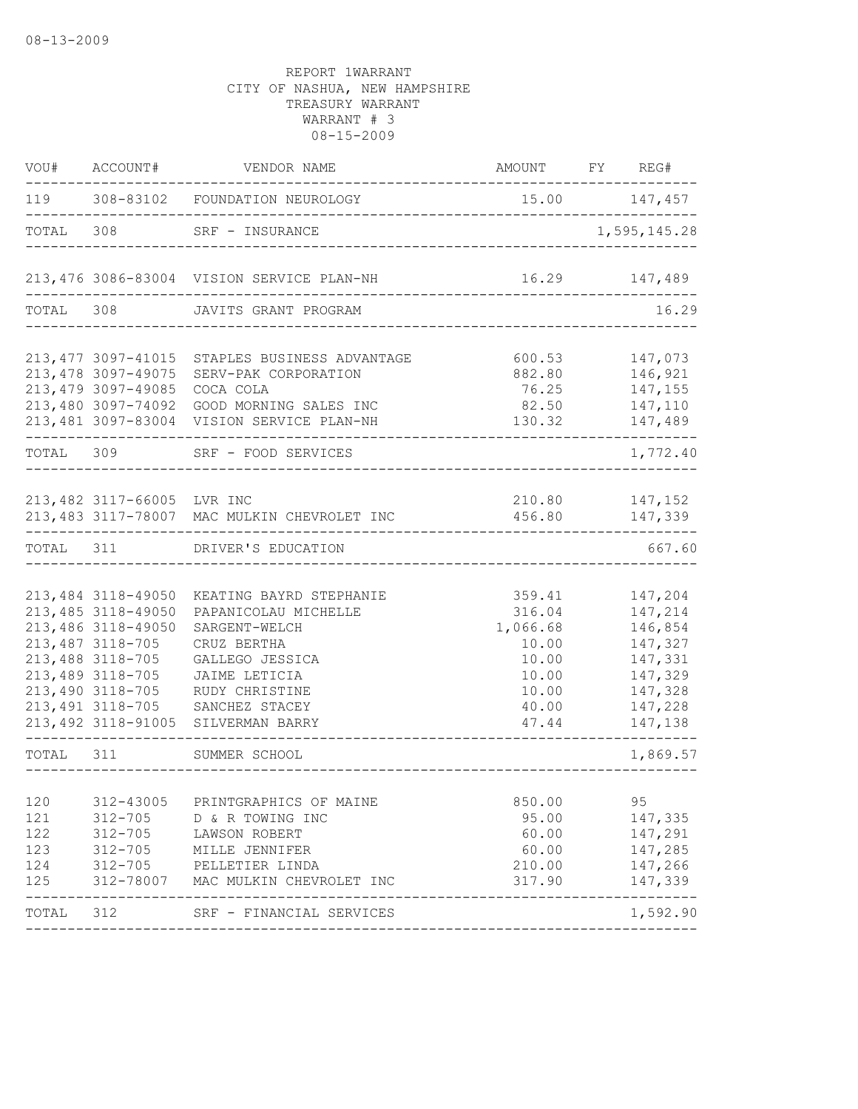| 119 308-83102 FOUNDATION NEUROLOGY<br>$15.00$ $147,457$<br>308 SRF - INSURANCE<br>1,595,145.28<br>--------------------------------<br>213,476 3086-83004 VISION SERVICE PLAN-NH<br>16.29 147,489<br>TOTAL 308 JAVITS GRANT PROGRAM<br>213, 477 3097-41015<br>600.53<br>147,073<br>STAPLES BUSINESS ADVANTAGE<br>213, 478 3097-49075<br>146,921<br>SERV-PAK CORPORATION<br>882.80<br>213, 479 3097-49085<br>COCA COLA<br>76.25 147,155<br>213,480 3097-74092<br>82.50 147,110<br>GOOD MORNING SALES INC<br>213,481 3097-83004 VISION SERVICE PLAN-NH<br>130.32<br>147,489<br>TOTAL 309<br>SRF - FOOD SERVICES<br>213,482 3117-66005 LVR INC<br>210.80 147,152<br>213,483 3117-78007 MAC MULKIN CHEVROLET INC 456.80 147,339<br>TOTAL 311 DRIVER'S EDUCATION<br>213,484 3118-49050<br>147,204<br>KEATING BAYRD STEPHANIE<br>359.41<br>213, 485 3118-49050<br>316.04<br>147,214<br>PAPANICOLAU MICHELLE<br>213,486 3118-49050<br>1,066.68<br>146,854<br>SARGENT-WELCH<br>213, 487 3118-705<br>147,327<br>CRUZ BERTHA<br>10.00<br>213,488 3118-705<br>147,331<br>GALLEGO JESSICA<br>10.00<br>213,489 3118-705<br>JAIME LETICIA<br>10.00<br>147,329<br>213,490 3118-705<br>10.00<br>147,328<br>RUDY CHRISTINE<br>213, 491 3118-705<br>40.00<br>147,228<br>SANCHEZ STACEY<br>213,492 3118-91005 SILVERMAN BARRY<br>47.44<br>147,138<br>TOTAL 311<br>SUMMER SCHOOL<br>______________________________________<br>95<br>312-43005<br>850.00<br>PRINTGRAPHICS OF MAINE<br>$312 - 705$<br>95.00<br>147,335<br>D & R TOWING INC<br>$312 - 705$<br>60.00<br>147,291<br>LAWSON ROBERT<br>60.00<br>$312 - 705$<br>147,285<br>MILLE JENNIFER<br>$312 - 705$<br>PELLETIER LINDA<br>210.00<br>147,266<br>312-78007<br>317.90<br>147,339<br>MAC MULKIN CHEVROLET INC<br>312<br>SRF - FINANCIAL SERVICES | VOU#                                   | ACCOUNT# | VENDOR NAME | AMOUNT FY REG# |          |
|--------------------------------------------------------------------------------------------------------------------------------------------------------------------------------------------------------------------------------------------------------------------------------------------------------------------------------------------------------------------------------------------------------------------------------------------------------------------------------------------------------------------------------------------------------------------------------------------------------------------------------------------------------------------------------------------------------------------------------------------------------------------------------------------------------------------------------------------------------------------------------------------------------------------------------------------------------------------------------------------------------------------------------------------------------------------------------------------------------------------------------------------------------------------------------------------------------------------------------------------------------------------------------------------------------------------------------------------------------------------------------------------------------------------------------------------------------------------------------------------------------------------------------------------------------------------------------------------------------------------------------------------------------------------------------------------------------------------------------------------------------------------------------------|----------------------------------------|----------|-------------|----------------|----------|
|                                                                                                                                                                                                                                                                                                                                                                                                                                                                                                                                                                                                                                                                                                                                                                                                                                                                                                                                                                                                                                                                                                                                                                                                                                                                                                                                                                                                                                                                                                                                                                                                                                                                                                                                                                                      |                                        |          |             |                |          |
|                                                                                                                                                                                                                                                                                                                                                                                                                                                                                                                                                                                                                                                                                                                                                                                                                                                                                                                                                                                                                                                                                                                                                                                                                                                                                                                                                                                                                                                                                                                                                                                                                                                                                                                                                                                      | TOTAL                                  |          |             |                |          |
|                                                                                                                                                                                                                                                                                                                                                                                                                                                                                                                                                                                                                                                                                                                                                                                                                                                                                                                                                                                                                                                                                                                                                                                                                                                                                                                                                                                                                                                                                                                                                                                                                                                                                                                                                                                      |                                        |          |             |                |          |
|                                                                                                                                                                                                                                                                                                                                                                                                                                                                                                                                                                                                                                                                                                                                                                                                                                                                                                                                                                                                                                                                                                                                                                                                                                                                                                                                                                                                                                                                                                                                                                                                                                                                                                                                                                                      |                                        |          |             |                | 16.29    |
|                                                                                                                                                                                                                                                                                                                                                                                                                                                                                                                                                                                                                                                                                                                                                                                                                                                                                                                                                                                                                                                                                                                                                                                                                                                                                                                                                                                                                                                                                                                                                                                                                                                                                                                                                                                      |                                        |          |             |                |          |
|                                                                                                                                                                                                                                                                                                                                                                                                                                                                                                                                                                                                                                                                                                                                                                                                                                                                                                                                                                                                                                                                                                                                                                                                                                                                                                                                                                                                                                                                                                                                                                                                                                                                                                                                                                                      |                                        |          |             |                | 1,772.40 |
|                                                                                                                                                                                                                                                                                                                                                                                                                                                                                                                                                                                                                                                                                                                                                                                                                                                                                                                                                                                                                                                                                                                                                                                                                                                                                                                                                                                                                                                                                                                                                                                                                                                                                                                                                                                      |                                        |          |             |                |          |
|                                                                                                                                                                                                                                                                                                                                                                                                                                                                                                                                                                                                                                                                                                                                                                                                                                                                                                                                                                                                                                                                                                                                                                                                                                                                                                                                                                                                                                                                                                                                                                                                                                                                                                                                                                                      |                                        |          |             |                | 667.60   |
|                                                                                                                                                                                                                                                                                                                                                                                                                                                                                                                                                                                                                                                                                                                                                                                                                                                                                                                                                                                                                                                                                                                                                                                                                                                                                                                                                                                                                                                                                                                                                                                                                                                                                                                                                                                      |                                        |          |             |                |          |
|                                                                                                                                                                                                                                                                                                                                                                                                                                                                                                                                                                                                                                                                                                                                                                                                                                                                                                                                                                                                                                                                                                                                                                                                                                                                                                                                                                                                                                                                                                                                                                                                                                                                                                                                                                                      |                                        |          |             |                | 1,869.57 |
|                                                                                                                                                                                                                                                                                                                                                                                                                                                                                                                                                                                                                                                                                                                                                                                                                                                                                                                                                                                                                                                                                                                                                                                                                                                                                                                                                                                                                                                                                                                                                                                                                                                                                                                                                                                      | 120<br>121<br>122<br>123<br>124<br>125 |          |             |                |          |
|                                                                                                                                                                                                                                                                                                                                                                                                                                                                                                                                                                                                                                                                                                                                                                                                                                                                                                                                                                                                                                                                                                                                                                                                                                                                                                                                                                                                                                                                                                                                                                                                                                                                                                                                                                                      | TOTAL                                  |          |             |                | 1,592.90 |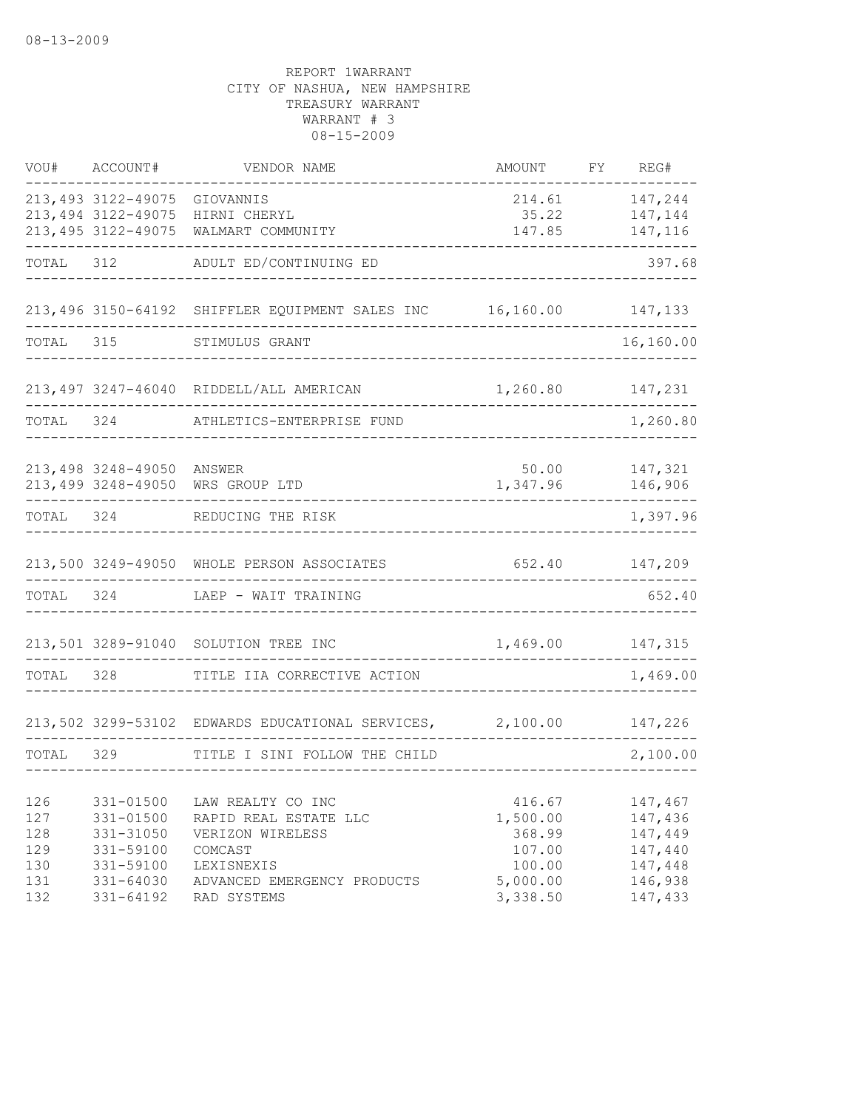| VOU#      | ACCOUNT#                     | VENDOR NAME                                               | AMOUNT   | FY | REG#               |
|-----------|------------------------------|-----------------------------------------------------------|----------|----|--------------------|
|           | 213,493 3122-49075 GIOVANNIS |                                                           | 214.61   |    | 147,244            |
|           | 213,494 3122-49075           | HIRNI CHERYL                                              | 35.22    |    | 147,144            |
|           | 213,495 3122-49075           | WALMART COMMUNITY                                         | 147.85   |    | 147,116            |
| TOTAL     | 312                          | ADULT ED/CONTINUING ED                                    |          |    | 397.68             |
|           |                              | 213,496 3150-64192 SHIFFLER EQUIPMENT SALES INC 16,160.00 |          |    | 147,133            |
| TOTAL     | 315                          | STIMULUS GRANT                                            |          |    | 16,160.00          |
|           |                              | 213,497 3247-46040 RIDDELL/ALL AMERICAN                   | 1,260.80 |    | 147,231            |
| TOTAL     | 324                          | ATHLETICS-ENTERPRISE FUND                                 |          |    | 1,260.80           |
|           |                              | ANSWER                                                    | 50.00    |    |                    |
|           | 213,498 3248-49050           | 213,499 3248-49050 WRS GROUP LTD                          | 1,347.96 |    | 147,321<br>146,906 |
| TOTAL 324 |                              | REDUCING THE RISK                                         |          |    | 1,397.96           |
|           |                              | 213,500 3249-49050 WHOLE PERSON ASSOCIATES                | 652.40   |    | 147,209            |
| TOTAL     | 324                          | LAEP - WAIT TRAINING                                      |          |    | 652.40             |
|           |                              | 213,501 3289-91040 SOLUTION TREE INC                      | 1,469.00 |    | 147,315            |
| TOTAL     | 328                          | TITLE IIA CORRECTIVE ACTION                               |          |    | 1,469.00           |
|           |                              | 213,502 3299-53102 EDWARDS EDUCATIONAL SERVICES, 2,100.00 |          |    | 147,226            |
| TOTAL     | 329                          |                                                           |          |    | 2,100.00           |
|           |                              | TITLE I SINI FOLLOW THE CHILD                             |          |    |                    |
| 126       | 331-01500                    | LAW REALTY CO INC                                         | 416.67   |    | 147,467            |
| 127       | 331-01500                    | RAPID REAL ESTATE LLC                                     | 1,500.00 |    | 147,436            |
| 128       | 331-31050                    | VERIZON WIRELESS                                          | 368.99   |    | 147,449            |
| 129       | 331-59100                    | COMCAST                                                   | 107.00   |    | 147,440            |
| 130       | 331-59100                    | LEXISNEXIS                                                | 100.00   |    | 147,448            |
| 131       | 331-64030                    | ADVANCED EMERGENCY PRODUCTS                               | 5,000.00 |    | 146,938            |
| 132       | 331-64192                    | RAD SYSTEMS                                               | 3,338.50 |    | 147,433            |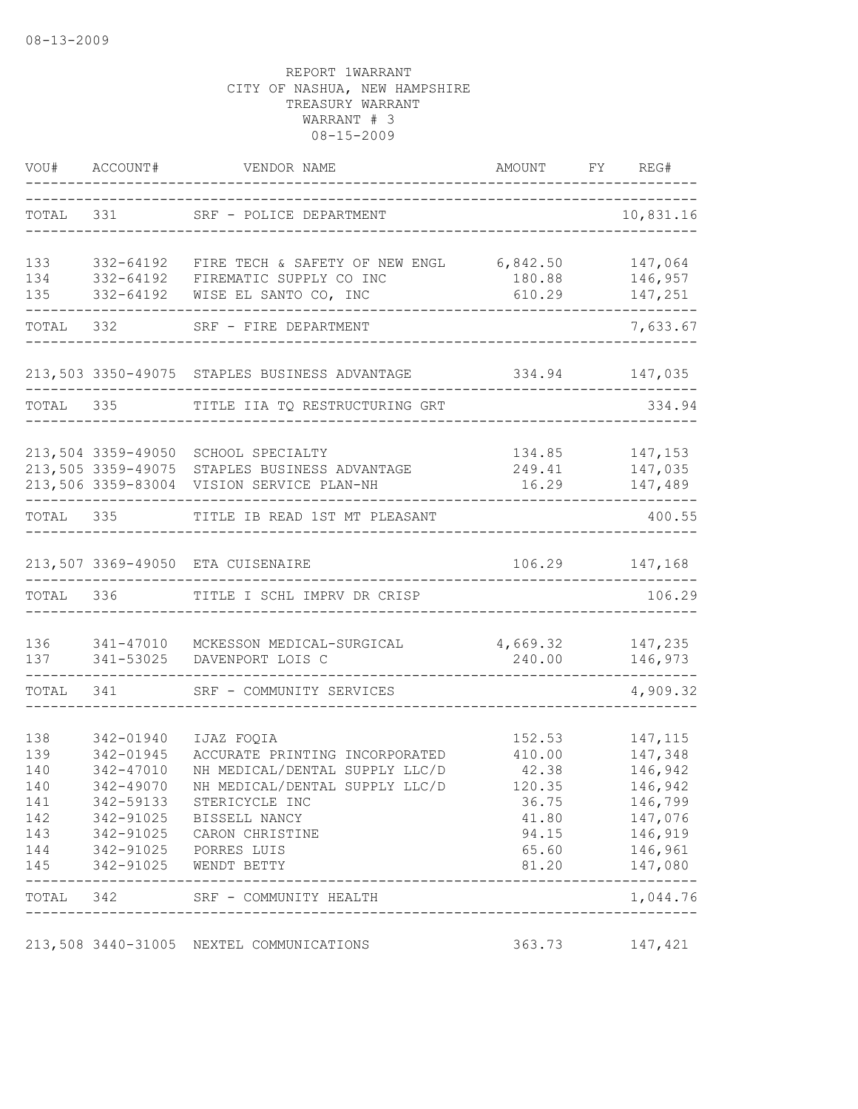|            | VOU# ACCOUNT#      | VENDOR NAME                                       | AMOUNT                          | FY REG#            |
|------------|--------------------|---------------------------------------------------|---------------------------------|--------------------|
| TOTAL      | 331 7              | SRF - POLICE DEPARTMENT                           |                                 | 10,831.16          |
| 133        | 332-64192          | FIRE TECH & SAFETY OF NEW ENGL 6,842.50           |                                 | 147,064            |
| 134        | 332-64192          | FIREMATIC SUPPLY CO INC                           | 180.88                          | 146,957            |
| 135        | 332-64192          | WISE EL SANTO CO, INC                             | 610.29<br>----------            | 147,251            |
|            | TOTAL 332          | SRF - FIRE DEPARTMENT                             |                                 | 7,633.67           |
|            |                    | 213,503 3350-49075 STAPLES BUSINESS ADVANTAGE     | 334.94                          | 147,035            |
|            | TOTAL 335          | TITLE IIA TQ RESTRUCTURING GRT                    |                                 | 334.94             |
|            | 213,504 3359-49050 | SCHOOL SPECIALTY                                  |                                 |                    |
|            | 213,505 3359-49075 | STAPLES BUSINESS ADVANTAGE                        | 134.85<br>249.41                | 147,153<br>147,035 |
|            |                    | 213,506 3359-83004 VISION SERVICE PLAN-NH         | 16.29                           | 147,489            |
| TOTAL 335  |                    | TITLE IB READ 1ST MT PLEASANT                     |                                 | 400.55             |
|            |                    | 213,507 3369-49050 ETA CUISENAIRE                 |                                 | 106.29 147,168     |
| TOTAL      | 336                | TITLE I SCHL IMPRV DR CRISP                       |                                 | 106.29             |
| 136        | 341-47010          | MCKESSON MEDICAL-SURGICAL 4,669.32                |                                 | 147,235            |
| 137        | 341-53025          | DAVENPORT LOIS C                                  | 240.00                          | 146,973            |
| TOTAL      | 341                | SRF - COMMUNITY SERVICES                          |                                 | 4,909.32           |
| 138        | 342-01940          | IJAZ FOQIA                                        | 152.53                          | 147, 115           |
| 139        | 342-01945          | ACCURATE PRINTING INCORPORATED                    | 410.00                          | 147,348            |
| 140        | 342-47010          | NH MEDICAL/DENTAL SUPPLY LLC/D                    | 42.38                           | 146,942            |
| 140        | 342-49070          | NH MEDICAL/DENTAL SUPPLY LLC/D                    | 120.35                          | 146,942            |
| 141        | 342-59133          | STERICYCLE INC                                    | 36.75                           | 146,799            |
| 142        |                    | 342-91025 BISSELL NANCY                           | 41.80                           | 147,076            |
| 143        |                    | 342-91025 CARON CHRISTINE                         |                                 | 94.15 146,919      |
| 144<br>145 |                    | 342-91025    PORRES LUIS<br>342-91025 WENDT BETTY | 65.60<br>81.20                  | 146,961<br>147,080 |
|            |                    |                                                   |                                 | $- - - - - - -$    |
|            |                    | TOTAL 342 SRF - COMMUNITY HEALTH                  | ------------------------------- | 1,044.76           |
|            |                    | 213,508 3440-31005 NEXTEL COMMUNICATIONS          |                                 | 363.73 147,421     |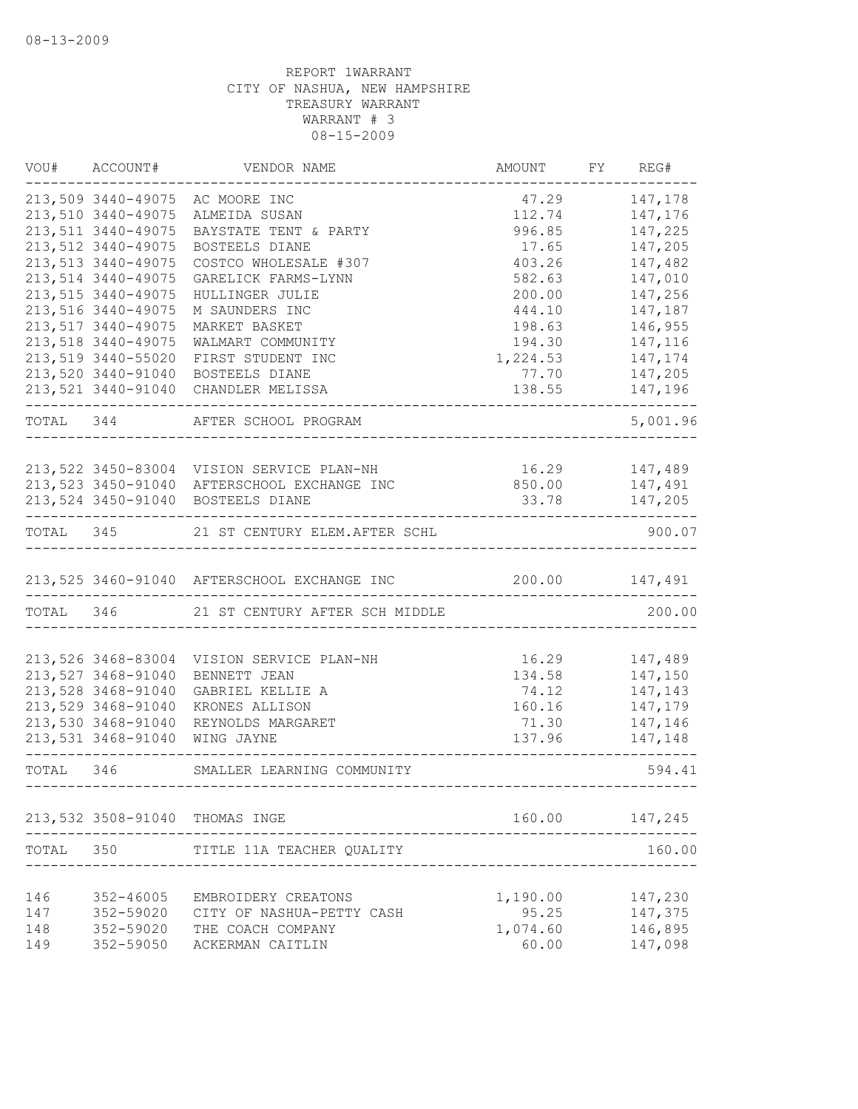|            | VOU# ACCOUNT#                                   | VENDOR NAME                                                | AMOUNT             | FY REG#            |
|------------|-------------------------------------------------|------------------------------------------------------------|--------------------|--------------------|
|            | 213,509 3440-49075                              | AC MOORE INC                                               | 47.29              | 147,178            |
|            | 213,510 3440-49075                              | ALMEIDA SUSAN                                              | 112.74             | 147,176            |
|            | 213,511 3440-49075                              | BAYSTATE TENT & PARTY                                      | 996.85             | 147,225            |
|            | 213,512 3440-49075                              | BOSTEELS DIANE                                             | 17.65              | 147,205            |
|            | 213, 513 3440-49075                             | COSTCO WHOLESALE #307                                      | 403.26             | 147,482            |
|            | 213,514 3440-49075                              | GARELICK FARMS-LYNN                                        | 582.63             | 147,010            |
|            | 213,515 3440-49075                              | HULLINGER JULIE                                            | 200.00             | 147,256            |
|            | 213,516 3440-49075                              | M SAUNDERS INC                                             | 444.10             | 147,187            |
|            | 213,517 3440-49075<br>213,518 3440-49075        | MARKET BASKET<br>WALMART COMMUNITY                         | 198.63             | 146,955<br>147,116 |
|            | 213,519 3440-55020                              | FIRST STUDENT INC                                          | 194.30<br>1,224.53 | 147,174            |
|            | 213,520 3440-91040                              | BOSTEELS DIANE                                             | 77.70              | 147,205            |
|            | 213,521 3440-91040                              | CHANDLER MELISSA                                           | 138.55             | 147,196            |
|            |                                                 | TOTAL 344 AFTER SCHOOL PROGRAM                             |                    | 5,001.96           |
|            |                                                 |                                                            |                    |                    |
|            |                                                 | 213,522 3450-83004 VISION SERVICE PLAN-NH                  | 16.29 147,489      |                    |
|            | 213,523 3450-91040                              | AFTERSCHOOL EXCHANGE INC                                   | 850.00 147,491     |                    |
|            | 213,524 3450-91040<br>------------------------- | BOSTEELS DIANE                                             |                    | 33.78 147,205      |
|            |                                                 | TOTAL 345 21 ST CENTURY ELEM. AFTER SCHL                   |                    | 900.07             |
|            |                                                 | 213,525 3460-91040 AFTERSCHOOL EXCHANGE INC 200.00 147,491 |                    |                    |
|            |                                                 | TOTAL 346 21 ST CENTURY AFTER SCH MIDDLE                   |                    | 200.00             |
|            |                                                 |                                                            |                    |                    |
|            | 213,526 3468-83004                              | VISION SERVICE PLAN-NH                                     | 16.29              | 147,489            |
|            | 213,527 3468-91040<br>213,528 3468-91040        | BENNETT JEAN<br>GABRIEL KELLIE A                           | 134.58<br>74.12    | 147,150<br>147,143 |
|            | 213,529 3468-91040                              | KRONES ALLISON                                             | 160.16             | 147,179            |
|            | 213,530 3468-91040                              | REYNOLDS MARGARET                                          | 71.30              | 147,146            |
|            | 213,531 3468-91040                              | WING JAYNE                                                 | 137.96             | 147,148            |
|            |                                                 | TOTAL 346 SMALLER LEARNING COMMUNITY                       |                    | 594.41             |
|            |                                                 | 213,532 3508-91040 THOMAS INGE                             | 160.00             | 147,245            |
| TOTAL      | 350                                             | TITLE 11A TEACHER QUALITY                                  |                    | 160.00             |
|            |                                                 |                                                            |                    |                    |
| 146        | 352-46005                                       | EMBROIDERY CREATONS                                        | 1,190.00           | 147,230            |
| 147        | 352-59020                                       | CITY OF NASHUA-PETTY CASH                                  | 95.25              | 147,375            |
| 148<br>149 | 352-59020<br>352-59050                          | THE COACH COMPANY<br>ACKERMAN CAITLIN                      | 1,074.60<br>60.00  | 146,895<br>147,098 |
|            |                                                 |                                                            |                    |                    |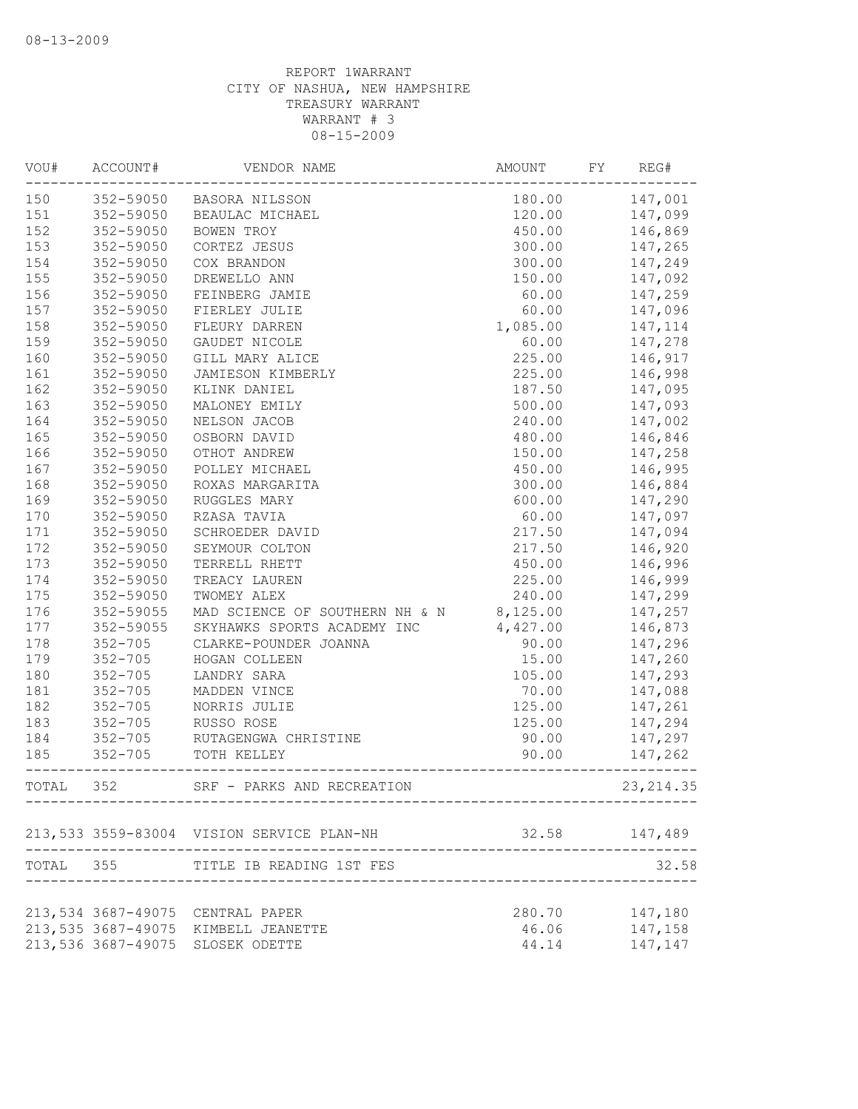| VOU#  | ACCOUNT#           | VENDOR NAME                               | AMOUNT   | FY | REG#       |
|-------|--------------------|-------------------------------------------|----------|----|------------|
| 150   |                    | 352-59050 BASORA NILSSON                  | 180.00   |    | 147,001    |
| 151   | 352-59050          | BEAULAC MICHAEL                           | 120.00   |    | 147,099    |
| 152   | 352-59050          | BOWEN TROY                                | 450.00   |    | 146,869    |
| 153   | 352-59050          | CORTEZ JESUS                              | 300.00   |    | 147,265    |
| 154   | 352-59050          | COX BRANDON                               | 300.00   |    | 147,249    |
| 155   | 352-59050          | DREWELLO ANN                              | 150.00   |    | 147,092    |
| 156   | 352-59050          | FEINBERG JAMIE                            | 60.00    |    | 147,259    |
| 157   | 352-59050          | FIERLEY JULIE                             | 60.00    |    | 147,096    |
| 158   | 352-59050          | FLEURY DARREN                             | 1,085.00 |    | 147,114    |
| 159   | 352-59050          | GAUDET NICOLE                             | 60.00    |    | 147,278    |
| 160   | 352-59050          | GILL MARY ALICE                           | 225.00   |    | 146,917    |
| 161   | 352-59050          | JAMIESON KIMBERLY                         | 225.00   |    | 146,998    |
| 162   | 352-59050          | KLINK DANIEL                              | 187.50   |    | 147,095    |
| 163   | 352-59050          | MALONEY EMILY                             | 500.00   |    | 147,093    |
| 164   | 352-59050          | NELSON JACOB                              | 240.00   |    | 147,002    |
| 165   | 352-59050          | OSBORN DAVID                              | 480.00   |    | 146,846    |
| 166   | 352-59050          | OTHOT ANDREW                              | 150.00   |    | 147,258    |
| 167   | 352-59050          | POLLEY MICHAEL                            | 450.00   |    | 146,995    |
| 168   | 352-59050          | ROXAS MARGARITA                           | 300.00   |    | 146,884    |
| 169   | 352-59050          | RUGGLES MARY                              | 600.00   |    | 147,290    |
| 170   | 352-59050          | RZASA TAVIA                               | 60.00    |    | 147,097    |
| 171   | 352-59050          | SCHROEDER DAVID                           | 217.50   |    | 147,094    |
| 172   | 352-59050          | SEYMOUR COLTON                            | 217.50   |    | 146,920    |
| 173   | 352-59050          | TERRELL RHETT                             | 450.00   |    | 146,996    |
| 174   | 352-59050          | TREACY LAUREN                             | 225.00   |    | 146,999    |
| 175   | 352-59050          | TWOMEY ALEX                               | 240.00   |    | 147,299    |
| 176   | 352-59055          | MAD SCIENCE OF SOUTHERN NH & N            | 8,125.00 |    | 147,257    |
| 177   | 352-59055          | SKYHAWKS SPORTS ACADEMY INC               | 4,427.00 |    | 146,873    |
| 178   | $352 - 705$        | CLARKE-POUNDER JOANNA                     | 90.00    |    | 147,296    |
| 179   | $352 - 705$        | HOGAN COLLEEN                             | 15.00    |    | 147,260    |
| 180   | $352 - 705$        | LANDRY SARA                               | 105.00   |    | 147,293    |
| 181   | $352 - 705$        | MADDEN VINCE                              | 70.00    |    | 147,088    |
| 182   | $352 - 705$        | NORRIS JULIE                              | 125.00   |    | 147,261    |
| 183   | $352 - 705$        | RUSSO ROSE                                | 125.00   |    | 147,294    |
| 184   | $352 - 705$        | RUTAGENGWA CHRISTINE                      | 90.00    |    | 147,297    |
| 185   | $352 - 705$        | TOTH KELLEY                               | 90.00    |    | 147,262    |
| TOTAL | 352                | SRF - PARKS AND RECREATION                |          |    | 23, 214.35 |
|       |                    | 213,533 3559-83004 VISION SERVICE PLAN-NH | 32.58    |    | 147,489    |
|       |                    | TOTAL 355 TITLE IB READING 1ST FES        |          |    | 32.58      |
|       |                    |                                           |          |    |            |
|       | 213,534 3687-49075 | CENTRAL PAPER                             | 280.70   |    | 147,180    |
|       | 213,535 3687-49075 | KIMBELL JEANETTE                          | 46.06    |    | 147,158    |
|       | 213,536 3687-49075 | SLOSEK ODETTE                             | 44.14    |    | 147,147    |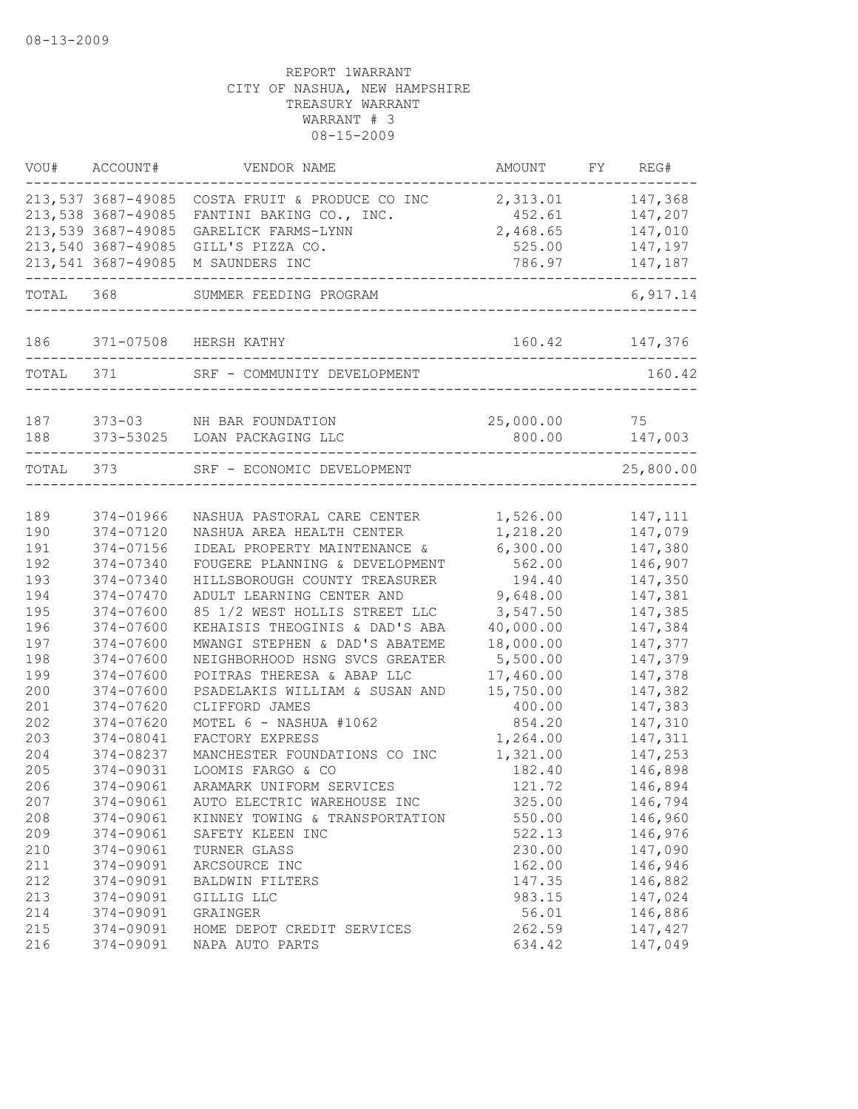|           | VOU# ACCOUNT#      | VENDOR NAME                    | AMOUNT    | FY REG#        |
|-----------|--------------------|--------------------------------|-----------|----------------|
|           | 213,537 3687-49085 | COSTA FRUIT & PRODUCE CO INC   | 2,313.01  | 147,368        |
|           | 213,538 3687-49085 | FANTINI BAKING CO., INC.       | 452.61    | 147,207        |
|           | 213,539 3687-49085 | GARELICK FARMS-LYNN            | 2,468.65  | 147,010        |
|           | 213,540 3687-49085 | GILL'S PIZZA CO.               | 525.00    | 147,197        |
|           | 213,541 3687-49085 | M SAUNDERS INC                 | 786.97    | 147,187        |
| TOTAL 368 |                    | SUMMER FEEDING PROGRAM         |           | 6,917.14       |
| 186       |                    | 371-07508 HERSH KATHY          |           | 160.42 147,376 |
| TOTAL     | 371                | SRF - COMMUNITY DEVELOPMENT    |           | 160.42         |
| 187       |                    | 373-03 NH BAR FOUNDATION       | 25,000.00 | 75             |
| 188       |                    | 373-53025 LOAN PACKAGING LLC   | 800.00    | 147,003        |
| TOTAL 373 |                    | SRF - ECONOMIC DEVELOPMENT     |           | 25,800.00      |
|           |                    |                                |           |                |
| 189       | 374-01966          | NASHUA PASTORAL CARE CENTER    | 1,526.00  | 147, 111       |
| 190       | 374-07120          | NASHUA AREA HEALTH CENTER      | 1,218.20  | 147,079        |
| 191       | 374-07156          | IDEAL PROPERTY MAINTENANCE &   | 6,300.00  | 147,380        |
| 192       | 374-07340          | FOUGERE PLANNING & DEVELOPMENT | 562.00    | 146,907        |
| 193       | 374-07340          | HILLSBOROUGH COUNTY TREASURER  | 194.40    | 147,350        |
| 194       | 374-07470          | ADULT LEARNING CENTER AND      | 9,648.00  | 147,381        |
| 195       | 374-07600          | 85 1/2 WEST HOLLIS STREET LLC  | 3,547.50  | 147,385        |
| 196       | 374-07600          | KEHAISIS THEOGINIS & DAD'S ABA | 40,000.00 | 147,384        |
| 197       | 374-07600          | MWANGI STEPHEN & DAD'S ABATEME | 18,000.00 | 147,377        |
| 198       | 374-07600          | NEIGHBORHOOD HSNG SVCS GREATER | 5,500.00  | 147,379        |
| 199       | 374-07600          | POITRAS THERESA & ABAP LLC     | 17,460.00 | 147,378        |
| 200       | 374-07600          | PSADELAKIS WILLIAM & SUSAN AND | 15,750.00 | 147,382        |
| 201       | 374-07620          | CLIFFORD JAMES                 | 400.00    | 147,383        |
| 202       | 374-07620          | MOTEL 6 - NASHUA #1062         | 854.20    | 147,310        |
| 203       | 374-08041          | FACTORY EXPRESS                | 1,264.00  | 147,311        |
| 204       | 374-08237          | MANCHESTER FOUNDATIONS CO INC  | 1,321.00  | 147,253        |
| 205       | 374-09031          | LOOMIS FARGO & CO              | 182.40    | 146,898        |
| 206       | 374-09061          | ARAMARK UNIFORM SERVICES       | 121.72    | 146,894        |
| 207       | 374-09061          | AUTO ELECTRIC WAREHOUSE INC    | 325.00    | 146,794        |
| 208       | 374-09061          | KINNEY TOWING & TRANSPORTATION | 550.00    | 146,960        |
| 209       | 374-09061          | SAFETY KLEEN INC               | 522.13    | 146,976        |
| 210       | 374-09061          | TURNER GLASS                   | 230.00    | 147,090        |
| 211       | 374-09091          | ARCSOURCE INC                  | 162.00    | 146,946        |
| 212       | 374-09091          | BALDWIN FILTERS                | 147.35    | 146,882        |
| 213       | 374-09091          | GILLIG LLC                     | 983.15    | 147,024        |
| 214       | 374-09091          | GRAINGER                       | 56.01     | 146,886        |
| 215       | 374-09091          | HOME DEPOT CREDIT SERVICES     | 262.59    | 147,427        |
| 216       | 374-09091          | NAPA AUTO PARTS                | 634.42    | 147,049        |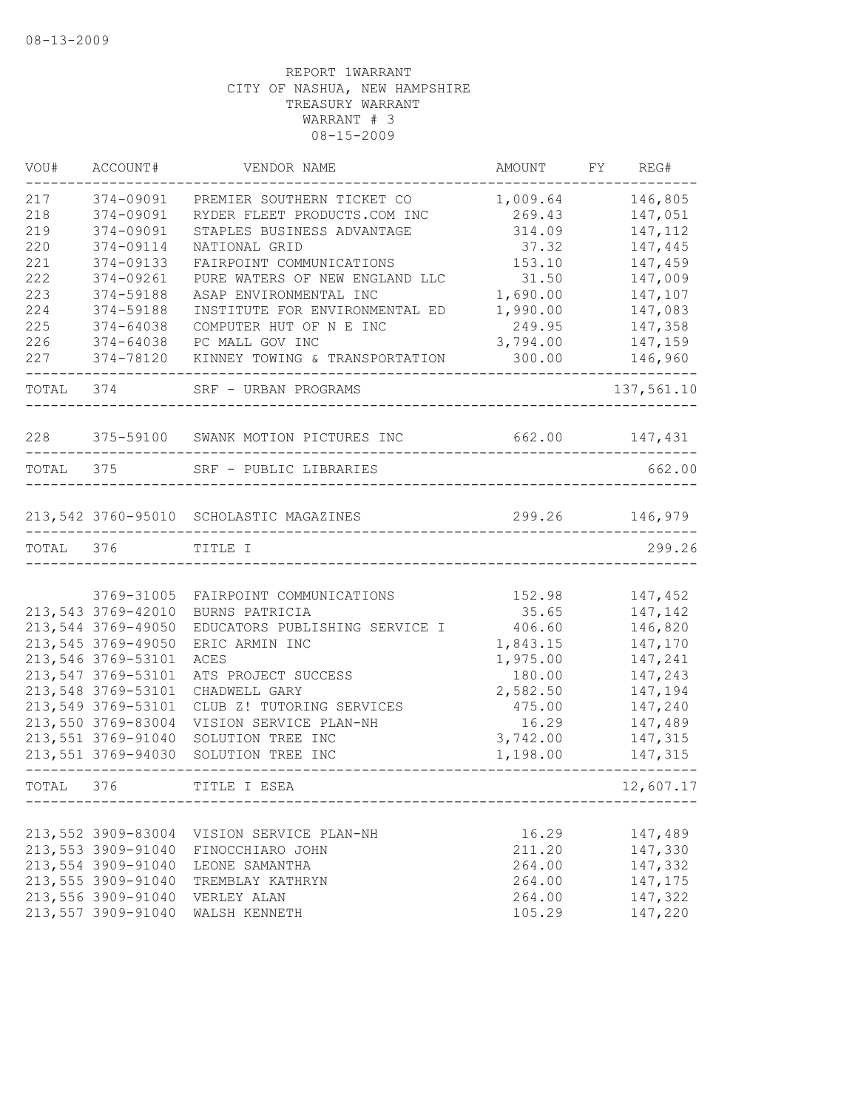| VOU#      | ACCOUNT#           | VENDOR NAME                             | AMOUNT            | FY | REG#               |
|-----------|--------------------|-----------------------------------------|-------------------|----|--------------------|
| 217       | 374-09091          | PREMIER SOUTHERN TICKET CO              | 1,009.64          |    | 146,805            |
| 218       | 374-09091          | RYDER FLEET PRODUCTS.COM INC            | 269.43            |    | 147,051            |
| 219       | 374-09091          | STAPLES BUSINESS ADVANTAGE              | 314.09            |    | 147, 112           |
| 220       | 374-09114          | NATIONAL GRID                           | 37.32             |    | 147,445            |
| 221       | 374-09133          | FAIRPOINT COMMUNICATIONS                | 153.10            |    | 147,459            |
| 222       | 374-09261          | PURE WATERS OF NEW ENGLAND LLC          | 31.50             |    | 147,009            |
| 223       | 374-59188          | ASAP ENVIRONMENTAL INC                  | 1,690.00          |    | 147,107            |
| 224       | 374-59188          | INSTITUTE FOR ENVIRONMENTAL ED          | 1,990.00          |    | 147,083            |
| 225       | 374-64038          | COMPUTER HUT OF N E INC                 | 249.95            |    | 147,358            |
| 226       | 374-64038          | PC MALL GOV INC                         | 3,794.00          |    | 147,159            |
| 227       | 374-78120          | KINNEY TOWING & TRANSPORTATION          | 300.00            |    | 146,960            |
| TOTAL     | 374                | SRF - URBAN PROGRAMS                    |                   |    | 137,561.10         |
| 228       | 375-59100          | SWANK MOTION PICTURES INC               | 662.00            |    | 147,431            |
| TOTAL 375 |                    | SRF - PUBLIC LIBRARIES                  |                   |    | 662.00             |
|           |                    | 213,542 3760-95010 SCHOLASTIC MAGAZINES | 299.26            |    | 146,979            |
|           |                    |                                         |                   |    |                    |
| TOTAL     | 376                | TITLE I                                 |                   |    | 299.26             |
|           | 3769-31005         | FAIRPOINT COMMUNICATIONS                | 152.98            |    | 147,452            |
|           | 213,543 3769-42010 | BURNS PATRICIA                          | 35.65             |    | 147,142            |
|           | 213,544 3769-49050 | EDUCATORS PUBLISHING SERVICE I          | 406.60            |    | 146,820            |
|           | 213,545 3769-49050 | ERIC ARMIN INC                          | 1,843.15          |    | 147,170            |
|           | 213,546 3769-53101 | ACES                                    | 1,975.00          |    | 147,241            |
|           | 213,547 3769-53101 | ATS PROJECT SUCCESS                     | 180.00            |    | 147,243            |
|           | 213,548 3769-53101 | CHADWELL GARY                           | 2,582.50          |    | 147,194            |
|           | 213,549 3769-53101 | CLUB Z! TUTORING SERVICES               | 475.00            |    | 147,240            |
|           | 213,550 3769-83004 |                                         |                   |    |                    |
|           | 213,551 3769-91040 | VISION SERVICE PLAN-NH                  | 16.29<br>3,742.00 |    | 147,489            |
|           | 213,551 3769-94030 | SOLUTION TREE INC<br>SOLUTION TREE INC  | 1,198.00          |    | 147,315<br>147,315 |
| TOTAL     | 376                | TITLE I ESEA                            |                   |    | 12,607.17          |
|           |                    |                                         |                   |    |                    |
|           | 213,552 3909-83004 | VISION SERVICE PLAN-NH                  | 16.29             |    | 147,489            |
|           | 213,553 3909-91040 | FINOCCHIARO JOHN                        | 211.20            |    | 147,330            |
|           | 213,554 3909-91040 | LEONE SAMANTHA                          | 264.00            |    | 147,332            |
|           | 213,555 3909-91040 | TREMBLAY KATHRYN                        | 264.00            |    | 147,175            |
|           | 213,556 3909-91040 | VERLEY ALAN                             | 264.00            |    | 147,322            |
|           | 213,557 3909-91040 | WALSH KENNETH                           | 105.29            |    | 147,220            |
|           |                    |                                         |                   |    |                    |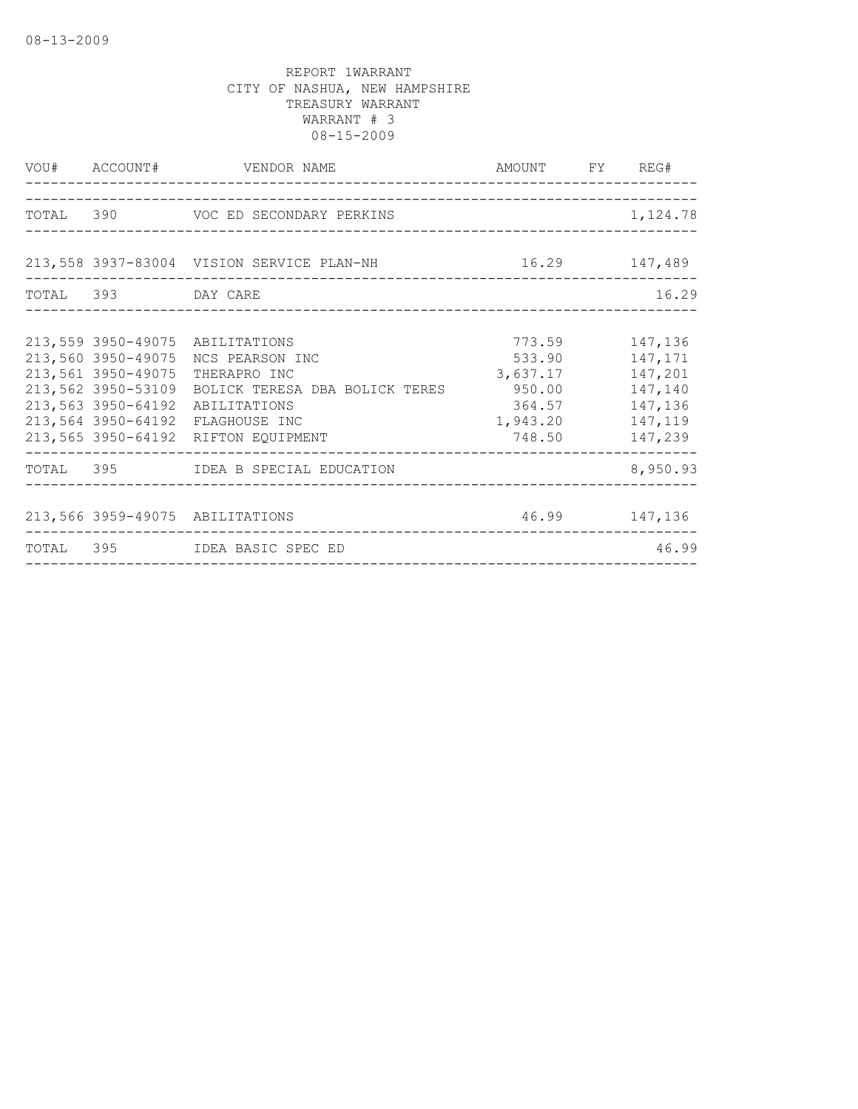|                                                                                                            |                                                                                                                                                                                                                                                                                                                                              | 1,124.78                                                                                                                                                                                                                                            |
|------------------------------------------------------------------------------------------------------------|----------------------------------------------------------------------------------------------------------------------------------------------------------------------------------------------------------------------------------------------------------------------------------------------------------------------------------------------|-----------------------------------------------------------------------------------------------------------------------------------------------------------------------------------------------------------------------------------------------------|
|                                                                                                            |                                                                                                                                                                                                                                                                                                                                              |                                                                                                                                                                                                                                                     |
|                                                                                                            |                                                                                                                                                                                                                                                                                                                                              |                                                                                                                                                                                                                                                     |
|                                                                                                            |                                                                                                                                                                                                                                                                                                                                              | 16.29                                                                                                                                                                                                                                               |
|                                                                                                            |                                                                                                                                                                                                                                                                                                                                              |                                                                                                                                                                                                                                                     |
|                                                                                                            |                                                                                                                                                                                                                                                                                                                                              |                                                                                                                                                                                                                                                     |
|                                                                                                            |                                                                                                                                                                                                                                                                                                                                              |                                                                                                                                                                                                                                                     |
|                                                                                                            |                                                                                                                                                                                                                                                                                                                                              |                                                                                                                                                                                                                                                     |
|                                                                                                            |                                                                                                                                                                                                                                                                                                                                              | 147,140                                                                                                                                                                                                                                             |
|                                                                                                            |                                                                                                                                                                                                                                                                                                                                              |                                                                                                                                                                                                                                                     |
|                                                                                                            |                                                                                                                                                                                                                                                                                                                                              |                                                                                                                                                                                                                                                     |
|                                                                                                            |                                                                                                                                                                                                                                                                                                                                              |                                                                                                                                                                                                                                                     |
|                                                                                                            |                                                                                                                                                                                                                                                                                                                                              | 8,950.93                                                                                                                                                                                                                                            |
|                                                                                                            |                                                                                                                                                                                                                                                                                                                                              |                                                                                                                                                                                                                                                     |
|                                                                                                            |                                                                                                                                                                                                                                                                                                                                              |                                                                                                                                                                                                                                                     |
|                                                                                                            |                                                                                                                                                                                                                                                                                                                                              | 46.99                                                                                                                                                                                                                                               |
| 213,560 3950-49075<br>213,561 3950-49075<br>213,562 3950-53109<br>213,563 3950-64192<br>213,564 3950-64192 | VOU# ACCOUNT# VENDOR NAME<br>TOTAL 390 VOC ED SECONDARY PERKINS<br>TOTAL 393 DAY CARE<br>213,559 3950-49075 ABILITATIONS<br>NCS PEARSON INC<br>THERAPRO INC<br>ABILITATIONS<br>FLAGHOUSE INC<br>213,565 3950-64192 RIFTON EQUIPMENT<br>TOTAL 395 IDEA B SPECIAL EDUCATION<br>213,566 3959-49075 ABILITATIONS<br>TOTAL 395 IDEA BASIC SPEC ED | AMOUNT FY REG#<br>213,558 3937-83004 VISION SERVICE PLAN-NH 16.29 147,489<br>773.59 147,136<br>533.90 147,171<br>3,637.17 147,201<br>BOLICK TERESA DBA BOLICK TERES 650.00<br>364.57 147,136<br>1,943.20 147,119<br>748.50 147,239<br>46.99 147,136 |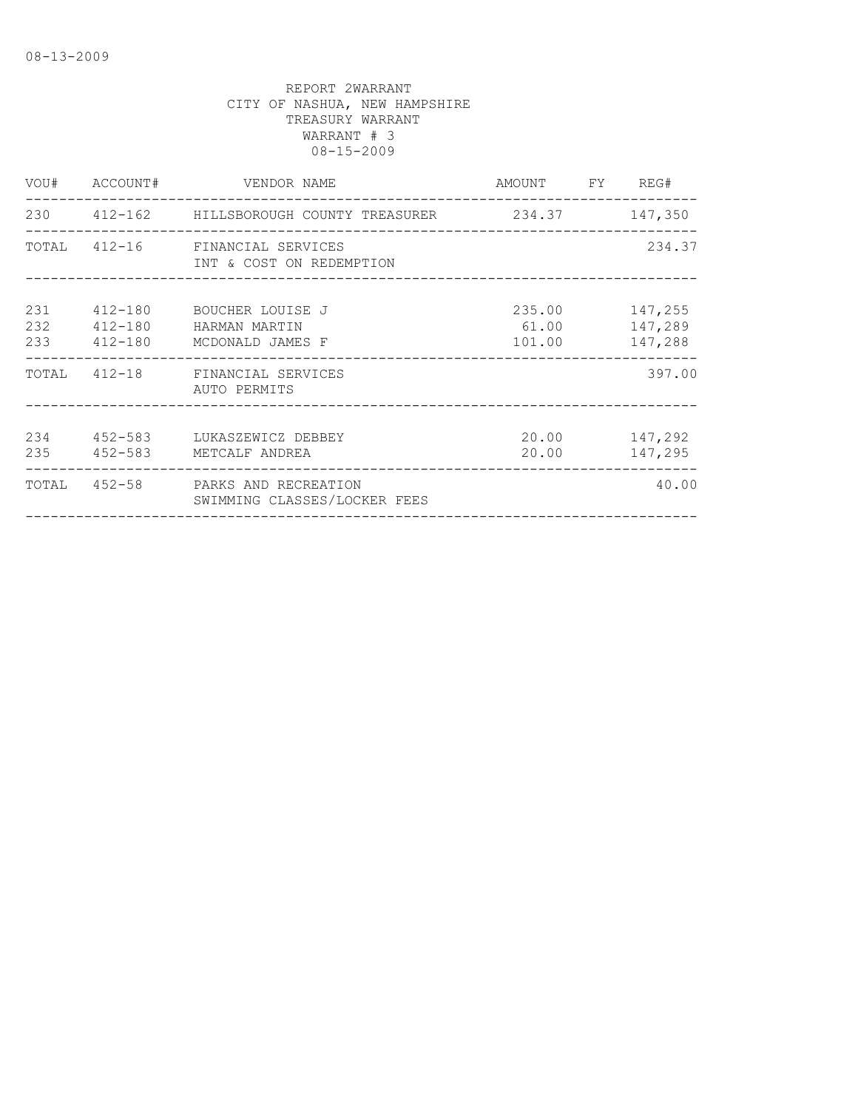| VOU#              |         | ACCOUNT# VENDOR NAME                                                  | AMOUNT FY REG#                      |                    |
|-------------------|---------|-----------------------------------------------------------------------|-------------------------------------|--------------------|
|                   |         | 230 412-162 HILLSBOROUGH COUNTY TREASURER 234.37 147,350              |                                     |                    |
|                   |         | TOTAL 412-16 FINANCIAL SERVICES<br>INT & COST ON REDEMPTION           |                                     | 234.37             |
| 231<br>232<br>233 | 412-180 | 412-180 BOUCHER LOUISE J<br>HARMAN MARTIN<br>412-180 MCDONALD JAMES F | 235.00 147,255<br>61.00<br>101.00   | 147,289<br>147,288 |
|                   |         | TOTAL 412-18 FINANCIAL SERVICES<br>AUTO PERMITS                       |                                     | 397.00             |
| 234<br>235        | 452-583 | 452-583 LUKASZEWICZ DEBBEY<br>METCALF ANDREA                          | 20.00<br>20.00                      | 147,292<br>147,295 |
| TOTAL             |         | 452-58 PARKS AND RECREATION<br>SWIMMING CLASSES/LOCKER FEES           | ___________________________________ | 40.00              |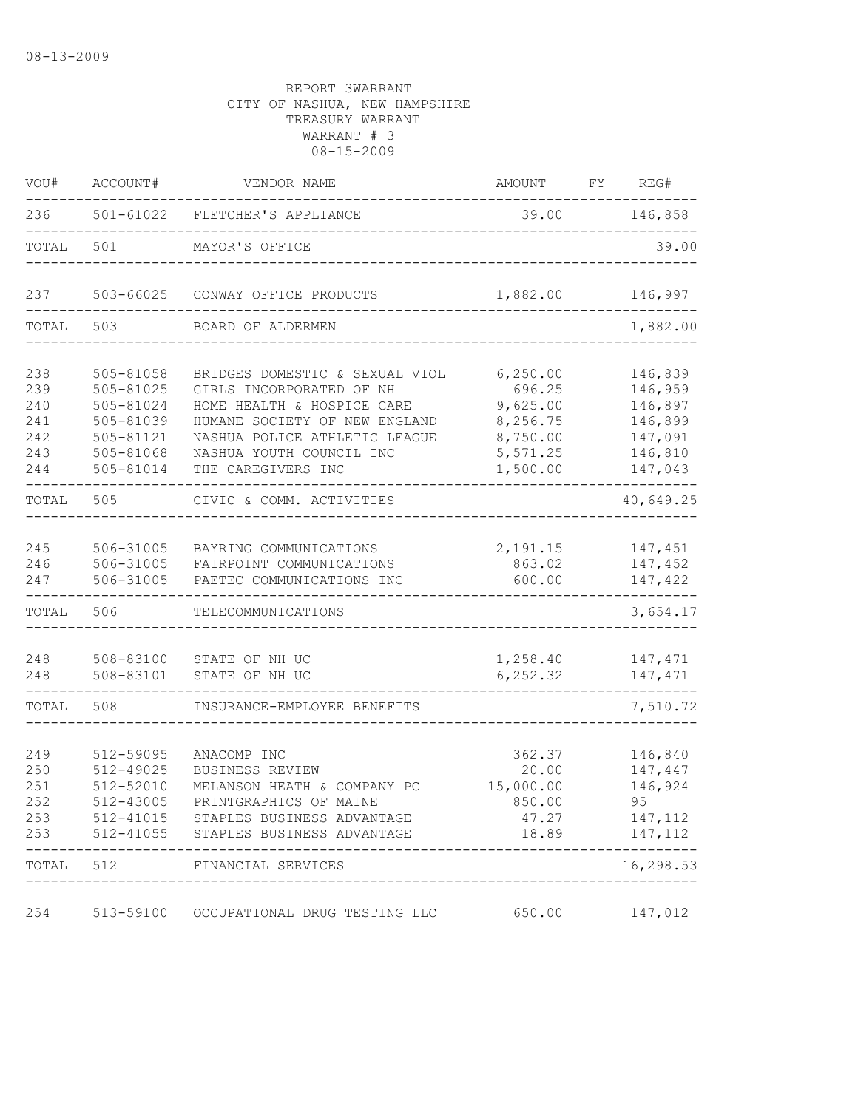| VOU#       | ACCOUNT#               | VENDOR NAME                                                                  | AMOUNT             | FY | REG#               |
|------------|------------------------|------------------------------------------------------------------------------|--------------------|----|--------------------|
| 236        |                        | 501-61022 FLETCHER'S APPLIANCE                                               |                    |    | 39.00 146,858      |
| TOTAL      | 501                    | MAYOR'S OFFICE                                                               |                    |    | 39.00              |
| 237        | 503-66025              | CONWAY OFFICE PRODUCTS                                                       | 1,882.00           |    | 146,997            |
| TOTAL      | 503                    | BOARD OF ALDERMEN                                                            |                    |    | 1,882.00           |
| 238        | 505-81058              | BRIDGES DOMESTIC & SEXUAL VIOL                                               | 6, 250.00          |    | 146,839            |
| 239<br>240 | 505-81025<br>505-81024 | GIRLS INCORPORATED OF NH<br>HOME HEALTH & HOSPICE CARE                       | 696.25<br>9,625.00 |    | 146,959<br>146,897 |
| 241        | 505-81039              | HUMANE SOCIETY OF NEW ENGLAND                                                | 8,256.75           |    | 146,899            |
| 242        | 505-81121              | NASHUA POLICE ATHLETIC LEAGUE                                                | 8,750.00           |    | 147,091            |
| 243        | 505-81068              | NASHUA YOUTH COUNCIL INC                                                     | 5,571.25           |    | 146,810            |
| 244        | 505-81014              | THE CAREGIVERS INC                                                           | 1,500.00           |    | 147,043            |
| TOTAL      | 505                    | CIVIC & COMM. ACTIVITIES                                                     |                    |    | 40,649.25          |
|            |                        |                                                                              |                    |    |                    |
| 245        | 506-31005              | BAYRING COMMUNICATIONS                                                       | 2,191.15           |    | 147,451            |
| 246        | 506-31005              | FAIRPOINT COMMUNICATIONS                                                     | 863.02             |    | 147,452            |
| 247        | 506-31005              | PAETEC COMMUNICATIONS INC                                                    | 600.00             |    | 147,422            |
| TOTAL      | 506                    | TELECOMMUNICATIONS                                                           |                    |    | 3,654.17           |
| 248        | 508-83100              | STATE OF NH UC                                                               | 1,258.40           |    | 147,471            |
| 248        | 508-83101              | STATE OF NH UC                                                               | 6,252.32           |    | 147,471            |
| TOTAL      | 508                    | INSURANCE-EMPLOYEE BENEFITS                                                  |                    |    | 7,510.72           |
|            |                        |                                                                              |                    |    |                    |
| 249        | 512-59095              | ANACOMP INC                                                                  | 362.37             |    | 146,840            |
| 250        | 512-49025              | BUSINESS REVIEW                                                              | 20.00              |    | 147,447            |
| 251        | 512-52010              | MELANSON HEATH & COMPANY PC                                                  | 15,000.00          |    | 146,924            |
| 252        | 512-43005              | PRINTGRAPHICS OF MAINE                                                       | 850.00             |    | 95                 |
| 253<br>253 |                        | 512-41015 STAPLES BUSINESS ADVANTAGE<br>512-41055 STAPLES BUSINESS ADVANTAGE | 47.27<br>18.89     |    | 147,112<br>147,112 |
|            |                        | TOTAL 512 FINANCIAL SERVICES                                                 |                    |    | 16,298.53          |
|            |                        |                                                                              |                    |    | _________          |
| 254        |                        | 513-59100 OCCUPATIONAL DRUG TESTING LLC                                      | 650.00             |    | 147,012            |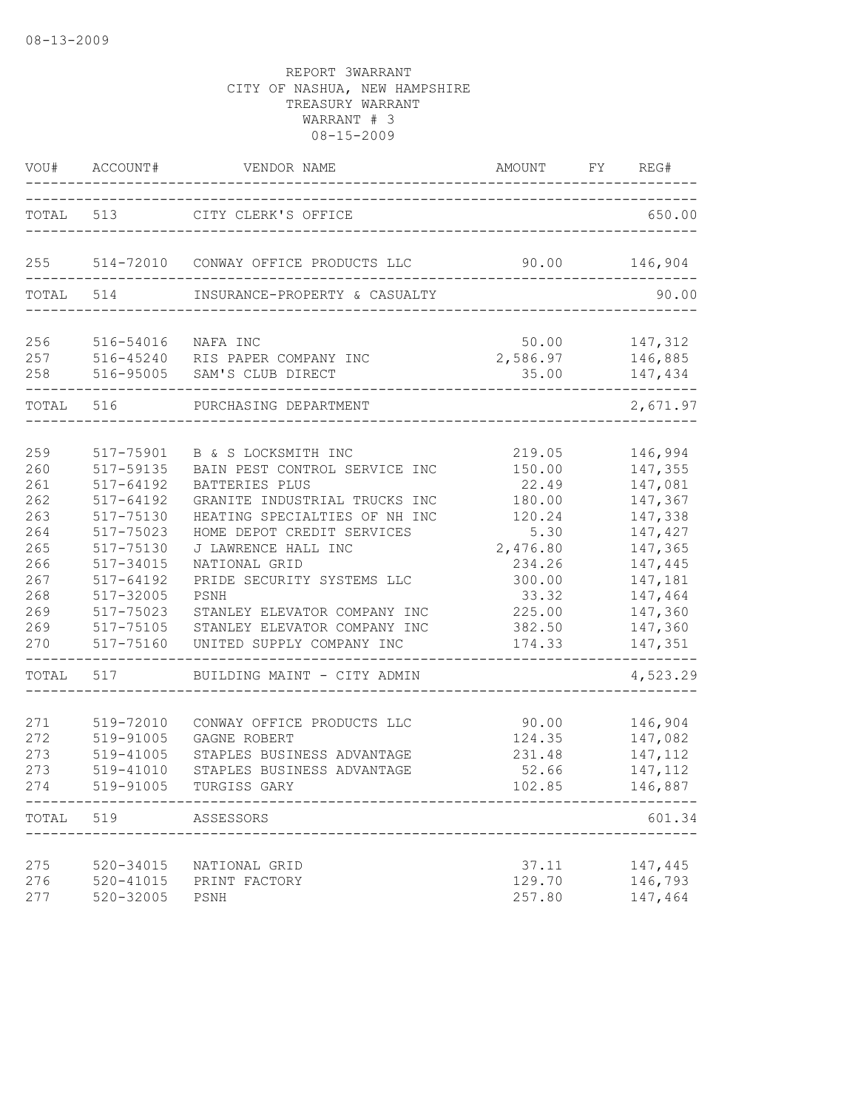|                                                                                         | VOU# ACCOUNT#                                                                                                                                                                                                | VENDOR NAME<br>_____________                                                                                                                                                                                                                                                                                                                                                     | AMOUNT FY REG#<br>--------------------------------                                                                           |                                                                                                                                                         |
|-----------------------------------------------------------------------------------------|--------------------------------------------------------------------------------------------------------------------------------------------------------------------------------------------------------------|----------------------------------------------------------------------------------------------------------------------------------------------------------------------------------------------------------------------------------------------------------------------------------------------------------------------------------------------------------------------------------|------------------------------------------------------------------------------------------------------------------------------|---------------------------------------------------------------------------------------------------------------------------------------------------------|
|                                                                                         |                                                                                                                                                                                                              | TOTAL 513 CITY CLERK'S OFFICE                                                                                                                                                                                                                                                                                                                                                    |                                                                                                                              | 650.00                                                                                                                                                  |
| 255                                                                                     |                                                                                                                                                                                                              | 514-72010 CONWAY OFFICE PRODUCTS LLC                                                                                                                                                                                                                                                                                                                                             | 90.00                                                                                                                        | 146,904                                                                                                                                                 |
| TOTAL                                                                                   | 514                                                                                                                                                                                                          | INSURANCE-PROPERTY & CASUALTY                                                                                                                                                                                                                                                                                                                                                    |                                                                                                                              | 90.00                                                                                                                                                   |
| 256<br>257<br>258                                                                       | 516-54016                                                                                                                                                                                                    | NAFA INC<br>516-45240 RIS PAPER COMPANY INC<br>516-95005 SAM'S CLUB DIRECT                                                                                                                                                                                                                                                                                                       | 50.00<br>2,586.97<br>35.00                                                                                                   | 147,312<br>146,885<br>147,434                                                                                                                           |
| TOTAL 516                                                                               |                                                                                                                                                                                                              | PURCHASING DEPARTMENT                                                                                                                                                                                                                                                                                                                                                            |                                                                                                                              | 2,671.97                                                                                                                                                |
| 259<br>260<br>261<br>262<br>263<br>264<br>265<br>266<br>267<br>268<br>269<br>269<br>270 | 517-75901<br>517-59135<br>$517 - 64192$<br>$517 - 64192$<br>517-75130<br>517-75023<br>517-75130<br>517-34015<br>517-64192<br>517-32005<br>517-75023<br>517-75105<br>517-75160<br>--------------<br>TOTAL 517 | B & S LOCKSMITH INC<br>BAIN PEST CONTROL SERVICE INC<br>BATTERIES PLUS<br>GRANITE INDUSTRIAL TRUCKS INC<br>HEATING SPECIALTIES OF NH INC<br>HOME DEPOT CREDIT SERVICES<br>J LAWRENCE HALL INC<br>NATIONAL GRID<br>PRIDE SECURITY SYSTEMS LLC<br>PSNH<br>STANLEY ELEVATOR COMPANY INC<br>STANLEY ELEVATOR COMPANY INC<br>UNITED SUPPLY COMPANY INC<br>BUILDING MAINT - CITY ADMIN | 219.05<br>150.00<br>22.49<br>180.00<br>120.24<br>5.30<br>2,476.80<br>234.26<br>300.00<br>33.32<br>225.00<br>382.50<br>174.33 | 146,994<br>147,355<br>147,081<br>147,367<br>147,338<br>147,427<br>147,365<br>147,445<br>147,181<br>147,464<br>147,360<br>147,360<br>147,351<br>4,523.29 |
| 271<br>272<br>273<br>273<br>274                                                         | 519-72010<br>519-91005<br>519-41005<br>519-41010<br>519-91005                                                                                                                                                | CONWAY OFFICE PRODUCTS LLC<br>GAGNE ROBERT<br>STAPLES BUSINESS ADVANTAGE<br>STAPLES BUSINESS ADVANTAGE<br>TURGISS GARY                                                                                                                                                                                                                                                           | 90.00<br>124.35<br>231.48<br>52.66<br>102.85                                                                                 | 146,904<br>147,082<br>147,112<br>147, 112<br>146,887                                                                                                    |
| TOTAL 519                                                                               |                                                                                                                                                                                                              | ASSESSORS                                                                                                                                                                                                                                                                                                                                                                        |                                                                                                                              | 601.34                                                                                                                                                  |
| 275<br>276<br>277                                                                       | 520-34015<br>$520 - 41015$<br>520-32005                                                                                                                                                                      | NATIONAL GRID<br>PRINT FACTORY<br>PSNH                                                                                                                                                                                                                                                                                                                                           | 37.11<br>129.70<br>257.80                                                                                                    | 147,445<br>146,793<br>147,464                                                                                                                           |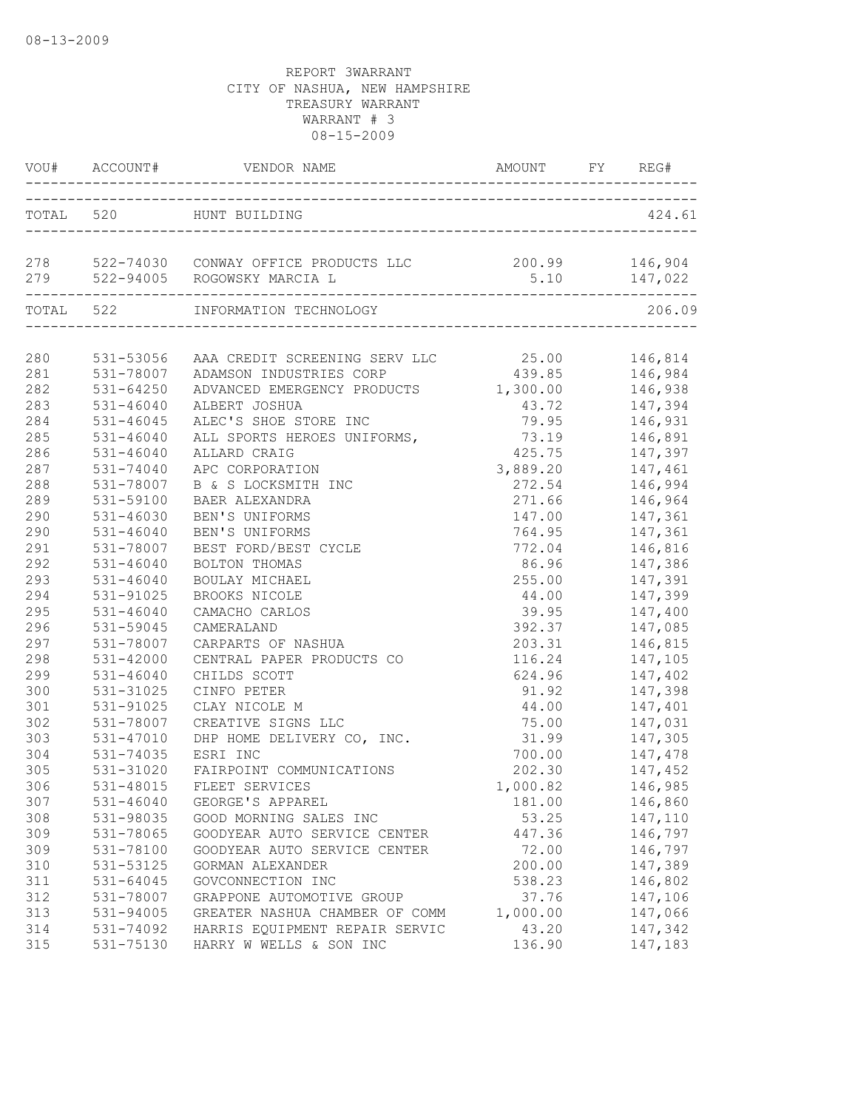|     |               | VOU# ACCOUNT# VENDOR NAME AMOUNT FY REG                 | AMOUNT FY REG# |                    |
|-----|---------------|---------------------------------------------------------|----------------|--------------------|
|     |               | TOTAL 520 HUNT BUILDING                                 |                | 424.61             |
|     |               | 278 522-74030 CONWAY OFFICE PRODUCTS LLC 200.99 146,904 |                |                    |
|     |               | TOTAL 522 INFORMATION TECHNOLOGY                        |                | 206.09             |
|     |               |                                                         |                |                    |
| 280 |               | 531-53056 AAA CREDIT SCREENING SERV LLC 25.00 146,814   |                |                    |
| 281 |               | 531-78007 ADAMSON INDUSTRIES CORP                       | 439.85 146,984 |                    |
| 282 | $531 - 64250$ | ADVANCED EMERGENCY PRODUCTS 1,300.00 146,938            |                |                    |
| 283 | 531-46040     | ALBERT JOSHUA                                           | 43.72 147,394  |                    |
| 284 | 531-46045     | ALEC'S SHOE STORE INC                                   | 79.95 146,931  |                    |
| 285 | 531-46040     | ALL SPORTS HEROES UNIFORMS,                             | 73.19 146,891  |                    |
| 286 | $531 - 46040$ | ALLARD CRAIG                                            | 425.75         | 147,397            |
| 287 | 531-74040     | APC CORPORATION                                         | 3,889.20       | 147,461            |
| 288 | 531-78007     | B & S LOCKSMITH INC                                     | 272.54         | 146,994<br>146,964 |
| 289 | 531-59100     | BAER ALEXANDRA                                          | 271.66         |                    |
| 290 | 531-46030     | BEN'S UNIFORMS                                          | 147.00         | 147,361            |
| 290 | $531 - 46040$ | BEN'S UNIFORMS                                          |                | 764.95 147,361     |
| 291 | 531-78007     | BEST FORD/BEST CYCLE                                    |                | 772.04 146,816     |
| 292 | 531-46040     | BOLTON THOMAS                                           | 86.96 147,386  |                    |
| 293 | $531 - 46040$ | BOULAY MICHAEL                                          |                | 255.00 147,391     |
| 294 | 531-91025     | BROOKS NICOLE                                           | 44.00          | 147,399            |
| 295 | 531-46040     | CAMACHO CARLOS                                          | 39.95          | 147,400            |
| 296 | 531-59045     | CAMERALAND                                              | 392.37         | 147,085            |
| 297 | 531-78007     | CARPARTS OF NASHUA                                      | 203.31         | 146,815            |
| 298 | 531-42000     | CENTRAL PAPER PRODUCTS CO                               |                | 116.24 147,105     |
| 299 | $531 - 46040$ | CHILDS SCOTT                                            |                | 624.96 147,402     |
| 300 | 531-31025     | CINFO PETER                                             |                | 91.92 147,398      |
| 301 | 531-91025     | CLAY NICOLE M                                           |                | 44.00 147,401      |
| 302 | 531-78007     | CREATIVE SIGNS LLC                                      |                | 75.00    147,031   |
| 303 | 531-47010     | DHP HOME DELIVERY CO, INC.                              | 31.99          | 147,305            |
| 304 | 531-74035     | ESRI INC                                                | 700.00         | 147,478<br>147,452 |
| 305 | 531-31020     | FAIRPOINT COMMUNICATIONS                                | 202.30         |                    |
| 306 |               | 531-48015 FLEET SERVICES                                | 1,000.82       | 146,985            |
| 307 | $531 - 46040$ | GEORGE'S APPAREL                                        | 181.00         | 146,860            |
| 308 | 531-98035     | GOOD MORNING SALES INC                                  | 53.25          | 147,110            |
| 309 | 531-78065     | GOODYEAR AUTO SERVICE CENTER                            | 447.36         | 146,797            |
| 309 | 531-78100     | GOODYEAR AUTO SERVICE CENTER                            | 72.00          | 146,797            |
| 310 | 531-53125     | GORMAN ALEXANDER                                        | 200.00         | 147,389            |
| 311 | 531-64045     | GOVCONNECTION INC                                       | 538.23         | 146,802            |
| 312 | 531-78007     | GRAPPONE AUTOMOTIVE GROUP                               | 37.76          | 147,106            |
| 313 | 531-94005     | GREATER NASHUA CHAMBER OF COMM                          | 1,000.00       | 147,066            |
| 314 | 531-74092     | HARRIS EQUIPMENT REPAIR SERVIC                          | 43.20          | 147,342            |
| 315 | 531-75130     | HARRY W WELLS & SON INC                                 | 136.90         | 147,183            |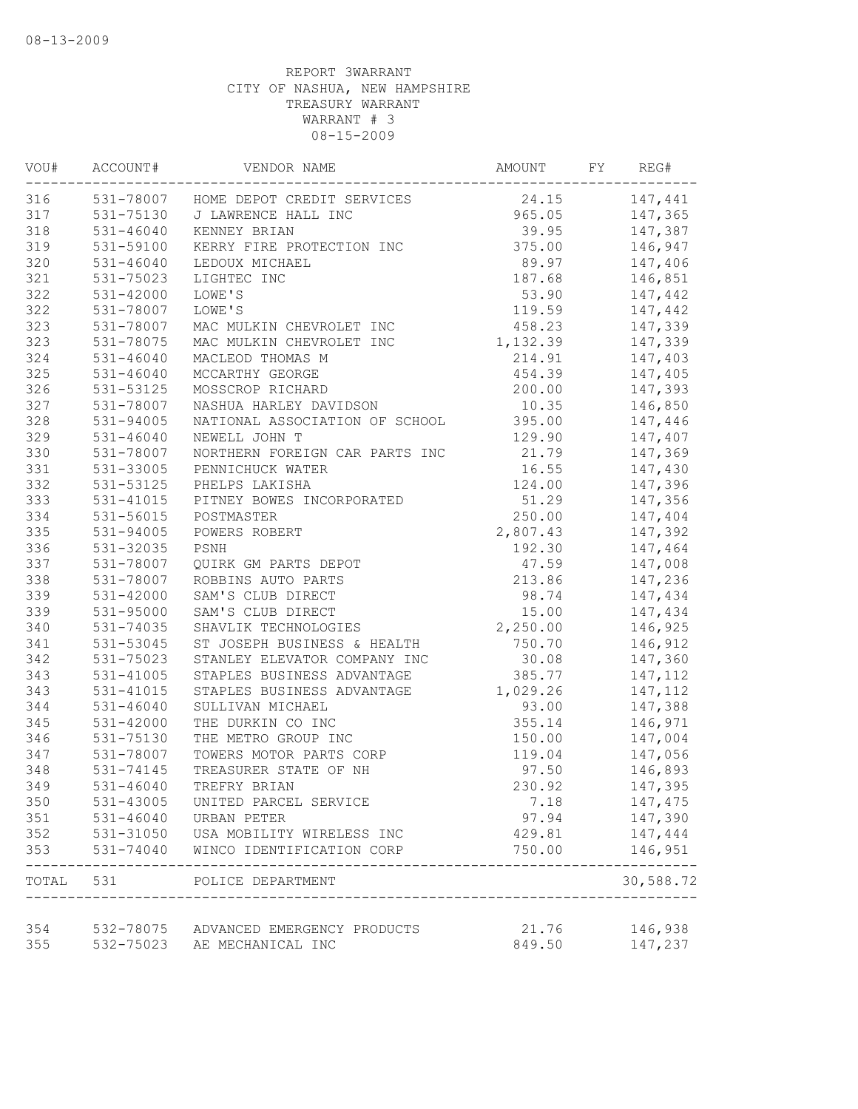| WOU#      | ACCOUNT#      | VENDOR NAME                           | AMOUNT        | FY | REG#      |
|-----------|---------------|---------------------------------------|---------------|----|-----------|
| 316       |               | 531-78007 HOME DEPOT CREDIT SERVICES  | 24.15 147,441 |    |           |
| 317       |               | 531-75130 J LAWRENCE HALL INC         | 965.05        |    | 147,365   |
| 318       | 531-46040     | KENNEY BRIAN                          | 39.95         |    | 147,387   |
| 319       | 531-59100     | KERRY FIRE PROTECTION INC             | 375.00        |    | 146,947   |
| 320       | 531-46040     | LEDOUX MICHAEL                        | 89.97         |    | 147,406   |
| 321       | 531-75023     | LIGHTEC INC                           | 187.68        |    | 146,851   |
| 322       | $531 - 42000$ | LOWE'S                                | 53.90         |    | 147,442   |
| 322       | 531-78007     | LOWE'S                                | 119.59        |    | 147,442   |
| 323       | 531-78007     | MAC MULKIN CHEVROLET INC              | 458.23        |    | 147,339   |
| 323       | 531-78075     | MAC MULKIN CHEVROLET INC              | 1, 132.39     |    | 147,339   |
| 324       | 531-46040     | MACLEOD THOMAS M                      | 214.91        |    | 147,403   |
| 325       | $531 - 46040$ | MCCARTHY GEORGE                       | 454.39        |    | 147,405   |
| 326       | 531-53125     | MOSSCROP RICHARD                      | 200.00        |    | 147,393   |
| 327       | 531-78007     | NASHUA HARLEY DAVIDSON                | 10.35         |    | 146,850   |
| 328       | 531-94005     | NATIONAL ASSOCIATION OF SCHOOL        | 395.00        |    | 147,446   |
| 329       | $531 - 46040$ | NEWELL JOHN T                         | 129.90        |    | 147,407   |
| 330       | 531-78007     | NORTHERN FOREIGN CAR PARTS INC        | 21.79         |    | 147,369   |
| 331       | 531-33005     | PENNICHUCK WATER                      | 16.55         |    | 147,430   |
| 332       | 531-53125     | PHELPS LAKISHA                        | 124.00        |    | 147,396   |
| 333       | 531-41015     | PITNEY BOWES INCORPORATED             | 51.29         |    | 147,356   |
| 334       | 531-56015     | POSTMASTER                            | 250.00        |    | 147,404   |
| 335       | 531-94005     | POWERS ROBERT                         | 2,807.43      |    | 147,392   |
| 336       | 531-32035     | PSNH                                  | 192.30        |    | 147,464   |
| 337       | 531-78007     | QUIRK GM PARTS DEPOT                  | 47.59         |    | 147,008   |
| 338       | 531-78007     | ROBBINS AUTO PARTS                    | 213.86        |    | 147,236   |
| 339       | $531 - 42000$ | SAM'S CLUB DIRECT                     | 98.74         |    | 147,434   |
| 339       | 531-95000     | SAM'S CLUB DIRECT                     | 15.00         |    | 147,434   |
| 340       | 531-74035     | SHAVLIK TECHNOLOGIES                  | 2,250.00      |    | 146,925   |
| 341       | 531-53045     | ST JOSEPH BUSINESS & HEALTH           | 750.70        |    | 146,912   |
| 342       | 531-75023     | STANLEY ELEVATOR COMPANY INC          | 30.08         |    | 147,360   |
| 343       | 531-41005     | STAPLES BUSINESS ADVANTAGE            | 385.77        |    | 147,112   |
| 343       | 531-41015     | STAPLES BUSINESS ADVANTAGE            | 1,029.26      |    | 147,112   |
| 344       | 531-46040     | SULLIVAN MICHAEL                      | 93.00         |    | 147,388   |
| 345       | $531 - 42000$ | THE DURKIN CO INC                     | 355.14        |    | 146,971   |
| 346       | 531-75130     | THE METRO GROUP INC                   | 150.00        |    | 147,004   |
| 347       | 531-78007     | TOWERS MOTOR PARTS CORP               | 119.04        |    | 147,056   |
| 348       | 531-74145     | TREASURER STATE OF NH                 | 97.50         |    | 146,893   |
| 349       | 531-46040     | TREFRY BRIAN                          | 230.92        |    | 147,395   |
| 350       | 531-43005     | UNITED PARCEL SERVICE                 | 7.18          |    | 147,475   |
| 351       | $531 - 46040$ | URBAN PETER                           | 97.94         |    | 147,390   |
| 352       | 531-31050     | USA MOBILITY WIRELESS INC             | 429.81        |    | 147,444   |
| 353       | 531-74040     | WINCO IDENTIFICATION CORP             | 750.00        |    | 146,951   |
| TOTAL 531 |               | POLICE DEPARTMENT                     |               |    | 30,588.72 |
| 354       |               | 532-78075 ADVANCED EMERGENCY PRODUCTS | 21.76         |    | 146,938   |
| 355       | 532-75023     | AE MECHANICAL INC                     | 849.50        |    | 147,237   |
|           |               |                                       |               |    |           |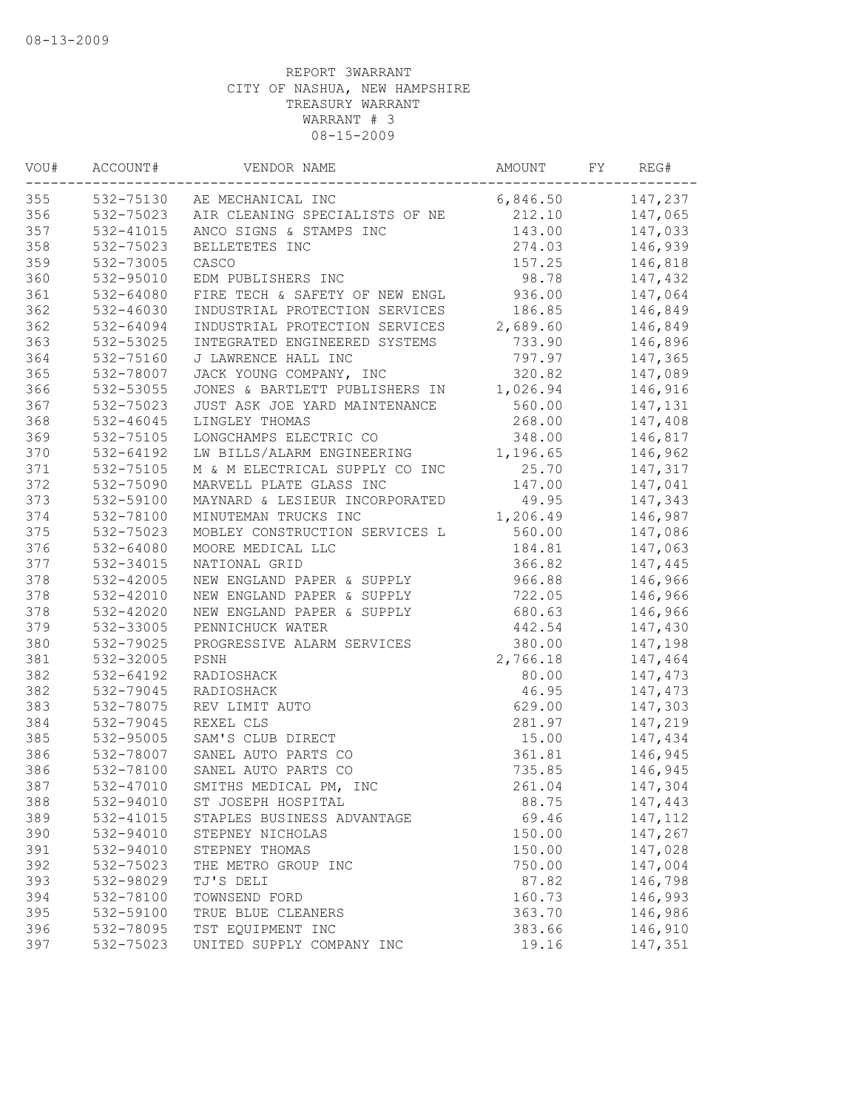| WOU# | ACCOUNT#      | VENDOR NAME                    | AMOUNT   | FY | REG#     |
|------|---------------|--------------------------------|----------|----|----------|
| 355  |               | 532-75130 AE MECHANICAL INC    | 6,846.50 |    | 147,237  |
| 356  | 532-75023     | AIR CLEANING SPECIALISTS OF NE | 212.10   |    | 147,065  |
| 357  | 532-41015     | ANCO SIGNS & STAMPS INC        | 143.00   |    | 147,033  |
| 358  | 532-75023     | BELLETETES INC                 | 274.03   |    | 146,939  |
| 359  | 532-73005     | CASCO                          | 157.25   |    | 146,818  |
| 360  | 532-95010     | EDM PUBLISHERS INC             | 98.78    |    | 147,432  |
| 361  | 532-64080     | FIRE TECH & SAFETY OF NEW ENGL | 936.00   |    | 147,064  |
| 362  | 532-46030     | INDUSTRIAL PROTECTION SERVICES | 186.85   |    | 146,849  |
| 362  | 532-64094     | INDUSTRIAL PROTECTION SERVICES | 2,689.60 |    | 146,849  |
| 363  | 532-53025     | INTEGRATED ENGINEERED SYSTEMS  | 733.90   |    | 146,896  |
| 364  | 532-75160     | J LAWRENCE HALL INC            | 797.97   |    | 147,365  |
| 365  | 532-78007     | JACK YOUNG COMPANY, INC        | 320.82   |    | 147,089  |
| 366  | 532-53055     | JONES & BARTLETT PUBLISHERS IN | 1,026.94 |    | 146,916  |
| 367  | 532-75023     | JUST ASK JOE YARD MAINTENANCE  | 560.00   |    | 147,131  |
| 368  | $532 - 46045$ | LINGLEY THOMAS                 | 268.00   |    | 147,408  |
| 369  | 532-75105     | LONGCHAMPS ELECTRIC CO         | 348.00   |    | 146,817  |
| 370  | 532-64192     | LW BILLS/ALARM ENGINEERING     | 1,196.65 |    | 146,962  |
| 371  | 532-75105     | M & M ELECTRICAL SUPPLY CO INC | 25.70    |    | 147,317  |
| 372  | 532-75090     | MARVELL PLATE GLASS INC        | 147.00   |    | 147,041  |
| 373  | 532-59100     | MAYNARD & LESIEUR INCORPORATED | 49.95    |    | 147,343  |
| 374  | 532-78100     | MINUTEMAN TRUCKS INC           | 1,206.49 |    | 146,987  |
| 375  | 532-75023     | MOBLEY CONSTRUCTION SERVICES L | 560.00   |    | 147,086  |
| 376  | 532-64080     | MOORE MEDICAL LLC              | 184.81   |    | 147,063  |
| 377  | 532-34015     | NATIONAL GRID                  | 366.82   |    | 147,445  |
| 378  | 532-42005     | NEW ENGLAND PAPER & SUPPLY     | 966.88   |    | 146,966  |
| 378  | 532-42010     | NEW ENGLAND PAPER & SUPPLY     | 722.05   |    | 146,966  |
| 378  | 532-42020     | NEW ENGLAND PAPER & SUPPLY     | 680.63   |    | 146,966  |
| 379  | 532-33005     | PENNICHUCK WATER               | 442.54   |    | 147,430  |
| 380  | 532-79025     | PROGRESSIVE ALARM SERVICES     | 380.00   |    | 147,198  |
| 381  | 532-32005     | PSNH                           | 2,766.18 |    | 147,464  |
| 382  | 532-64192     | RADIOSHACK                     | 80.00    |    | 147,473  |
| 382  | 532-79045     | RADIOSHACK                     | 46.95    |    | 147,473  |
| 383  | 532-78075     | REV LIMIT AUTO                 | 629.00   |    | 147,303  |
| 384  | 532-79045     | REXEL CLS                      | 281.97   |    | 147,219  |
| 385  | 532-95005     | SAM'S CLUB DIRECT              | 15.00    |    | 147,434  |
| 386  | 532-78007     | SANEL AUTO PARTS CO            | 361.81   |    | 146,945  |
| 386  | 532-78100     | SANEL AUTO PARTS CO            | 735.85   |    | 146,945  |
| 387  | 532-47010     | SMITHS MEDICAL PM, INC         | 261.04   |    | 147,304  |
| 388  | 532-94010     | ST JOSEPH HOSPITAL             | 88.75    |    | 147,443  |
| 389  | 532-41015     | STAPLES BUSINESS ADVANTAGE     | 69.46    |    | 147, 112 |
| 390  | 532-94010     | STEPNEY NICHOLAS               | 150.00   |    | 147,267  |
| 391  | 532-94010     | STEPNEY THOMAS                 | 150.00   |    | 147,028  |
| 392  | 532-75023     | THE METRO GROUP INC            | 750.00   |    | 147,004  |
| 393  | 532-98029     | TJ'S DELI                      | 87.82    |    | 146,798  |
| 394  | 532-78100     | TOWNSEND FORD                  | 160.73   |    | 146,993  |
| 395  | 532-59100     | TRUE BLUE CLEANERS             | 363.70   |    | 146,986  |
| 396  | 532-78095     | TST EQUIPMENT INC              | 383.66   |    | 146,910  |
| 397  | 532-75023     | UNITED SUPPLY COMPANY INC      | 19.16    |    | 147,351  |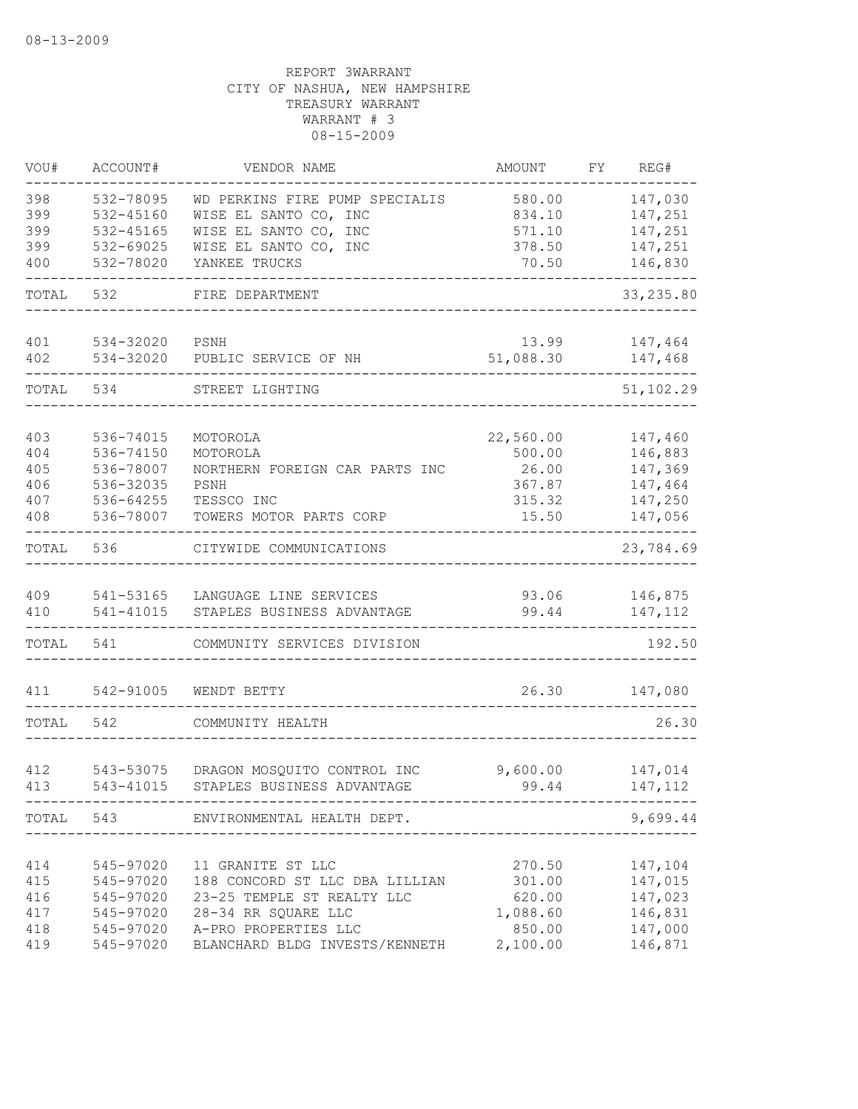| VOU#       | ACCOUNT#               | VENDOR NAME                                           | AMOUNT             | FΥ | REG#               |
|------------|------------------------|-------------------------------------------------------|--------------------|----|--------------------|
| 398        | 532-78095              | WD PERKINS FIRE PUMP SPECIALIS                        | 580.00             |    | 147,030            |
| 399        | 532-45160              | WISE EL SANTO CO, INC                                 | 834.10             |    | 147,251            |
| 399<br>399 | 532-45165<br>532-69025 | WISE EL SANTO CO, INC<br>WISE EL SANTO CO, INC        | 571.10<br>378.50   |    | 147,251<br>147,251 |
| 400        | 532-78020              | YANKEE TRUCKS                                         | 70.50              |    | 146,830            |
|            |                        |                                                       |                    |    |                    |
| TOTAL      | 532                    | FIRE DEPARTMENT                                       |                    |    | 33, 235.80         |
| 401        | 534-32020              | PSNH                                                  | 13.99              |    | 147,464            |
| 402        | 534-32020              | PUBLIC SERVICE OF NH                                  | 51,088.30          |    | 147,468            |
| TOTAL      | 534                    | STREET LIGHTING                                       |                    |    | 51,102.29          |
| 403        | 536-74015              | MOTOROLA                                              | 22,560.00          |    | 147,460            |
| 404        | 536-74150              | MOTOROLA                                              | 500.00             |    | 146,883            |
| 405        | 536-78007              | NORTHERN FOREIGN CAR PARTS INC                        | 26.00              |    | 147,369            |
| 406        | 536-32035              | PSNH                                                  | 367.87             |    | 147,464            |
| 407        | 536-64255              | TESSCO INC                                            | 315.32             |    | 147,250            |
| 408        | 536-78007              | TOWERS MOTOR PARTS CORP                               | 15.50              |    | 147,056            |
| TOTAL      | 536                    | CITYWIDE COMMUNICATIONS                               |                    |    | 23,784.69          |
| 409        | 541-53165              | LANGUAGE LINE SERVICES                                | 93.06              |    | 146,875            |
| 410        | 541-41015              | STAPLES BUSINESS ADVANTAGE                            | 99.44              |    | 147,112            |
| TOTAL      | 541                    | COMMUNITY SERVICES DIVISION                           |                    |    | 192.50             |
| 411        | 542-91005              | WENDT BETTY                                           | 26.30              |    | 147,080            |
| TOTAL      | 542                    | COMMUNITY HEALTH                                      |                    |    | 26.30              |
|            |                        |                                                       |                    |    |                    |
| 412        | 543-53075              | DRAGON MOSQUITO CONTROL INC                           | 9,600.00           |    | 147,014            |
| 413        | 543-41015              | STAPLES BUSINESS ADVANTAGE                            | 99.44              |    | 147,112            |
|            |                        | TOTAL 543 ENVIRONMENTAL HEALTH DEPT.                  |                    |    | 9,699.44           |
|            |                        |                                                       |                    |    |                    |
| 414        | 545-97020              | 11 GRANITE ST LLC                                     | 270.50             |    | 147,104            |
| 415        | 545-97020              | 188 CONCORD ST LLC DBA LILLIAN                        | 301.00             |    | 147,015            |
| 416        | 545-97020              | 23-25 TEMPLE ST REALTY LLC                            | 620.00             |    | 147,023            |
| 417<br>418 | 545-97020              | 28-34 RR SQUARE LLC<br>545-97020 A-PRO PROPERTIES LLC | 1,088.60<br>850.00 |    | 146,831<br>147,000 |
| 419        | 545-97020              | BLANCHARD BLDG INVESTS/KENNETH                        | 2,100.00           |    | 146,871            |
|            |                        |                                                       |                    |    |                    |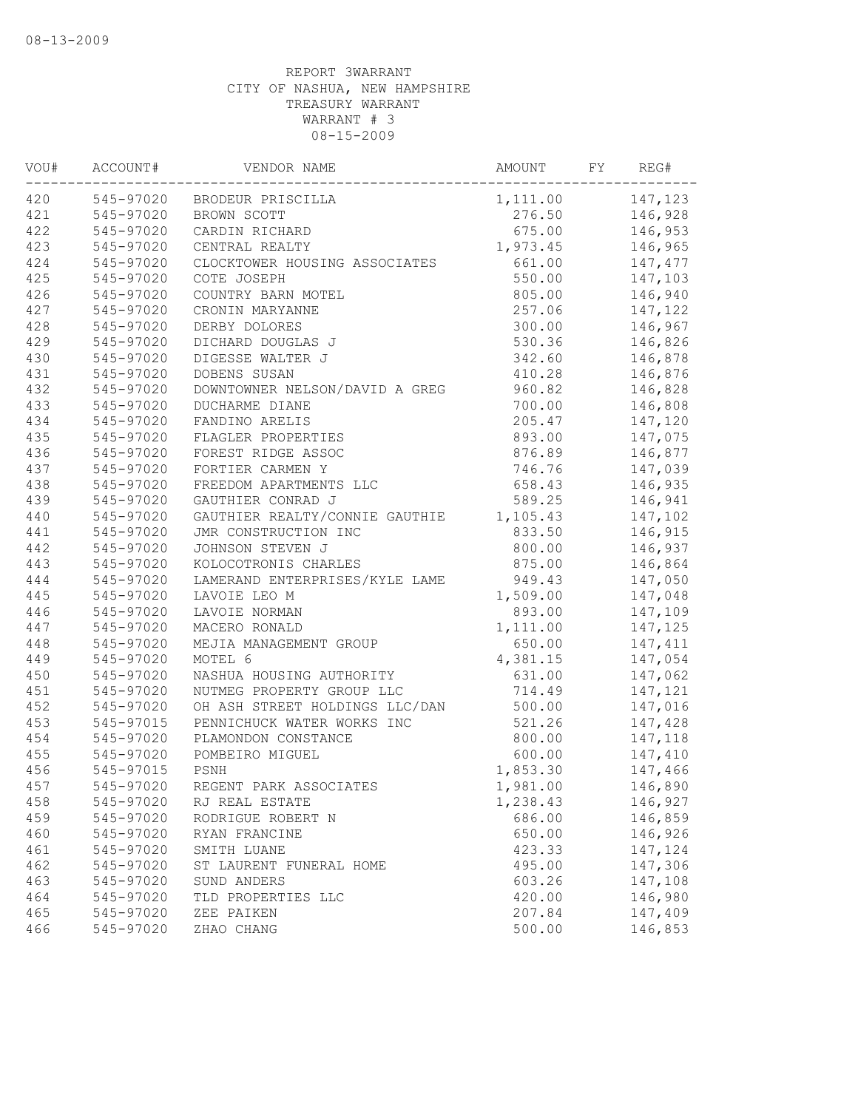| VOU# | ACCOUNT#  | VENDOR NAME                    | AMOUNT             | FY | REG#    |
|------|-----------|--------------------------------|--------------------|----|---------|
| 420  | 545-97020 | BRODEUR PRISCILLA              | 1, 111.00 147, 123 |    |         |
| 421  | 545-97020 | BROWN SCOTT                    | 276.50             |    | 146,928 |
| 422  | 545-97020 | CARDIN RICHARD                 | 675.00             |    | 146,953 |
| 423  | 545-97020 | CENTRAL REALTY                 | 1,973.45           |    | 146,965 |
| 424  | 545-97020 | CLOCKTOWER HOUSING ASSOCIATES  | 661.00             |    | 147,477 |
| 425  | 545-97020 | COTE JOSEPH                    | 550.00             |    | 147,103 |
| 426  | 545-97020 | COUNTRY BARN MOTEL             | 805.00             |    | 146,940 |
| 427  | 545-97020 | CRONIN MARYANNE                | 257.06             |    | 147,122 |
| 428  | 545-97020 | DERBY DOLORES                  | 300.00             |    | 146,967 |
| 429  | 545-97020 | DICHARD DOUGLAS J              | 530.36             |    | 146,826 |
| 430  | 545-97020 | DIGESSE WALTER J               | 342.60             |    | 146,878 |
| 431  | 545-97020 | DOBENS SUSAN                   | 410.28             |    | 146,876 |
| 432  | 545-97020 | DOWNTOWNER NELSON/DAVID A GREG | 960.82             |    | 146,828 |
| 433  | 545-97020 | DUCHARME DIANE                 | 700.00             |    | 146,808 |
| 434  | 545-97020 | FANDINO ARELIS                 | 205.47             |    | 147,120 |
| 435  | 545-97020 | FLAGLER PROPERTIES             | 893.00             |    | 147,075 |
| 436  | 545-97020 | FOREST RIDGE ASSOC             | 876.89             |    | 146,877 |
| 437  | 545-97020 | FORTIER CARMEN Y               | 746.76             |    | 147,039 |
| 438  | 545-97020 | FREEDOM APARTMENTS LLC         | 658.43             |    | 146,935 |
| 439  | 545-97020 | GAUTHIER CONRAD J              | 589.25             |    | 146,941 |
| 440  | 545-97020 | GAUTHIER REALTY/CONNIE GAUTHIE | 1,105.43           |    | 147,102 |
| 441  | 545-97020 | JMR CONSTRUCTION INC           | 833.50             |    | 146,915 |
| 442  | 545-97020 | JOHNSON STEVEN J               | 800.00             |    | 146,937 |
| 443  | 545-97020 | KOLOCOTRONIS CHARLES           | 875.00             |    | 146,864 |
| 444  | 545-97020 | LAMERAND ENTERPRISES/KYLE LAME | 949.43             |    | 147,050 |
| 445  | 545-97020 | LAVOIE LEO M                   | 1,509.00           |    | 147,048 |
| 446  | 545-97020 | LAVOIE NORMAN                  | 893.00             |    | 147,109 |
| 447  | 545-97020 | MACERO RONALD                  | 1,111.00           |    | 147,125 |
| 448  | 545-97020 | MEJIA MANAGEMENT GROUP         | 650.00             |    | 147,411 |
| 449  | 545-97020 | MOTEL 6                        | 4,381.15           |    | 147,054 |
| 450  | 545-97020 | NASHUA HOUSING AUTHORITY       | 631.00             |    | 147,062 |
| 451  | 545-97020 | NUTMEG PROPERTY GROUP LLC      | 714.49             |    | 147,121 |
| 452  | 545-97020 | OH ASH STREET HOLDINGS LLC/DAN | 500.00             |    | 147,016 |
| 453  | 545-97015 | PENNICHUCK WATER WORKS INC     | 521.26             |    | 147,428 |
| 454  | 545-97020 | PLAMONDON CONSTANCE            | 800.00             |    | 147,118 |
| 455  | 545-97020 | POMBEIRO MIGUEL                | 600.00             |    | 147,410 |
| 456  | 545-97015 | PSNH                           | 1,853.30           |    | 147,466 |
| 457  | 545-97020 | REGENT PARK ASSOCIATES         | 1,981.00           |    | 146,890 |
| 458  | 545-97020 | RJ REAL ESTATE                 | 1,238.43           |    | 146,927 |
| 459  | 545-97020 | RODRIGUE ROBERT N              | 686.00             |    | 146,859 |
| 460  | 545-97020 | RYAN FRANCINE                  | 650.00             |    | 146,926 |
| 461  | 545-97020 | SMITH LUANE                    | 423.33             |    | 147,124 |
| 462  | 545-97020 | ST LAURENT FUNERAL HOME        | 495.00             |    | 147,306 |
| 463  | 545-97020 | SUND ANDERS                    | 603.26             |    | 147,108 |
| 464  | 545-97020 | TLD PROPERTIES LLC             | 420.00             |    | 146,980 |
| 465  | 545-97020 | ZEE PAIKEN                     | 207.84             |    | 147,409 |
| 466  | 545-97020 | ZHAO CHANG                     | 500.00             |    | 146,853 |
|      |           |                                |                    |    |         |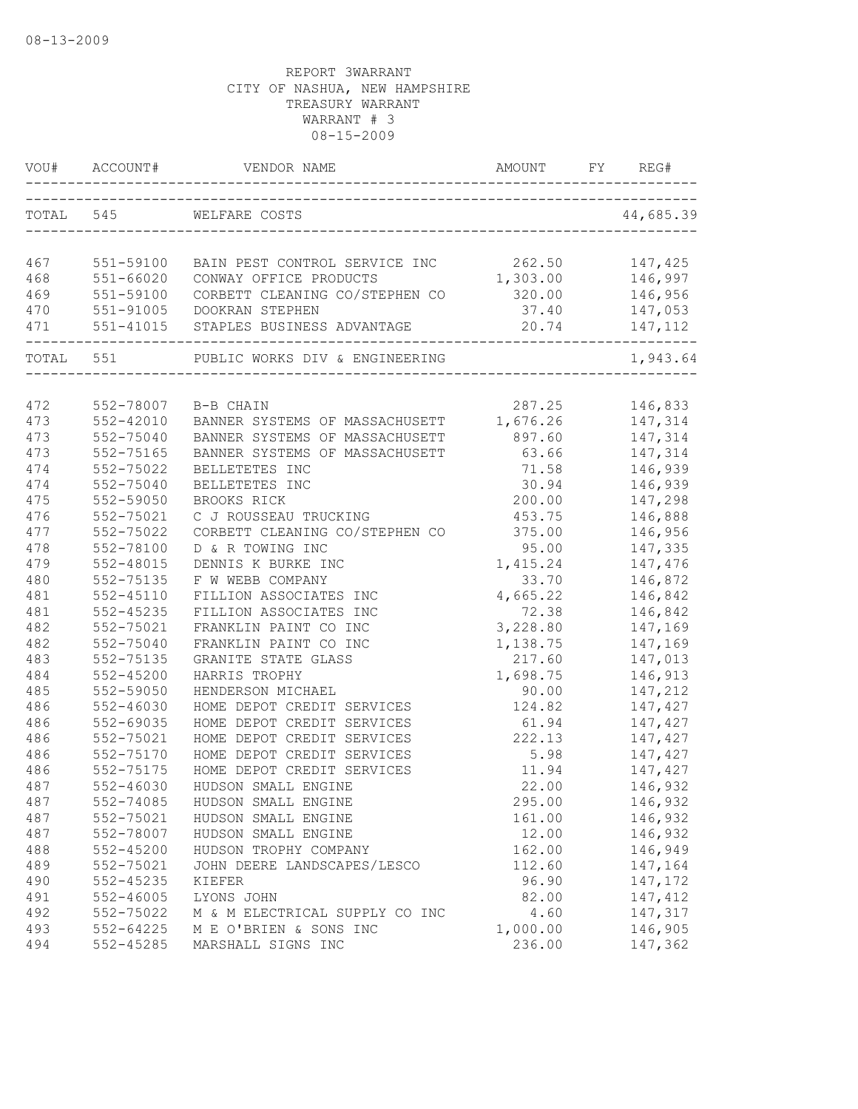| VOU#      | ACCOUNT#                          | VENDOR NAME                    | <b>AMOUNT</b> | FΥ | REG#      |
|-----------|-----------------------------------|--------------------------------|---------------|----|-----------|
| TOTAL 545 |                                   | WELFARE COSTS                  |               |    | 44,685.39 |
|           |                                   |                                |               |    |           |
| 467       | 551-59100                         | BAIN PEST CONTROL SERVICE INC  | 262.50        |    | 147,425   |
| 468       | $551 - 66020$                     | CONWAY OFFICE PRODUCTS         | 1,303.00      |    | 146,997   |
| 469       | 551-59100                         | CORBETT CLEANING CO/STEPHEN CO | 320.00        |    | 146,956   |
| 470       | $551 - 91005$                     | DOOKRAN STEPHEN                | 37.40         |    | 147,053   |
| 471       | 551-41015<br>-------------------- | STAPLES BUSINESS ADVANTAGE     | 20.74         |    | 147,112   |
| TOTAL 551 |                                   | PUBLIC WORKS DIV & ENGINEERING |               |    | 1,943.64  |
|           |                                   |                                |               |    |           |
| 472       | 552-78007                         | B-B CHAIN                      | 287.25        |    | 146,833   |
| 473       | $552 - 42010$                     | BANNER SYSTEMS OF MASSACHUSETT | 1,676.26      |    | 147,314   |
| 473       | 552-75040                         | BANNER SYSTEMS OF MASSACHUSETT | 897.60        |    | 147,314   |
| 473       | 552-75165                         | BANNER SYSTEMS OF MASSACHUSETT | 63.66         |    | 147,314   |
| 474       | 552-75022                         | BELLETETES INC                 | 71.58         |    | 146,939   |
| 474       | 552-75040                         | BELLETETES INC                 | 30.94         |    | 146,939   |
| 475       | 552-59050                         | BROOKS RICK                    | 200.00        |    | 147,298   |
| 476       | 552-75021                         | C J ROUSSEAU TRUCKING          | 453.75        |    | 146,888   |
| 477       | 552-75022                         | CORBETT CLEANING CO/STEPHEN CO | 375.00        |    | 146,956   |
| 478       | 552-78100                         | D & R TOWING INC               | 95.00         |    | 147,335   |
| 479       | $552 - 48015$                     | DENNIS K BURKE INC             | 1,415.24      |    | 147,476   |
| 480       | 552-75135                         | F W WEBB COMPANY               | 33.70         |    | 146,872   |
| 481       | $552 - 45110$                     | FILLION ASSOCIATES INC         | 4,665.22      |    | 146,842   |
| 481       | $552 - 45235$                     | FILLION ASSOCIATES INC         | 72.38         |    | 146,842   |
| 482       | 552-75021                         | FRANKLIN PAINT CO INC          | 3,228.80      |    | 147,169   |
| 482       | 552-75040                         | FRANKLIN PAINT CO INC          | 1,138.75      |    | 147,169   |
| 483       | 552-75135                         | GRANITE STATE GLASS            | 217.60        |    | 147,013   |
| 484       | $552 - 45200$                     | HARRIS TROPHY                  | 1,698.75      |    | 146,913   |
| 485       | 552-59050                         | HENDERSON MICHAEL              | 90.00         |    | 147,212   |
| 486       | $552 - 46030$                     | HOME DEPOT CREDIT SERVICES     | 124.82        |    | 147,427   |
| 486       | 552-69035                         | HOME DEPOT CREDIT SERVICES     | 61.94         |    | 147,427   |
| 486       | 552-75021                         | HOME DEPOT CREDIT SERVICES     | 222.13        |    | 147,427   |
| 486       | 552-75170                         | HOME DEPOT CREDIT SERVICES     | 5.98          |    | 147,427   |
| 486       | 552-75175                         | HOME DEPOT CREDIT SERVICES     | 11.94         |    | 147,427   |
| 487       | $552 - 46030$                     | HUDSON SMALL ENGINE            | 22.00         |    | 146,932   |
| 487       | 552-74085                         | HUDSON SMALL ENGINE            | 295.00        |    | 146,932   |
| 487       | 552-75021                         | HUDSON SMALL ENGINE            | 161.00        |    | 146,932   |
| 487       | 552-78007                         | HUDSON SMALL ENGINE            | 12.00         |    | 146,932   |
| 488       | $552 - 45200$                     | HUDSON TROPHY COMPANY          | 162.00        |    | 146,949   |
| 489       | 552-75021                         | JOHN DEERE LANDSCAPES/LESCO    | 112.60        |    | 147,164   |
| 490       | 552-45235                         | KIEFER                         | 96.90         |    | 147,172   |
| 491       | $552 - 46005$                     | LYONS JOHN                     | 82.00         |    | 147, 412  |
| 492       | 552-75022                         | M & M ELECTRICAL SUPPLY CO INC | 4.60          |    | 147,317   |
| 493       | 552-64225                         | M E O'BRIEN & SONS INC         | 1,000.00      |    | 146,905   |
| 494       | 552-45285                         | MARSHALL SIGNS INC             | 236.00        |    | 147,362   |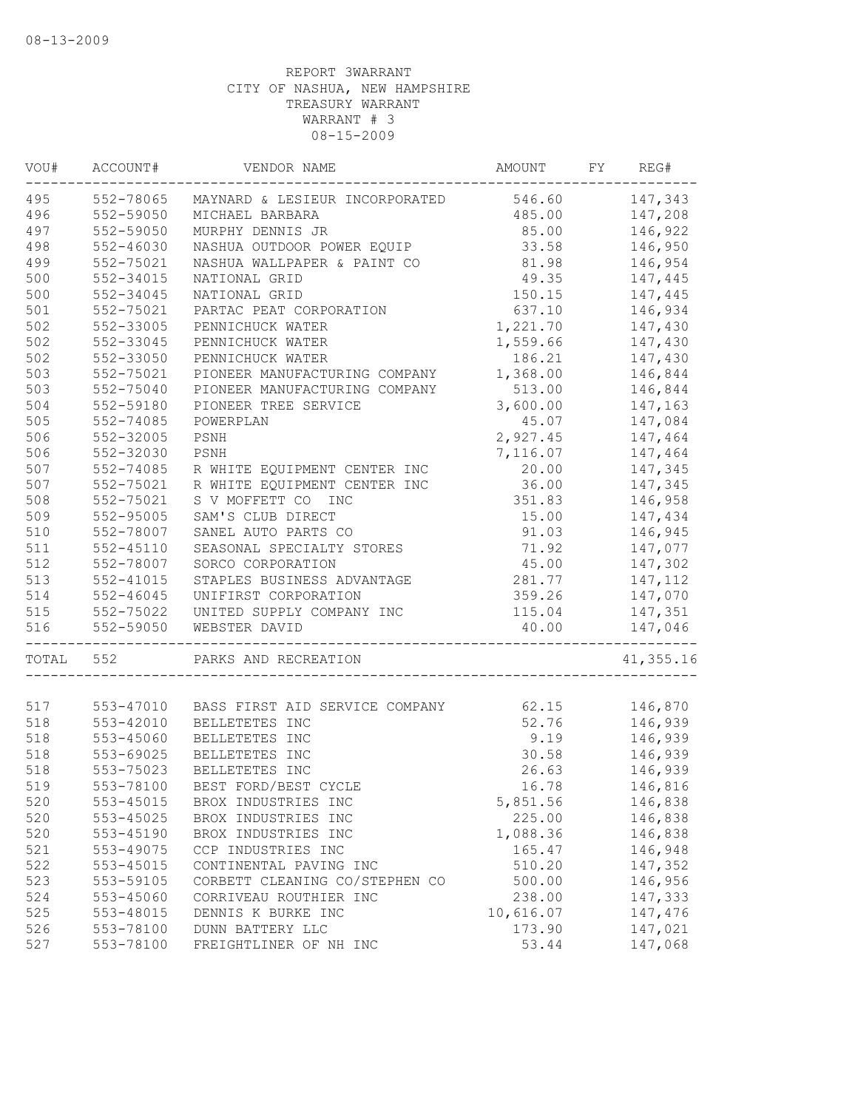| WOU#  | ACCOUNT#      | VENDOR NAME                                    | AMOUNT    | FY | REG#      |
|-------|---------------|------------------------------------------------|-----------|----|-----------|
| 495   | 552-78065     | MAYNARD & LESIEUR INCORPORATED 546.60          |           |    | 147,343   |
| 496   | 552-59050     | MICHAEL BARBARA                                | 485.00    |    | 147,208   |
| 497   | 552-59050     | MURPHY DENNIS JR                               | 85.00     |    | 146,922   |
| 498   | 552-46030     | NASHUA OUTDOOR POWER EQUIP                     | 33.58     |    | 146,950   |
| 499   | 552-75021     | NASHUA WALLPAPER & PAINT CO                    | 81.98     |    | 146,954   |
| 500   | 552-34015     | NATIONAL GRID                                  | 49.35     |    | 147,445   |
| 500   | 552-34045     | NATIONAL GRID                                  | 150.15    |    | 147,445   |
| 501   | 552-75021     | PARTAC PEAT CORPORATION                        | 637.10    |    | 146,934   |
| 502   | 552-33005     | PENNICHUCK WATER                               | 1,221.70  |    | 147,430   |
| 502   | 552-33045     | PENNICHUCK WATER                               | 1,559.66  |    | 147,430   |
| 502   | 552-33050     | PENNICHUCK WATER                               | 186.21    |    | 147,430   |
| 503   | 552-75021     | PIONEER MANUFACTURING COMPANY                  | 1,368.00  |    | 146,844   |
| 503   | 552-75040     | PIONEER MANUFACTURING COMPANY                  | 513.00    |    | 146,844   |
| 504   | 552-59180     | PIONEER TREE SERVICE                           | 3,600.00  |    | 147,163   |
| 505   | 552-74085     | POWERPLAN                                      | 45.07     |    | 147,084   |
| 506   | 552-32005     | PSNH                                           | 2,927.45  |    | 147,464   |
| 506   | 552-32030     | PSNH                                           | 7,116.07  |    | 147,464   |
| 507   | 552-74085     | R WHITE EQUIPMENT CENTER INC                   | 20.00     |    | 147,345   |
| 507   | 552-75021     | R WHITE EQUIPMENT CENTER INC                   | 36.00     |    | 147,345   |
| 508   | 552-75021     | S V MOFFETT CO INC                             | 351.83    |    | 146,958   |
| 509   | 552-95005     | SAM'S CLUB DIRECT                              | 15.00     |    | 147,434   |
| 510   | 552-78007     | SANEL AUTO PARTS CO                            | 91.03     |    | 146,945   |
| 511   | 552-45110     | SEASONAL SPECIALTY STORES                      | 71.92     |    | 147,077   |
| 512   | 552-78007     | SORCO CORPORATION                              | 45.00     |    |           |
|       |               |                                                |           |    | 147,302   |
| 513   | $552 - 41015$ | STAPLES BUSINESS ADVANTAGE                     | 281.77    |    | 147,112   |
| 514   | 552-46045     | UNIFIRST CORPORATION                           | 359.26    |    | 147,070   |
| 515   | 552-75022     | UNITED SUPPLY COMPANY INC                      | 115.04    |    | 147,351   |
| 516   | 552-59050     | WEBSTER DAVID                                  | 40.00     |    | 147,046   |
| TOTAL | 552           | PARKS AND RECREATION                           |           |    | 41,355.16 |
| 517   |               | 553-47010 BASS FIRST AID SERVICE COMPANY 62.15 |           |    | 146,870   |
| 518   | 553-42010     | BELLETETES INC                                 | 52.76     |    | 146,939   |
| 518   | 553-45060     | BELLETETES INC                                 | 9.19      |    | 146,939   |
| 518   | 553-69025     | BELLETETES INC                                 | 30.58     |    | 146,939   |
| 518   | 553-75023     | BELLETETES INC                                 | 26.63     |    | 146,939   |
| 519   | 553-78100     | BEST FORD/BEST CYCLE                           | 16.78     |    |           |
|       |               |                                                |           |    | 146,816   |
| 520   | 553-45015     | BROX INDUSTRIES INC                            | 5,851.56  |    | 146,838   |
| 520   | 553-45025     | BROX INDUSTRIES INC                            | 225.00    |    | 146,838   |
| 520   | 553-45190     | BROX INDUSTRIES INC                            | 1,088.36  |    | 146,838   |
| 521   | 553-49075     | CCP INDUSTRIES INC                             | 165.47    |    | 146,948   |
| 522   | 553-45015     | CONTINENTAL PAVING INC                         | 510.20    |    | 147,352   |
| 523   | 553-59105     | CORBETT CLEANING CO/STEPHEN CO                 | 500.00    |    | 146,956   |
| 524   | 553-45060     | CORRIVEAU ROUTHIER INC                         | 238.00    |    | 147,333   |
| 525   | 553-48015     | DENNIS K BURKE INC                             | 10,616.07 |    | 147,476   |
| 526   | 553-78100     | DUNN BATTERY LLC                               | 173.90    |    | 147,021   |
| 527   | 553-78100     | FREIGHTLINER OF NH INC                         | 53.44     |    | 147,068   |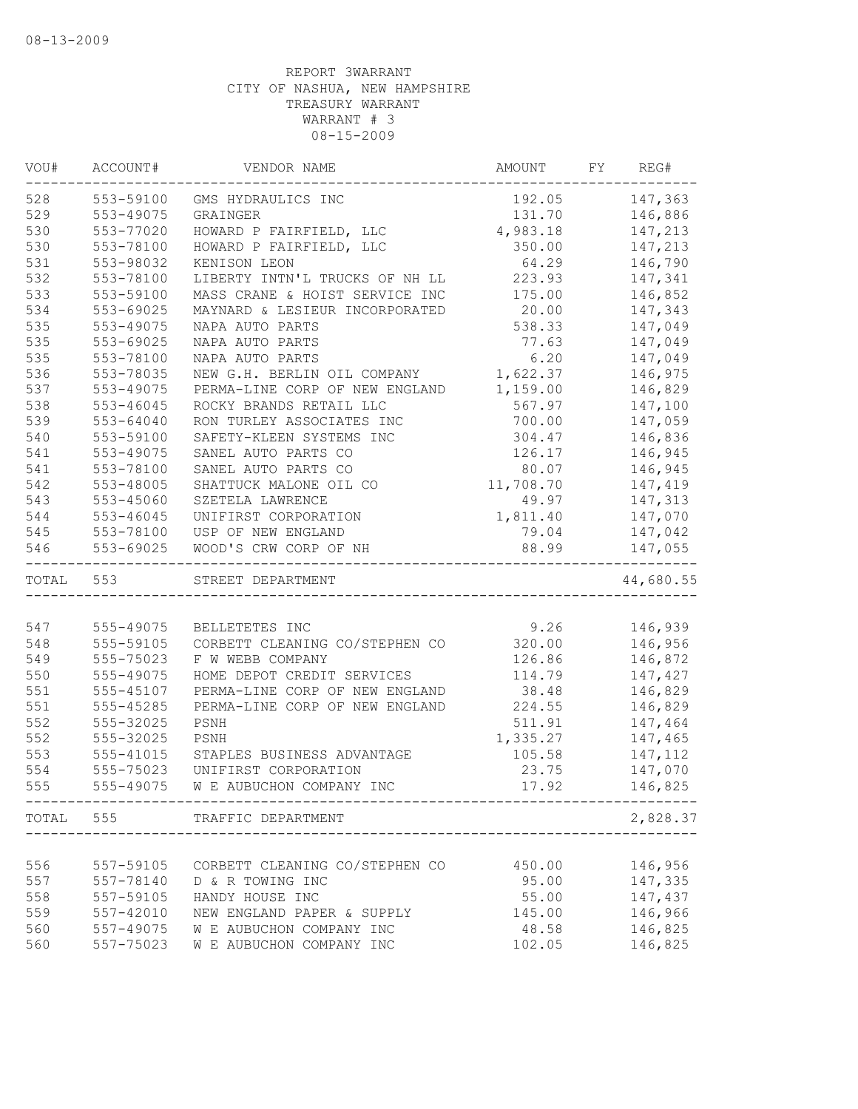| VOU#      | ACCOUNT#      | VENDOR NAME                                                | AMOUNT    | FY | REG#      |
|-----------|---------------|------------------------------------------------------------|-----------|----|-----------|
| 528       | 553-59100     | GMS HYDRAULICS INC                                         | 192.05    |    | 147,363   |
| 529       | 553-49075     | GRAINGER                                                   | 131.70    |    | 146,886   |
| 530       | 553-77020     | HOWARD P FAIRFIELD, LLC                                    | 4,983.18  |    | 147,213   |
| 530       | 553-78100     | HOWARD P FAIRFIELD, LLC                                    | 350.00    |    | 147,213   |
| 531       | 553-98032     | KENISON LEON                                               | 64.29     |    | 146,790   |
| 532       | 553-78100     | LIBERTY INTN'L TRUCKS OF NH LL                             | 223.93    |    | 147,341   |
| 533       | 553-59100     | MASS CRANE & HOIST SERVICE INC                             | 175.00    |    | 146,852   |
| 534       | $553 - 69025$ | MAYNARD & LESIEUR INCORPORATED                             | 20.00     |    | 147,343   |
| 535       | 553-49075     | NAPA AUTO PARTS                                            | 538.33    |    | 147,049   |
| 535       | 553-69025     | NAPA AUTO PARTS                                            | 77.63     |    | 147,049   |
| 535       | 553-78100     | NAPA AUTO PARTS                                            | 6.20      |    | 147,049   |
| 536       | 553-78035     | NEW G.H. BERLIN OIL COMPANY                                | 1,622.37  |    | 146,975   |
| 537       | 553-49075     | PERMA-LINE CORP OF NEW ENGLAND                             | 1,159.00  |    | 146,829   |
| 538       | $553 - 46045$ | ROCKY BRANDS RETAIL LLC                                    | 567.97    |    | 147,100   |
| 539       | 553-64040     | RON TURLEY ASSOCIATES INC                                  | 700.00    |    | 147,059   |
| 540       | 553-59100     | SAFETY-KLEEN SYSTEMS INC                                   | 304.47    |    | 146,836   |
| 541       | 553-49075     | SANEL AUTO PARTS CO                                        | 126.17    |    | 146,945   |
| 541       | 553-78100     | SANEL AUTO PARTS CO                                        | 80.07     |    | 146,945   |
| 542       | 553-48005     | SHATTUCK MALONE OIL CO                                     | 11,708.70 |    | 147,419   |
| 543       | 553-45060     | SZETELA LAWRENCE                                           | 49.97     |    | 147,313   |
| 544       | 553-46045     | UNIFIRST CORPORATION                                       | 1,811.40  |    | 147,070   |
| 545       | 553-78100     | USP OF NEW ENGLAND                                         | 79.04     |    | 147,042   |
| 546       | 553-69025     | WOOD'S CRW CORP OF NH                                      | 88.99     |    | 147,055   |
| TOTAL 553 |               | _____________________________________<br>STREET DEPARTMENT |           |    | 44,680.55 |
|           |               |                                                            |           |    |           |
| 547       | 555-49075     | BELLETETES INC                                             | 9.26      |    | 146,939   |
| 548       | 555-59105     | CORBETT CLEANING CO/STEPHEN CO                             | 320.00    |    | 146,956   |
| 549       | 555-75023     | F W WEBB COMPANY                                           | 126.86    |    | 146,872   |
| 550       | 555-49075     | HOME DEPOT CREDIT SERVICES                                 | 114.79    |    | 147,427   |
| 551       | 555-45107     | PERMA-LINE CORP OF NEW ENGLAND                             | 38.48     |    | 146,829   |
| 551       | 555-45285     | PERMA-LINE CORP OF NEW ENGLAND                             | 224.55    |    | 146,829   |
| 552       | 555-32025     | PSNH                                                       | 511.91    |    | 147,464   |
| 552       | 555-32025     | PSNH                                                       | 1,335.27  |    | 147,465   |
| 553       | 555-41015     | STAPLES BUSINESS ADVANTAGE                                 | 105.58    |    | 147,112   |
| 554       | 555-75023     | UNIFIRST CORPORATION                                       | 23.75     |    | 147,070   |
| 555       | 555-49075     | W E AUBUCHON COMPANY INC                                   | 17.92     |    | 146,825   |
|           |               | TOTAL 555 TRAFFIC DEPARTMENT                               |           |    | 2,828.37  |
|           |               |                                                            |           |    |           |
| 556       | 557-59105     | CORBETT CLEANING CO/STEPHEN CO                             | 450.00    |    | 146,956   |
| 557       | 557-78140     | D & R TOWING INC                                           | 95.00     |    | 147,335   |
| 558       | 557-59105     | HANDY HOUSE INC                                            | 55.00     |    | 147,437   |
| 559       | 557-42010     | NEW ENGLAND PAPER & SUPPLY                                 | 145.00    |    | 146,966   |
| 560       | 557-49075     | W E AUBUCHON COMPANY INC                                   | 48.58     |    | 146,825   |
| 560       | 557-75023     | W E AUBUCHON COMPANY INC                                   | 102.05    |    | 146,825   |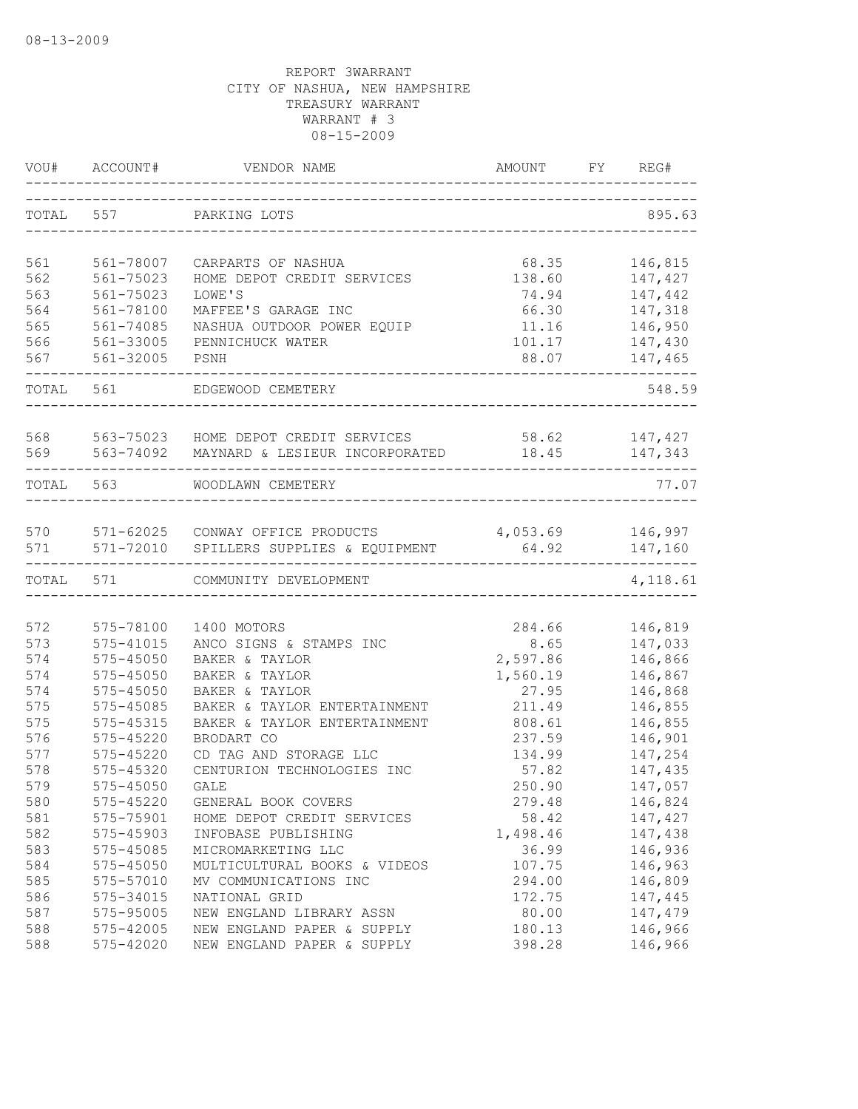| VOU#       | ACCOUNT#               | VENDOR NAME                                                       | AMOUNT            | FY | REG#                  |
|------------|------------------------|-------------------------------------------------------------------|-------------------|----|-----------------------|
| TOTAL 557  |                        | PARKING LOTS                                                      |                   |    | 895.63                |
|            |                        |                                                                   |                   |    |                       |
| 561        | 561-78007              | CARPARTS OF NASHUA                                                | 68.35             |    | 146,815               |
| 562<br>563 | 561-75023              | HOME DEPOT CREDIT SERVICES                                        | 138.60<br>74.94   |    | 147,427               |
| 564        | 561-75023              | LOWE'S                                                            |                   |    | 147,442<br>147,318    |
| 565        | 561-78100              | MAFFEE'S GARAGE INC<br>NASHUA OUTDOOR POWER EQUIP                 | 66.30<br>11.16    |    | 146,950               |
| 566        | 561-74085<br>561-33005 | PENNICHUCK WATER                                                  | 101.17            |    |                       |
| 567        | 561-32005              | PSNH                                                              | 88.07             |    | 147,430<br>147,465    |
|            |                        |                                                                   |                   |    |                       |
| TOTAL 561  |                        | EDGEWOOD CEMETERY                                                 |                   |    | 548.59                |
| 568        |                        | 563-75023 HOME DEPOT CREDIT SERVICES                              | 58.62             |    | 147,427               |
| 569        | 563-74092              | MAYNARD & LESIEUR INCORPORATED                                    | 18.45             |    | 147,343               |
|            | TOTAL 563              | WOODLAWN CEMETERY                                                 |                   |    | 77.07                 |
|            |                        |                                                                   |                   |    |                       |
| 570<br>571 | 571-72010              | 571-62025 CONWAY OFFICE PRODUCTS<br>SPILLERS SUPPLIES & EQUIPMENT | 4,053.69<br>64.92 |    | 146,997<br>147,160    |
| TOTAL      | 571                    | COMMUNITY DEVELOPMENT                                             |                   |    | ---------<br>4,118.61 |
|            |                        |                                                                   |                   |    |                       |
| 572        | 575-78100              | 1400 MOTORS                                                       | 284.66            |    | 146,819               |
| 573        | $575 - 41015$          | ANCO SIGNS & STAMPS INC                                           | 8.65              |    | 147,033               |
| 574        | $575 - 45050$          | BAKER & TAYLOR                                                    | 2,597.86          |    | 146,866               |
| 574        | $575 - 45050$          | BAKER & TAYLOR                                                    | 1,560.19          |    | 146,867               |
| 574        | 575-45050              | BAKER & TAYLOR                                                    | 27.95             |    | 146,868               |
| 575        | $575 - 45085$          | BAKER & TAYLOR ENTERTAINMENT                                      | 211.49            |    | 146,855               |
| 575        | 575-45315              | BAKER & TAYLOR ENTERTAINMENT                                      | 808.61            |    | 146,855               |
| 576        | 575-45220              | BRODART CO                                                        | 237.59            |    | 146,901               |
| 577        | 575-45220              | CD TAG AND STORAGE LLC                                            | 134.99            |    | 147,254               |
| 578        | 575-45320              | CENTURION TECHNOLOGIES INC                                        | 57.82             |    | 147,435               |
| 579        | 575-45050              | GALE                                                              | 250.90            |    | 147,057               |
| 580        | $575 - 45220$          | GENERAL BOOK COVERS                                               | 279.48            |    | 146,824               |
| 581        | 575-75901              | HOME DEPOT CREDIT SERVICES                                        | 58.42             |    | 147,427               |
| 582        | 575-45903              | INFOBASE PUBLISHING                                               | 1,498.46          |    | 147,438               |
| 583        | 575-45085              | MICROMARKETING LLC                                                | 36.99             |    | 146,936               |
| 584        | 575-45050              | MULTICULTURAL BOOKS & VIDEOS                                      | 107.75            |    | 146,963               |
| 585        | 575-57010              | MV COMMUNICATIONS INC                                             | 294.00            |    | 146,809               |
| 586        | 575-34015              | NATIONAL GRID                                                     | 172.75            |    | 147,445               |
| 587        | 575-95005              | NEW ENGLAND LIBRARY ASSN                                          | 80.00             |    | 147,479               |
| 588        | 575-42005              | NEW ENGLAND PAPER & SUPPLY                                        | 180.13            |    | 146,966               |
| 588        | 575-42020              | NEW ENGLAND PAPER & SUPPLY                                        | 398.28            |    | 146,966               |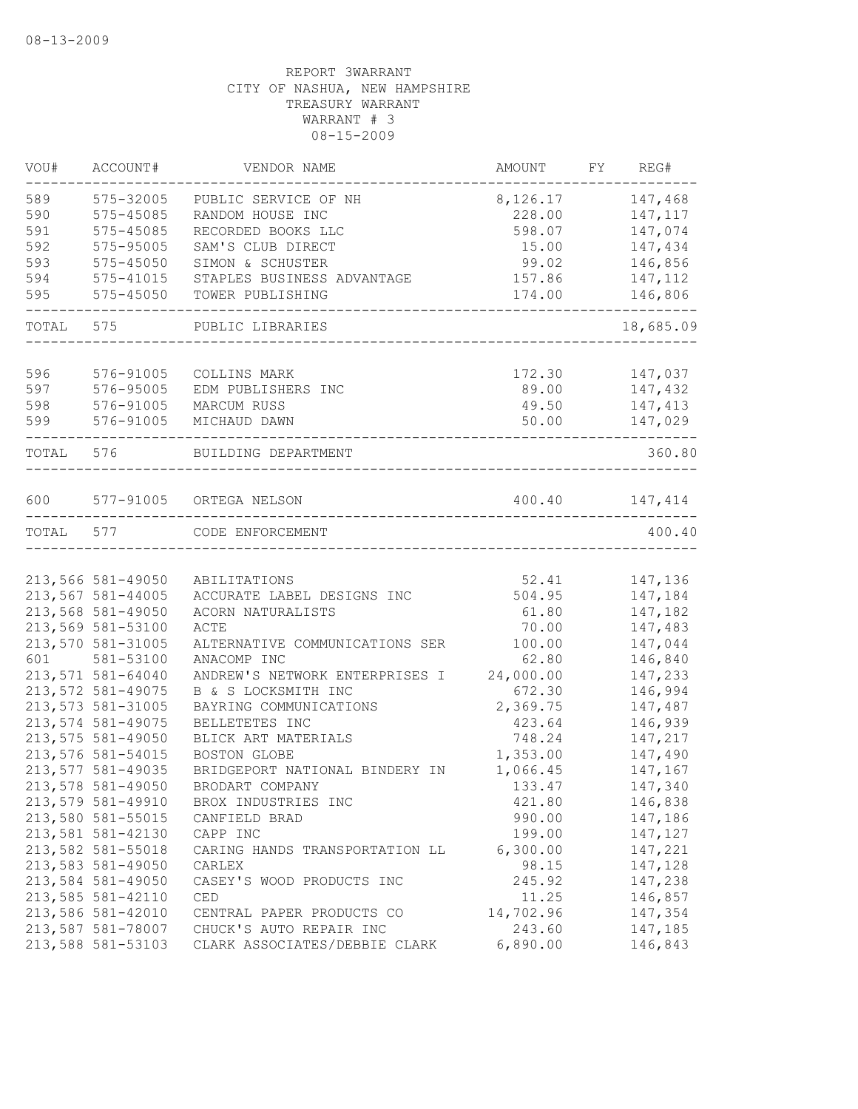| VOU#  | ACCOUNT#          | VENDOR NAME                    | AMOUNT                | FY REG#   |
|-------|-------------------|--------------------------------|-----------------------|-----------|
| 589   | 575-32005         | PUBLIC SERVICE OF NH           | 8,126.17              | 147,468   |
| 590   | 575-45085         | RANDOM HOUSE INC               | 228.00                | 147, 117  |
| 591   | 575-45085         | RECORDED BOOKS LLC             | 598.07                | 147,074   |
| 592   | 575-95005         | SAM'S CLUB DIRECT              | 15.00                 | 147,434   |
| 593   | 575-45050         | SIMON & SCHUSTER               | 99.02                 | 146,856   |
| 594   | 575-41015         | STAPLES BUSINESS ADVANTAGE     | 157.86                | 147,112   |
| 595   | 575-45050         | TOWER PUBLISHING               | 174.00<br>__________. | 146,806   |
| TOTAL | 575               | PUBLIC LIBRARIES               |                       | 18,685.09 |
|       |                   |                                |                       |           |
| 596   | 576-91005         | COLLINS MARK                   | 172.30                | 147,037   |
| 597   | 576-95005         | EDM PUBLISHERS INC             | 89.00                 | 147,432   |
| 598   | 576-91005         | MARCUM RUSS                    | 49.50                 | 147,413   |
| 599   | 576-91005         | MICHAUD DAWN                   | 50.00                 | 147,029   |
| TOTAL | 576               | BUILDING DEPARTMENT            |                       | 360.80    |
| 600   |                   | 577-91005 ORTEGA NELSON        | 400.40                | 147,414   |
| TOTAL | 577               | CODE ENFORCEMENT               |                       | 400.40    |
|       |                   |                                |                       |           |
|       | 213,566 581-49050 | ABILITATIONS                   | 52.41                 | 147,136   |
|       | 213,567 581-44005 | ACCURATE LABEL DESIGNS INC     | 504.95                | 147,184   |
|       | 213,568 581-49050 | ACORN NATURALISTS              | 61.80                 | 147,182   |
|       | 213,569 581-53100 | ACTE                           | 70.00                 | 147,483   |
|       | 213,570 581-31005 | ALTERNATIVE COMMUNICATIONS SER | 100.00                | 147,044   |
| 601   | 581-53100         | ANACOMP INC                    | 62.80                 | 146,840   |
|       | 213,571 581-64040 | ANDREW'S NETWORK ENTERPRISES I | 24,000.00             | 147,233   |
|       | 213,572 581-49075 | B & S LOCKSMITH INC            | 672.30                | 146,994   |
|       | 213,573 581-31005 | BAYRING COMMUNICATIONS         | 2,369.75              | 147,487   |
|       | 213,574 581-49075 | BELLETETES INC                 | 423.64                | 146,939   |
|       | 213,575 581-49050 | BLICK ART MATERIALS            | 748.24                | 147,217   |
|       | 213,576 581-54015 | <b>BOSTON GLOBE</b>            | 1,353.00              | 147,490   |
|       | 213,577 581-49035 | BRIDGEPORT NATIONAL BINDERY IN | 1,066.45              | 147,167   |
|       | 213,578 581-49050 | BRODART COMPANY                | 133.47                | 147,340   |
|       | 213,579 581-49910 | BROX INDUSTRIES INC            | 421.80                | 146,838   |
|       | 213,580 581-55015 | CANFIELD BRAD                  | 990.00                | 147,186   |
|       | 213,581 581-42130 | CAPP INC                       | 199.00                | 147,127   |
|       | 213,582 581-55018 | CARING HANDS TRANSPORTATION LL | 6,300.00              | 147,221   |
|       | 213,583 581-49050 | CARLEX                         | 98.15                 | 147,128   |
|       | 213,584 581-49050 | CASEY'S WOOD PRODUCTS INC      | 245.92                | 147,238   |
|       | 213,585 581-42110 | CED                            | 11.25                 | 146,857   |
|       | 213,586 581-42010 | CENTRAL PAPER PRODUCTS CO      | 14,702.96             | 147,354   |
|       | 213,587 581-78007 | CHUCK'S AUTO REPAIR INC        | 243.60                | 147,185   |
|       | 213,588 581-53103 | CLARK ASSOCIATES/DEBBIE CLARK  | 6,890.00              | 146,843   |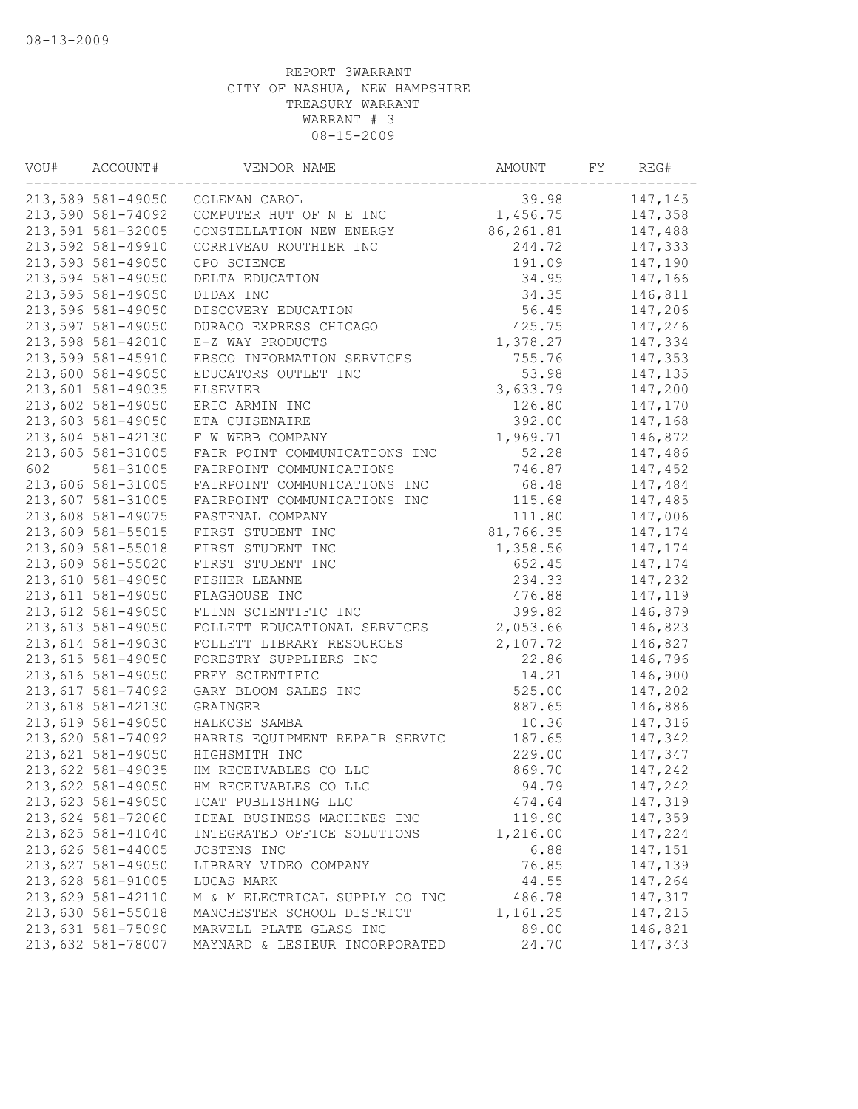| VOU# | ACCOUNT#          | VENDOR NAME                    | AMOUNT    | FY | REG#    |
|------|-------------------|--------------------------------|-----------|----|---------|
|      | 213,589 581-49050 | COLEMAN CAROL                  | 39.98     |    | 147,145 |
|      | 213,590 581-74092 | COMPUTER HUT OF N E INC        | 1,456.75  |    | 147,358 |
|      | 213,591 581-32005 | CONSTELLATION NEW ENERGY       | 86,261.81 |    | 147,488 |
|      | 213,592 581-49910 | CORRIVEAU ROUTHIER INC         | 244.72    |    | 147,333 |
|      | 213,593 581-49050 | CPO SCIENCE                    | 191.09    |    | 147,190 |
|      | 213,594 581-49050 | DELTA EDUCATION                | 34.95     |    | 147,166 |
|      | 213,595 581-49050 | DIDAX INC                      | 34.35     |    | 146,811 |
|      | 213,596 581-49050 | DISCOVERY EDUCATION            | 56.45     |    | 147,206 |
|      | 213,597 581-49050 | DURACO EXPRESS CHICAGO         | 425.75    |    | 147,246 |
|      | 213,598 581-42010 | E-Z WAY PRODUCTS               | 1,378.27  |    | 147,334 |
|      | 213,599 581-45910 | EBSCO INFORMATION SERVICES     | 755.76    |    | 147,353 |
|      | 213,600 581-49050 | EDUCATORS OUTLET INC           | 53.98     |    | 147,135 |
|      | 213,601 581-49035 | ELSEVIER                       | 3,633.79  |    | 147,200 |
|      | 213,602 581-49050 | ERIC ARMIN INC                 | 126.80    |    | 147,170 |
|      | 213,603 581-49050 | ETA CUISENAIRE                 | 392.00    |    | 147,168 |
|      | 213,604 581-42130 | F W WEBB COMPANY               | 1,969.71  |    | 146,872 |
|      | 213,605 581-31005 | FAIR POINT COMMUNICATIONS INC  | 52.28     |    | 147,486 |
| 602  | 581-31005         | FAIRPOINT COMMUNICATIONS       | 746.87    |    | 147,452 |
|      | 213,606 581-31005 | FAIRPOINT COMMUNICATIONS INC   | 68.48     |    | 147,484 |
|      | 213,607 581-31005 | FAIRPOINT COMMUNICATIONS INC   | 115.68    |    | 147,485 |
|      | 213,608 581-49075 | FASTENAL COMPANY               | 111.80    |    | 147,006 |
|      | 213,609 581-55015 | FIRST STUDENT INC              | 81,766.35 |    | 147,174 |
|      | 213,609 581-55018 | FIRST STUDENT INC              | 1,358.56  |    | 147,174 |
|      | 213,609 581-55020 | FIRST STUDENT INC              | 652.45    |    | 147,174 |
|      | 213,610 581-49050 | FISHER LEANNE                  | 234.33    |    | 147,232 |
|      | 213,611 581-49050 | FLAGHOUSE INC                  | 476.88    |    | 147,119 |
|      | 213,612 581-49050 | FLINN SCIENTIFIC INC           | 399.82    |    | 146,879 |
|      | 213,613 581-49050 | FOLLETT EDUCATIONAL SERVICES   | 2,053.66  |    | 146,823 |
|      | 213,614 581-49030 | FOLLETT LIBRARY RESOURCES      | 2,107.72  |    | 146,827 |
|      | 213,615 581-49050 | FORESTRY SUPPLIERS INC         | 22.86     |    | 146,796 |
|      | 213,616 581-49050 | FREY SCIENTIFIC                | 14.21     |    | 146,900 |
|      | 213,617 581-74092 | GARY BLOOM SALES INC           | 525.00    |    | 147,202 |
|      | 213,618 581-42130 | GRAINGER                       | 887.65    |    | 146,886 |
|      | 213,619 581-49050 | HALKOSE SAMBA                  | 10.36     |    | 147,316 |
|      | 213,620 581-74092 | HARRIS EQUIPMENT REPAIR SERVIC | 187.65    |    | 147,342 |
|      | 213,621 581-49050 | HIGHSMITH INC                  | 229.00    |    | 147,347 |
|      | 213,622 581-49035 | HM RECEIVABLES CO LLC          | 869.70    |    | 147,242 |
|      | 213,622 581-49050 | HM RECEIVABLES CO LLC          | 94.79     |    | 147,242 |
|      | 213,623 581-49050 | ICAT PUBLISHING LLC            | 474.64    |    | 147,319 |
|      | 213,624 581-72060 | IDEAL BUSINESS MACHINES INC    | 119.90    |    | 147,359 |
|      | 213,625 581-41040 | INTEGRATED OFFICE SOLUTIONS    | 1,216.00  |    | 147,224 |
|      | 213,626 581-44005 | JOSTENS INC                    | 6.88      |    | 147,151 |
|      | 213,627 581-49050 | LIBRARY VIDEO COMPANY          | 76.85     |    | 147,139 |
|      | 213,628 581-91005 | LUCAS MARK                     | 44.55     |    | 147,264 |
|      | 213,629 581-42110 | M & M ELECTRICAL SUPPLY CO INC | 486.78    |    | 147,317 |
|      | 213,630 581-55018 | MANCHESTER SCHOOL DISTRICT     | 1,161.25  |    | 147,215 |
|      | 213,631 581-75090 | MARVELL PLATE GLASS INC        | 89.00     |    | 146,821 |
|      | 213,632 581-78007 | MAYNARD & LESIEUR INCORPORATED | 24.70     |    | 147,343 |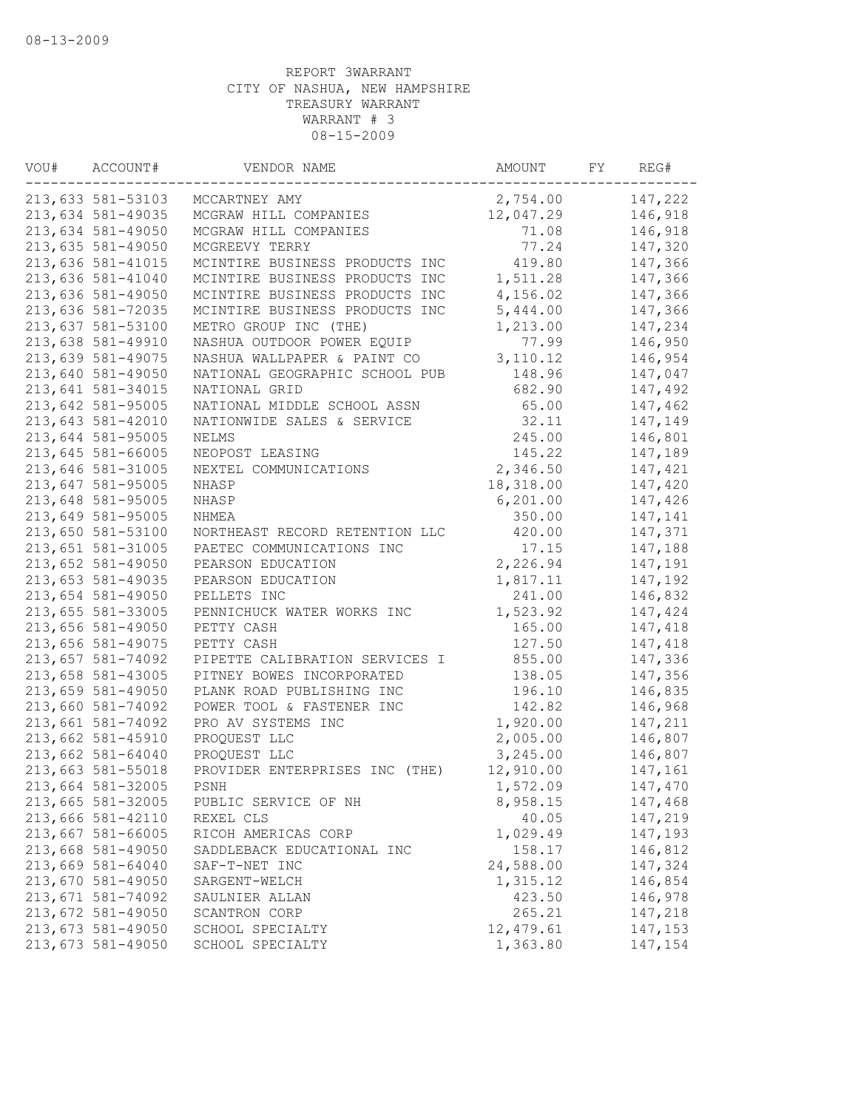| VOU# | ACCOUNT#          | VENDOR NAME                    | AMOUNT    | FY | REG#    |
|------|-------------------|--------------------------------|-----------|----|---------|
|      | 213,633 581-53103 | MCCARTNEY AMY                  | 2,754.00  |    | 147,222 |
|      | 213,634 581-49035 | MCGRAW HILL COMPANIES          | 12,047.29 |    | 146,918 |
|      | 213,634 581-49050 | MCGRAW HILL COMPANIES          | 71.08     |    | 146,918 |
|      | 213,635 581-49050 | MCGREEVY TERRY                 | 77.24     |    | 147,320 |
|      | 213,636 581-41015 | MCINTIRE BUSINESS PRODUCTS INC | 419.80    |    | 147,366 |
|      | 213,636 581-41040 | MCINTIRE BUSINESS PRODUCTS INC | 1,511.28  |    | 147,366 |
|      | 213,636 581-49050 | MCINTIRE BUSINESS PRODUCTS INC | 4,156.02  |    | 147,366 |
|      | 213,636 581-72035 | MCINTIRE BUSINESS PRODUCTS INC | 5,444.00  |    | 147,366 |
|      | 213,637 581-53100 | METRO GROUP INC (THE)          | 1,213.00  |    | 147,234 |
|      | 213,638 581-49910 | NASHUA OUTDOOR POWER EQUIP     | 77.99     |    | 146,950 |
|      | 213,639 581-49075 | NASHUA WALLPAPER & PAINT CO    | 3,110.12  |    | 146,954 |
|      | 213,640 581-49050 | NATIONAL GEOGRAPHIC SCHOOL PUB | 148.96    |    | 147,047 |
|      | 213,641 581-34015 | NATIONAL GRID                  | 682.90    |    | 147,492 |
|      | 213,642 581-95005 | NATIONAL MIDDLE SCHOOL ASSN    | 65.00     |    | 147,462 |
|      | 213,643 581-42010 | NATIONWIDE SALES & SERVICE     | 32.11     |    | 147,149 |
|      | 213,644 581-95005 | <b>NELMS</b>                   | 245.00    |    | 146,801 |
|      | 213,645 581-66005 | NEOPOST LEASING                | 145.22    |    | 147,189 |
|      | 213,646 581-31005 | NEXTEL COMMUNICATIONS          | 2,346.50  |    | 147,421 |
|      | 213,647 581-95005 | <b>NHASP</b>                   | 18,318.00 |    | 147,420 |
|      | 213,648 581-95005 | NHASP                          | 6, 201.00 |    | 147,426 |
|      | 213,649 581-95005 | NHMEA                          | 350.00    |    | 147,141 |
|      | 213,650 581-53100 | NORTHEAST RECORD RETENTION LLC | 420.00    |    | 147,371 |
|      | 213,651 581-31005 | PAETEC COMMUNICATIONS INC      | 17.15     |    | 147,188 |
|      | 213,652 581-49050 | PEARSON EDUCATION              | 2,226.94  |    | 147,191 |
|      | 213,653 581-49035 | PEARSON EDUCATION              | 1,817.11  |    | 147,192 |
|      | 213,654 581-49050 | PELLETS INC                    | 241.00    |    | 146,832 |
|      | 213,655 581-33005 | PENNICHUCK WATER WORKS INC     | 1,523.92  |    | 147,424 |
|      | 213,656 581-49050 | PETTY CASH                     | 165.00    |    | 147,418 |
|      | 213,656 581-49075 | PETTY CASH                     | 127.50    |    | 147,418 |
|      | 213,657 581-74092 | PIPETTE CALIBRATION SERVICES I | 855.00    |    | 147,336 |
|      | 213,658 581-43005 | PITNEY BOWES INCORPORATED      | 138.05    |    | 147,356 |
|      | 213,659 581-49050 | PLANK ROAD PUBLISHING INC      | 196.10    |    | 146,835 |
|      | 213,660 581-74092 | POWER TOOL & FASTENER INC      | 142.82    |    | 146,968 |
|      | 213,661 581-74092 | PRO AV SYSTEMS INC             | 1,920.00  |    | 147,211 |
|      | 213,662 581-45910 | PROQUEST LLC                   | 2,005.00  |    | 146,807 |
|      | 213,662 581-64040 | PROQUEST LLC                   | 3,245.00  |    | 146,807 |
|      | 213,663 581-55018 | PROVIDER ENTERPRISES INC (THE) | 12,910.00 |    | 147,161 |
|      | 213,664 581-32005 | PSNH                           | 1,572.09  |    | 147,470 |
|      | 213,665 581-32005 | PUBLIC SERVICE OF NH           | 8,958.15  |    | 147,468 |
|      | 213,666 581-42110 | REXEL CLS                      | 40.05     |    | 147,219 |
|      | 213,667 581-66005 | RICOH AMERICAS CORP            | 1,029.49  |    | 147,193 |
|      | 213,668 581-49050 | SADDLEBACK EDUCATIONAL INC     | 158.17    |    | 146,812 |
|      | 213,669 581-64040 | SAF-T-NET INC                  | 24,588.00 |    | 147,324 |
|      | 213,670 581-49050 | SARGENT-WELCH                  | 1,315.12  |    | 146,854 |
|      | 213,671 581-74092 | SAULNIER ALLAN                 | 423.50    |    | 146,978 |
|      | 213,672 581-49050 | SCANTRON CORP                  | 265.21    |    | 147,218 |
|      | 213,673 581-49050 | SCHOOL SPECIALTY               | 12,479.61 |    | 147,153 |
|      | 213,673 581-49050 | SCHOOL SPECIALTY               | 1,363.80  |    | 147,154 |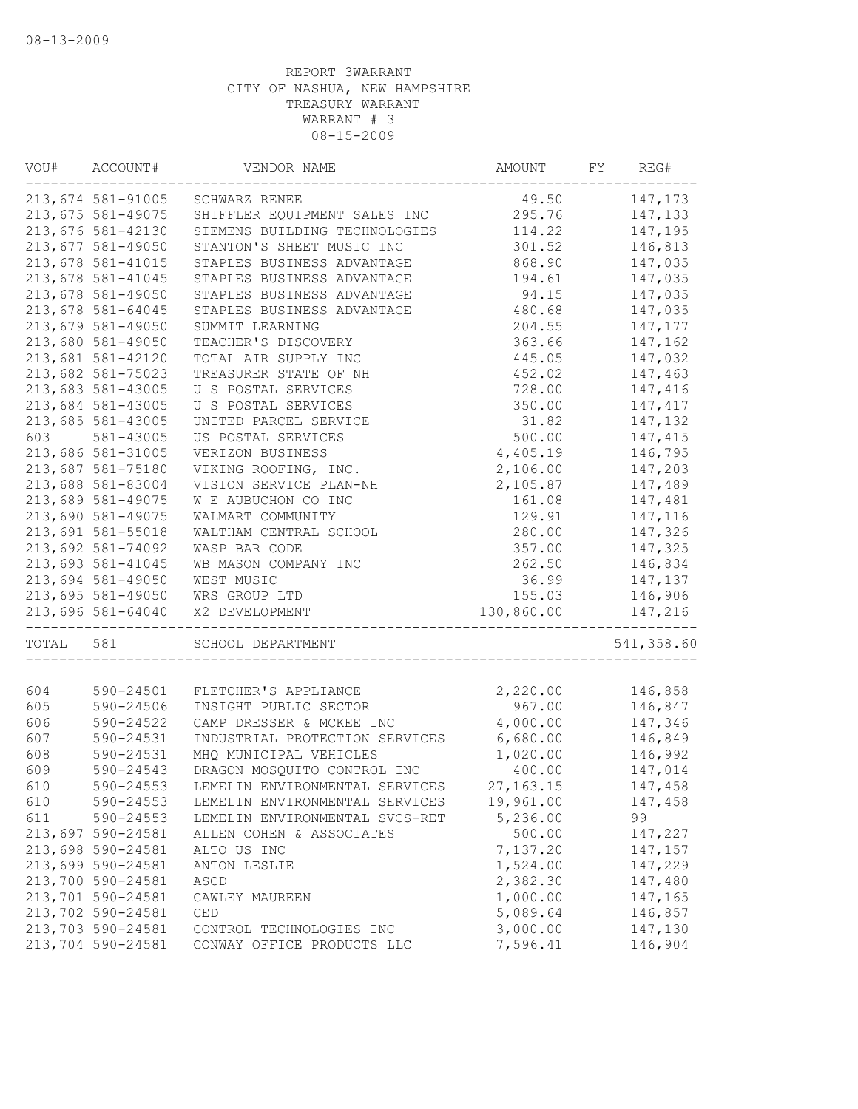| VOU#  | ACCOUNT#<br>VENDOR NAME |                                | AMOUNT           | FY | REG#       |
|-------|-------------------------|--------------------------------|------------------|----|------------|
|       | 213,674 581-91005       | SCHWARZ RENEE                  | 49.50            |    | 147,173    |
|       | 213,675 581-49075       | SHIFFLER EQUIPMENT SALES INC   | 295.76           |    | 147,133    |
|       | 213,676 581-42130       | SIEMENS BUILDING TECHNOLOGIES  | 114.22           |    | 147,195    |
|       | 213,677 581-49050       | STANTON'S SHEET MUSIC INC      | 301.52           |    | 146,813    |
|       | 213,678 581-41015       | STAPLES BUSINESS ADVANTAGE     | 868.90           |    | 147,035    |
|       | 213,678 581-41045       | STAPLES BUSINESS ADVANTAGE     | 194.61           |    | 147,035    |
|       | 213,678 581-49050       | STAPLES BUSINESS ADVANTAGE     | 94.15            |    | 147,035    |
|       | 213,678 581-64045       | STAPLES BUSINESS ADVANTAGE     | 480.68           |    | 147,035    |
|       | 213,679 581-49050       | SUMMIT LEARNING                | 204.55           |    | 147,177    |
|       | 213,680 581-49050       | TEACHER'S DISCOVERY            | 363.66           |    | 147,162    |
|       | 213,681 581-42120       | TOTAL AIR SUPPLY INC           | 445.05           |    | 147,032    |
|       | 213,682 581-75023       | TREASURER STATE OF NH          | 452.02           |    | 147,463    |
|       | 213,683 581-43005       | U S POSTAL SERVICES            | 728.00           |    | 147,416    |
|       | 213,684 581-43005       | U S POSTAL SERVICES            | 350.00           |    | 147,417    |
|       | 213,685 581-43005       | UNITED PARCEL SERVICE          | 31.82            |    | 147,132    |
| 603   | 581-43005               | US POSTAL SERVICES             | 500.00           |    | 147,415    |
|       | 213,686 581-31005       | VERIZON BUSINESS               | 4,405.19         |    | 146,795    |
|       | 213,687 581-75180       | VIKING ROOFING, INC.           | 2,106.00         |    | 147,203    |
|       | 213,688 581-83004       | VISION SERVICE PLAN-NH         | 2,105.87         |    | 147,489    |
|       | 213,689 581-49075       | W E AUBUCHON CO INC            | 161.08           |    | 147,481    |
|       | 213,690 581-49075       | WALMART COMMUNITY              | 129.91           |    | 147,116    |
|       | 213,691 581-55018       | WALTHAM CENTRAL SCHOOL         | 280.00           |    | 147,326    |
|       |                         |                                |                  |    | 147,325    |
|       | 213,692 581-74092       | WASP BAR CODE                  | 357.00<br>262.50 |    |            |
|       | 213,693 581-41045       | WB MASON COMPANY INC           |                  |    | 146,834    |
|       | 213,694 581-49050       | WEST MUSIC                     | 36.99            |    | 147,137    |
|       | 213,695 581-49050       | WRS GROUP LTD                  | 155.03           |    | 146,906    |
|       | 213,696 581-64040       | X2 DEVELOPMENT                 | 130,860.00       |    | 147,216    |
| TOTAL | 581                     | SCHOOL DEPARTMENT              |                  |    | 541,358.60 |
| 604   | 590-24501               | FLETCHER'S APPLIANCE           | 2,220.00         |    | 146,858    |
| 605   | 590-24506               | INSIGHT PUBLIC SECTOR          | 967.00           |    | 146,847    |
| 606   | 590-24522               | CAMP DRESSER & MCKEE INC       | 4,000.00         |    | 147,346    |
| 607   | 590-24531               | INDUSTRIAL PROTECTION SERVICES | 6,680.00         |    | 146,849    |
| 608   | 590-24531               | MHQ MUNICIPAL VEHICLES         | 1,020.00         |    | 146,992    |
| 609   | 590-24543               | DRAGON MOSQUITO CONTROL INC    | 400.00           |    | 147,014    |
| 610   |                         |                                |                  |    |            |
|       | 590-24553               | LEMELIN ENVIRONMENTAL SERVICES | 27, 163. 15      |    | 147,458    |
| 610   | 590-24553               | LEMELIN ENVIRONMENTAL SERVICES | 19,961.00        |    | 147,458    |
| 611   | 590-24553               | LEMELIN ENVIRONMENTAL SVCS-RET | 5,236.00         |    | 99         |
|       | 213,697 590-24581       | ALLEN COHEN & ASSOCIATES       | 500.00           |    | 147,227    |
|       | 213,698 590-24581       | ALTO US INC                    | 7,137.20         |    | 147,157    |
|       | 213,699 590-24581       | ANTON LESLIE                   | 1,524.00         |    | 147,229    |
|       | 213,700 590-24581       | ASCD                           | 2,382.30         |    | 147,480    |
|       | 213,701 590-24581       | CAWLEY MAUREEN                 | 1,000.00         |    | 147,165    |
|       | 213,702 590-24581       | CED                            | 5,089.64         |    | 146,857    |
|       | 213,703 590-24581       | CONTROL TECHNOLOGIES INC       | 3,000.00         |    | 147,130    |
|       | 213,704 590-24581       | CONWAY OFFICE PRODUCTS LLC     | 7,596.41         |    | 146,904    |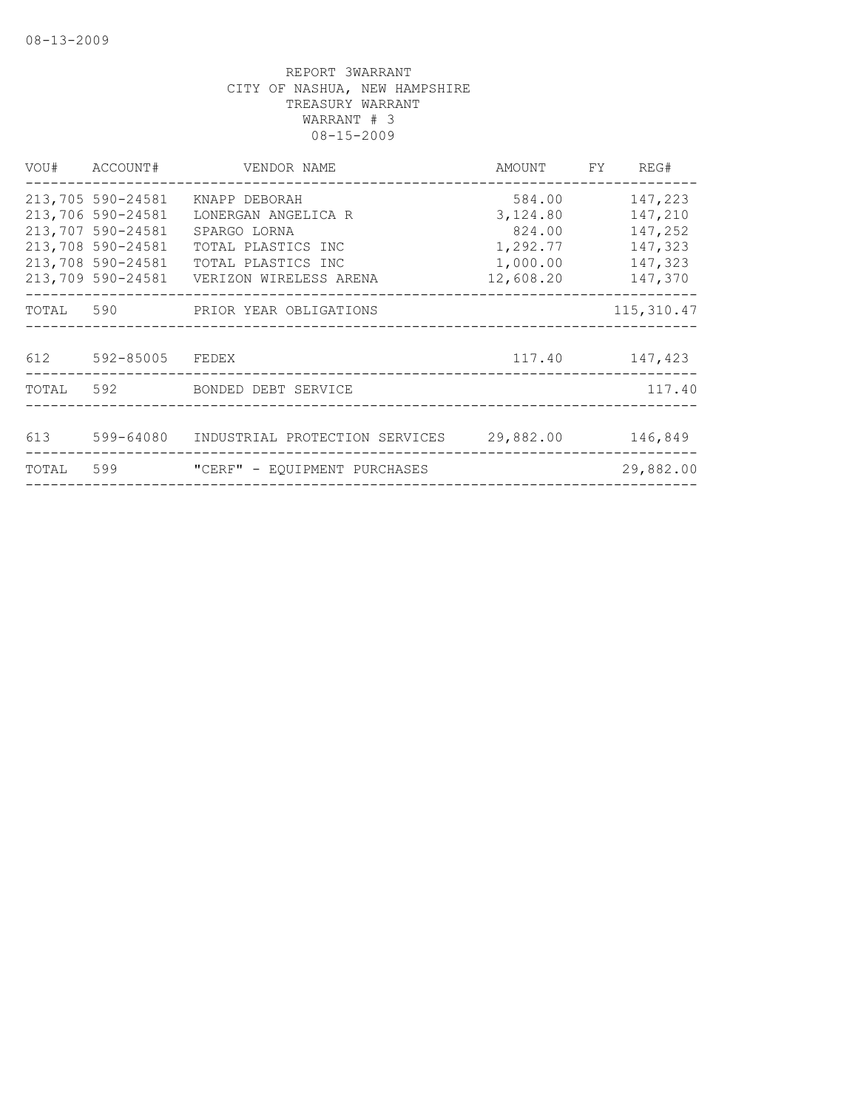|       | VOU# ACCOUNT#                                                                                         | VENDOR NAME                                                                                                                                     | AMOUNT FY REG#                                                    |                                                                |
|-------|-------------------------------------------------------------------------------------------------------|-------------------------------------------------------------------------------------------------------------------------------------------------|-------------------------------------------------------------------|----------------------------------------------------------------|
|       | 213,705 590-24581<br>213,706 590-24581<br>213,707 590-24581<br>213,708 590-24581<br>213,708 590-24581 | KNAPP DEBORAH<br>LONERGAN ANGELICA R<br>SPARGO LORNA<br>TOTAL PLASTICS INC<br>TOTAL PLASTICS INC<br>213,709 590-24581    VERIZON WIRELESS ARENA | 584.00<br>3,124.80<br>824.00<br>1,292.77<br>1,000.00<br>12,608.20 | 147,223<br>147,210<br>147,252<br>147,323<br>147,323<br>147,370 |
|       |                                                                                                       | TOTAL 590 PRIOR YEAR OBLIGATIONS                                                                                                                |                                                                   | 115,310.47                                                     |
|       | 612 592-85005 FEDEX                                                                                   |                                                                                                                                                 |                                                                   | 117.40 147,423                                                 |
|       |                                                                                                       | TOTAL 592 BONDED DEBT SERVICE                                                                                                                   |                                                                   | 117.40                                                         |
|       |                                                                                                       | 613 599-64080 INDUSTRIAL PROTECTION SERVICES 29,882.00                                                                                          |                                                                   | 146,849                                                        |
| TOTAL |                                                                                                       | 599 "CERF" - EQUIPMENT PURCHASES                                                                                                                |                                                                   | 29,882.00                                                      |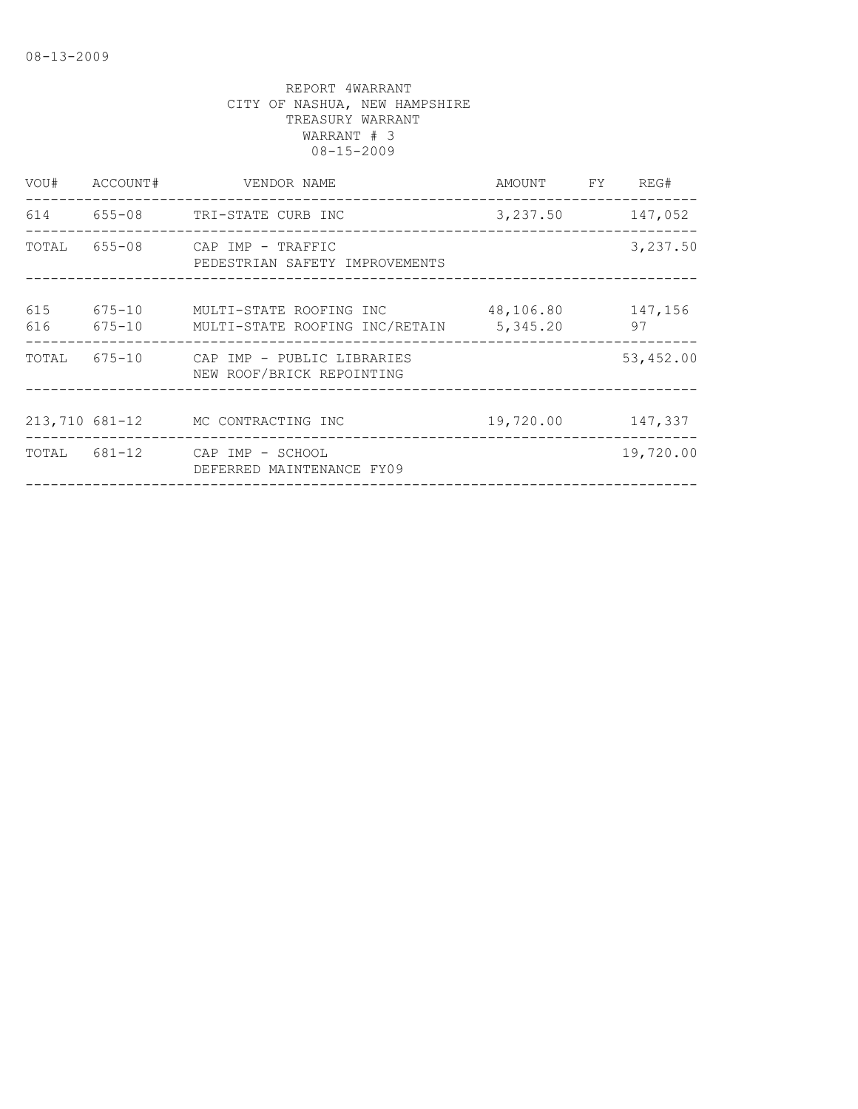| VOU#       | ACCOUNT#   | VENDOR NAME                                                      | AMOUNT FY                          | REG#          |
|------------|------------|------------------------------------------------------------------|------------------------------------|---------------|
|            |            | 614 655-08 TRI-STATE CURB INC                                    | 3,237.50                           | 147,052       |
| TOTAL      |            | 655-08 CAP IMP - TRAFFIC<br>PEDESTRIAN SAFETY IMPROVEMENTS       |                                    | 3,237.50      |
| 615<br>616 | $675 - 10$ | 675-10 MULTI-STATE ROOFING INC<br>MULTI-STATE ROOFING INC/RETAIN | 48,106.80<br>5,345.20              | 147,156<br>97 |
| TOTAL      |            | 675-10 CAP IMP - PUBLIC LIBRARIES<br>NEW ROOF/BRICK REPOINTING   | __________________________________ | 53,452.00     |
|            |            | 213,710 681-12 MC CONTRACTING INC                                | 19,720.00                          | 147,337       |
|            |            | TOTAL 681-12 CAP IMP - SCHOOL<br>DEFERRED MAINTENANCE FY09       |                                    | 19,720.00     |
|            |            |                                                                  |                                    |               |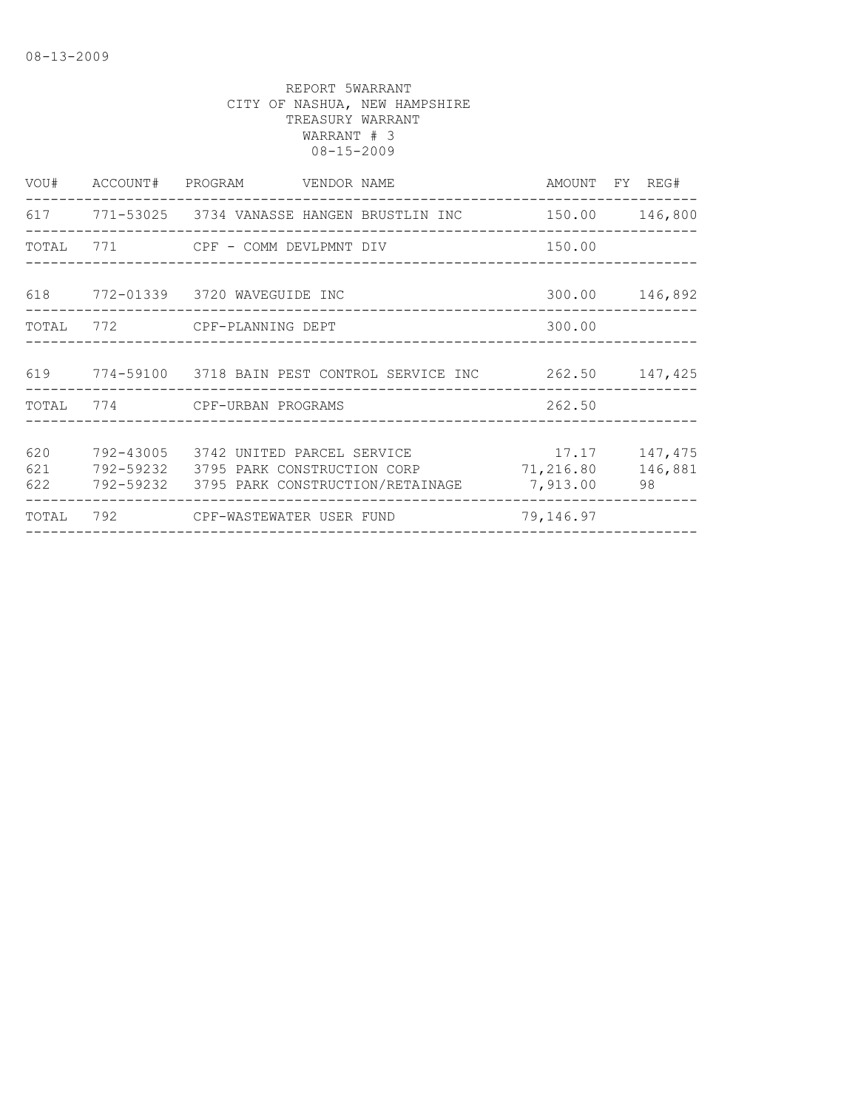|                   | VOU# ACCOUNT# PROGRAM VENDOR NAME                                                                                           | ________________________ | AMOUNT FY REG# |
|-------------------|-----------------------------------------------------------------------------------------------------------------------------|--------------------------|----------------|
|                   |                                                                                                                             |                          |                |
|                   | TOTAL 771 CPF - COMM DEVLPMNT DIV                                                                                           | 150.00                   |                |
|                   | 618 772-01339 3720 WAVEGUIDE INC                                                                                            |                          | 300.00 146,892 |
|                   | TOTAL 772 CPF-PLANNING DEPT                                                                                                 | 300.00                   |                |
|                   |                                                                                                                             |                          |                |
|                   | TOTAL 774 CPF-URBAN PROGRAMS                                                                                                | 262.50                   |                |
| 620<br>621<br>622 | 792-43005 3742 UNITED PARCEL SERVICE<br>792-59232 3795 PARK CONSTRUCTION CORP<br>792-59232 3795 PARK CONSTRUCTION/RETAINAGE | 71,216.80<br>7,913.00    | 146,881<br>98  |
| TOTAL             | 792 CPF-WASTEWATER USER FUND                                                                                                | 79,146.97                | -------------- |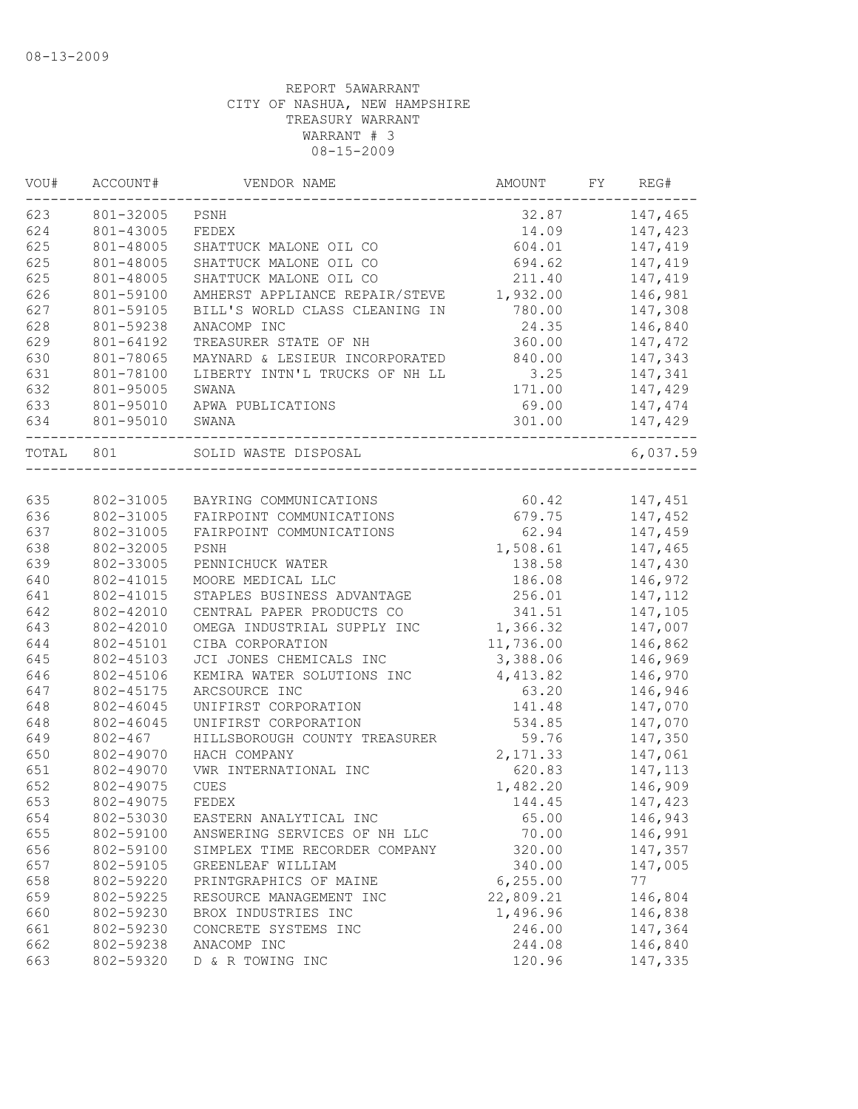| VOU#  | ACCOUNT#    | VENDOR NAME                    | AMOUNT    | FY | REG#     |
|-------|-------------|--------------------------------|-----------|----|----------|
| 623   | 801-32005   | PSNH                           | 32.87     |    | 147,465  |
| 624   | 801-43005   | FEDEX                          | 14.09     |    | 147,423  |
| 625   | 801-48005   | SHATTUCK MALONE OIL CO         | 604.01    |    | 147,419  |
| 625   | 801-48005   | SHATTUCK MALONE OIL CO         | 694.62    |    | 147,419  |
| 625   | 801-48005   | SHATTUCK MALONE OIL CO         | 211.40    |    | 147,419  |
| 626   | 801-59100   | AMHERST APPLIANCE REPAIR/STEVE | 1,932.00  |    | 146,981  |
| 627   | 801-59105   | BILL'S WORLD CLASS CLEANING IN | 780.00    |    | 147,308  |
| 628   | 801-59238   | ANACOMP INC                    | 24.35     |    | 146,840  |
| 629   | 801-64192   | TREASURER STATE OF NH          | 360.00    |    | 147,472  |
| 630   | 801-78065   | MAYNARD & LESIEUR INCORPORATED | 840.00    |    | 147,343  |
| 631   | 801-78100   | LIBERTY INTN'L TRUCKS OF NH LL | 3.25      |    | 147,341  |
| 632   | 801-95005   | SWANA                          | 171.00    |    | 147,429  |
| 633   | 801-95010   | APWA PUBLICATIONS              | 69.00     |    | 147,474  |
| 634   | 801-95010   | SWANA                          | 301.00    |    | 147,429  |
| TOTAL | 801         | SOLID WASTE DISPOSAL           |           |    | 6,037.59 |
|       |             |                                |           |    |          |
| 635   | 802-31005   | BAYRING COMMUNICATIONS         | 60.42     |    | 147,451  |
| 636   | 802-31005   | FAIRPOINT COMMUNICATIONS       | 679.75    |    | 147,452  |
| 637   | 802-31005   | FAIRPOINT COMMUNICATIONS       | 62.94     |    | 147,459  |
| 638   | 802-32005   | PSNH                           | 1,508.61  |    | 147,465  |
| 639   | 802-33005   | PENNICHUCK WATER               | 138.58    |    | 147,430  |
| 640   | 802-41015   | MOORE MEDICAL LLC              | 186.08    |    | 146,972  |
| 641   | 802-41015   | STAPLES BUSINESS ADVANTAGE     | 256.01    |    | 147,112  |
| 642   | 802-42010   | CENTRAL PAPER PRODUCTS CO      | 341.51    |    | 147,105  |
| 643   | 802-42010   | OMEGA INDUSTRIAL SUPPLY INC    | 1,366.32  |    | 147,007  |
| 644   | 802-45101   | CIBA CORPORATION               | 11,736.00 |    | 146,862  |
| 645   | 802-45103   | JCI JONES CHEMICALS INC        | 3,388.06  |    | 146,969  |
| 646   | 802-45106   | KEMIRA WATER SOLUTIONS INC     | 4,413.82  |    | 146,970  |
| 647   | 802-45175   | ARCSOURCE INC                  | 63.20     |    | 146,946  |
| 648   | 802-46045   | UNIFIRST CORPORATION           | 141.48    |    | 147,070  |
| 648   | 802-46045   | UNIFIRST CORPORATION           | 534.85    |    | 147,070  |
| 649   | $802 - 467$ | HILLSBOROUGH COUNTY TREASURER  | 59.76     |    | 147,350  |
| 650   | 802-49070   | HACH COMPANY                   | 2,171.33  |    | 147,061  |
| 651   | 802-49070   | VWR INTERNATIONAL INC          | 620.83    |    | 147,113  |
| 652   | 802-49075   | <b>CUES</b>                    | 1,482.20  |    | 146,909  |
| 653   | 802-49075   | FEDEX                          | 144.45    |    | 147,423  |
| 654   | 802-53030   | EASTERN ANALYTICAL INC         | 65.00     |    | 146,943  |
| 655   | 802-59100   | ANSWERING SERVICES OF NH LLC   | 70.00     |    | 146,991  |
| 656   | 802-59100   | SIMPLEX TIME RECORDER COMPANY  | 320.00    |    | 147,357  |
| 657   | 802-59105   | GREENLEAF WILLIAM              | 340.00    |    | 147,005  |
| 658   | 802-59220   | PRINTGRAPHICS OF MAINE         | 6, 255.00 |    | 77       |
| 659   | 802-59225   | RESOURCE MANAGEMENT INC        | 22,809.21 |    | 146,804  |
| 660   | 802-59230   | BROX INDUSTRIES INC            | 1,496.96  |    | 146,838  |
| 661   | 802-59230   | CONCRETE SYSTEMS INC           | 246.00    |    | 147,364  |
| 662   | 802-59238   | ANACOMP INC                    | 244.08    |    | 146,840  |
| 663   | 802-59320   | D & R TOWING INC               | 120.96    |    | 147,335  |
|       |             |                                |           |    |          |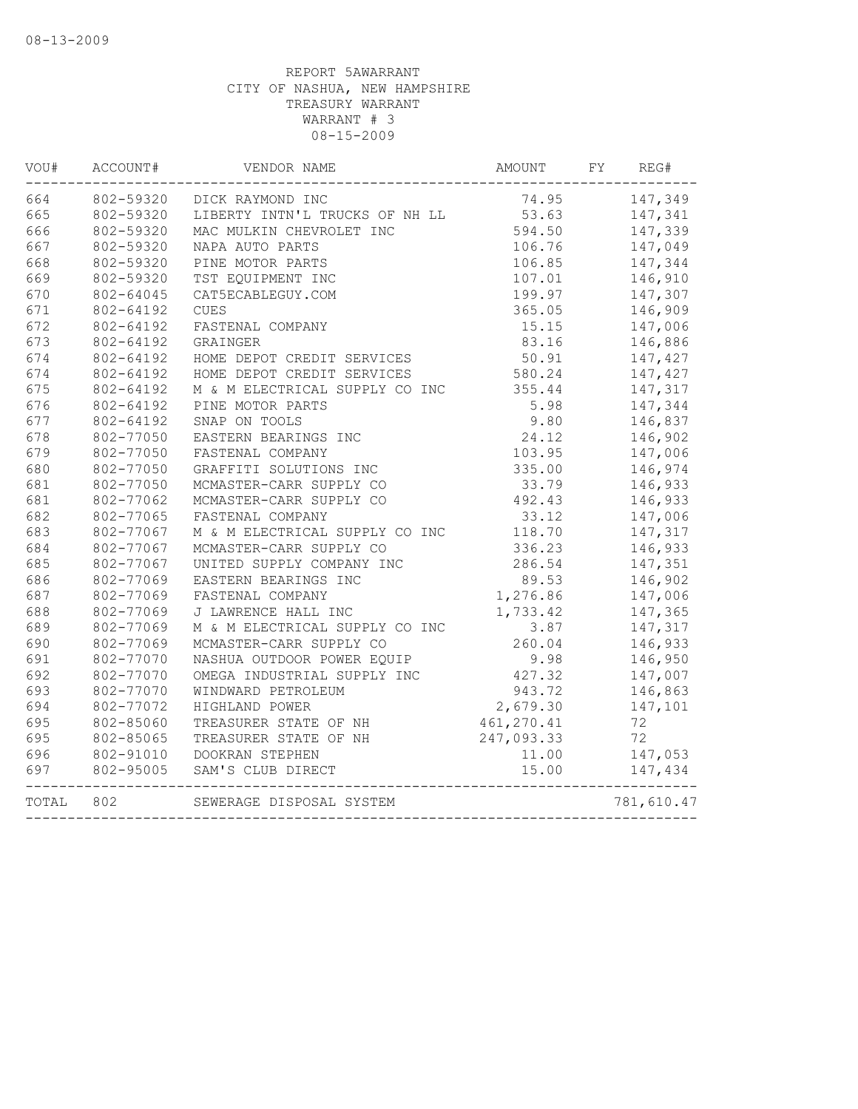| WOU#  | ACCOUNT#  | VENDOR NAME                    | AMOUNT     | FY<br>REG# |
|-------|-----------|--------------------------------|------------|------------|
| 664   | 802-59320 | DICK RAYMOND INC               | 74.95      | 147,349    |
| 665   | 802-59320 | LIBERTY INTN'L TRUCKS OF NH LL | 53.63      | 147,341    |
| 666   | 802-59320 | MAC MULKIN CHEVROLET INC       | 594.50     | 147,339    |
| 667   | 802-59320 | NAPA AUTO PARTS                | 106.76     | 147,049    |
| 668   | 802-59320 | PINE MOTOR PARTS               | 106.85     | 147,344    |
| 669   | 802-59320 | TST EQUIPMENT INC              | 107.01     | 146,910    |
| 670   | 802-64045 | CAT5ECABLEGUY.COM              | 199.97     | 147,307    |
| 671   | 802-64192 | <b>CUES</b>                    | 365.05     | 146,909    |
| 672   | 802-64192 | FASTENAL COMPANY               | 15.15      | 147,006    |
| 673   | 802-64192 | GRAINGER                       | 83.16      | 146,886    |
| 674   | 802-64192 | HOME DEPOT CREDIT SERVICES     | 50.91      | 147,427    |
| 674   | 802-64192 | HOME DEPOT CREDIT SERVICES     | 580.24     | 147,427    |
| 675   | 802-64192 | M & M ELECTRICAL SUPPLY CO INC | 355.44     | 147,317    |
| 676   | 802-64192 | PINE MOTOR PARTS               | 5.98       | 147,344    |
| 677   | 802-64192 | SNAP ON TOOLS                  | 9.80       | 146,837    |
| 678   | 802-77050 | EASTERN BEARINGS INC           | 24.12      | 146,902    |
| 679   | 802-77050 | FASTENAL COMPANY               | 103.95     | 147,006    |
| 680   | 802-77050 | GRAFFITI SOLUTIONS INC         | 335.00     | 146,974    |
| 681   | 802-77050 | MCMASTER-CARR SUPPLY CO        | 33.79      | 146,933    |
| 681   | 802-77062 | MCMASTER-CARR SUPPLY CO        | 492.43     | 146,933    |
| 682   | 802-77065 | FASTENAL COMPANY               | 33.12      | 147,006    |
| 683   | 802-77067 | M & M ELECTRICAL SUPPLY CO INC | 118.70     | 147,317    |
| 684   | 802-77067 | MCMASTER-CARR SUPPLY CO        | 336.23     | 146,933    |
| 685   | 802-77067 | UNITED SUPPLY COMPANY INC      | 286.54     | 147,351    |
| 686   | 802-77069 | EASTERN BEARINGS INC           | 89.53      | 146,902    |
| 687   | 802-77069 | FASTENAL COMPANY               | 1,276.86   | 147,006    |
| 688   | 802-77069 | J LAWRENCE HALL INC            | 1,733.42   | 147,365    |
| 689   | 802-77069 | M & M ELECTRICAL SUPPLY CO INC | 3.87       | 147,317    |
| 690   | 802-77069 | MCMASTER-CARR SUPPLY CO        | 260.04     | 146,933    |
| 691   | 802-77070 | NASHUA OUTDOOR POWER EQUIP     | 9.98       | 146,950    |
| 692   | 802-77070 | OMEGA INDUSTRIAL SUPPLY INC    | 427.32     | 147,007    |
| 693   | 802-77070 | WINDWARD PETROLEUM             | 943.72     | 146,863    |
| 694   | 802-77072 | HIGHLAND POWER                 | 2,679.30   | 147,101    |
| 695   | 802-85060 | TREASURER STATE OF NH          | 461,270.41 | 72         |
| 695   | 802-85065 | TREASURER STATE OF NH          | 247,093.33 | 72         |
| 696   | 802-91010 | DOOKRAN STEPHEN                | 11.00      | 147,053    |
| 697   | 802-95005 | SAM'S CLUB DIRECT              | 15.00      | 147,434    |
| TOTAL | 802       | SEWERAGE DISPOSAL SYSTEM       |            | 781,610.47 |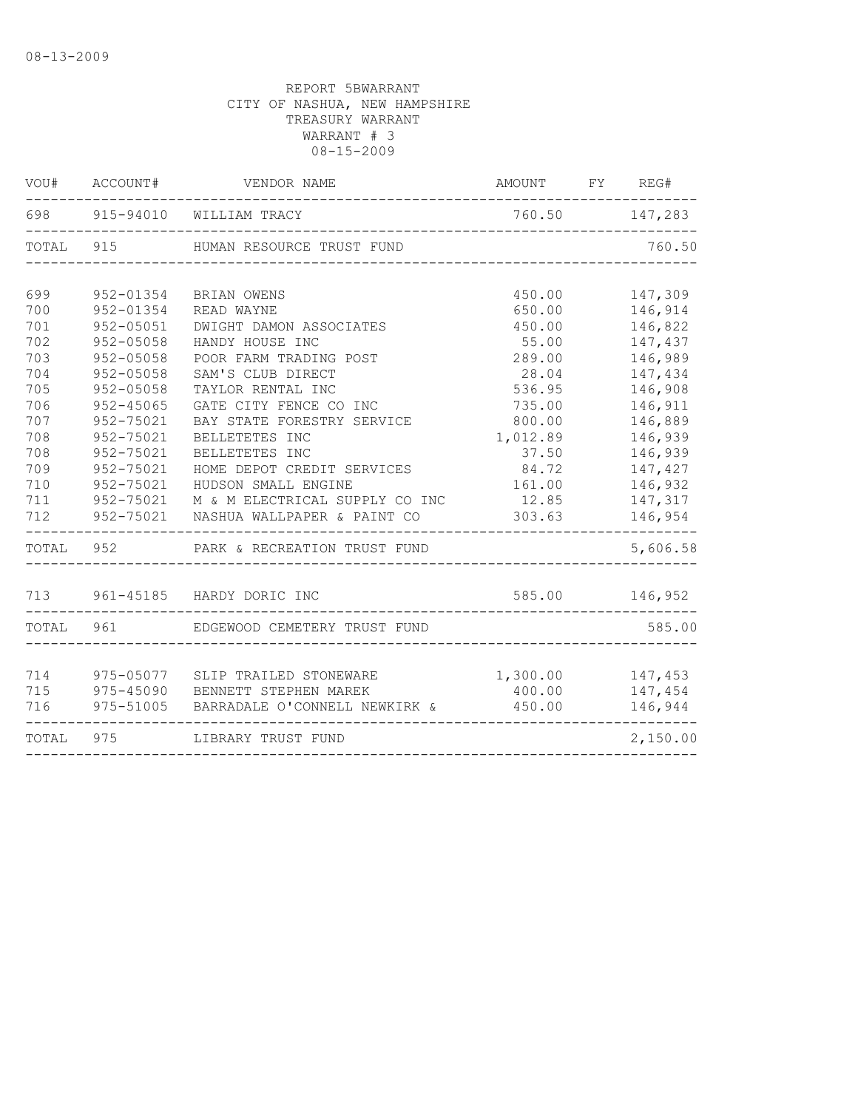|     | VOU# ACCOUNT# | VENDOR NAME                                                                                                        | AMOUNT FY REG#   |          |
|-----|---------------|--------------------------------------------------------------------------------------------------------------------|------------------|----------|
|     |               | 698 915-94010 WILLIAM TRACY                                                                                        | 760.50 147,283   |          |
|     |               | TOTAL 915 HUMAN RESOURCE TRUST FUND                                                                                |                  | 760.50   |
|     |               |                                                                                                                    |                  |          |
| 699 | 952-01354     | BRIAN OWENS                                                                                                        | 450.00           | 147,309  |
| 700 | 952-01354     | READ WAYNE                                                                                                         | 650.00           | 146,914  |
| 701 | 952-05051     | DWIGHT DAMON ASSOCIATES                                                                                            | 450.00           | 146,822  |
| 702 | $952 - 05058$ | HANDY HOUSE INC                                                                                                    | 55.00            | 147,437  |
| 703 | $952 - 05058$ | POOR FARM TRADING POST                                                                                             | 289.00           | 146,989  |
| 704 | $952 - 05058$ | SAM'S CLUB DIRECT                                                                                                  | 28.04            | 147,434  |
| 705 | $952 - 05058$ | TAYLOR RENTAL INC                                                                                                  | 536.95           | 146,908  |
| 706 | $952 - 45065$ | GATE CITY FENCE CO INC                                                                                             | 735.00           | 146,911  |
| 707 | 952-75021     | BAY STATE FORESTRY SERVICE                                                                                         | 800.00           | 146,889  |
| 708 | 952-75021     | BELLETETES INC                                                                                                     | 1,012.89         | 146,939  |
| 708 | $952 - 75021$ | BELLETETES INC                                                                                                     | 37.50            | 146,939  |
| 709 | 952-75021     | HOME DEPOT CREDIT SERVICES                                                                                         | 84.72            | 147,427  |
| 710 | 952-75021     | HUDSON SMALL ENGINE                                                                                                | 161.00           | 146,932  |
| 711 |               | 952-75021 M & M ELECTRICAL SUPPLY CO INC                                                                           | 12.85            | 147,317  |
| 712 |               | 952-75021 NASHUA WALLPAPER & PAINT CO                                                                              | 303.63           | 146,954  |
|     | TOTAL 952     | PARK & RECREATION TRUST FUND                                                                                       |                  | 5,606.58 |
|     |               | 713 961-45185 HARDY DORIC INC                                                                                      | 585.00 146,952   |          |
|     | TOTAL 961     | EDGEWOOD CEMETERY TRUST FUND                                                                                       |                  | 585.00   |
|     |               |                                                                                                                    |                  |          |
|     |               |                                                                                                                    | 1,300.00 147,453 |          |
|     |               | 714 975-05077 SLIP TRAILED STONEWARE<br>715 975-45090 BENNETT STEPHEN MAREK<br>715 975-45090 BENNETT STEPHEN MAREK | 400.00           | 147,454  |
| 716 |               | 975-51005 BARRADALE O'CONNELL NEWKIRK &                                                                            | 450.00           | 146,944  |
|     |               | TOTAL 975 LIBRARY TRUST FUND                                                                                       |                  | 2,150.00 |
|     |               |                                                                                                                    |                  |          |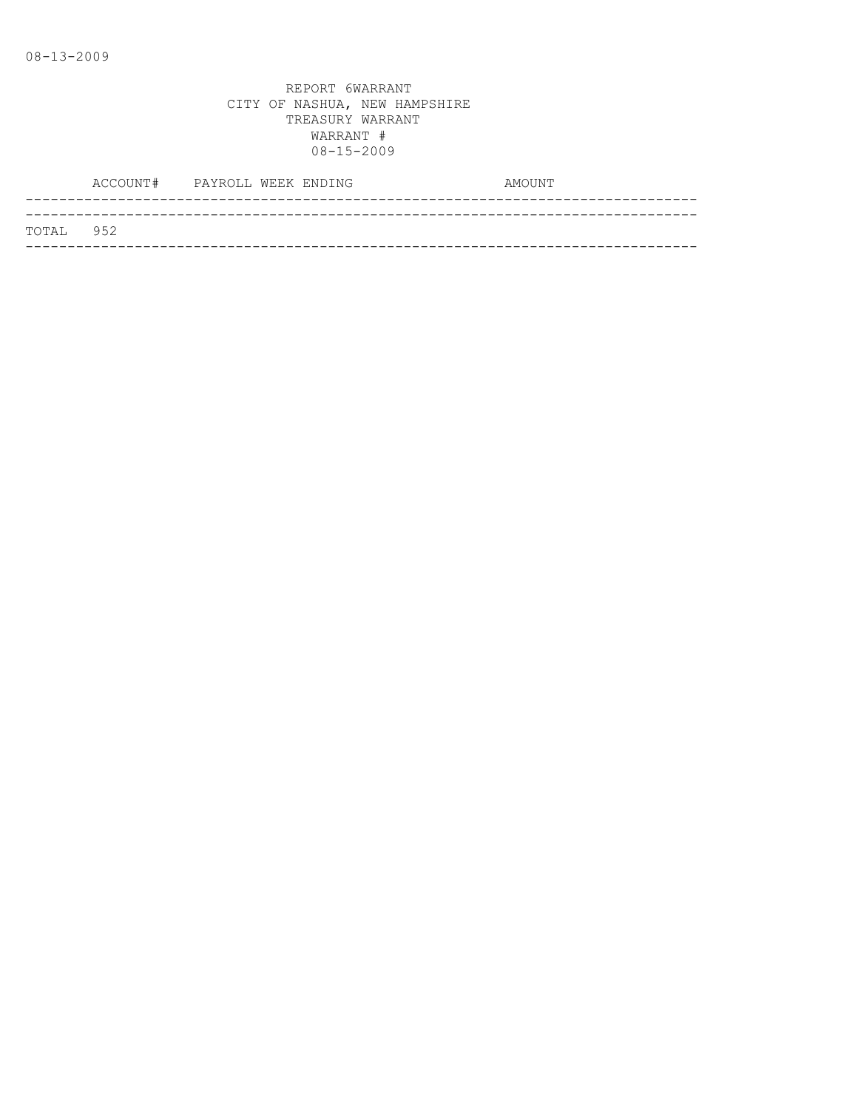|           | ACCOUNT# PAYROLL WEEK ENDING |  |  | AMOUNT |  |
|-----------|------------------------------|--|--|--------|--|
|           |                              |  |  |        |  |
| TOTAL 952 |                              |  |  |        |  |
|           |                              |  |  |        |  |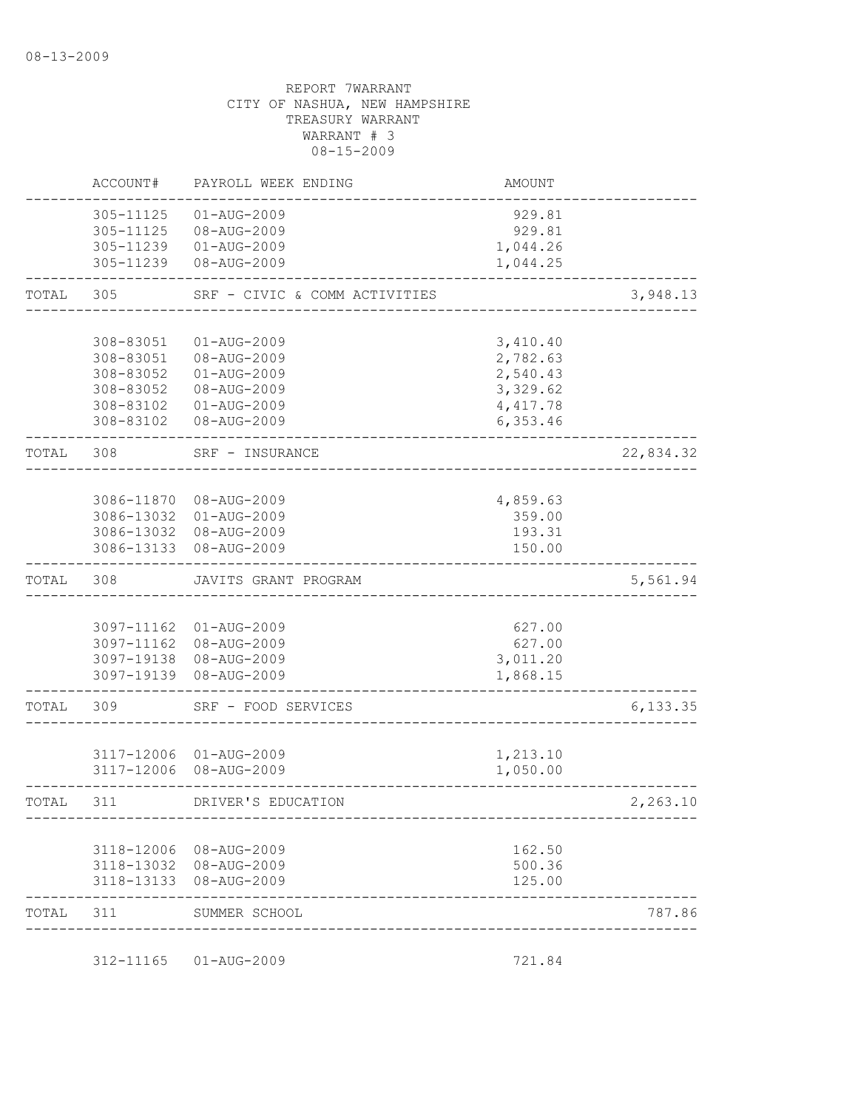|           | ACCOUNT#                                                      | PAYROLL WEEK ENDING                                                                                  | AMOUNT                                                                |           |
|-----------|---------------------------------------------------------------|------------------------------------------------------------------------------------------------------|-----------------------------------------------------------------------|-----------|
|           | 305-11125<br>305-11125<br>305-11239                           | 01-AUG-2009<br>08-AUG-2009<br>$01 - AUG - 2009$<br>305-11239 08-AUG-2009                             | 929.81<br>929.81<br>1,044.26<br>1,044.25                              |           |
| TOTAL     | 305                                                           | SRF - CIVIC & COMM ACTIVITIES                                                                        |                                                                       | 3,948.13  |
|           | 308-83051<br>308-83051<br>308-83052<br>308-83052<br>308-83102 | 01-AUG-2009<br>08-AUG-2009<br>01-AUG-2009<br>08-AUG-2009<br>308-83102  01-AUG-2009<br>08-AUG-2009    | 3,410.40<br>2,782.63<br>2,540.43<br>3,329.62<br>4, 417.78<br>6,353.46 |           |
| TOTAL     | 308                                                           | SRF - INSURANCE                                                                                      |                                                                       | 22,834.32 |
|           |                                                               | 3086-11870 08-AUG-2009<br>3086-13032 01-AUG-2009<br>3086-13032 08-AUG-2009<br>3086-13133 08-AUG-2009 | 4,859.63<br>359.00<br>193.31<br>150.00                                |           |
| TOTAL     | 308                                                           | JAVITS GRANT PROGRAM                                                                                 |                                                                       | 5,561.94  |
|           |                                                               | 3097-11162 01-AUG-2009<br>3097-11162 08-AUG-2009<br>3097-19138 08-AUG-2009<br>3097-19139 08-AUG-2009 | 627.00<br>627.00<br>3,011.20<br>1,868.15                              |           |
| TOTAL     | 309                                                           | SRF - FOOD SERVICES                                                                                  |                                                                       | 6, 133.35 |
|           |                                                               | 3117-12006 01-AUG-2009<br>3117-12006 08-AUG-2009                                                     | 1,213.10<br>1,050.00                                                  |           |
|           | 311                                                           | DRIVER'S EDUCATION                                                                                   |                                                                       | 2,263.10  |
|           |                                                               | 3118-12006 08-AUG-2009<br>3118-13032 08-AUG-2009<br>3118-13133 08-AUG-2009                           | 162.50<br>500.36<br>125.00                                            |           |
| TOTAL 311 |                                                               | SUMMER SCHOOL                                                                                        |                                                                       | 787.86    |

312-11165 01-AUG-2009 721.84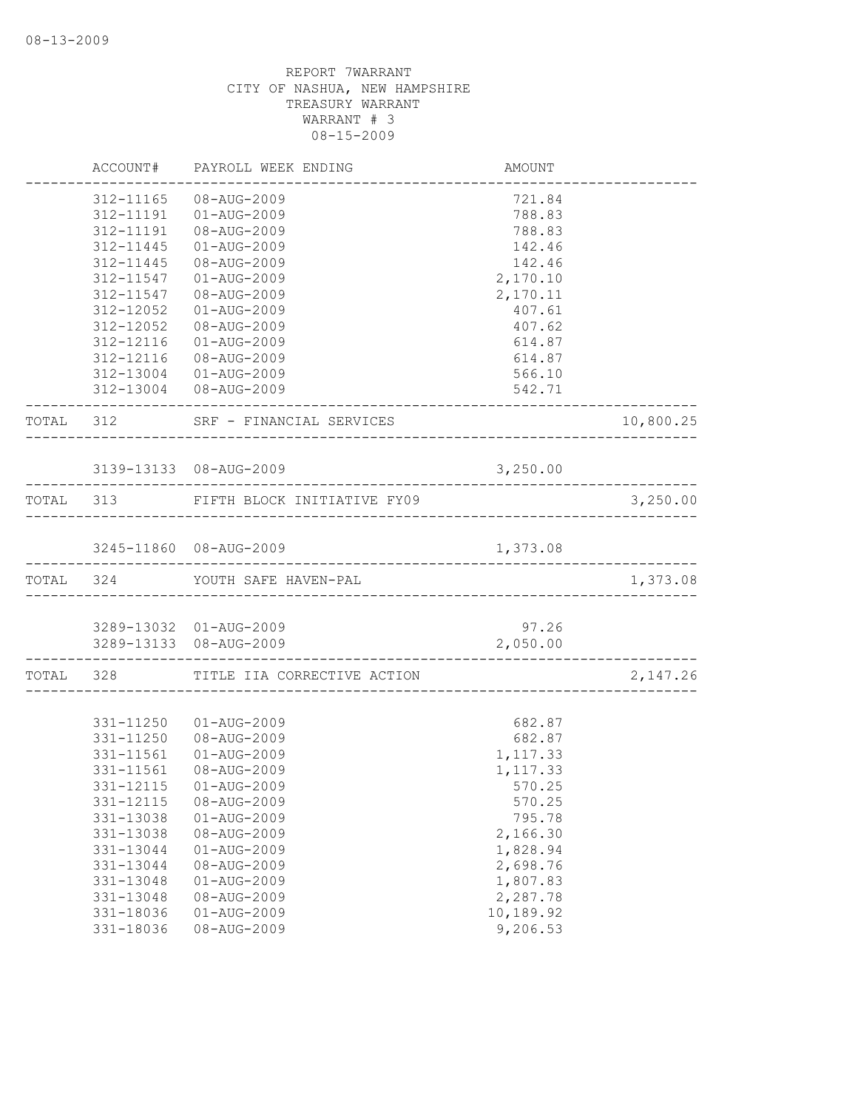|       | ACCOUNT#  | PAYROLL WEEK ENDING                   | AMOUNT    |           |
|-------|-----------|---------------------------------------|-----------|-----------|
|       | 312-11165 | 08-AUG-2009                           | 721.84    |           |
|       | 312-11191 | 01-AUG-2009                           | 788.83    |           |
|       | 312-11191 | 08-AUG-2009                           | 788.83    |           |
|       | 312-11445 | 01-AUG-2009                           | 142.46    |           |
|       | 312-11445 | 08-AUG-2009                           | 142.46    |           |
|       | 312-11547 | 01-AUG-2009                           | 2,170.10  |           |
|       | 312-11547 | 08-AUG-2009                           | 2,170.11  |           |
|       | 312-12052 | 01-AUG-2009                           | 407.61    |           |
|       | 312-12052 | 08-AUG-2009                           | 407.62    |           |
|       | 312-12116 | 01-AUG-2009                           | 614.87    |           |
|       | 312-12116 | 08-AUG-2009                           | 614.87    |           |
|       |           | 312-13004 01-AUG-2009                 | 566.10    |           |
|       |           | 312-13004 08-AUG-2009                 | 542.71    |           |
|       |           | TOTAL 312 SRF - FINANCIAL SERVICES    |           | 10,800.25 |
|       |           | 3139-13133 08-AUG-2009                | 3,250.00  |           |
|       |           | TOTAL 313 FIFTH BLOCK INITIATIVE FY09 |           | 3,250.00  |
|       |           |                                       |           |           |
|       |           | 3245-11860 08-AUG-2009                | 1,373.08  |           |
|       | TOTAL 324 | YOUTH SAFE HAVEN-PAL                  |           | 1,373.08  |
|       |           |                                       |           |           |
|       |           | 3289-13032 01-AUG-2009                | 97.26     |           |
|       |           | 3289-13133 08-AUG-2009                | 2,050.00  |           |
| TOTAL |           | 328 TITLE IIA CORRECTIVE ACTION       |           | 2,147.26  |
|       |           |                                       |           |           |
|       | 331-11250 | 01-AUG-2009                           | 682.87    |           |
|       | 331-11250 | 08-AUG-2009                           | 682.87    |           |
|       | 331-11561 | 01-AUG-2009                           | 1,117.33  |           |
|       | 331-11561 | 08-AUG-2009                           | 1, 117.33 |           |
|       |           |                                       | 570.25    |           |
|       | 331-12115 | 08-AUG-2009                           | 570.25    |           |
|       | 331-13038 | $01 - AUG - 2009$                     | 795.78    |           |
|       | 331-13038 | 08-AUG-2009                           | 2,166.30  |           |
|       | 331-13044 | 01-AUG-2009                           | 1,828.94  |           |
|       | 331-13044 | 08-AUG-2009                           | 2,698.76  |           |
|       | 331-13048 | $01 - AUG - 2009$                     | 1,807.83  |           |
|       | 331-13048 | 08-AUG-2009                           | 2,287.78  |           |
|       | 331-18036 | 01-AUG-2009                           | 10,189.92 |           |
|       | 331-18036 | 08-AUG-2009                           | 9,206.53  |           |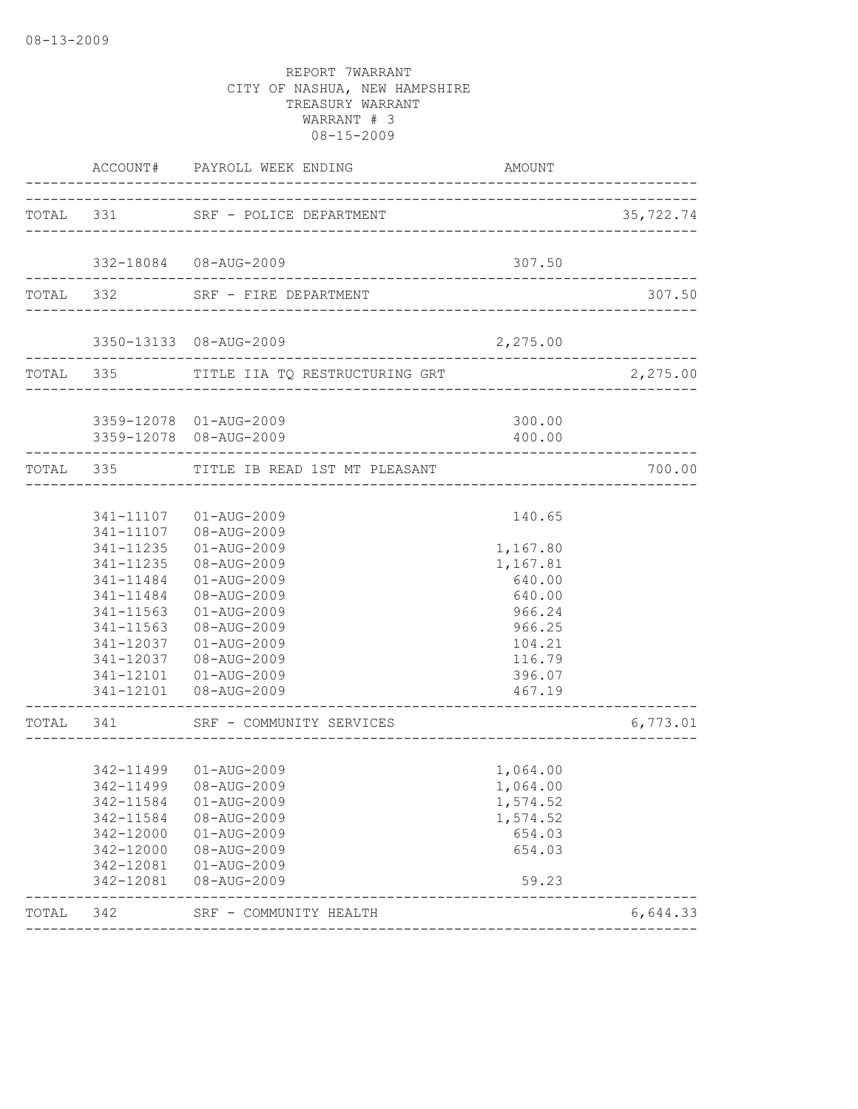|           |                                                  |                                                                                                                                                                                                                                                                                                                                                                                                                                                                                                                                                                                                                                                                | 35,722.74                                                                                                                                                                                                         |
|-----------|--------------------------------------------------|----------------------------------------------------------------------------------------------------------------------------------------------------------------------------------------------------------------------------------------------------------------------------------------------------------------------------------------------------------------------------------------------------------------------------------------------------------------------------------------------------------------------------------------------------------------------------------------------------------------------------------------------------------------|-------------------------------------------------------------------------------------------------------------------------------------------------------------------------------------------------------------------|
|           |                                                  |                                                                                                                                                                                                                                                                                                                                                                                                                                                                                                                                                                                                                                                                |                                                                                                                                                                                                                   |
|           |                                                  | 307.50                                                                                                                                                                                                                                                                                                                                                                                                                                                                                                                                                                                                                                                         |                                                                                                                                                                                                                   |
|           |                                                  |                                                                                                                                                                                                                                                                                                                                                                                                                                                                                                                                                                                                                                                                | 307.50                                                                                                                                                                                                            |
|           |                                                  |                                                                                                                                                                                                                                                                                                                                                                                                                                                                                                                                                                                                                                                                |                                                                                                                                                                                                                   |
|           |                                                  |                                                                                                                                                                                                                                                                                                                                                                                                                                                                                                                                                                                                                                                                | 2,275.00                                                                                                                                                                                                          |
|           |                                                  |                                                                                                                                                                                                                                                                                                                                                                                                                                                                                                                                                                                                                                                                |                                                                                                                                                                                                                   |
|           |                                                  | 400.00                                                                                                                                                                                                                                                                                                                                                                                                                                                                                                                                                                                                                                                         |                                                                                                                                                                                                                   |
|           |                                                  |                                                                                                                                                                                                                                                                                                                                                                                                                                                                                                                                                                                                                                                                | 700.00                                                                                                                                                                                                            |
|           |                                                  |                                                                                                                                                                                                                                                                                                                                                                                                                                                                                                                                                                                                                                                                |                                                                                                                                                                                                                   |
|           |                                                  |                                                                                                                                                                                                                                                                                                                                                                                                                                                                                                                                                                                                                                                                |                                                                                                                                                                                                                   |
| 341-11235 | $01 - AUG - 2009$                                | 1,167.80                                                                                                                                                                                                                                                                                                                                                                                                                                                                                                                                                                                                                                                       |                                                                                                                                                                                                                   |
| 341-11235 | 08-AUG-2009                                      | 1,167.81                                                                                                                                                                                                                                                                                                                                                                                                                                                                                                                                                                                                                                                       |                                                                                                                                                                                                                   |
|           | 01-AUG-2009                                      | 640.00                                                                                                                                                                                                                                                                                                                                                                                                                                                                                                                                                                                                                                                         |                                                                                                                                                                                                                   |
|           | 08-AUG-2009                                      | 640.00                                                                                                                                                                                                                                                                                                                                                                                                                                                                                                                                                                                                                                                         |                                                                                                                                                                                                                   |
|           |                                                  |                                                                                                                                                                                                                                                                                                                                                                                                                                                                                                                                                                                                                                                                |                                                                                                                                                                                                                   |
|           |                                                  |                                                                                                                                                                                                                                                                                                                                                                                                                                                                                                                                                                                                                                                                |                                                                                                                                                                                                                   |
|           |                                                  |                                                                                                                                                                                                                                                                                                                                                                                                                                                                                                                                                                                                                                                                |                                                                                                                                                                                                                   |
|           |                                                  |                                                                                                                                                                                                                                                                                                                                                                                                                                                                                                                                                                                                                                                                |                                                                                                                                                                                                                   |
|           |                                                  | 467.19                                                                                                                                                                                                                                                                                                                                                                                                                                                                                                                                                                                                                                                         |                                                                                                                                                                                                                   |
|           |                                                  |                                                                                                                                                                                                                                                                                                                                                                                                                                                                                                                                                                                                                                                                | 6,773.01                                                                                                                                                                                                          |
|           |                                                  |                                                                                                                                                                                                                                                                                                                                                                                                                                                                                                                                                                                                                                                                |                                                                                                                                                                                                                   |
|           |                                                  |                                                                                                                                                                                                                                                                                                                                                                                                                                                                                                                                                                                                                                                                |                                                                                                                                                                                                                   |
|           |                                                  |                                                                                                                                                                                                                                                                                                                                                                                                                                                                                                                                                                                                                                                                |                                                                                                                                                                                                                   |
|           |                                                  |                                                                                                                                                                                                                                                                                                                                                                                                                                                                                                                                                                                                                                                                |                                                                                                                                                                                                                   |
| 342-12000 |                                                  | 654.03                                                                                                                                                                                                                                                                                                                                                                                                                                                                                                                                                                                                                                                         |                                                                                                                                                                                                                   |
| 342-12000 | 08-AUG-2009                                      | 654.03                                                                                                                                                                                                                                                                                                                                                                                                                                                                                                                                                                                                                                                         |                                                                                                                                                                                                                   |
| 342-12081 |                                                  |                                                                                                                                                                                                                                                                                                                                                                                                                                                                                                                                                                                                                                                                |                                                                                                                                                                                                                   |
| 342-12081 | 08-AUG-2009                                      | 59.23                                                                                                                                                                                                                                                                                                                                                                                                                                                                                                                                                                                                                                                          |                                                                                                                                                                                                                   |
| 342       |                                                  |                                                                                                                                                                                                                                                                                                                                                                                                                                                                                                                                                                                                                                                                | 6,644.33                                                                                                                                                                                                          |
|           | 341-11563<br>341-11563<br>342-11584<br>342-11584 | ACCOUNT# PAYROLL WEEK ENDING<br>TOTAL 331 SRF - POLICE DEPARTMENT<br>332-18084 08-AUG-2009<br>TOTAL 332 SRF - FIRE DEPARTMENT<br>3350-13133 08-AUG-2009<br>3359-12078 01-AUG-2009<br>3359-12078 08-AUG-2009<br>TOTAL 335 TITLE IB READ 1ST MT PLEASANT<br>341-11107  01-AUG-2009<br>341-11107 08-AUG-2009<br>341-11484<br>341-11484<br>01-AUG-2009<br>08-AUG-2009<br>341-12037 01-AUG-2009<br>341-12037  08-AUG-2009<br>341-12101  01-AUG-2009<br>341-12101  08-AUG-2009<br>TOTAL 341 SRF - COMMUNITY SERVICES<br>342-11499  01-AUG-2009<br>342-11499  08-AUG-2009<br>$01 - AUG - 2009$<br>08-AUG-2009<br>01-AUG-2009<br>01-AUG-2009<br>SRF - COMMUNITY HEALTH | <b>AMOUNT</b><br>2,275.00<br>TOTAL 335 TITLE IIA TQ RESTRUCTURING GRT<br>300.00<br>140.65<br>966.24<br>966.25<br>104.21<br>116.79<br>396.07<br>__________________<br>1,064.00<br>1,064.00<br>1,574.52<br>1,574.52 |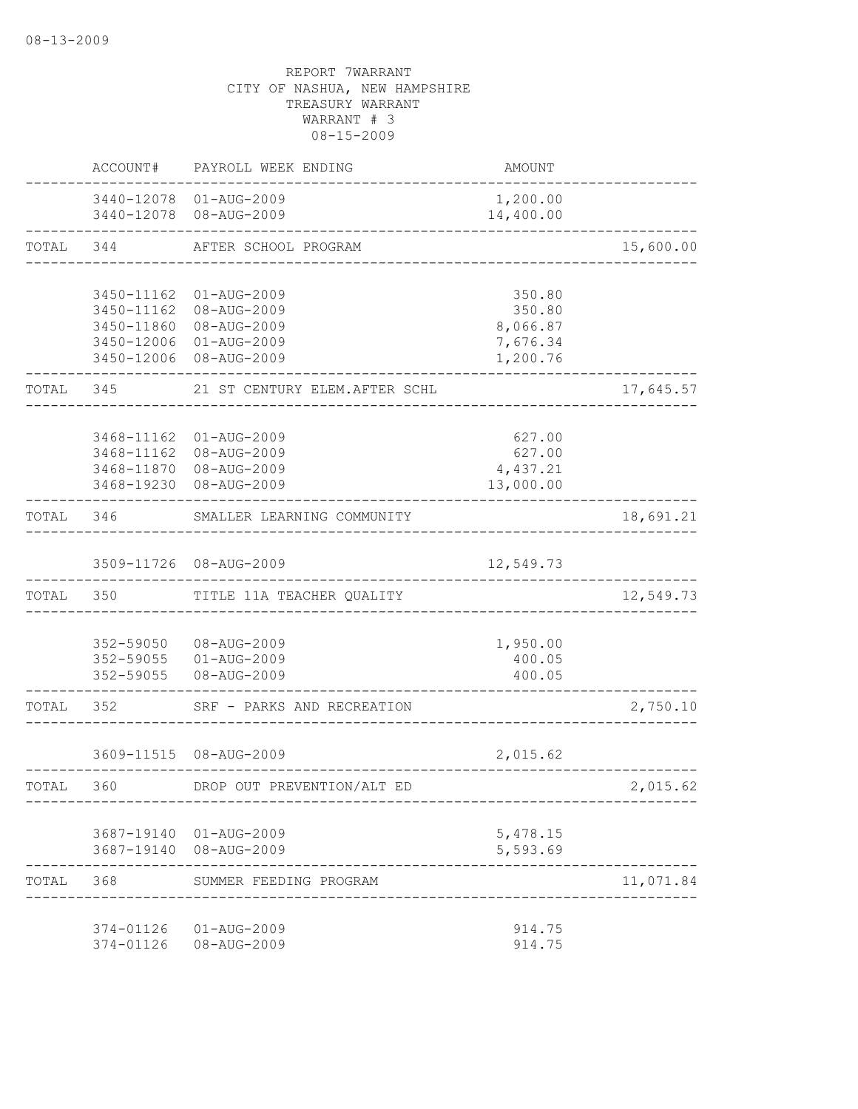|           | ACCOUNT#                                                           | PAYROLL WEEK ENDING                                                                 | <b>AMOUNT</b>                                        |           |
|-----------|--------------------------------------------------------------------|-------------------------------------------------------------------------------------|------------------------------------------------------|-----------|
|           |                                                                    | 3440-12078 01-AUG-2009<br>3440-12078 08-AUG-2009                                    | 1,200.00<br>14,400.00                                |           |
| TOTAL     | 344                                                                | AFTER SCHOOL PROGRAM                                                                | -----------------------------------                  | 15,600.00 |
|           | 3450-11162<br>3450-11162<br>3450-11860<br>3450-12006<br>3450-12006 | $01 - AUG - 2009$<br>08-AUG-2009<br>08-AUG-2009<br>$01 - AUG - 2009$<br>08-AUG-2009 | 350.80<br>350.80<br>8,066.87<br>7,676.34<br>1,200.76 |           |
| TOTAL     | 345                                                                | 21 ST CENTURY ELEM. AFTER SCHL                                                      |                                                      | 17,645.57 |
|           | 3468-11162<br>3468-11162<br>3468-11870                             | $01 - AUG - 2009$<br>08-AUG-2009<br>08-AUG-2009<br>3468-19230 08-AUG-2009           | 627.00<br>627.00<br>4,437.21<br>13,000.00            |           |
| TOTAL     | 346                                                                | SMALLER LEARNING COMMUNITY                                                          |                                                      | 18,691.21 |
|           |                                                                    | 3509-11726 08-AUG-2009                                                              | 12,549.73                                            |           |
|           | TOTAL 350                                                          | TITLE 11A TEACHER QUALITY                                                           |                                                      | 12,549.73 |
|           |                                                                    | 352-59050 08-AUG-2009<br>352-59055 01-AUG-2009<br>352-59055 08-AUG-2009             | 1,950.00<br>400.05<br>400.05                         |           |
| TOTAL     | 352                                                                | SRF - PARKS AND RECREATION                                                          |                                                      | 2,750.10  |
|           |                                                                    | 3609-11515 08-AUG-2009                                                              | 2,015.62                                             |           |
| TOTAL     | 360                                                                | DROP OUT PREVENTION/ALT ED                                                          |                                                      | 2,015.62  |
|           |                                                                    | 3687-19140 01-AUG-2009<br>3687-19140 08-AUG-2009                                    | 5,478.15<br>5,593.69                                 |           |
| TOTAL 368 |                                                                    | SUMMER FEEDING PROGRAM                                                              |                                                      | 11,071.84 |
|           |                                                                    | 374-01126  01-AUG-2009<br>374-01126  08-AUG-2009                                    | 914.75<br>914.75                                     |           |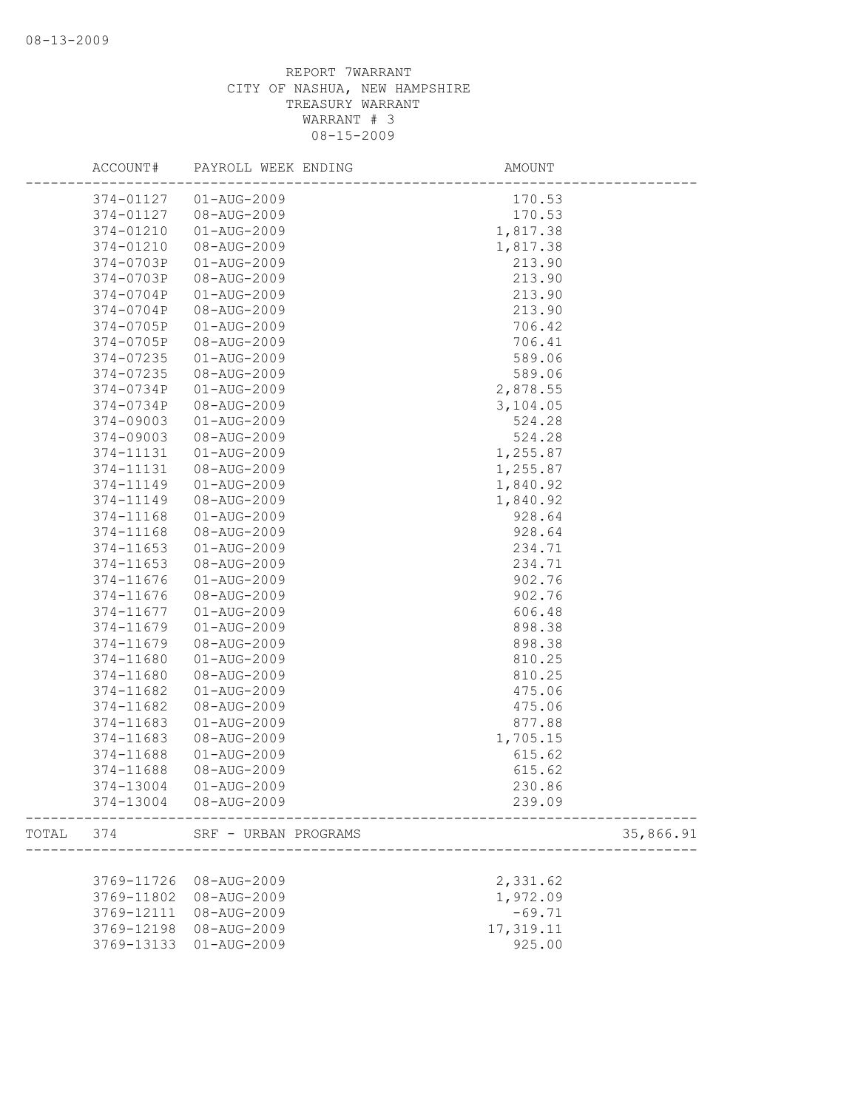|       | ACCOUNT#   | PAYROLL WEEK ENDING  | AMOUNT    |           |
|-------|------------|----------------------|-----------|-----------|
|       | 374-01127  | $01 - AUG - 2009$    | 170.53    |           |
|       | 374-01127  | 08-AUG-2009          | 170.53    |           |
|       | 374-01210  | $01 - AUG - 2009$    | 1,817.38  |           |
|       | 374-01210  | 08-AUG-2009          | 1,817.38  |           |
|       | 374-0703P  | 01-AUG-2009          | 213.90    |           |
|       | 374-0703P  | 08-AUG-2009          | 213.90    |           |
|       | 374-0704P  | 01-AUG-2009          | 213.90    |           |
|       | 374-0704P  | 08-AUG-2009          | 213.90    |           |
|       | 374-0705P  | 01-AUG-2009          | 706.42    |           |
|       | 374-0705P  | 08-AUG-2009          | 706.41    |           |
|       | 374-07235  | $01 - AUG - 2009$    | 589.06    |           |
|       | 374-07235  | 08-AUG-2009          | 589.06    |           |
|       | 374-0734P  | 01-AUG-2009          | 2,878.55  |           |
|       | 374-0734P  | 08-AUG-2009          | 3,104.05  |           |
|       | 374-09003  | $01 - AUG - 2009$    | 524.28    |           |
|       | 374-09003  | 08-AUG-2009          | 524.28    |           |
|       | 374-11131  | 01-AUG-2009          | 1,255.87  |           |
|       | 374-11131  | 08-AUG-2009          | 1,255.87  |           |
|       | 374-11149  | 01-AUG-2009          | 1,840.92  |           |
|       | 374-11149  | 08-AUG-2009          | 1,840.92  |           |
|       | 374-11168  | $01 - AUG - 2009$    | 928.64    |           |
|       | 374-11168  | 08-AUG-2009          | 928.64    |           |
|       | 374-11653  | 01-AUG-2009          | 234.71    |           |
|       | 374-11653  | 08-AUG-2009          | 234.71    |           |
|       | 374-11676  | 01-AUG-2009          | 902.76    |           |
|       | 374-11676  | 08-AUG-2009          | 902.76    |           |
|       | 374-11677  | 01-AUG-2009          | 606.48    |           |
|       | 374-11679  | 01-AUG-2009          | 898.38    |           |
|       | 374-11679  | 08-AUG-2009          | 898.38    |           |
|       | 374-11680  | $01 - AUG - 2009$    | 810.25    |           |
|       | 374-11680  | 08-AUG-2009          | 810.25    |           |
|       | 374-11682  | $01 - AUG - 2009$    | 475.06    |           |
|       | 374-11682  | 08-AUG-2009          | 475.06    |           |
|       | 374-11683  | $01 - AUG - 2009$    | 877.88    |           |
|       | 374-11683  | 08-AUG-2009          | 1,705.15  |           |
|       | 374-11688  | 01-AUG-2009          | 615.62    |           |
|       | 374-11688  | 08-AUG-2009          | 615.62    |           |
|       | 374-13004  | 01-AUG-2009          | 230.86    |           |
|       | 374-13004  | 08-AUG-2009          | 239.09    |           |
| TOTAL | 374        | SRF - URBAN PROGRAMS |           | 35,866.91 |
|       |            |                      |           |           |
|       | 3769-11726 | 08-AUG-2009          | 2,331.62  |           |
|       | 3769-11802 | 08-AUG-2009          | 1,972.09  |           |
|       | 3769-12111 | 08-AUG-2009          | $-69.71$  |           |
|       | 3769-12198 | 08-AUG-2009          | 17,319.11 |           |
|       | 3769-13133 | $01 - AUG - 2009$    | 925.00    |           |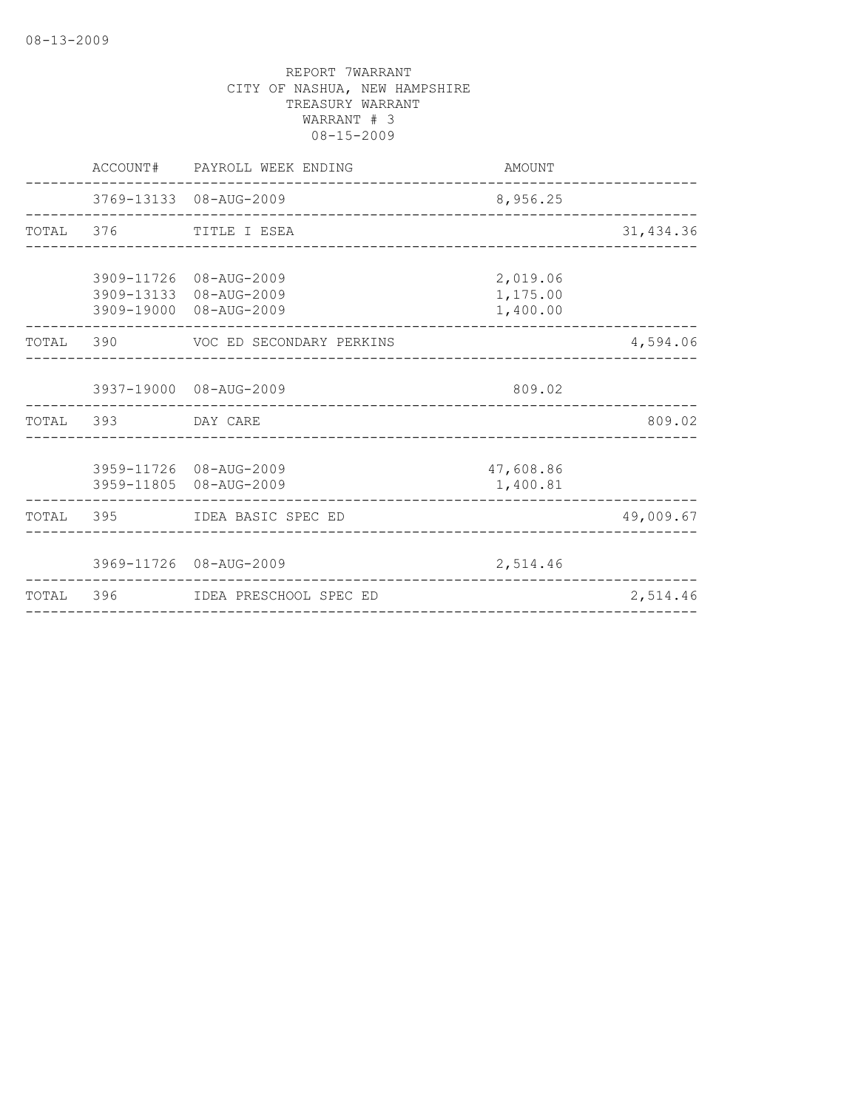|           |                    | ACCOUNT# PAYROLL WEEK ENDING                                               | AMOUNT                           |            |
|-----------|--------------------|----------------------------------------------------------------------------|----------------------------------|------------|
|           |                    | 3769-13133 08-AUG-2009                                                     | 8,956.25                         |            |
|           |                    | TOTAL 376 TITLE I ESEA                                                     |                                  | 31, 434.36 |
|           |                    | 3909-11726 08-AUG-2009<br>3909-13133 08-AUG-2009<br>3909-19000 08-AUG-2009 | 2,019.06<br>1,175.00<br>1,400.00 |            |
|           |                    | TOTAL 390 VOC ED SECONDARY PERKINS                                         |                                  | 4,594.06   |
|           |                    | 3937-19000 08-AUG-2009<br>_________________________________                | 809.02                           |            |
|           | TOTAL 393 DAY CARE |                                                                            |                                  | 809.02     |
|           |                    | 3959-11726 08-AUG-2009<br>3959-11805 08-AUG-2009                           | 47,608.86<br>1,400.81            |            |
|           |                    | TOTAL 395 IDEA BASIC SPEC ED                                               |                                  | 49,009.67  |
|           |                    | 3969-11726 08-AUG-2009                                                     | 2,514.46                         |            |
| TOTAL 396 |                    | IDEA PRESCHOOL SPEC ED                                                     |                                  | 2,514.46   |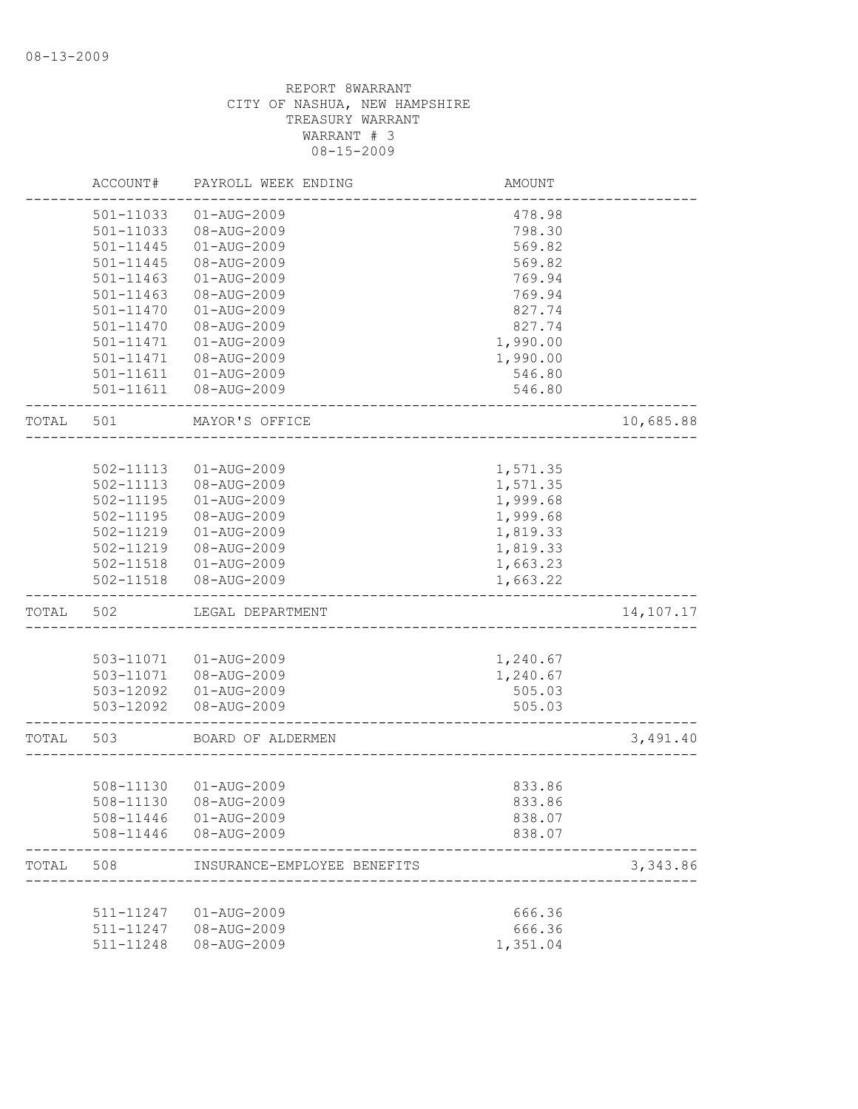|       | ACCOUNT#               | PAYROLL WEEK ENDING         | <b>AMOUNT</b>      |           |
|-------|------------------------|-----------------------------|--------------------|-----------|
|       | 501-11033              | $01 - AUG - 2009$           | 478.98             |           |
|       | 501-11033              | 08-AUG-2009                 | 798.30             |           |
|       | 501-11445              | $01 - AUG - 2009$           | 569.82             |           |
|       | 501-11445              | 08-AUG-2009                 | 569.82             |           |
|       | 501-11463              | $01 - AUG - 2009$           | 769.94             |           |
|       | $501 - 11463$          | 08-AUG-2009                 | 769.94             |           |
|       | 501-11470              | $01 - AUG - 2009$           | 827.74             |           |
|       | 501-11470              | 08-AUG-2009                 | 827.74             |           |
|       | 501-11471              | $01 - AUG - 2009$           | 1,990.00           |           |
|       | 501-11471              | 08-AUG-2009                 | 1,990.00           |           |
|       | 501-11611              | $01 - AUG - 2009$           | 546.80             |           |
|       | 501-11611              | 08-AUG-2009                 | 546.80             |           |
| TOTAL | 501                    | MAYOR'S OFFICE              |                    | 10,685.88 |
|       |                        |                             |                    |           |
|       | 502-11113              | $01 - AUG - 2009$           | 1,571.35           |           |
|       | 502-11113              | 08-AUG-2009                 | 1,571.35           |           |
|       | $502 - 11195$          | $01 - AUG - 2009$           | 1,999.68           |           |
|       | 502-11195              | 08-AUG-2009                 | 1,999.68           |           |
|       | 502-11219              | $01 - AUG - 2009$           | 1,819.33           |           |
|       | 502-11219              | 08-AUG-2009                 | 1,819.33           |           |
|       | 502-11518              | 01-AUG-2009                 | 1,663.23           |           |
|       | 502-11518              | 08-AUG-2009                 | 1,663.22           |           |
| TOTAL | 502                    | LEGAL DEPARTMENT            |                    | 14,107.17 |
|       |                        |                             |                    |           |
|       | 503-11071              | 01-AUG-2009                 | 1,240.67           |           |
|       | 503-11071              | 08-AUG-2009                 | 1,240.67           |           |
|       | 503-12092              | 01-AUG-2009                 | 505.03             |           |
|       | 503-12092              | 08-AUG-2009                 | 505.03             |           |
| TOTAL | 503                    | BOARD OF ALDERMEN           |                    | 3,491.40  |
|       |                        |                             |                    |           |
|       | 508-11130              | 01-AUG-2009                 | 833.86             |           |
|       |                        | 508-11130 08-AUG-2009       | 833.86             |           |
|       | 508-11446              | 01-AUG-2009                 | 838.07             |           |
|       | 508-11446              | 08-AUG-2009                 | 838.07             |           |
| TOTAL | 508                    | INSURANCE-EMPLOYEE BENEFITS |                    | 3,343.86  |
|       |                        |                             |                    |           |
|       |                        |                             |                    |           |
|       | 511-11247              | 01-AUG-2009                 | 666.36             |           |
|       | 511-11247<br>511-11248 | 08-AUG-2009<br>08-AUG-2009  | 666.36<br>1,351.04 |           |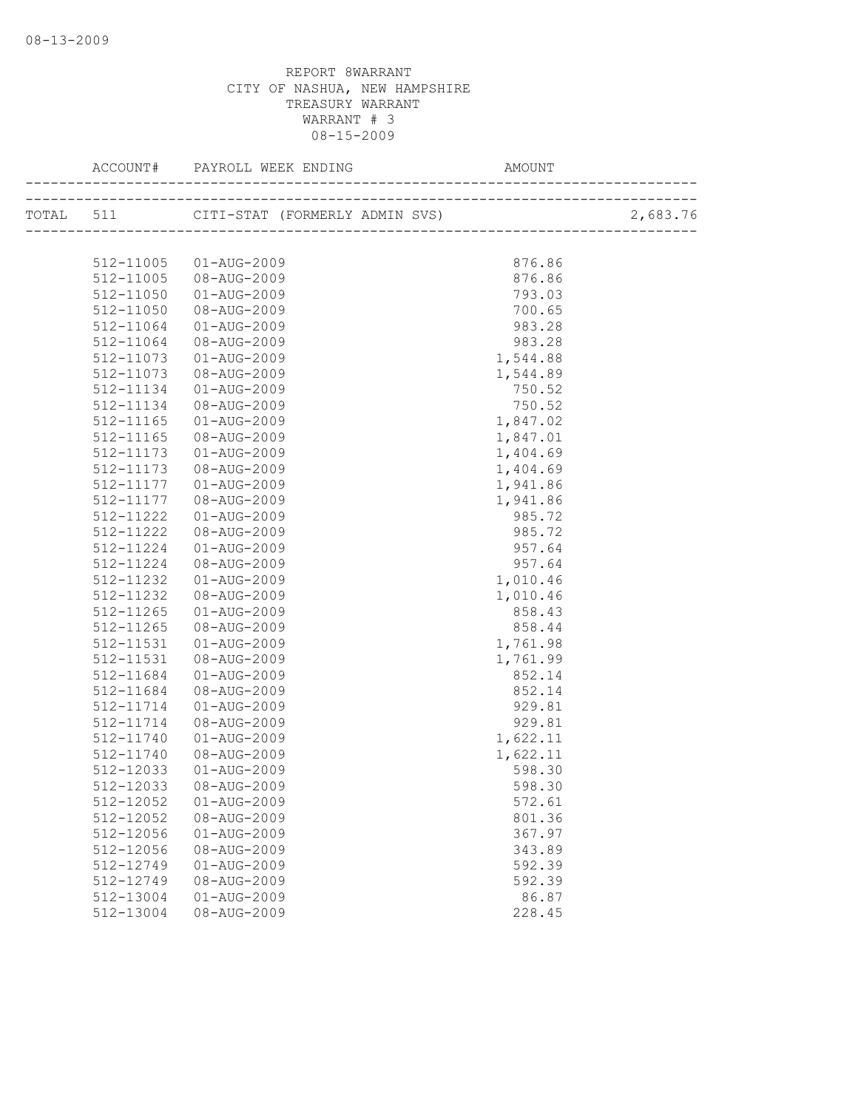| 512-11005 | 01-AUG-2009              | 876.86   |  |
|-----------|--------------------------|----------|--|
| 512-11005 | 08-AUG-2009              | 876.86   |  |
| 512-11050 | 01-AUG-2009              | 793.03   |  |
| 512-11050 | 08-AUG-2009              | 700.65   |  |
| 512-11064 | 01-AUG-2009              | 983.28   |  |
| 512-11064 | 08-AUG-2009              | 983.28   |  |
| 512-11073 | 01-AUG-2009              | 1,544.88 |  |
| 512-11073 | 08-AUG-2009              | 1,544.89 |  |
| 512-11134 | 01-AUG-2009              | 750.52   |  |
| 512-11134 | 08-AUG-2009              | 750.52   |  |
| 512-11165 | 01-AUG-2009              | 1,847.02 |  |
| 512-11165 | 08-AUG-2009              | 1,847.01 |  |
| 512-11173 | 01-AUG-2009              | 1,404.69 |  |
| 512-11173 | 08-AUG-2009              | 1,404.69 |  |
| 512-11177 | $01 - \text{AUG} - 2009$ | 1,941.86 |  |
| 512-11177 | 08-AUG-2009              | 1,941.86 |  |
| 512-11222 | 01-AUG-2009              | 985.72   |  |
| 512-11222 | 08-AUG-2009              | 985.72   |  |
| 512-11224 | 01-AUG-2009              | 957.64   |  |
| 512-11224 | 08-AUG-2009              | 957.64   |  |
| 512-11232 | 01-AUG-2009              | 1,010.46 |  |
| 512-11232 | 08-AUG-2009              | 1,010.46 |  |
| 512-11265 | 01-AUG-2009              | 858.43   |  |
| 512-11265 | 08-AUG-2009              | 858.44   |  |
| 512-11531 | 01-AUG-2009              | 1,761.98 |  |
| 512-11531 | 08-AUG-2009              | 1,761.99 |  |
| 512-11684 | 01-AUG-2009              | 852.14   |  |
| 512-11684 | 08-AUG-2009              | 852.14   |  |
| 512-11714 | $01 - AUG - 2009$        | 929.81   |  |
| 512-11714 | 08-AUG-2009              | 929.81   |  |
| 512-11740 | $01 - \text{AUG} - 2009$ | 1,622.11 |  |
| 512-11740 | 08-AUG-2009              | 1,622.11 |  |
| 512-12033 | 01-AUG-2009              | 598.30   |  |
|           | 512-12033 08-AUG-2009    | 598.30   |  |
| 512-12052 | $01 - AUG - 2009$        | 572.61   |  |
| 512-12052 | 08-AUG-2009              | 801.36   |  |
| 512-12056 | $01 - AUG - 2009$        | 367.97   |  |
| 512-12056 | 08-AUG-2009              | 343.89   |  |
| 512-12749 | $01 - AUG - 2009$        | 592.39   |  |
| 512-12749 | 08-AUG-2009              | 592.39   |  |
| 512-13004 | $01 - AUG - 2009$        | 86.87    |  |
| 512-13004 | 08-AUG-2009              | 228.45   |  |
|           |                          |          |  |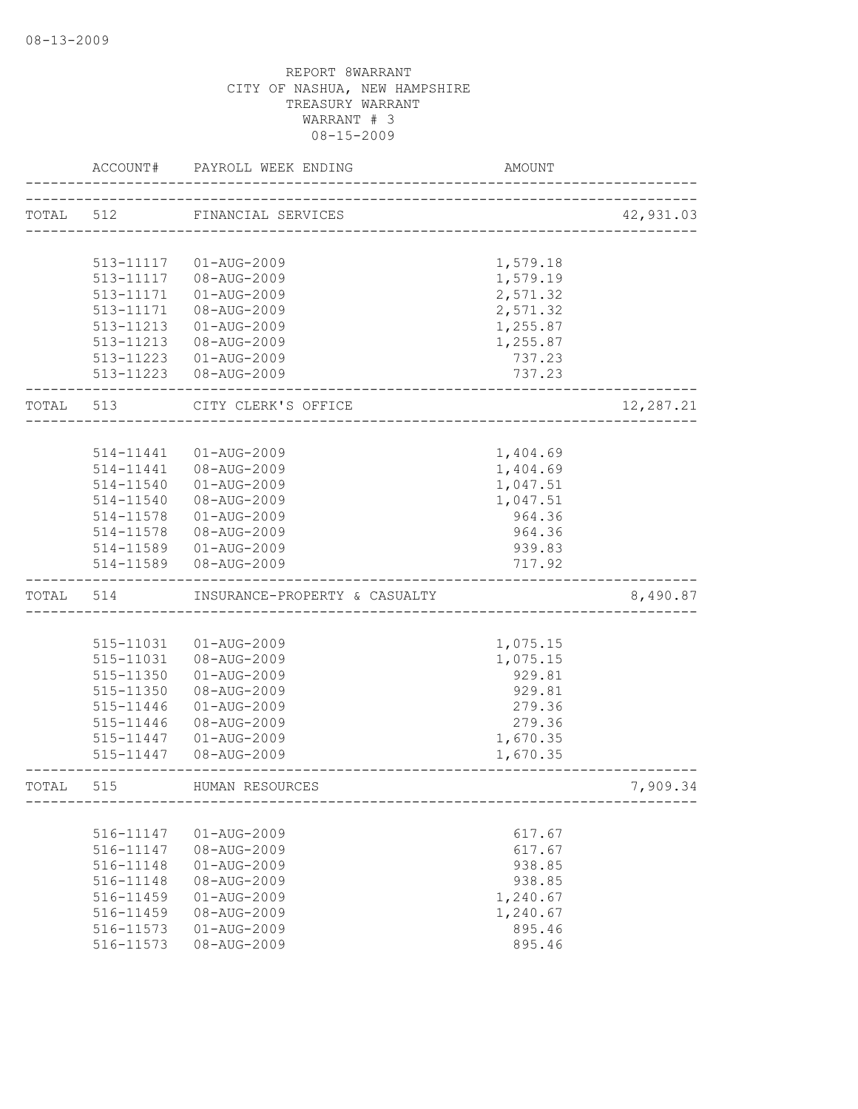|       | ACCOUNT#               | PAYROLL WEEK ENDING           | AMOUNT                        |           |
|-------|------------------------|-------------------------------|-------------------------------|-----------|
| TOTAL | 512                    | FINANCIAL SERVICES            |                               | 42,931.03 |
|       |                        |                               | _____________________________ |           |
|       |                        |                               |                               |           |
|       | 513-11117              | 01-AUG-2009                   | 1,579.18                      |           |
|       | 513-11117              | 08-AUG-2009                   | 1,579.19                      |           |
|       | 513-11171<br>513-11171 | 01-AUG-2009<br>08-AUG-2009    | 2,571.32<br>2,571.32          |           |
|       | 513-11213              |                               |                               |           |
|       | 513-11213              | 01-AUG-2009                   | 1,255.87<br>1,255.87          |           |
|       |                        | 08-AUG-2009<br>01-AUG-2009    |                               |           |
|       | 513-11223              | 513-11223 08-AUG-2009         | 737.23<br>737.23              |           |
| TOTAL | 513                    | CITY CLERK'S OFFICE           |                               | 12,287.21 |
|       |                        |                               |                               |           |
|       | 514-11441              | $01 - AUG - 2009$             | 1,404.69                      |           |
|       | 514-11441              | 08-AUG-2009                   | 1,404.69                      |           |
|       | 514-11540              | 01-AUG-2009                   | 1,047.51                      |           |
|       | 514-11540              | 08-AUG-2009                   | 1,047.51                      |           |
|       | 514-11578              | 01-AUG-2009                   | 964.36                        |           |
|       | 514-11578              | 08-AUG-2009                   | 964.36                        |           |
|       | 514-11589              | 01-AUG-2009                   | 939.83                        |           |
|       | 514-11589              | 08-AUG-2009                   | 717.92                        |           |
| TOTAL | 514                    | INSURANCE-PROPERTY & CASUALTY |                               | 8,490.87  |
|       |                        |                               |                               |           |
|       | 515-11031              | 01-AUG-2009                   | 1,075.15                      |           |
|       | 515-11031              | 08-AUG-2009                   | 1,075.15                      |           |
|       | 515-11350              | 01-AUG-2009                   | 929.81                        |           |
|       | 515-11350              | 08-AUG-2009                   | 929.81                        |           |
|       | 515-11446              | 01-AUG-2009                   | 279.36                        |           |
|       | 515-11446              | 08-AUG-2009                   | 279.36                        |           |
|       | 515-11447              | 01-AUG-2009                   | 1,670.35                      |           |
|       | 515-11447              | 08-AUG-2009                   | 1,670.35                      |           |
| TOTAL | 515                    | HUMAN RESOURCES               |                               | 7,909.34  |
|       |                        |                               |                               |           |
|       | 516-11147              | 01-AUG-2009                   | 617.67                        |           |
|       | 516-11147              | 08-AUG-2009                   | 617.67                        |           |
|       | 516-11148              | $01 - AUG - 2009$             | 938.85                        |           |
|       | 516-11148              | 08-AUG-2009                   | 938.85                        |           |
|       | 516-11459              | $01 - AUG - 2009$             | 1,240.67                      |           |
|       | 516-11459              | 08-AUG-2009                   | 1,240.67                      |           |
|       | 516-11573              | $01 - AUG - 2009$             | 895.46                        |           |
|       | 516-11573              | 08-AUG-2009                   | 895.46                        |           |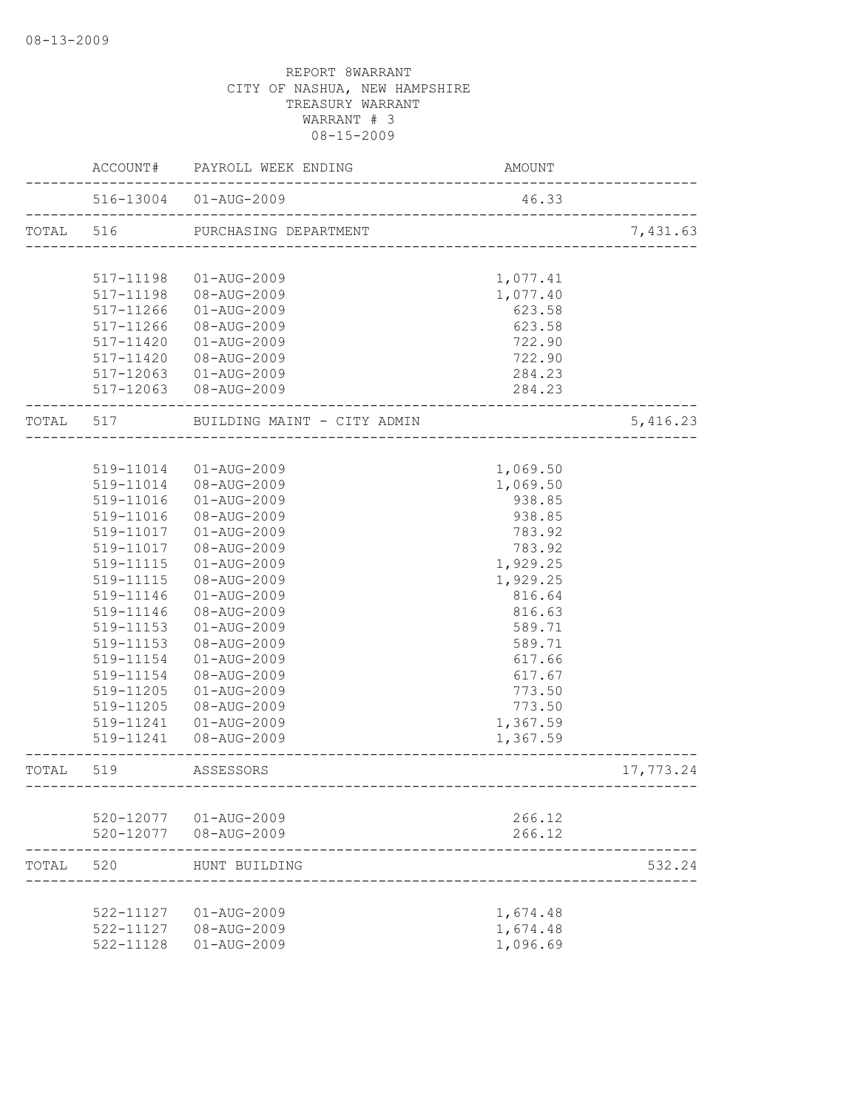|           |                        | ACCOUNT# PAYROLL WEEK ENDING | AMOUNT   |           |
|-----------|------------------------|------------------------------|----------|-----------|
|           |                        | 516-13004  01-AUG-2009       | 46.33    |           |
| TOTAL 516 |                        | PURCHASING DEPARTMENT        |          | 7,431.63  |
|           |                        |                              |          |           |
|           | 517-11198              | 01-AUG-2009                  | 1,077.41 |           |
|           | 517-11198              | 08-AUG-2009                  | 1,077.40 |           |
|           | 517-11266              | 01-AUG-2009                  | 623.58   |           |
|           | $517 - 11266$          | 08-AUG-2009                  | 623.58   |           |
|           | 517-11420              | 01-AUG-2009                  | 722.90   |           |
|           |                        | 517-11420 08-AUG-2009        | 722.90   |           |
|           |                        | 517-12063  01-AUG-2009       | 284.23   |           |
|           |                        | 517-12063  08-AUG-2009       | 284.23   |           |
| TOTAL 517 |                        | BUILDING MAINT - CITY ADMIN  |          | 5,416.23  |
|           |                        |                              |          |           |
|           |                        | 519-11014  01-AUG-2009       | 1,069.50 |           |
|           |                        | 519-11014 08-AUG-2009        | 1,069.50 |           |
|           | 519-11016              | 01-AUG-2009                  | 938.85   |           |
|           | 519-11016              | 08-AUG-2009                  | 938.85   |           |
|           | 519-11017              | 01-AUG-2009                  | 783.92   |           |
|           | 519-11017              | 08-AUG-2009                  | 783.92   |           |
|           | 519-11115              | 01-AUG-2009                  | 1,929.25 |           |
|           | 519-11115              | 08-AUG-2009                  | 1,929.25 |           |
|           | 519-11146              | 01-AUG-2009                  | 816.64   |           |
|           | 519-11146              | 08-AUG-2009                  | 816.63   |           |
|           | 519-11153              | 01-AUG-2009                  | 589.71   |           |
|           | 519-11153              | 08-AUG-2009                  | 589.71   |           |
|           | 519-11154              | $01 - AUG - 2009$            | 617.66   |           |
|           | 519-11154              | 08-AUG-2009                  | 617.67   |           |
|           | 519-11205              | 01-AUG-2009                  | 773.50   |           |
|           | 519-11205              | 08-AUG-2009                  | 773.50   |           |
|           | 519-11241              | 01-AUG-2009                  | 1,367.59 |           |
|           |                        | 519-11241  08-AUG-2009       | 1,367.59 |           |
| TOTAL     | 519                    | ASSESSORS                    |          | 17,773.24 |
|           |                        |                              |          |           |
|           |                        | 520-12077  01-AUG-2009       | 266.12   |           |
|           |                        | 520-12077 08-AUG-2009        | 266.12   |           |
| TOTAL     | 520                    | HUNT BUILDING                |          | 532.24    |
|           | 522-11127              |                              |          |           |
|           |                        | $01 - \text{AUG} - 2009$     | 1,674.48 |           |
|           | 522-11127<br>522-11128 | 08-AUG-2009                  | 1,674.48 |           |
|           |                        | $01 - AUG - 2009$            | 1,096.69 |           |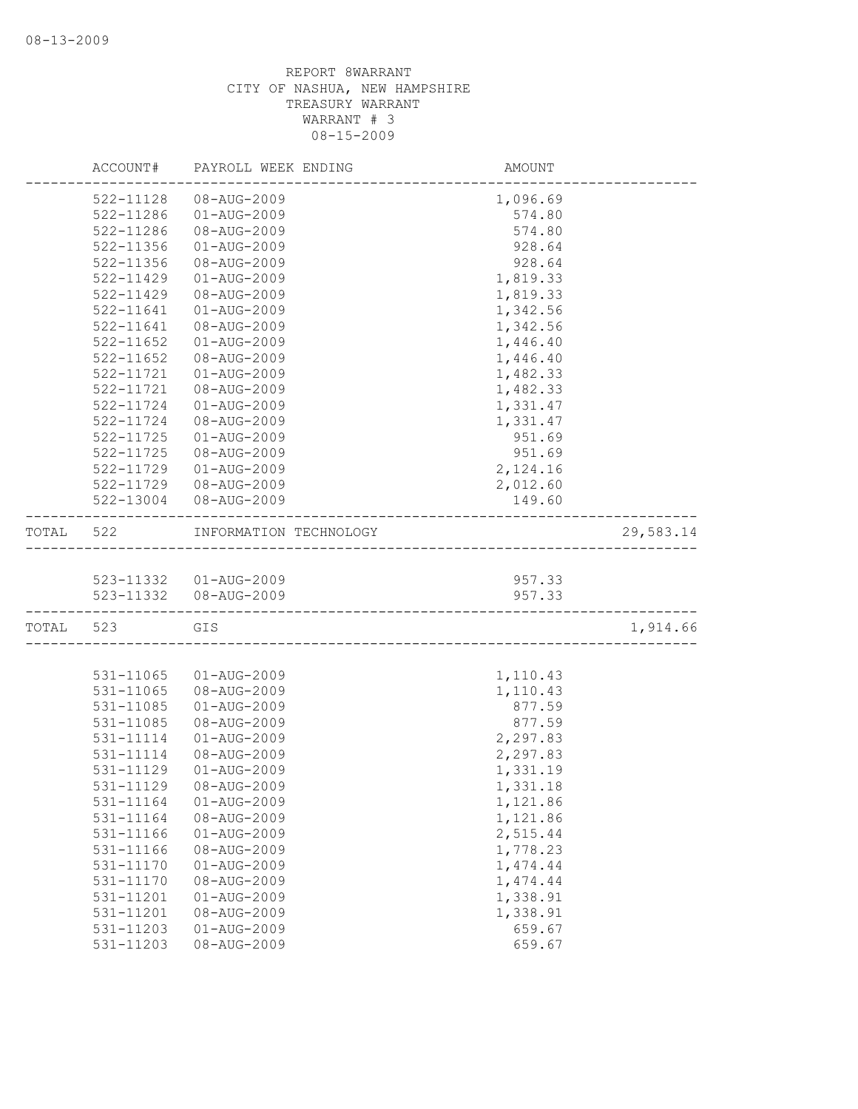|           | ACCOUNT#      | PAYROLL WEEK ENDING                     | AMOUNT   |           |
|-----------|---------------|-----------------------------------------|----------|-----------|
|           | 522-11128     | 08-AUG-2009                             | 1,096.69 |           |
|           | 522-11286     | 01-AUG-2009                             | 574.80   |           |
|           | 522-11286     | 08-AUG-2009                             | 574.80   |           |
|           | 522-11356     | 01-AUG-2009                             | 928.64   |           |
|           | 522-11356     | 08-AUG-2009                             | 928.64   |           |
|           | 522-11429     | $01 - AUG - 2009$                       | 1,819.33 |           |
|           | 522-11429     | 08-AUG-2009                             | 1,819.33 |           |
|           | 522-11641     | $01 - AUG - 2009$                       | 1,342.56 |           |
|           | 522-11641     | 08-AUG-2009                             | 1,342.56 |           |
|           | $522 - 11652$ | 01-AUG-2009                             | 1,446.40 |           |
|           | $522 - 11652$ | 08-AUG-2009                             | 1,446.40 |           |
|           | 522-11721     | 01-AUG-2009                             | 1,482.33 |           |
|           | 522-11721     | 08-AUG-2009                             | 1,482.33 |           |
|           | 522-11724     | 01-AUG-2009                             | 1,331.47 |           |
|           | 522-11724     | 08-AUG-2009                             | 1,331.47 |           |
|           | 522-11725     | 01-AUG-2009                             | 951.69   |           |
|           | 522-11725     | 08-AUG-2009                             | 951.69   |           |
|           | 522-11729     | 01-AUG-2009                             | 2,124.16 |           |
|           | 522-11729     | 08-AUG-2009                             | 2,012.60 |           |
|           |               | 522-13004 08-AUG-2009                   | 149.60   |           |
| TOTAL     | 522           | INFORMATION TECHNOLOGY                  |          | 29,583.14 |
|           |               |                                         |          |           |
|           |               | 523-11332  01-AUG-2009                  | 957.33   |           |
|           |               | 523-11332  08-AUG-2009                  | 957.33   |           |
| TOTAL 523 |               | GIS<br>________________________________ |          | 1,914.66  |
|           |               |                                         |          |           |
|           | 531-11065     | 01-AUG-2009                             | 1,110.43 |           |
|           | 531-11065     | 08-AUG-2009                             | 1,110.43 |           |
|           | 531-11085     | 01-AUG-2009                             | 877.59   |           |
|           | 531-11085     | 08-AUG-2009                             | 877.59   |           |
|           | 531-11114     | 01-AUG-2009                             | 2,297.83 |           |
|           | 531-11114     | 08-AUG-2009                             | 2,297.83 |           |
|           | 531-11129     | $01 - AUG - 2009$                       | 1,331.19 |           |
|           | 531-11129     | 08-AUG-2009                             | 1,331.18 |           |
|           | 531-11164     | $01 - AUG - 2009$                       | 1,121.86 |           |
|           | 531-11164     | 08-AUG-2009                             | 1,121.86 |           |
|           | 531-11166     | 01-AUG-2009                             | 2,515.44 |           |
|           | 531-11166     | 08-AUG-2009                             | 1,778.23 |           |
|           | 531-11170     | $01 - AUG - 2009$                       | 1,474.44 |           |
|           | 531-11170     | 08-AUG-2009                             | 1,474.44 |           |
|           | 531-11201     | $01 - AUG - 2009$                       | 1,338.91 |           |
|           | 531-11201     | 08-AUG-2009                             | 1,338.91 |           |
|           | 531-11203     | $01 - AUG - 2009$                       | 659.67   |           |
|           | 531-11203     | 08-AUG-2009                             | 659.67   |           |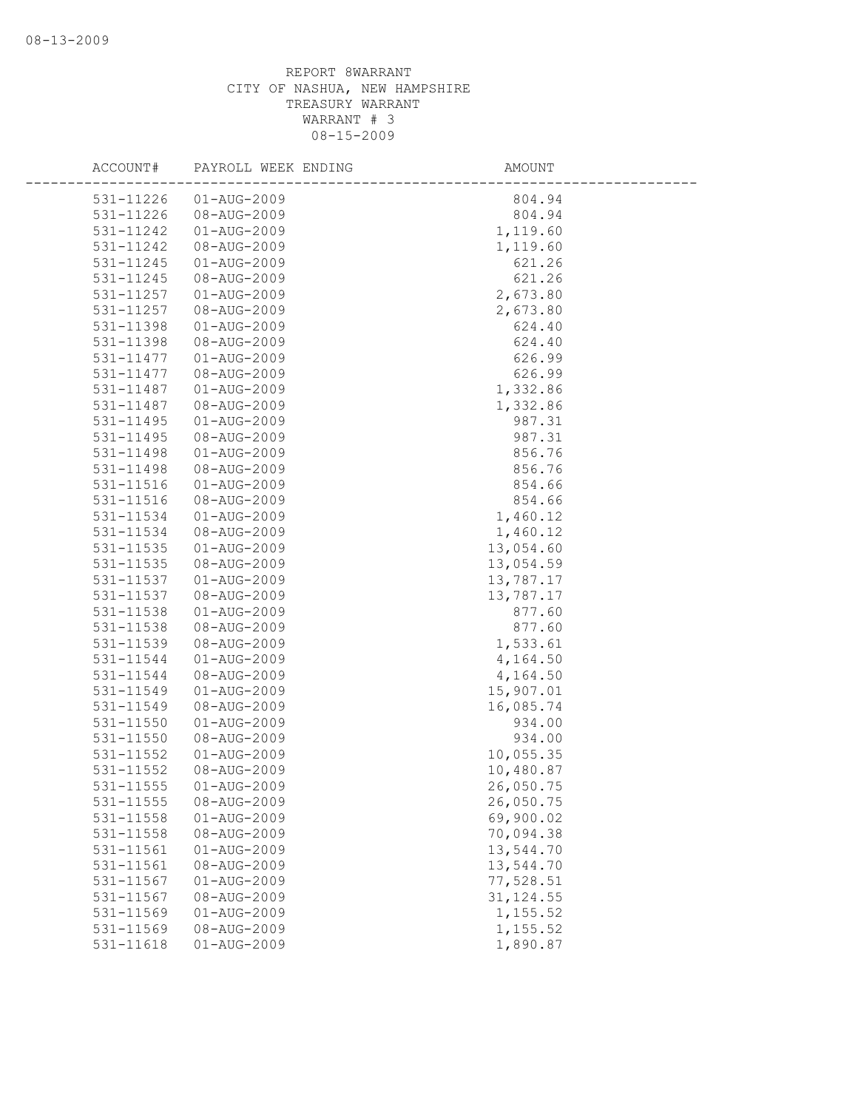| ACCOUNT#  | PAYROLL WEEK ENDING      | AMOUNT     |
|-----------|--------------------------|------------|
| 531-11226 | $01 - \text{AUG} - 2009$ | 804.94     |
| 531-11226 | 08-AUG-2009              | 804.94     |
| 531-11242 | $01 - AUG - 2009$        | 1,119.60   |
| 531-11242 | 08-AUG-2009              | 1,119.60   |
| 531-11245 | 01-AUG-2009              | 621.26     |
| 531-11245 | 08-AUG-2009              | 621.26     |
| 531-11257 | $01 - AUG - 2009$        | 2,673.80   |
| 531-11257 | 08-AUG-2009              | 2,673.80   |
| 531-11398 | 01-AUG-2009              | 624.40     |
| 531-11398 | 08-AUG-2009              | 624.40     |
| 531-11477 | $01 - AUG - 2009$        | 626.99     |
| 531-11477 | 08-AUG-2009              | 626.99     |
| 531-11487 | 01-AUG-2009              | 1,332.86   |
| 531-11487 | 08-AUG-2009              | 1,332.86   |
| 531-11495 | $01 - AUG - 2009$        | 987.31     |
| 531-11495 | 08-AUG-2009              | 987.31     |
| 531-11498 | $01 - AUG - 2009$        | 856.76     |
| 531-11498 | 08-AUG-2009              | 856.76     |
| 531-11516 | $01 - \text{AUG} - 2009$ | 854.66     |
| 531-11516 | 08-AUG-2009              | 854.66     |
| 531-11534 | $01 - \text{AUG} - 2009$ | 1,460.12   |
| 531-11534 | 08-AUG-2009              | 1,460.12   |
| 531-11535 | 01-AUG-2009              | 13,054.60  |
| 531-11535 | 08-AUG-2009              | 13,054.59  |
| 531-11537 | $01 - AUG - 2009$        | 13,787.17  |
| 531-11537 | 08-AUG-2009              | 13,787.17  |
| 531-11538 | 01-AUG-2009              | 877.60     |
| 531-11538 | 08-AUG-2009              | 877.60     |
| 531-11539 | 08-AUG-2009              | 1,533.61   |
| 531-11544 | $01 - AUG - 2009$        | 4,164.50   |
| 531-11544 | 08-AUG-2009              | 4,164.50   |
| 531-11549 | 01-AUG-2009              | 15,907.01  |
| 531-11549 | 08-AUG-2009              | 16,085.74  |
| 531-11550 | $01 - \text{AUG} - 2009$ | 934.00     |
| 531-11550 | 08-AUG-2009              | 934.00     |
| 531-11552 | 01-AUG-2009              | 10,055.35  |
| 531-11552 | 08-AUG-2009              | 10,480.87  |
| 531-11555 | 01-AUG-2009              | 26,050.75  |
| 531-11555 | 08-AUG-2009              | 26,050.75  |
| 531-11558 | 01-AUG-2009              | 69,900.02  |
| 531-11558 | 08-AUG-2009              | 70,094.38  |
| 531-11561 | 01-AUG-2009              | 13,544.70  |
| 531-11561 | 08-AUG-2009              | 13,544.70  |
| 531-11567 | $01 - AUG - 2009$        | 77,528.51  |
| 531-11567 | 08-AUG-2009              | 31, 124.55 |
| 531-11569 | $01 - AUG - 2009$        | 1,155.52   |
| 531-11569 | 08-AUG-2009              | 1,155.52   |
| 531-11618 | $01 - AUG - 2009$        | 1,890.87   |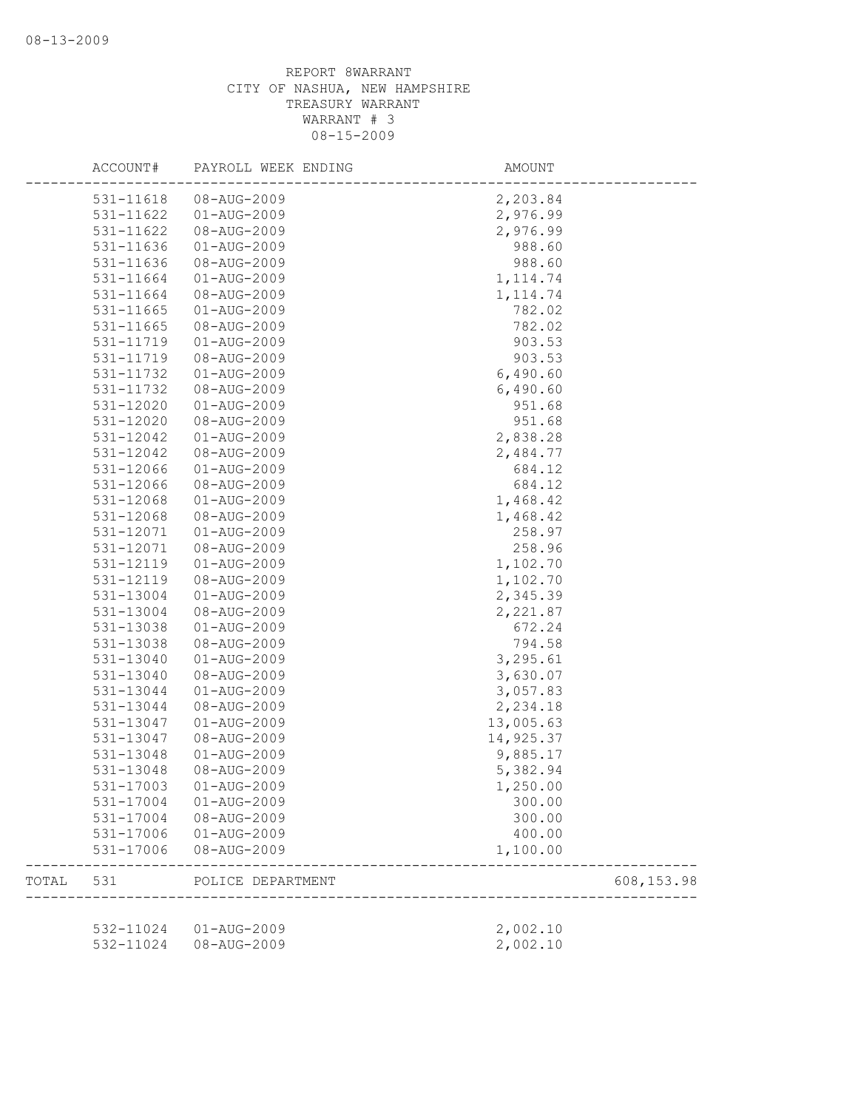|       | ACCOUNT#               | PAYROLL WEEK ENDING              | AMOUNT                 |            |
|-------|------------------------|----------------------------------|------------------------|------------|
|       | 531-11618              | 08-AUG-2009                      | 2,203.84               |            |
|       | 531-11622              | $01 - AUG - 2009$                | 2,976.99               |            |
|       | 531-11622              | 08-AUG-2009                      | 2,976.99               |            |
|       | 531-11636              | $01 - AUG - 2009$                | 988.60                 |            |
|       | 531-11636              | 08-AUG-2009                      | 988.60                 |            |
|       | 531-11664              | $01 - AUG - 2009$                | 1, 114.74              |            |
|       | 531-11664              | 08-AUG-2009                      | 1, 114.74              |            |
|       | 531-11665              | 01-AUG-2009                      | 782.02                 |            |
|       | 531-11665              | 08-AUG-2009                      | 782.02                 |            |
|       | 531-11719              | 01-AUG-2009                      | 903.53                 |            |
|       | 531-11719              | 08-AUG-2009                      | 903.53                 |            |
|       | 531-11732              | $01 - AUG - 2009$                | 6,490.60               |            |
|       | 531-11732              | 08-AUG-2009                      | 6,490.60               |            |
|       | 531-12020              | $01 - AUG - 2009$                | 951.68                 |            |
|       | 531-12020              | 08-AUG-2009                      | 951.68                 |            |
|       | 531-12042              | $01 - AUG - 2009$                | 2,838.28               |            |
|       | 531-12042              | 08-AUG-2009                      | 2,484.77               |            |
|       | 531-12066              | $01 - AUG - 2009$                | 684.12                 |            |
|       | 531-12066              | 08-AUG-2009                      | 684.12                 |            |
|       | 531-12068              | $01 - AUG - 2009$                | 1,468.42               |            |
|       | 531-12068              | 08-AUG-2009                      | 1,468.42               |            |
|       | 531-12071              | 01-AUG-2009                      | 258.97                 |            |
|       | 531-12071              | 08-AUG-2009                      | 258.96                 |            |
|       | 531-12119              | $01 - AUG - 2009$                | 1,102.70               |            |
|       | 531-12119              | 08-AUG-2009                      | 1,102.70               |            |
|       | 531-13004              | 01-AUG-2009                      | 2,345.39               |            |
|       | 531-13004              | 08-AUG-2009                      | 2,221.87               |            |
|       | 531-13038              | 01-AUG-2009                      | 672.24                 |            |
|       | 531-13038              | 08-AUG-2009                      | 794.58                 |            |
|       | 531-13040              | $01 - AUG - 2009$                | 3,295.61               |            |
|       | 531-13040              | 08-AUG-2009                      | 3,630.07               |            |
|       | 531-13044              | $01 - AUG - 2009$                | 3,057.83               |            |
|       |                        |                                  | 2,234.18               |            |
|       | 531-13044<br>531-13047 | 08-AUG-2009<br>$01 - AUG - 2009$ |                        |            |
|       |                        | 08-AUG-2009                      | 13,005.63<br>14,925.37 |            |
|       | 531-13047              |                                  |                        |            |
|       | 531-13048              | 01-AUG-2009                      | 9,885.17               |            |
|       | 531-13048              | 08-AUG-2009                      | 5,382.94               |            |
|       | 531-17003              | $01 - AUG - 2009$                | 1,250.00               |            |
|       | 531-17004              | 01-AUG-2009                      | 300.00                 |            |
|       | 531-17004              | 08-AUG-2009                      | 300.00                 |            |
|       | 531-17006              | 01-AUG-2009                      | 400.00                 |            |
|       | 531-17006              | 08-AUG-2009                      | 1,100.00               |            |
| TOTAL | 531                    | POLICE DEPARTMENT                |                        | 608,153.98 |
|       |                        | 532-11024  01-AUG-2009           | 2,002.10               |            |
|       |                        | 532-11024 08-AUG-2009            | 2,002.10               |            |
|       |                        |                                  |                        |            |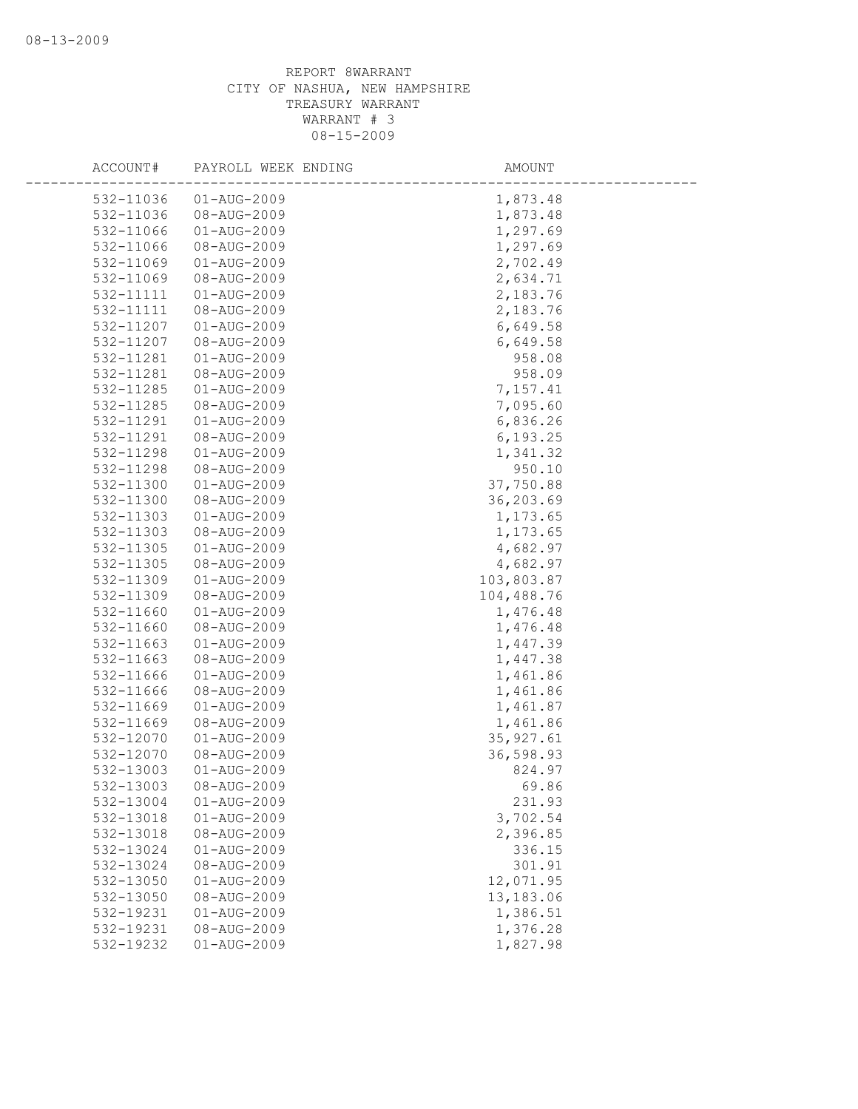| ACCOUNT#               | PAYROLL WEEK ENDING              | AMOUNT          |
|------------------------|----------------------------------|-----------------|
| 532-11036              | $01 - AUG - 2009$                | 1,873.48        |
| 532-11036              | 08-AUG-2009                      | 1,873.48        |
| 532-11066              | $01 - AUG - 2009$                | 1,297.69        |
| 532-11066              | 08-AUG-2009                      | 1,297.69        |
| 532-11069              | 01-AUG-2009                      | 2,702.49        |
| 532-11069              | 08-AUG-2009                      | 2,634.71        |
| 532-11111              | $01 - AUG - 2009$                | 2,183.76        |
| 532-11111              | 08-AUG-2009                      | 2,183.76        |
| 532-11207              | 01-AUG-2009                      | 6,649.58        |
| 532-11207              | 08-AUG-2009                      | 6,649.58        |
| 532-11281              | $01 - AUG - 2009$                | 958.08          |
| 532-11281              | 08-AUG-2009                      | 958.09          |
| 532-11285              | 01-AUG-2009                      | 7,157.41        |
| 532-11285              | 08-AUG-2009                      | 7,095.60        |
| 532-11291              | $01 - AUG - 2009$                | 6,836.26        |
| 532-11291              | 08-AUG-2009                      | 6, 193.25       |
| 532-11298              | $01 - AUG - 2009$                | 1,341.32        |
| 532-11298              | 08-AUG-2009                      | 950.10          |
| 532-11300              | $01 - \text{AUG} - 2009$         | 37,750.88       |
| 532-11300              | 08-AUG-2009                      | 36,203.69       |
| 532-11303              | $01 - AUG - 2009$                | 1,173.65        |
| 532-11303              | 08-AUG-2009                      | 1,173.65        |
| 532-11305              | 01-AUG-2009                      | 4,682.97        |
| 532-11305              | 08-AUG-2009                      | 4,682.97        |
| 532-11309              | 01-AUG-2009                      | 103,803.87      |
| 532-11309              | 08-AUG-2009                      | 104,488.76      |
| 532-11660              | $01 - AUG - 2009$                | 1,476.48        |
| 532-11660              | 08-AUG-2009                      | 1,476.48        |
| 532-11663              | $01 - AUG - 2009$                | 1,447.39        |
| 532-11663              | 08-AUG-2009                      | 1,447.38        |
| 532-11666              | $01 - AUG - 2009$                | 1,461.86        |
| 532-11666              | 08-AUG-2009                      | 1,461.86        |
| 532-11669              | $01 - AUG - 2009$                | 1,461.87        |
| 532-11669              | 08-AUG-2009                      | 1,461.86        |
| 532-12070              | $01 - AUG - 2009$                | 35, 927.61      |
| 532-12070              | 08-AUG-2009                      | 36,598.93       |
| 532-13003              | $01 - AUG - 2009$<br>08-AUG-2009 | 824.97          |
| 532-13003              |                                  | 69.86<br>231.93 |
| 532-13004<br>532-13018 | 01-AUG-2009<br>01-AUG-2009       | 3,702.54        |
| 532-13018              | 08-AUG-2009                      | 2,396.85        |
| 532-13024              | $01 - AUG - 2009$                | 336.15          |
| 532-13024              | 08-AUG-2009                      | 301.91          |
| 532-13050              | $01 - AUG - 2009$                | 12,071.95       |
| 532-13050              | 08-AUG-2009                      | 13,183.06       |
| 532-19231              | $01 - AUG - 2009$                | 1,386.51        |
| 532-19231              | 08-AUG-2009                      | 1,376.28        |
| 532-19232              | $01 - AUG - 2009$                | 1,827.98        |
|                        |                                  |                 |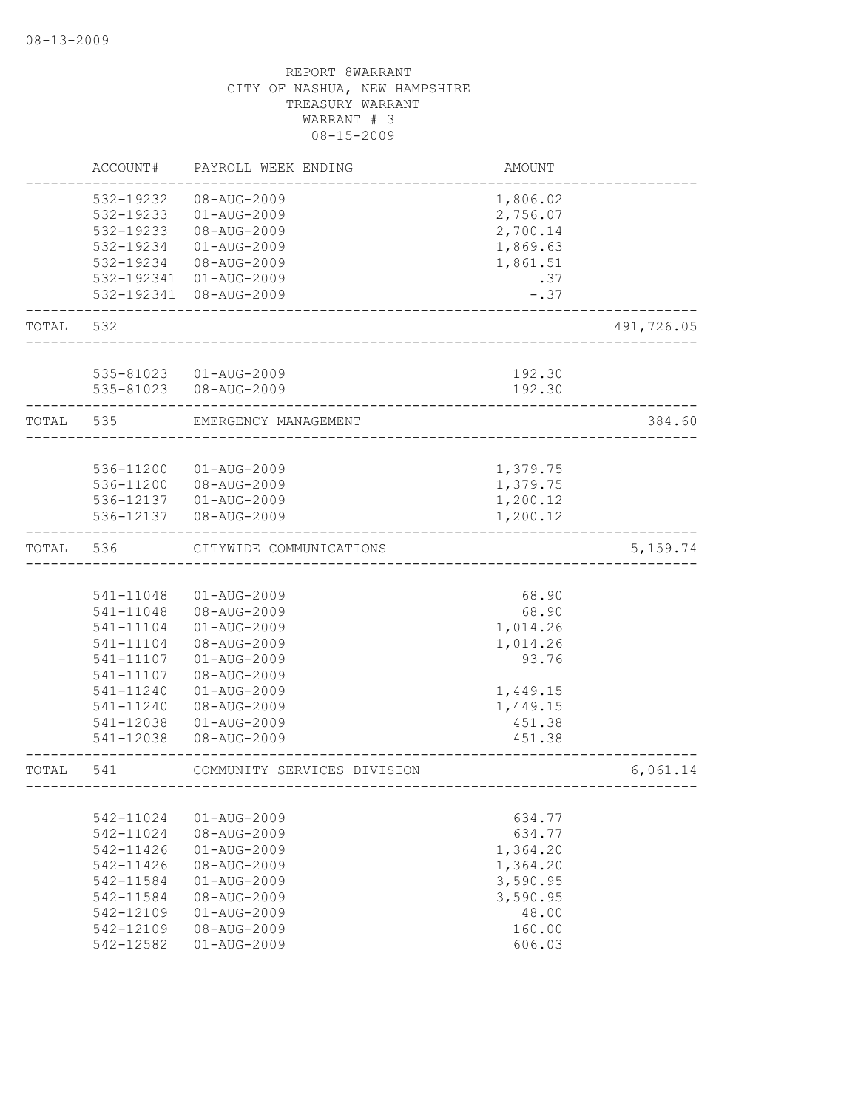|       | ACCOUNT#  | PAYROLL WEEK ENDING         | <b>AMOUNT</b> |            |
|-------|-----------|-----------------------------|---------------|------------|
|       | 532-19232 | 08-AUG-2009                 | 1,806.02      |            |
|       | 532-19233 | 01-AUG-2009                 | 2,756.07      |            |
|       | 532-19233 | 08-AUG-2009                 | 2,700.14      |            |
|       | 532-19234 | 01-AUG-2009                 | 1,869.63      |            |
|       | 532-19234 | 08-AUG-2009                 | 1,861.51      |            |
|       |           | 532-192341 01-AUG-2009      | .37           |            |
|       |           | 532-192341 08-AUG-2009      | $-.37$        |            |
| TOTAL | 532       |                             |               | 491,726.05 |
|       |           |                             |               |            |
|       | 535-81023 | 01-AUG-2009                 | 192.30        |            |
|       |           | 535-81023  08-AUG-2009      | 192.30        |            |
| TOTAL | 535       | EMERGENCY MANAGEMENT        |               | 384.60     |
|       |           |                             |               |            |
|       | 536-11200 | 01-AUG-2009                 | 1,379.75      |            |
|       | 536-11200 | 08-AUG-2009                 | 1,379.75      |            |
|       |           | 536-12137  01-AUG-2009      | 1,200.12      |            |
|       | 536-12137 | 08-AUG-2009                 | 1,200.12      |            |
| TOTAL | 536       | CITYWIDE COMMUNICATIONS     |               | 5, 159.74  |
|       |           |                             |               |            |
|       | 541-11048 | 01-AUG-2009                 | 68.90         |            |
|       | 541-11048 | 08-AUG-2009                 | 68.90         |            |
|       | 541-11104 | 01-AUG-2009                 | 1,014.26      |            |
|       | 541-11104 | 08-AUG-2009                 | 1,014.26      |            |
|       | 541-11107 | $01 - AUG - 2009$           | 93.76         |            |
|       | 541-11107 | 08-AUG-2009                 |               |            |
|       | 541-11240 | $01 - AUG - 2009$           | 1,449.15      |            |
|       | 541-11240 | 08-AUG-2009                 | 1,449.15      |            |
|       | 541-12038 | 01-AUG-2009                 | 451.38        |            |
|       | 541-12038 | 08-AUG-2009                 | 451.38        |            |
| TOTAL | 541       | COMMUNITY SERVICES DIVISION | ____________  | 6,061.14   |
|       |           |                             |               |            |
|       | 542-11024 | $01 - AUG - 2009$           | 634.77        |            |
|       | 542-11024 | 08-AUG-2009                 | 634.77        |            |
|       | 542-11426 | $01 - AUG - 2009$           | 1,364.20      |            |
|       | 542-11426 | 08-AUG-2009                 | 1,364.20      |            |
|       | 542-11584 | $01 - AUG - 2009$           | 3,590.95      |            |
|       | 542-11584 | $08 - \text{AUG} - 2009$    | 3,590.95      |            |
|       | 542-12109 | $01 - AUG - 2009$           | 48.00         |            |
|       | 542-12109 | 08-AUG-2009                 | 160.00        |            |
|       | 542-12582 | $01 - AUG - 2009$           | 606.03        |            |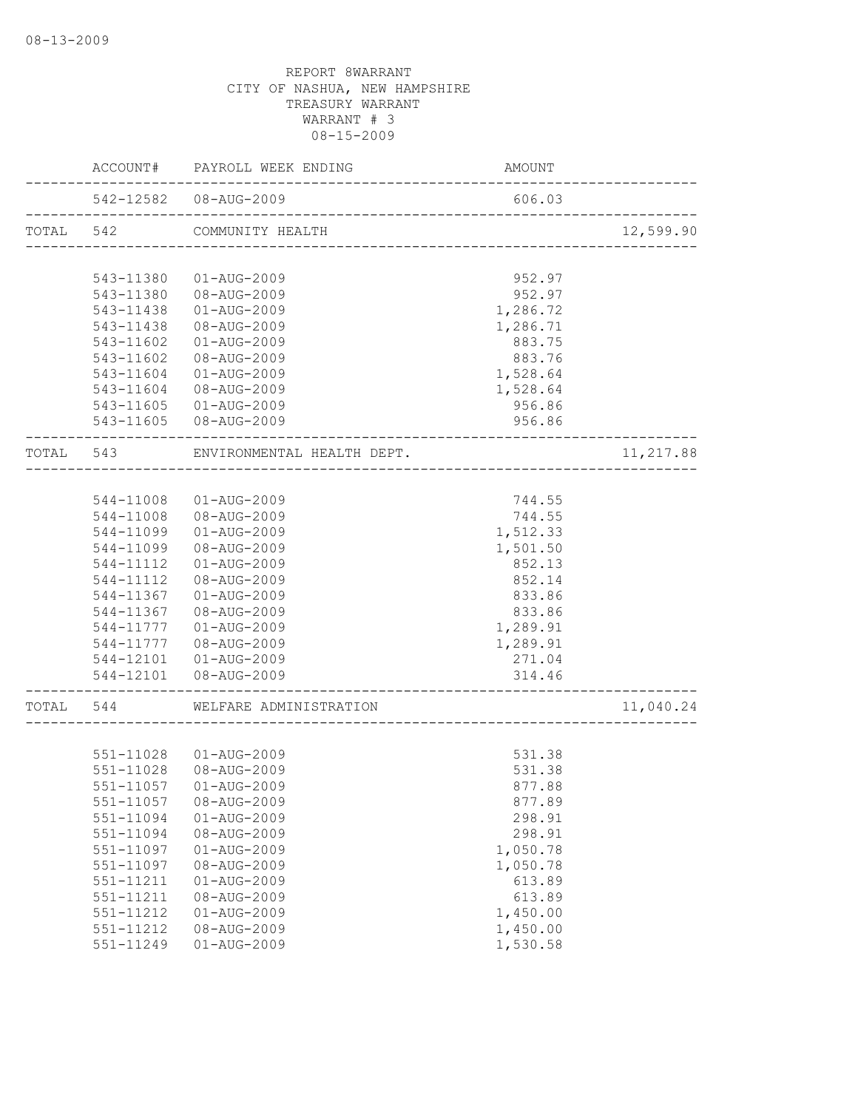|           | ACCOUNT#  | PAYROLL WEEK ENDING                                          | AMOUNT                           |           |
|-----------|-----------|--------------------------------------------------------------|----------------------------------|-----------|
|           |           | 542-12582  08-AUG-2009<br>__________________________________ | 606.03                           |           |
| TOTAL 542 |           | COMMUNITY HEALTH                                             |                                  | 12,599.90 |
|           |           |                                                              |                                  |           |
|           | 543-11380 | 01-AUG-2009                                                  | 952.97                           |           |
|           | 543-11380 | 08-AUG-2009                                                  | 952.97                           |           |
|           | 543-11438 | 01-AUG-2009                                                  | 1,286.72                         |           |
|           | 543-11438 | 08-AUG-2009                                                  | 1,286.71                         |           |
|           | 543-11602 | 01-AUG-2009                                                  | 883.75                           |           |
|           | 543-11602 | 08-AUG-2009                                                  | 883.76                           |           |
|           | 543-11604 | 01-AUG-2009                                                  | 1,528.64                         |           |
|           |           | 543-11604 08-AUG-2009                                        | 1,528.64                         |           |
|           |           | 543-11605  01-AUG-2009                                       | 956.86                           |           |
|           |           | 543-11605 08-AUG-2009                                        | 956.86                           |           |
| TOTAL 543 |           | ENVIRONMENTAL HEALTH DEPT.                                   |                                  | 11,217.88 |
|           |           |                                                              |                                  |           |
|           | 544-11008 | 01-AUG-2009                                                  | 744.55                           |           |
|           | 544-11008 | 08-AUG-2009                                                  | 744.55                           |           |
|           | 544-11099 | 01-AUG-2009                                                  | 1,512.33                         |           |
|           | 544-11099 | 08-AUG-2009                                                  | 1,501.50                         |           |
|           | 544-11112 | 01-AUG-2009                                                  | 852.13                           |           |
|           | 544-11112 | 08-AUG-2009                                                  | 852.14                           |           |
|           | 544-11367 | 01-AUG-2009                                                  | 833.86                           |           |
|           | 544-11367 | 08-AUG-2009                                                  | 833.86                           |           |
|           | 544-11777 | 01-AUG-2009                                                  | 1,289.91                         |           |
|           | 544-11777 | 08-AUG-2009                                                  | 1,289.91                         |           |
|           |           | 544-12101  01-AUG-2009                                       | 271.04                           |           |
|           |           | 544-12101  08-AUG-2009                                       | 314.46<br>______________________ |           |
| TOTAL     | 544       | WELFARE ADMINISTRATION                                       |                                  | 11,040.24 |
|           |           |                                                              |                                  |           |
|           |           | 551-11028  01-AUG-2009                                       | 531.38                           |           |
|           | 551-11028 | 08-AUG-2009                                                  | 531.38                           |           |
|           |           | 551-11057   01-AUG-2009                                      | 877.88                           |           |
|           | 551-11057 | 08-AUG-2009                                                  | 877.89                           |           |
|           | 551-11094 | $01 - AUG - 2009$                                            | 298.91                           |           |
|           | 551-11094 | 08-AUG-2009                                                  | 298.91                           |           |
|           | 551-11097 | 01-AUG-2009                                                  | 1,050.78                         |           |
|           | 551-11097 | 08-AUG-2009                                                  | 1,050.78                         |           |
|           | 551-11211 | $01 - AUG - 2009$                                            | 613.89                           |           |
|           | 551-11211 | 08-AUG-2009                                                  | 613.89                           |           |
|           | 551-11212 | $01 - AUG - 2009$                                            | 1,450.00                         |           |
|           | 551-11212 | 08-AUG-2009                                                  | 1,450.00                         |           |
|           | 551-11249 | $01 - AUG - 2009$                                            | 1,530.58                         |           |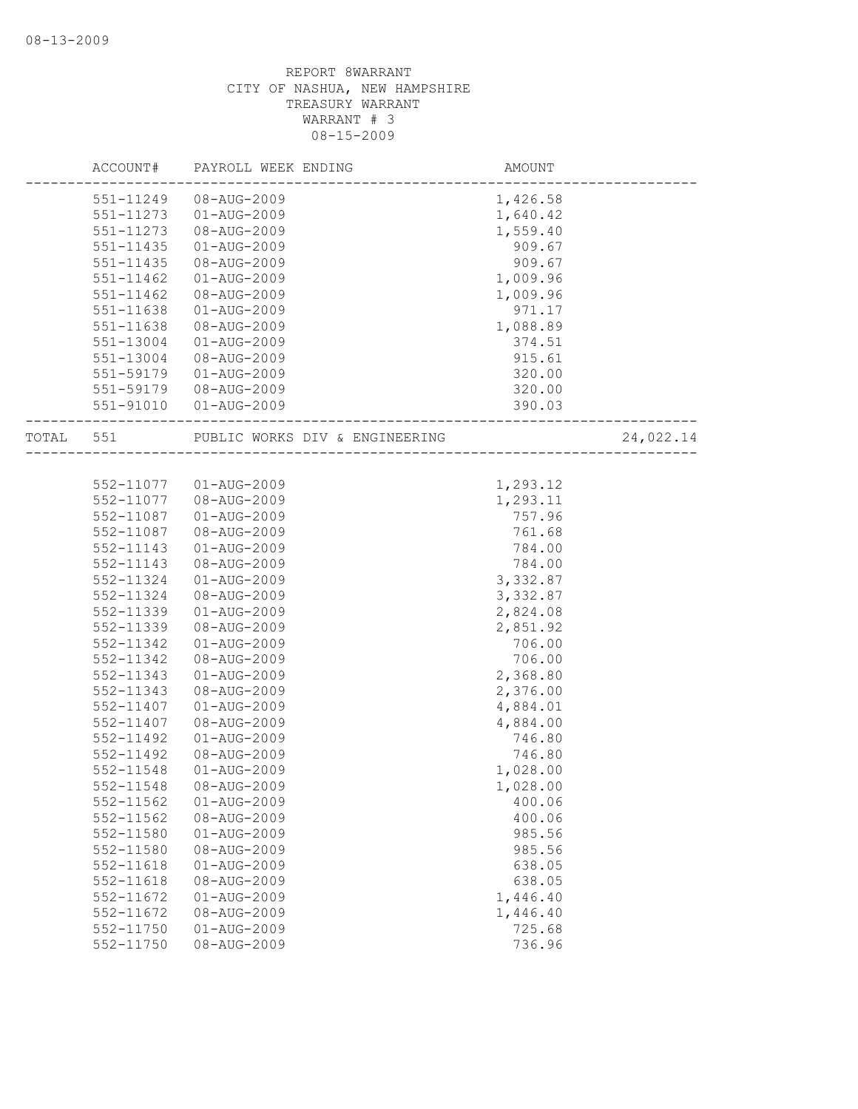|           | ACCOUNT#      | PAYROLL WEEK ENDING            | AMOUNT   |           |
|-----------|---------------|--------------------------------|----------|-----------|
|           | 551-11249     | 08-AUG-2009                    | 1,426.58 |           |
|           | 551-11273     | 01-AUG-2009                    | 1,640.42 |           |
|           | 551-11273     | 08-AUG-2009                    | 1,559.40 |           |
|           | 551-11435     | 01-AUG-2009                    | 909.67   |           |
|           | 551-11435     | 08-AUG-2009                    | 909.67   |           |
|           | 551-11462     | $01 - AUG - 2009$              | 1,009.96 |           |
|           | $551 - 11462$ | 08-AUG-2009                    | 1,009.96 |           |
|           | 551-11638     | $01 - AUG - 2009$              | 971.17   |           |
|           | 551-11638     | 08-AUG-2009                    | 1,088.89 |           |
|           | 551-13004     | $01 - AUG - 2009$              | 374.51   |           |
|           | 551-13004     | 08-AUG-2009                    | 915.61   |           |
|           | 551-59179     | $01 - AUG - 2009$              | 320.00   |           |
|           | 551-59179     | 08-AUG-2009                    | 320.00   |           |
|           | 551-91010     | 01-AUG-2009                    | 390.03   |           |
| TOTAL 551 |               | PUBLIC WORKS DIV & ENGINEERING |          | 24,022.14 |
|           |               |                                |          |           |
|           | 552-11077     | 01-AUG-2009                    | 1,293.12 |           |
|           | 552-11077     | 08-AUG-2009                    | 1,293.11 |           |
|           | 552-11087     | 01-AUG-2009                    | 757.96   |           |
|           | 552-11087     | 08-AUG-2009                    | 761.68   |           |
|           | 552-11143     | 01-AUG-2009                    | 784.00   |           |
|           | 552-11143     | 08-AUG-2009                    | 784.00   |           |
|           | 552-11324     | $01 - AUG - 2009$              | 3,332.87 |           |
|           | 552-11324     | 08-AUG-2009                    | 3,332.87 |           |
|           | 552-11339     | $01 - AUG - 2009$              | 2,824.08 |           |
|           | 552-11339     | 08-AUG-2009                    | 2,851.92 |           |
|           | 552-11342     | $01 - AUG - 2009$              | 706.00   |           |
|           | 552-11342     | 08-AUG-2009                    | 706.00   |           |
|           | 552-11343     | $01 - AUG - 2009$              | 2,368.80 |           |
|           | 552-11343     | 08-AUG-2009                    | 2,376.00 |           |
|           | 552-11407     | $01 - AUG - 2009$              | 4,884.01 |           |
|           | 552-11407     | 08-AUG-2009                    | 4,884.00 |           |
|           | 552-11492     | $01 - AUG - 2009$              | 746.80   |           |
|           | 552-11492     | 08-AUG-2009                    | 746.80   |           |
|           | 552-11548     | $01 - AUG - 2009$              | 1,028.00 |           |
|           | 552-11548     | 08-AUG-2009                    | 1,028.00 |           |
|           | 552-11562     | 01-AUG-2009                    | 400.06   |           |
|           | 552-11562     | 08-AUG-2009                    | 400.06   |           |
|           | 552-11580     | $01 - AUG - 2009$              | 985.56   |           |
|           | 552-11580     | 08-AUG-2009                    | 985.56   |           |
|           | 552-11618     | $01 - AUG - 2009$              | 638.05   |           |
|           | $552 - 11618$ | 08-AUG-2009                    | 638.05   |           |
|           | 552-11672     | $01 - AUG - 2009$              | 1,446.40 |           |
|           | 552-11672     | 08-AUG-2009                    | 1,446.40 |           |
|           | 552-11750     | $01 - AUG - 2009$              | 725.68   |           |
|           | 552-11750     | 08-AUG-2009                    | 736.96   |           |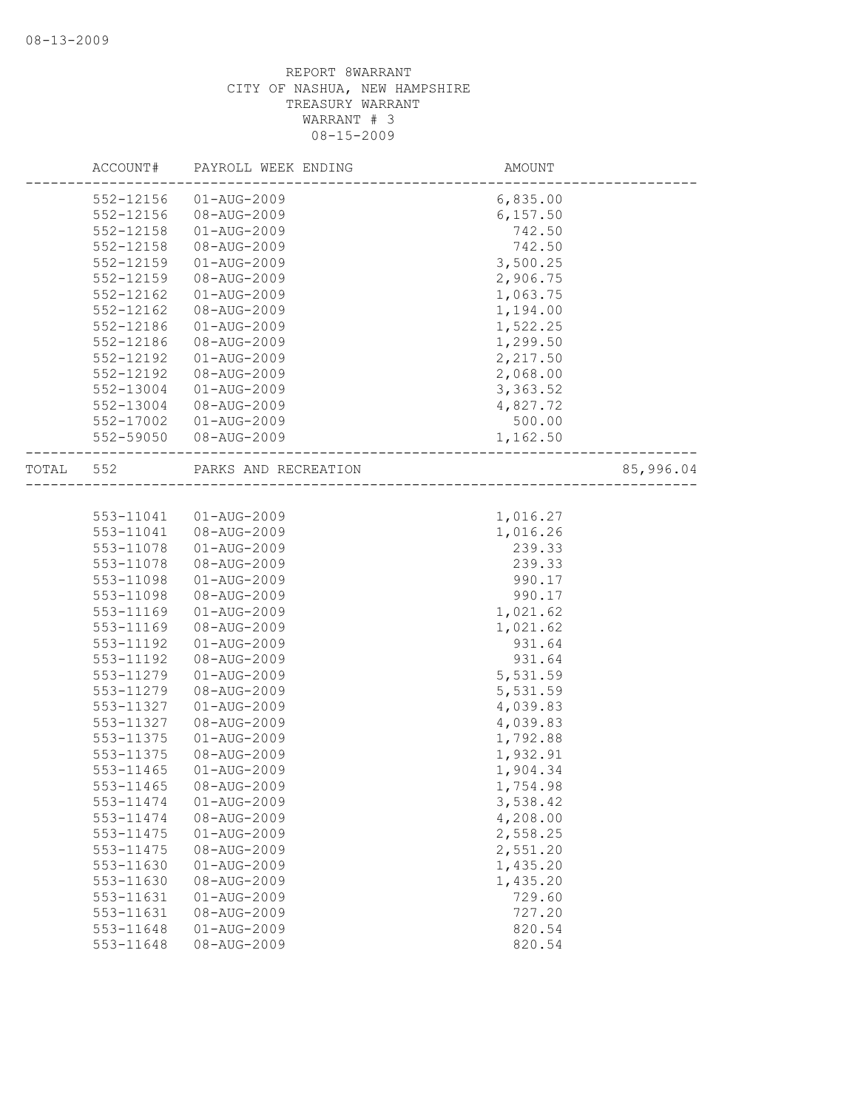|       | ACCOUNT#  | PAYROLL WEEK ENDING  | AMOUNT             |           |
|-------|-----------|----------------------|--------------------|-----------|
|       | 552-12156 | $01 - AUG - 2009$    | 6,835.00           |           |
|       | 552-12156 | 08-AUG-2009          | 6, 157.50          |           |
|       | 552-12158 | 01-AUG-2009          | 742.50             |           |
|       | 552-12158 | 08-AUG-2009          | 742.50             |           |
|       | 552-12159 | 01-AUG-2009          | 3,500.25           |           |
|       | 552-12159 | 08-AUG-2009          | 2,906.75           |           |
|       | 552-12162 | 01-AUG-2009          | 1,063.75           |           |
|       | 552-12162 | 08-AUG-2009          | 1,194.00           |           |
|       | 552-12186 | $01 - AUG - 2009$    | 1,522.25           |           |
|       | 552-12186 | 08-AUG-2009          | 1,299.50           |           |
|       | 552-12192 | 01-AUG-2009          | 2,217.50           |           |
|       | 552-12192 | 08-AUG-2009          | 2,068.00           |           |
|       | 552-13004 | 01-AUG-2009          | 3,363.52           |           |
|       | 552-13004 | 08-AUG-2009          | 4,827.72           |           |
|       | 552-17002 | 01-AUG-2009          | 500.00             |           |
|       | 552-59050 | 08-AUG-2009          | 1,162.50           |           |
| TOTAL | 552       | PARKS AND RECREATION | __________________ | 85,996.04 |
|       |           |                      |                    |           |
|       | 553-11041 | $01 - AUG - 2009$    | 1,016.27           |           |
|       | 553-11041 | 08-AUG-2009          | 1,016.26           |           |
|       | 553-11078 | 01-AUG-2009          | 239.33             |           |
|       | 553-11078 | 08-AUG-2009          | 239.33             |           |
|       | 553-11098 | 01-AUG-2009          | 990.17             |           |
|       | 553-11098 | 08-AUG-2009          | 990.17             |           |
|       | 553-11169 | 01-AUG-2009          | 1,021.62           |           |
|       | 553-11169 | 08-AUG-2009          | 1,021.62           |           |
|       | 553-11192 | $01 - AUG - 2009$    | 931.64             |           |
|       | 553-11192 | 08-AUG-2009          | 931.64             |           |
|       | 553-11279 | $01 - AUG - 2009$    | 5,531.59           |           |
|       | 553-11279 | 08-AUG-2009          | 5,531.59           |           |
|       | 553-11327 | 01-AUG-2009          | 4,039.83           |           |
|       | 553-11327 | 08-AUG-2009          | 4,039.83           |           |
|       | 553-11375 | 01-AUG-2009          | 1,792.88           |           |
|       | 553-11375 | 08-AUG-2009          | 1,932.91           |           |
|       | 553-11465 | $01 - AUG - 2009$    | 1,904.34           |           |
|       | 553-11465 | 08-AUG-2009          | 1,754.98           |           |
|       | 553-11474 | $01 - AUG - 2009$    | 3,538.42           |           |
|       | 553-11474 | 08-AUG-2009          | 4,208.00           |           |
|       | 553-11475 | $01 - AUG - 2009$    | 2,558.25           |           |
|       | 553-11475 | 08-AUG-2009          | 2,551.20           |           |
|       | 553-11630 | $01 - AUG - 2009$    | 1,435.20           |           |
|       | 553-11630 | 08-AUG-2009          | 1,435.20           |           |
|       | 553-11631 | $01 - AUG - 2009$    | 729.60             |           |
|       | 553-11631 | 08-AUG-2009          | 727.20             |           |
|       | 553-11648 | $01 - AUG - 2009$    | 820.54             |           |
|       | 553-11648 | 08-AUG-2009          | 820.54             |           |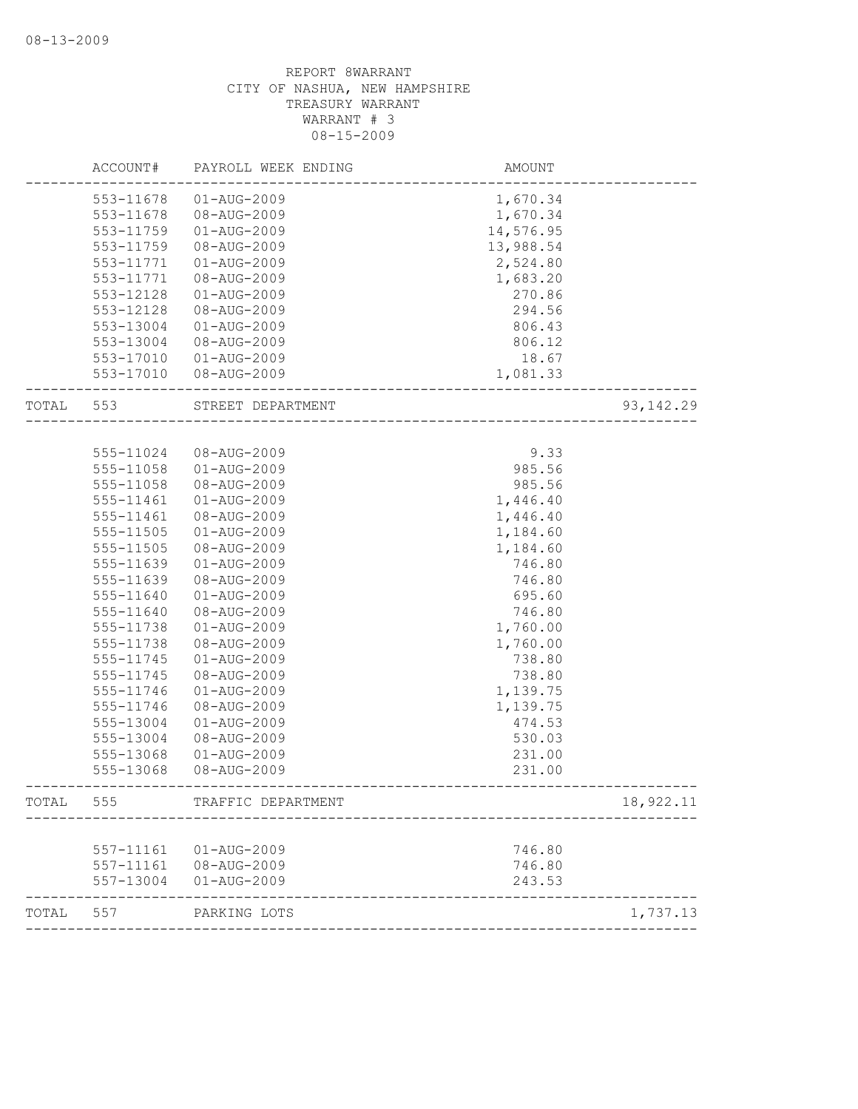| 553-11678<br>$01 - AUG - 2009$<br>1,670.34<br>08-AUG-2009<br>553-11678<br>1,670.34<br>$01 - AUG - 2009$<br>14,576.95<br>553-11759<br>13,988.54<br>553-11759<br>08-AUG-2009<br>2,524.80<br>553-11771<br>$01 - AUG - 2009$<br>553-11771<br>08-AUG-2009<br>1,683.20<br>553-12128<br>$01 - AUG - 2009$<br>270.86<br>294.56<br>553-12128<br>08-AUG-2009<br>553-13004<br>$01 - AUG - 2009$<br>806.43<br>08-AUG-2009<br>553-13004<br>806.12<br>$553 - 17010$<br>01-AUG-2009<br>18.67<br>553-17010<br>08-AUG-2009<br>1,081.33<br>TOTAL<br>553<br>STREET DEPARTMENT<br>9.33<br>555-11024<br>08-AUG-2009<br>$01 - AUG - 2009$<br>985.56<br>555-11058<br>08-AUG-2009<br>985.56<br>555-11058<br>555-11461<br>$01 - AUG - 2009$<br>1,446.40<br>555-11461<br>08-AUG-2009<br>1,446.40<br>555-11505<br>$01 - AUG - 2009$<br>1,184.60<br>555-11505<br>08-AUG-2009<br>1,184.60<br>555-11639<br>$01 - AUG - 2009$<br>746.80<br>555-11639<br>08-AUG-2009<br>746.80<br>555-11640<br>$01 - AUG - 2009$<br>695.60<br>555-11640<br>08-AUG-2009<br>746.80<br>$01 - AUG - 2009$<br>555-11738<br>1,760.00<br>555-11738<br>08-AUG-2009<br>1,760.00<br>555-11745<br>$01 - AUG - 2009$<br>738.80<br>738.80<br>555-11745<br>08-AUG-2009<br>$01 - AUG - 2009$<br>1,139.75<br>555-11746<br>08-AUG-2009<br>555-11746<br>1,139.75<br>555-13004<br>$01 - AUG - 2009$<br>474.53<br>08-AUG-2009<br>530.03<br>555-13004<br>231.00<br>555-13068<br>$01 - AUG - 2009$<br>555-13068<br>08-AUG-2009<br>231.00<br>TOTAL<br>555<br>TRAFFIC DEPARTMENT<br>01-AUG-2009<br>746.80<br>557-11161<br>08-AUG-2009 | ACCOUNT#  | PAYROLL WEEK ENDING | <b>AMOUNT</b> |            |
|---------------------------------------------------------------------------------------------------------------------------------------------------------------------------------------------------------------------------------------------------------------------------------------------------------------------------------------------------------------------------------------------------------------------------------------------------------------------------------------------------------------------------------------------------------------------------------------------------------------------------------------------------------------------------------------------------------------------------------------------------------------------------------------------------------------------------------------------------------------------------------------------------------------------------------------------------------------------------------------------------------------------------------------------------------------------------------------------------------------------------------------------------------------------------------------------------------------------------------------------------------------------------------------------------------------------------------------------------------------------------------------------------------------------------------------------------------------------------------------------------------------------------------------------------------------|-----------|---------------------|---------------|------------|
|                                                                                                                                                                                                                                                                                                                                                                                                                                                                                                                                                                                                                                                                                                                                                                                                                                                                                                                                                                                                                                                                                                                                                                                                                                                                                                                                                                                                                                                                                                                                                               |           |                     |               |            |
|                                                                                                                                                                                                                                                                                                                                                                                                                                                                                                                                                                                                                                                                                                                                                                                                                                                                                                                                                                                                                                                                                                                                                                                                                                                                                                                                                                                                                                                                                                                                                               |           |                     |               |            |
|                                                                                                                                                                                                                                                                                                                                                                                                                                                                                                                                                                                                                                                                                                                                                                                                                                                                                                                                                                                                                                                                                                                                                                                                                                                                                                                                                                                                                                                                                                                                                               |           |                     |               |            |
|                                                                                                                                                                                                                                                                                                                                                                                                                                                                                                                                                                                                                                                                                                                                                                                                                                                                                                                                                                                                                                                                                                                                                                                                                                                                                                                                                                                                                                                                                                                                                               |           |                     |               |            |
|                                                                                                                                                                                                                                                                                                                                                                                                                                                                                                                                                                                                                                                                                                                                                                                                                                                                                                                                                                                                                                                                                                                                                                                                                                                                                                                                                                                                                                                                                                                                                               |           |                     |               |            |
|                                                                                                                                                                                                                                                                                                                                                                                                                                                                                                                                                                                                                                                                                                                                                                                                                                                                                                                                                                                                                                                                                                                                                                                                                                                                                                                                                                                                                                                                                                                                                               |           |                     |               |            |
|                                                                                                                                                                                                                                                                                                                                                                                                                                                                                                                                                                                                                                                                                                                                                                                                                                                                                                                                                                                                                                                                                                                                                                                                                                                                                                                                                                                                                                                                                                                                                               |           |                     |               |            |
|                                                                                                                                                                                                                                                                                                                                                                                                                                                                                                                                                                                                                                                                                                                                                                                                                                                                                                                                                                                                                                                                                                                                                                                                                                                                                                                                                                                                                                                                                                                                                               |           |                     |               |            |
|                                                                                                                                                                                                                                                                                                                                                                                                                                                                                                                                                                                                                                                                                                                                                                                                                                                                                                                                                                                                                                                                                                                                                                                                                                                                                                                                                                                                                                                                                                                                                               |           |                     |               |            |
|                                                                                                                                                                                                                                                                                                                                                                                                                                                                                                                                                                                                                                                                                                                                                                                                                                                                                                                                                                                                                                                                                                                                                                                                                                                                                                                                                                                                                                                                                                                                                               |           |                     |               |            |
|                                                                                                                                                                                                                                                                                                                                                                                                                                                                                                                                                                                                                                                                                                                                                                                                                                                                                                                                                                                                                                                                                                                                                                                                                                                                                                                                                                                                                                                                                                                                                               |           |                     |               |            |
|                                                                                                                                                                                                                                                                                                                                                                                                                                                                                                                                                                                                                                                                                                                                                                                                                                                                                                                                                                                                                                                                                                                                                                                                                                                                                                                                                                                                                                                                                                                                                               |           |                     |               |            |
|                                                                                                                                                                                                                                                                                                                                                                                                                                                                                                                                                                                                                                                                                                                                                                                                                                                                                                                                                                                                                                                                                                                                                                                                                                                                                                                                                                                                                                                                                                                                                               |           |                     |               | 93, 142.29 |
|                                                                                                                                                                                                                                                                                                                                                                                                                                                                                                                                                                                                                                                                                                                                                                                                                                                                                                                                                                                                                                                                                                                                                                                                                                                                                                                                                                                                                                                                                                                                                               |           |                     |               |            |
|                                                                                                                                                                                                                                                                                                                                                                                                                                                                                                                                                                                                                                                                                                                                                                                                                                                                                                                                                                                                                                                                                                                                                                                                                                                                                                                                                                                                                                                                                                                                                               |           |                     |               |            |
|                                                                                                                                                                                                                                                                                                                                                                                                                                                                                                                                                                                                                                                                                                                                                                                                                                                                                                                                                                                                                                                                                                                                                                                                                                                                                                                                                                                                                                                                                                                                                               |           |                     |               |            |
|                                                                                                                                                                                                                                                                                                                                                                                                                                                                                                                                                                                                                                                                                                                                                                                                                                                                                                                                                                                                                                                                                                                                                                                                                                                                                                                                                                                                                                                                                                                                                               |           |                     |               |            |
|                                                                                                                                                                                                                                                                                                                                                                                                                                                                                                                                                                                                                                                                                                                                                                                                                                                                                                                                                                                                                                                                                                                                                                                                                                                                                                                                                                                                                                                                                                                                                               |           |                     |               |            |
|                                                                                                                                                                                                                                                                                                                                                                                                                                                                                                                                                                                                                                                                                                                                                                                                                                                                                                                                                                                                                                                                                                                                                                                                                                                                                                                                                                                                                                                                                                                                                               |           |                     |               |            |
|                                                                                                                                                                                                                                                                                                                                                                                                                                                                                                                                                                                                                                                                                                                                                                                                                                                                                                                                                                                                                                                                                                                                                                                                                                                                                                                                                                                                                                                                                                                                                               |           |                     |               |            |
|                                                                                                                                                                                                                                                                                                                                                                                                                                                                                                                                                                                                                                                                                                                                                                                                                                                                                                                                                                                                                                                                                                                                                                                                                                                                                                                                                                                                                                                                                                                                                               |           |                     |               |            |
|                                                                                                                                                                                                                                                                                                                                                                                                                                                                                                                                                                                                                                                                                                                                                                                                                                                                                                                                                                                                                                                                                                                                                                                                                                                                                                                                                                                                                                                                                                                                                               |           |                     |               |            |
|                                                                                                                                                                                                                                                                                                                                                                                                                                                                                                                                                                                                                                                                                                                                                                                                                                                                                                                                                                                                                                                                                                                                                                                                                                                                                                                                                                                                                                                                                                                                                               |           |                     |               |            |
|                                                                                                                                                                                                                                                                                                                                                                                                                                                                                                                                                                                                                                                                                                                                                                                                                                                                                                                                                                                                                                                                                                                                                                                                                                                                                                                                                                                                                                                                                                                                                               |           |                     |               |            |
|                                                                                                                                                                                                                                                                                                                                                                                                                                                                                                                                                                                                                                                                                                                                                                                                                                                                                                                                                                                                                                                                                                                                                                                                                                                                                                                                                                                                                                                                                                                                                               |           |                     |               |            |
|                                                                                                                                                                                                                                                                                                                                                                                                                                                                                                                                                                                                                                                                                                                                                                                                                                                                                                                                                                                                                                                                                                                                                                                                                                                                                                                                                                                                                                                                                                                                                               |           |                     |               |            |
|                                                                                                                                                                                                                                                                                                                                                                                                                                                                                                                                                                                                                                                                                                                                                                                                                                                                                                                                                                                                                                                                                                                                                                                                                                                                                                                                                                                                                                                                                                                                                               |           |                     |               |            |
|                                                                                                                                                                                                                                                                                                                                                                                                                                                                                                                                                                                                                                                                                                                                                                                                                                                                                                                                                                                                                                                                                                                                                                                                                                                                                                                                                                                                                                                                                                                                                               |           |                     |               |            |
|                                                                                                                                                                                                                                                                                                                                                                                                                                                                                                                                                                                                                                                                                                                                                                                                                                                                                                                                                                                                                                                                                                                                                                                                                                                                                                                                                                                                                                                                                                                                                               |           |                     |               |            |
|                                                                                                                                                                                                                                                                                                                                                                                                                                                                                                                                                                                                                                                                                                                                                                                                                                                                                                                                                                                                                                                                                                                                                                                                                                                                                                                                                                                                                                                                                                                                                               |           |                     |               |            |
|                                                                                                                                                                                                                                                                                                                                                                                                                                                                                                                                                                                                                                                                                                                                                                                                                                                                                                                                                                                                                                                                                                                                                                                                                                                                                                                                                                                                                                                                                                                                                               |           |                     |               |            |
|                                                                                                                                                                                                                                                                                                                                                                                                                                                                                                                                                                                                                                                                                                                                                                                                                                                                                                                                                                                                                                                                                                                                                                                                                                                                                                                                                                                                                                                                                                                                                               |           |                     |               |            |
|                                                                                                                                                                                                                                                                                                                                                                                                                                                                                                                                                                                                                                                                                                                                                                                                                                                                                                                                                                                                                                                                                                                                                                                                                                                                                                                                                                                                                                                                                                                                                               |           |                     |               |            |
|                                                                                                                                                                                                                                                                                                                                                                                                                                                                                                                                                                                                                                                                                                                                                                                                                                                                                                                                                                                                                                                                                                                                                                                                                                                                                                                                                                                                                                                                                                                                                               |           |                     |               |            |
|                                                                                                                                                                                                                                                                                                                                                                                                                                                                                                                                                                                                                                                                                                                                                                                                                                                                                                                                                                                                                                                                                                                                                                                                                                                                                                                                                                                                                                                                                                                                                               |           |                     |               |            |
|                                                                                                                                                                                                                                                                                                                                                                                                                                                                                                                                                                                                                                                                                                                                                                                                                                                                                                                                                                                                                                                                                                                                                                                                                                                                                                                                                                                                                                                                                                                                                               |           |                     |               | 18,922.11  |
|                                                                                                                                                                                                                                                                                                                                                                                                                                                                                                                                                                                                                                                                                                                                                                                                                                                                                                                                                                                                                                                                                                                                                                                                                                                                                                                                                                                                                                                                                                                                                               |           |                     |               |            |
|                                                                                                                                                                                                                                                                                                                                                                                                                                                                                                                                                                                                                                                                                                                                                                                                                                                                                                                                                                                                                                                                                                                                                                                                                                                                                                                                                                                                                                                                                                                                                               |           |                     |               |            |
|                                                                                                                                                                                                                                                                                                                                                                                                                                                                                                                                                                                                                                                                                                                                                                                                                                                                                                                                                                                                                                                                                                                                                                                                                                                                                                                                                                                                                                                                                                                                                               | 557-11161 |                     | 746.80        |            |
| 557-13004<br>$01 - AUG - 2009$<br>243.53                                                                                                                                                                                                                                                                                                                                                                                                                                                                                                                                                                                                                                                                                                                                                                                                                                                                                                                                                                                                                                                                                                                                                                                                                                                                                                                                                                                                                                                                                                                      |           |                     |               |            |
| TOTAL<br>557<br>PARKING LOTS                                                                                                                                                                                                                                                                                                                                                                                                                                                                                                                                                                                                                                                                                                                                                                                                                                                                                                                                                                                                                                                                                                                                                                                                                                                                                                                                                                                                                                                                                                                                  |           |                     |               | 1,737.13   |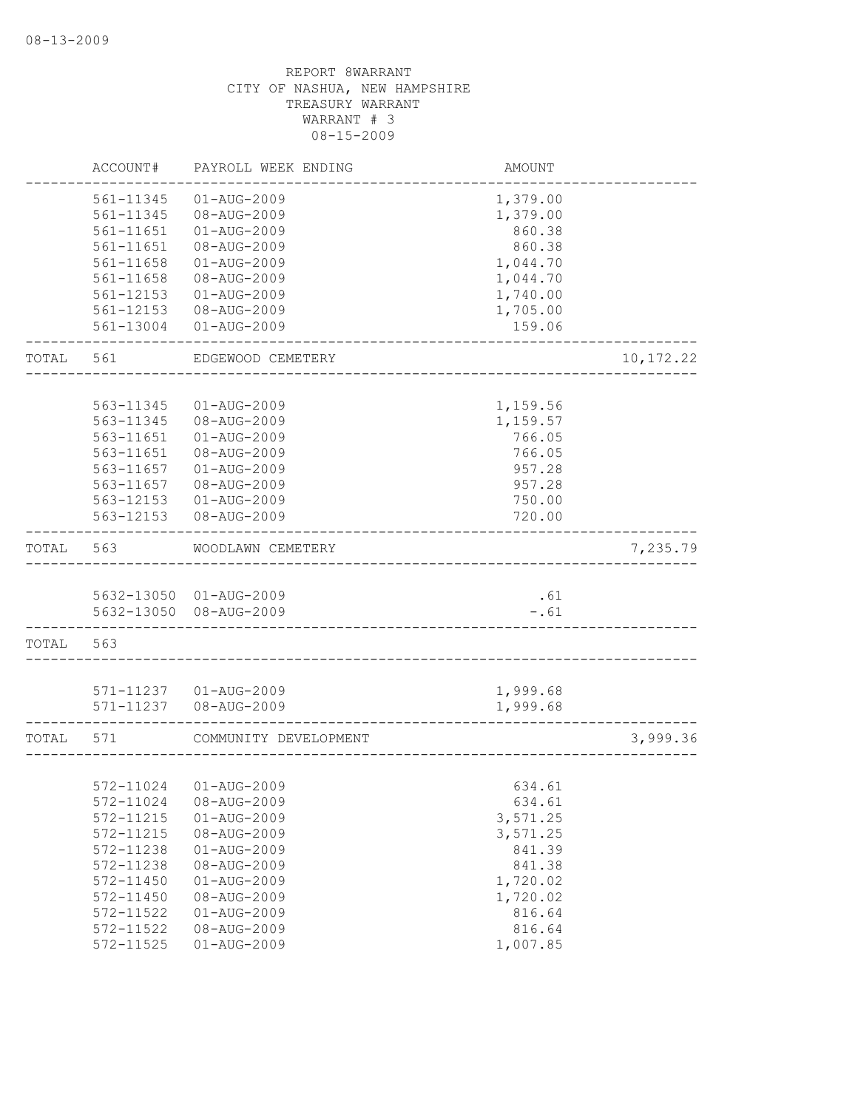|       | ACCOUNT#      | PAYROLL WEEK ENDING    | AMOUNT                              |            |
|-------|---------------|------------------------|-------------------------------------|------------|
|       | 561-11345     | $01 - AUG - 2009$      | 1,379.00                            |            |
|       | 561-11345     | 08-AUG-2009            | 1,379.00                            |            |
|       | 561-11651     | $01 - AUG - 2009$      | 860.38                              |            |
|       | 561-11651     | 08-AUG-2009            | 860.38                              |            |
|       | 561-11658     | $01 - AUG - 2009$      | 1,044.70                            |            |
|       | 561-11658     | 08-AUG-2009            | 1,044.70                            |            |
|       | 561-12153     | $01 - AUG - 2009$      | 1,740.00                            |            |
|       | $561 - 12153$ | 08-AUG-2009            | 1,705.00                            |            |
|       | 561-13004     | $01 - AUG - 2009$      | 159.06                              |            |
| TOTAL | 561           | EDGEWOOD CEMETERY      |                                     | 10, 172.22 |
|       |               |                        |                                     |            |
|       | 563-11345     | $01 - AUG - 2009$      | 1,159.56                            |            |
|       | 563-11345     | 08-AUG-2009            | 1,159.57                            |            |
|       | 563-11651     | $01 - AUG - 2009$      | 766.05                              |            |
|       | 563-11651     | 08-AUG-2009            | 766.05                              |            |
|       | 563-11657     | $01 - AUG - 2009$      | 957.28                              |            |
|       | 563-11657     | 08-AUG-2009            | 957.28                              |            |
|       | 563-12153     | 01-AUG-2009            | 750.00                              |            |
|       | 563-12153     | 08-AUG-2009            | 720.00                              |            |
| TOTAL | 563           | WOODLAWN CEMETERY      |                                     | 7,235.79   |
|       |               | 5632-13050 01-AUG-2009 | .61                                 |            |
|       |               | 5632-13050 08-AUG-2009 | $-.61$                              |            |
| TOTAL | 563           |                        |                                     |            |
|       |               |                        |                                     |            |
|       |               | 571-11237 01-AUG-2009  | 1,999.68                            |            |
|       | 571-11237     | 08-AUG-2009            | 1,999.68                            |            |
| TOTAL | 571           | COMMUNITY DEVELOPMENT  | . _ _ _ _ _ _ _ _ _ _ _ _ _ _ _ _ _ | 3,999.36   |
|       |               |                        |                                     |            |
|       | 572-11024     | $01 - AUG - 2009$      | 634.61                              |            |
|       | 572-11024     | 08-AUG-2009            | 634.61                              |            |
|       | 572-11215     | $01 - AUG - 2009$      | 3,571.25                            |            |
|       | 572-11215     | 08-AUG-2009            | 3,571.25                            |            |
|       | 572-11238     | $01 - AUG - 2009$      | 841.39                              |            |
|       | 572-11238     | 08-AUG-2009            | 841.38                              |            |
|       | 572-11450     | $01 - AUG - 2009$      | 1,720.02                            |            |
|       | 572-11450     | 08-AUG-2009            | 1,720.02                            |            |
|       | 572-11522     | $01 - AUG - 2009$      | 816.64                              |            |
|       | 572-11522     | 08-AUG-2009            | 816.64                              |            |
|       | 572-11525     | $01 - AUG - 2009$      | 1,007.85                            |            |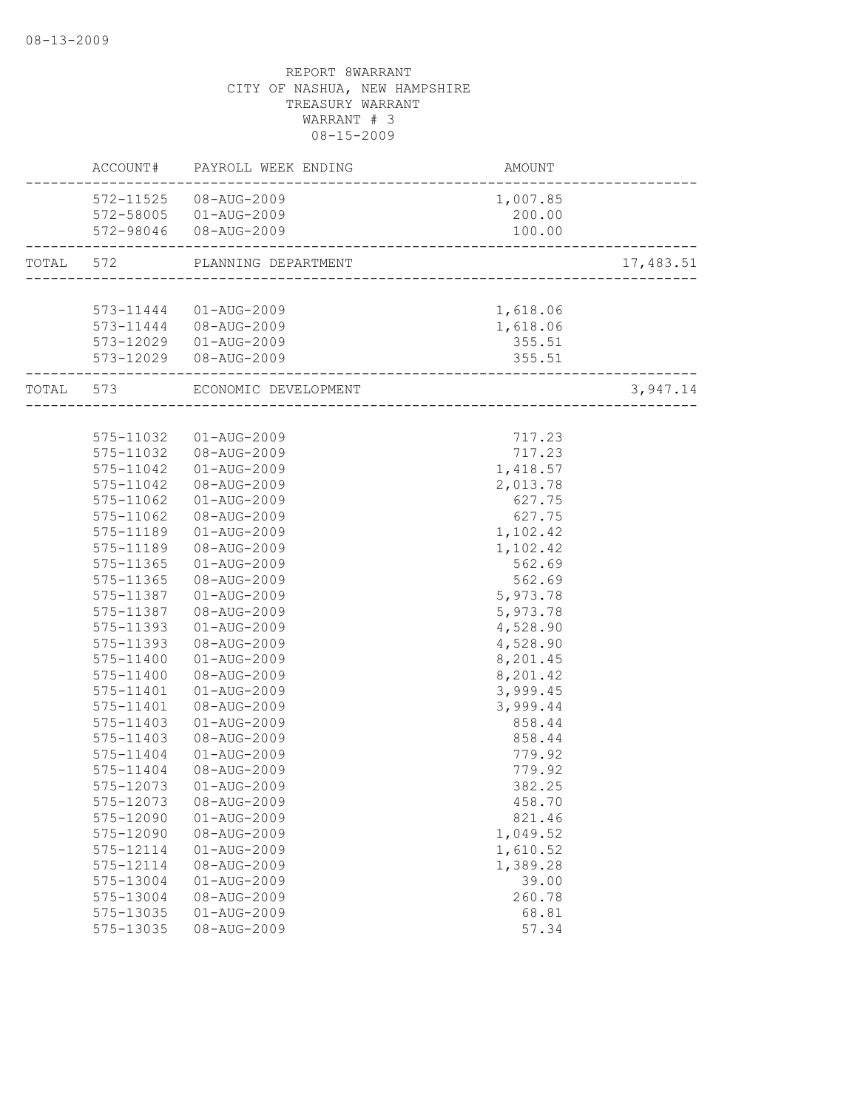|           |               | ACCOUNT# PAYROLL WEEK ENDING   | AMOUNT                    |           |
|-----------|---------------|--------------------------------|---------------------------|-----------|
|           |               | 572-11525 08-AUG-2009          | 1,007.85                  |           |
|           |               | 572-58005 01-AUG-2009          | 200.00                    |           |
|           |               | 572-98046 08-AUG-2009          | 100.00                    |           |
| TOTAL 572 |               | PLANNING DEPARTMENT            |                           | 17,483.51 |
|           |               |                                |                           |           |
|           |               | 573-11444 01-AUG-2009          | 1,618.06                  |           |
|           |               | 573-11444 08-AUG-2009          | 1,618.06                  |           |
|           |               | 573-12029  01-AUG-2009         | 355.51                    |           |
|           |               | 573-12029  08-AUG-2009         | 355.51                    |           |
|           |               | TOTAL 573 ECONOMIC DEVELOPMENT | _________________________ | 3,947.14  |
|           |               |                                |                           |           |
|           | 575-11032     | 01-AUG-2009                    | 717.23                    |           |
|           | 575-11032     | 08-AUG-2009                    | 717.23                    |           |
|           | 575-11042     | 01-AUG-2009                    | 1,418.57                  |           |
|           | 575-11042     | 08-AUG-2009                    | 2,013.78                  |           |
|           | 575-11062     | 01-AUG-2009                    | 627.75                    |           |
|           | 575-11062     | 08-AUG-2009                    | 627.75                    |           |
|           | 575-11189     | 01-AUG-2009                    | 1,102.42                  |           |
|           | 575-11189     | 08-AUG-2009                    | 1,102.42                  |           |
|           | 575-11365     | 01-AUG-2009                    | 562.69                    |           |
|           | 575-11365     | 08-AUG-2009                    | 562.69                    |           |
|           | 575-11387     | 01-AUG-2009                    | 5,973.78                  |           |
|           | 575-11387     | 08-AUG-2009                    | 5,973.78                  |           |
|           | 575-11393     | 01-AUG-2009                    | 4,528.90                  |           |
|           | 575-11393     | 08-AUG-2009                    | 4,528.90                  |           |
|           | 575-11400     | 01-AUG-2009                    | 8,201.45                  |           |
|           | 575-11400     | 08-AUG-2009                    | 8,201.42                  |           |
|           | 575-11401     | 01-AUG-2009                    | 3,999.45                  |           |
|           | 575-11401     | 08-AUG-2009                    | 3,999.44                  |           |
|           | 575-11403     | $01 - AUG - 2009$              | 858.44                    |           |
|           | $575 - 11403$ | 08-AUG-2009                    | 858.44                    |           |
|           | 575-11404     | $01 - AUG - 2009$              | 779.92                    |           |
|           | 575-11404     | 08-AUG-2009                    | 779.92                    |           |
|           | 575-12073     | 01-AUG-2009                    | 382.25                    |           |
|           | 575-12073     | 08-AUG-2009                    | 458.70                    |           |
|           | 575-12090     | $01 - AUG - 2009$              | 821.46                    |           |
|           | 575-12090     | 08-AUG-2009                    | 1,049.52                  |           |
|           | 575-12114     | $01 - AUG - 2009$              | 1,610.52                  |           |
|           | 575-12114     | 08-AUG-2009                    | 1,389.28                  |           |
|           | 575-13004     | $01 - AUG - 2009$              | 39.00                     |           |
|           | 575-13004     | 08-AUG-2009                    | 260.78                    |           |
|           | 575-13035     | $01 - AUG - 2009$              | 68.81                     |           |
|           | 575-13035     | 08-AUG-2009                    | 57.34                     |           |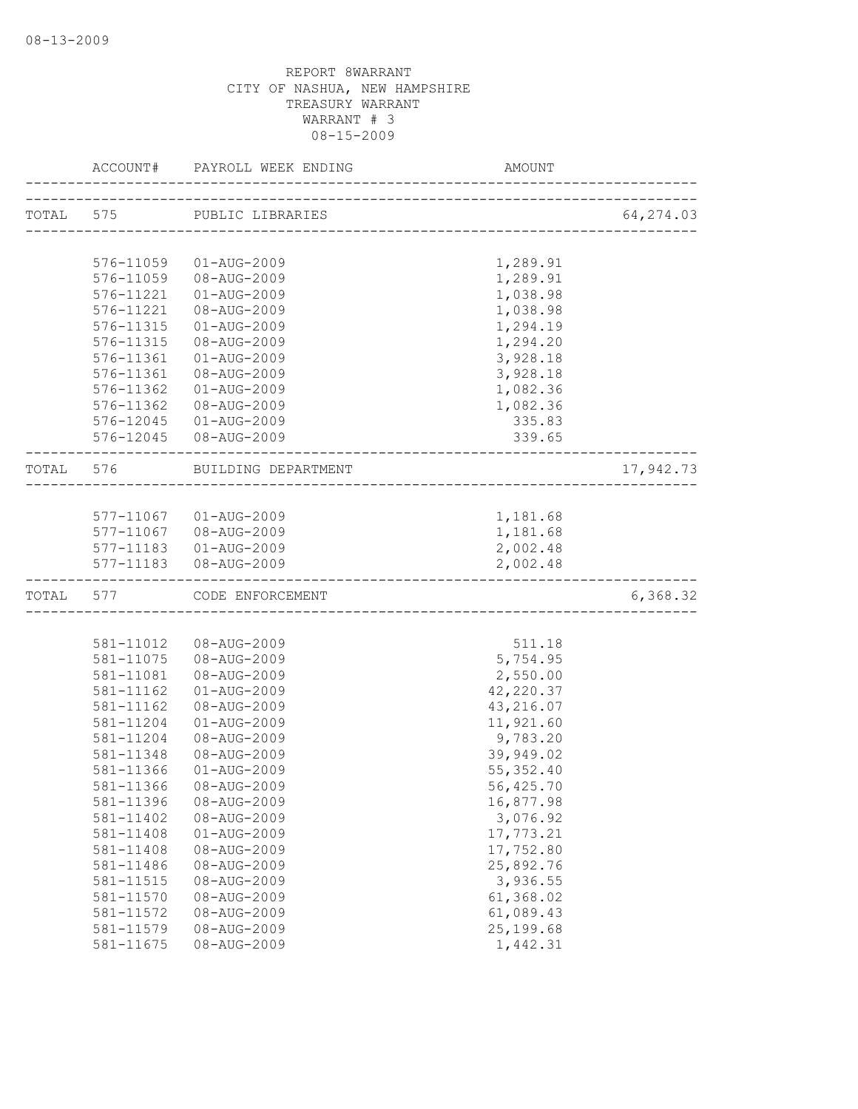|           |           | ACCOUNT# PAYROLL WEEK ENDING | AMOUNT                                |            |
|-----------|-----------|------------------------------|---------------------------------------|------------|
|           |           | TOTAL 575 PUBLIC LIBRARIES   | ------------------------------------- | 64, 274.03 |
|           |           |                              |                                       |            |
|           | 576-11059 | 01-AUG-2009                  | 1,289.91                              |            |
|           | 576-11059 | 08-AUG-2009                  | 1,289.91                              |            |
|           | 576-11221 | $01 - AUG - 2009$            | 1,038.98                              |            |
|           | 576-11221 | 08-AUG-2009                  | 1,038.98                              |            |
|           | 576-11315 | $01 - AUG - 2009$            | 1,294.19                              |            |
|           | 576-11315 | 08-AUG-2009                  | 1,294.20                              |            |
|           | 576-11361 | $01 - AUG - 2009$            | 3,928.18                              |            |
|           | 576-11361 | 08-AUG-2009                  | 3,928.18                              |            |
|           | 576-11362 | $01 - AUG - 2009$            | 1,082.36                              |            |
|           | 576-11362 | 08-AUG-2009                  | 1,082.36                              |            |
|           |           | 576-12045  01-AUG-2009       | 335.83                                |            |
|           |           | 576-12045 08-AUG-2009        | 339.65                                |            |
|           | TOTAL 576 | BUILDING DEPARTMENT          |                                       | 17,942.73  |
|           |           |                              |                                       |            |
|           |           | 577-11067  01-AUG-2009       | 1,181.68                              |            |
|           |           | 577-11067 08-AUG-2009        | 1,181.68                              |            |
|           |           | 577-11183  01-AUG-2009       | 2,002.48                              |            |
|           |           | 577-11183  08-AUG-2009       | 2,002.48                              |            |
| TOTAL 577 |           | CODE ENFORCEMENT             |                                       | 6,368.32   |
|           |           |                              |                                       |            |
|           | 581-11012 | 08-AUG-2009                  | 511.18                                |            |
|           | 581-11075 | 08-AUG-2009                  | 5,754.95                              |            |
|           | 581-11081 | 08-AUG-2009                  | 2,550.00                              |            |
|           | 581-11162 | 01-AUG-2009                  | 42,220.37                             |            |
|           | 581-11162 | 08-AUG-2009                  | 43,216.07                             |            |
|           | 581-11204 | $01 - AUG - 2009$            | 11,921.60                             |            |
|           | 581-11204 | 08-AUG-2009                  | 9,783.20                              |            |
|           | 581-11348 | 08-AUG-2009                  | 39,949.02                             |            |
|           | 581-11366 | $01 - AUG - 2009$            | 55, 352.40                            |            |
|           | 581-11366 | 08-AUG-2009                  | 56,425.70                             |            |
|           | 581-11396 | 08-AUG-2009                  | 16,877.98                             |            |
|           | 581-11402 | 08-AUG-2009                  | 3,076.92                              |            |
|           | 581-11408 | 01-AUG-2009                  | 17,773.21                             |            |
|           | 581-11408 | 08-AUG-2009                  | 17,752.80                             |            |
|           | 581-11486 | 08-AUG-2009                  | 25,892.76                             |            |
|           | 581-11515 | 08-AUG-2009                  | 3,936.55                              |            |
|           | 581-11570 | 08-AUG-2009                  | 61,368.02                             |            |
|           | 581-11572 | 08-AUG-2009                  | 61,089.43                             |            |
|           | 581-11579 | 08-AUG-2009                  | 25, 199.68                            |            |
|           | 581-11675 | 08-AUG-2009                  | 1,442.31                              |            |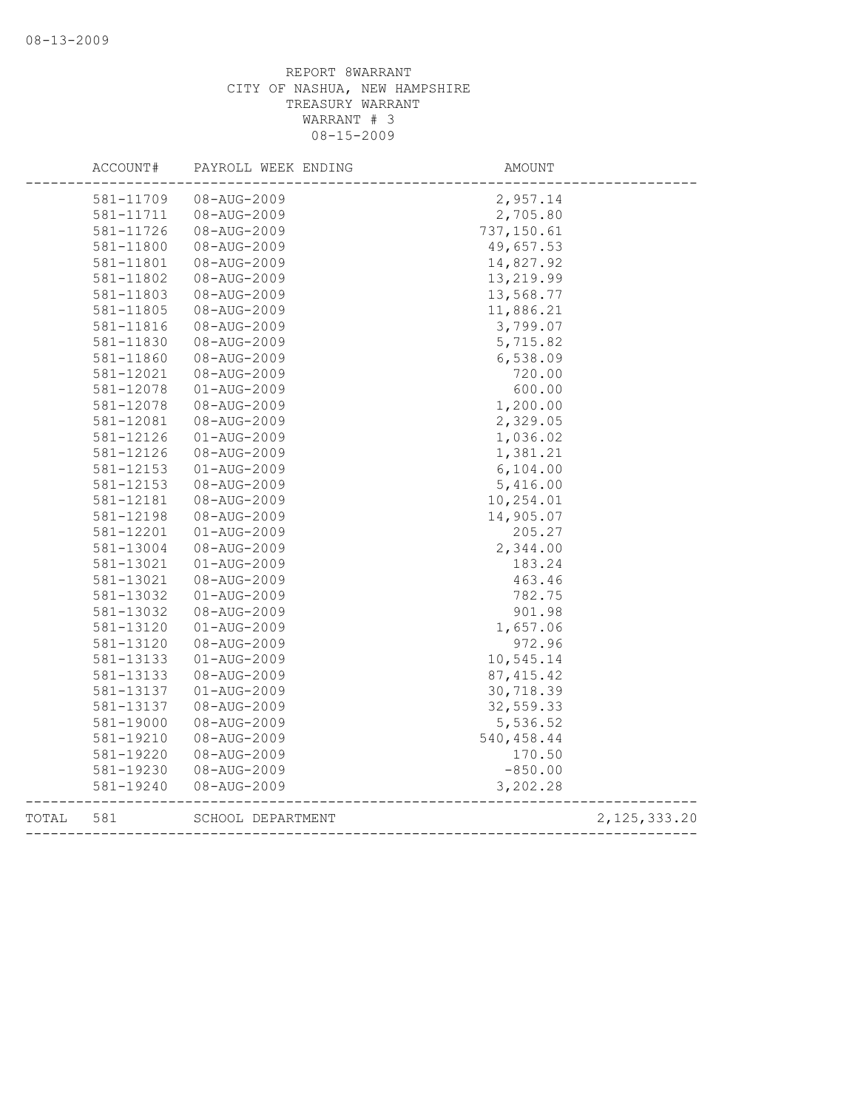|       | ACCOUNT#  | PAYROLL WEEK ENDING      | AMOUNT      |                |
|-------|-----------|--------------------------|-------------|----------------|
|       | 581-11709 | 08-AUG-2009              | 2,957.14    |                |
|       | 581-11711 | 08-AUG-2009              | 2,705.80    |                |
|       | 581-11726 | 08-AUG-2009              | 737, 150.61 |                |
|       | 581-11800 | 08-AUG-2009              | 49,657.53   |                |
|       | 581-11801 | 08-AUG-2009              | 14,827.92   |                |
|       | 581-11802 | 08-AUG-2009              | 13,219.99   |                |
|       | 581-11803 | 08-AUG-2009              | 13,568.77   |                |
|       | 581-11805 | 08-AUG-2009              | 11,886.21   |                |
|       | 581-11816 | 08-AUG-2009              | 3,799.07    |                |
|       | 581-11830 | 08-AUG-2009              | 5,715.82    |                |
|       | 581-11860 | 08-AUG-2009              | 6,538.09    |                |
|       | 581-12021 | 08-AUG-2009              | 720.00      |                |
|       | 581-12078 | $01 - AUG - 2009$        | 600.00      |                |
|       | 581-12078 | 08-AUG-2009              | 1,200.00    |                |
|       | 581-12081 | 08-AUG-2009              | 2,329.05    |                |
|       | 581-12126 | $01 - AUG - 2009$        | 1,036.02    |                |
|       | 581-12126 | 08-AUG-2009              | 1,381.21    |                |
|       | 581-12153 | $01 - AUG - 2009$        | 6,104.00    |                |
|       | 581-12153 | 08-AUG-2009              | 5,416.00    |                |
|       | 581-12181 | 08-AUG-2009              | 10,254.01   |                |
|       | 581-12198 | 08-AUG-2009              | 14,905.07   |                |
|       | 581-12201 | $01 - \text{AUG} - 2009$ | 205.27      |                |
|       | 581-13004 | 08-AUG-2009              | 2,344.00    |                |
|       | 581-13021 | $01 - AUG - 2009$        | 183.24      |                |
|       | 581-13021 | 08-AUG-2009              | 463.46      |                |
|       | 581-13032 | $01 - AUG - 2009$        | 782.75      |                |
|       | 581-13032 | 08-AUG-2009              | 901.98      |                |
|       | 581-13120 | $01 - AUG - 2009$        | 1,657.06    |                |
|       | 581-13120 | 08-AUG-2009              | 972.96      |                |
|       | 581-13133 | $01 - AUG - 2009$        | 10,545.14   |                |
|       | 581-13133 | 08-AUG-2009              | 87, 415.42  |                |
|       | 581-13137 | $01 - AUG - 2009$        | 30,718.39   |                |
|       | 581-13137 | 08-AUG-2009              | 32,559.33   |                |
|       | 581-19000 | 08-AUG-2009              | 5,536.52    |                |
|       | 581-19210 | 08-AUG-2009              | 540, 458.44 |                |
|       | 581-19220 | 08-AUG-2009              | 170.50      |                |
|       | 581-19230 | 08-AUG-2009              | $-850.00$   |                |
|       | 581-19240 | 08-AUG-2009              | 3,202.28    |                |
| TOTAL | 581       | SCHOOL DEPARTMENT        |             | 2, 125, 333.20 |
|       |           |                          |             |                |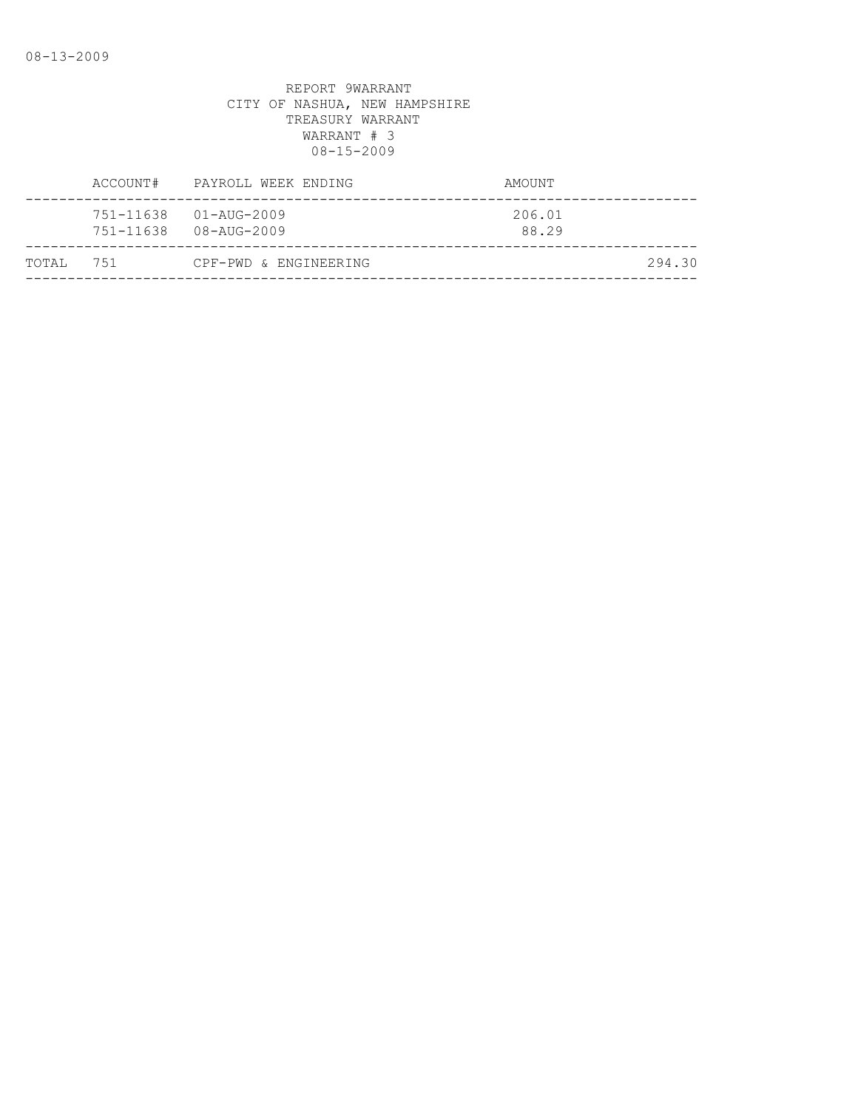|           | ACCOUNT# | PAYROLL WEEK ENDING                                             | AMOUNT          |
|-----------|----------|-----------------------------------------------------------------|-----------------|
|           |          | $751 - 11638$ $01 - \text{AUG} - 2009$<br>751-11638 08-AUG-2009 | 206.01<br>88.29 |
| TOTAL 751 |          | CPF-PWD & ENGINEERING                                           | 294.30          |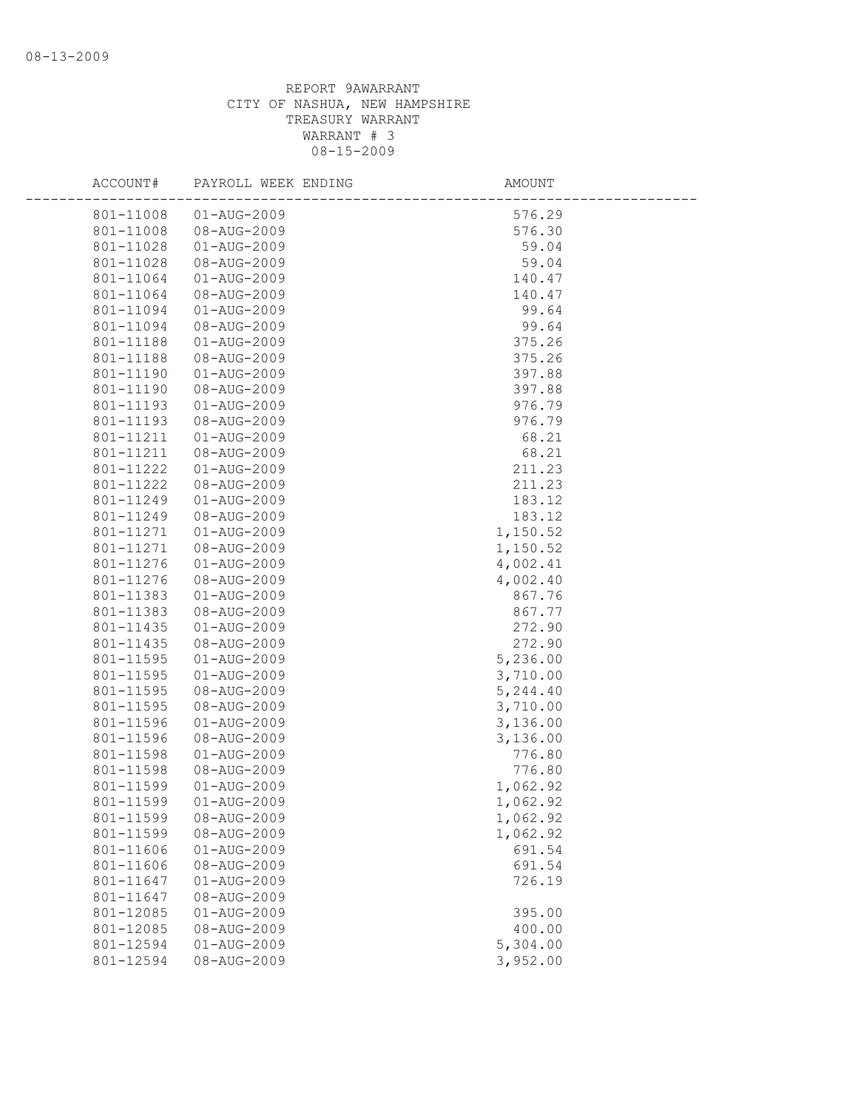| ACCOUNT#  | PAYROLL WEEK ENDING | AMOUNT   |  |
|-----------|---------------------|----------|--|
| 801-11008 | 01-AUG-2009         | 576.29   |  |
| 801-11008 | 08-AUG-2009         | 576.30   |  |
| 801-11028 | 01-AUG-2009         | 59.04    |  |
| 801-11028 | 08-AUG-2009         | 59.04    |  |
| 801-11064 | $01 - AUG - 2009$   | 140.47   |  |
| 801-11064 | 08-AUG-2009         | 140.47   |  |
| 801-11094 | 01-AUG-2009         | 99.64    |  |
| 801-11094 | 08-AUG-2009         | 99.64    |  |
| 801-11188 | $01 - AUG - 2009$   | 375.26   |  |
| 801-11188 | 08-AUG-2009         | 375.26   |  |
| 801-11190 | $01 - AUG - 2009$   | 397.88   |  |
| 801-11190 | 08-AUG-2009         | 397.88   |  |
| 801-11193 | 01-AUG-2009         | 976.79   |  |
| 801-11193 | 08-AUG-2009         | 976.79   |  |
| 801-11211 | $01 - AUG - 2009$   | 68.21    |  |
| 801-11211 | 08-AUG-2009         | 68.21    |  |
| 801-11222 | $01 - AUG - 2009$   | 211.23   |  |
| 801-11222 | 08-AUG-2009         | 211.23   |  |
| 801-11249 | 01-AUG-2009         | 183.12   |  |
| 801-11249 | 08-AUG-2009         | 183.12   |  |
| 801-11271 | 01-AUG-2009         | 1,150.52 |  |
| 801-11271 | 08-AUG-2009         | 1,150.52 |  |
| 801-11276 | 01-AUG-2009         | 4,002.41 |  |
| 801-11276 | 08-AUG-2009         | 4,002.40 |  |
| 801-11383 | 01-AUG-2009         | 867.76   |  |
| 801-11383 | 08-AUG-2009         | 867.77   |  |
| 801-11435 | 01-AUG-2009         | 272.90   |  |
| 801-11435 | 08-AUG-2009         | 272.90   |  |
| 801-11595 | 01-AUG-2009         | 5,236.00 |  |
| 801-11595 | $01 - AUG - 2009$   | 3,710.00 |  |
| 801-11595 | 08-AUG-2009         | 5,244.40 |  |
| 801-11595 | 08-AUG-2009         | 3,710.00 |  |
| 801-11596 | $01 - AUG - 2009$   | 3,136.00 |  |
| 801-11596 | 08-AUG-2009         | 3,136.00 |  |
| 801-11598 | 01-AUG-2009         | 776.80   |  |
| 801-11598 | 08-AUG-2009         | 776.80   |  |
| 801-11599 | $01 - AUG - 2009$   | 1,062.92 |  |
| 801-11599 | $01 - AUG - 2009$   | 1,062.92 |  |
| 801-11599 | 08-AUG-2009         | 1,062.92 |  |
| 801-11599 | 08-AUG-2009         | 1,062.92 |  |
| 801-11606 | $01 - AUG - 2009$   | 691.54   |  |
| 801-11606 | 08-AUG-2009         | 691.54   |  |
| 801-11647 | $01 - AUG - 2009$   | 726.19   |  |
| 801-11647 | 08-AUG-2009         |          |  |
| 801-12085 | $01 - AUG - 2009$   | 395.00   |  |
| 801-12085 | 08-AUG-2009         | 400.00   |  |
| 801-12594 | $01 - AUG - 2009$   | 5,304.00 |  |
| 801-12594 | 08-AUG-2009         | 3,952.00 |  |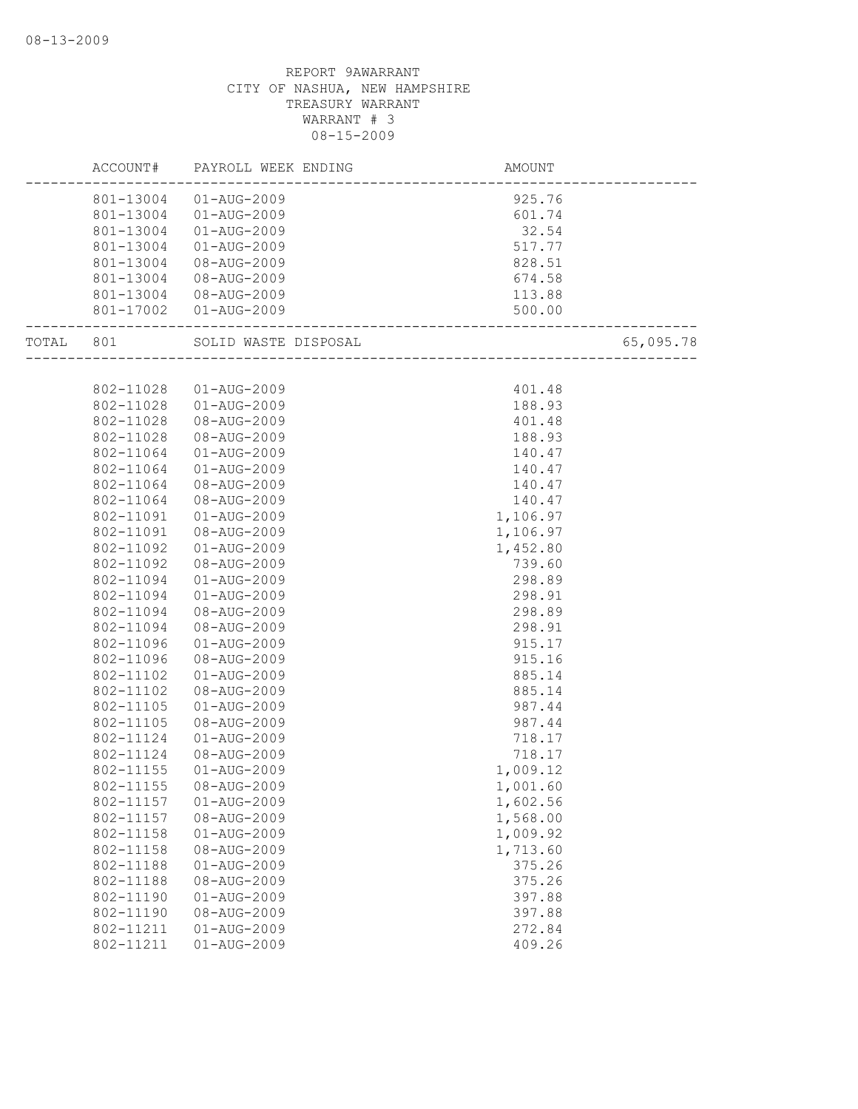|           | ACCOUNT#  | PAYROLL WEEK ENDING    | AMOUNT                                        |           |
|-----------|-----------|------------------------|-----------------------------------------------|-----------|
|           |           | 801-13004 01-AUG-2009  | 925.76                                        |           |
|           | 801-13004 | 01-AUG-2009            | 601.74                                        |           |
|           | 801-13004 | 01-AUG-2009            | 32.54                                         |           |
|           | 801-13004 | 01-AUG-2009            | 517.77                                        |           |
|           | 801-13004 | 08-AUG-2009            | 828.51                                        |           |
|           | 801-13004 | 08-AUG-2009            | 674.58                                        |           |
|           | 801-13004 | 08-AUG-2009            | 113.88                                        |           |
|           |           | 801-17002  01-AUG-2009 | 500.00<br>. 500<br>-------------------------- |           |
| TOTAL 801 |           |                        |                                               | 65,095.78 |
|           |           |                        |                                               |           |
|           | 802-11028 | 01-AUG-2009            | 401.48                                        |           |
|           | 802-11028 | 01-AUG-2009            | 188.93                                        |           |
|           | 802-11028 | 08-AUG-2009            | 401.48                                        |           |
|           | 802-11028 | 08-AUG-2009            | 188.93                                        |           |
|           | 802-11064 | $01 - AUG - 2009$      | 140.47                                        |           |
|           | 802-11064 | $01 - AUG - 2009$      | 140.47                                        |           |
|           | 802-11064 | 08-AUG-2009            | 140.47                                        |           |
|           | 802-11064 | 08-AUG-2009            | 140.47                                        |           |
|           | 802-11091 | $01 - AUG - 2009$      | 1,106.97                                      |           |
|           | 802-11091 | 08-AUG-2009            | 1,106.97                                      |           |
|           | 802-11092 | $01 - AUG - 2009$      | 1,452.80                                      |           |
|           | 802-11092 | 08-AUG-2009            | 739.60                                        |           |
|           | 802-11094 | 01-AUG-2009            | 298.89                                        |           |
|           | 802-11094 | 01-AUG-2009            | 298.91                                        |           |
|           | 802-11094 | 08-AUG-2009            | 298.89                                        |           |
|           | 802-11094 | 08-AUG-2009            | 298.91                                        |           |
|           | 802-11096 | $01 - AUG - 2009$      | 915.17                                        |           |
|           | 802-11096 | 08-AUG-2009            | 915.16                                        |           |
|           | 802-11102 | $01 - AUG - 2009$      | 885.14                                        |           |
|           | 802-11102 | 08-AUG-2009            | 885.14                                        |           |
|           | 802-11105 | $01 - AUG - 2009$      | 987.44                                        |           |
|           | 802-11105 | 08-AUG-2009            | 987.44                                        |           |
|           | 802-11124 | $01 - AUG - 2009$      | 718.17                                        |           |
|           | 802-11124 | 08-AUG-2009            | 718.17                                        |           |
|           | 802-11155 | $01 - AUG - 2009$      | 1,009.12                                      |           |
|           | 802-11155 | 08-AUG-2009            | 1,001.60                                      |           |
|           | 802-11157 | 01-AUG-2009            | 1,602.56                                      |           |
|           | 802-11157 | 08-AUG-2009            | 1,568.00                                      |           |
|           | 802-11158 | $01 - AUG - 2009$      | 1,009.92                                      |           |
|           | 802-11158 | 08-AUG-2009            | 1,713.60                                      |           |
|           | 802-11188 | 01-AUG-2009            | 375.26                                        |           |
|           | 802-11188 | 08-AUG-2009            | 375.26                                        |           |
|           | 802-11190 | $01 - AUG - 2009$      | 397.88                                        |           |
|           | 802-11190 | 08-AUG-2009            | 397.88                                        |           |
|           | 802-11211 | $01 - AUG - 2009$      | 272.84                                        |           |
|           | 802-11211 | $01 - AUG - 2009$      | 409.26                                        |           |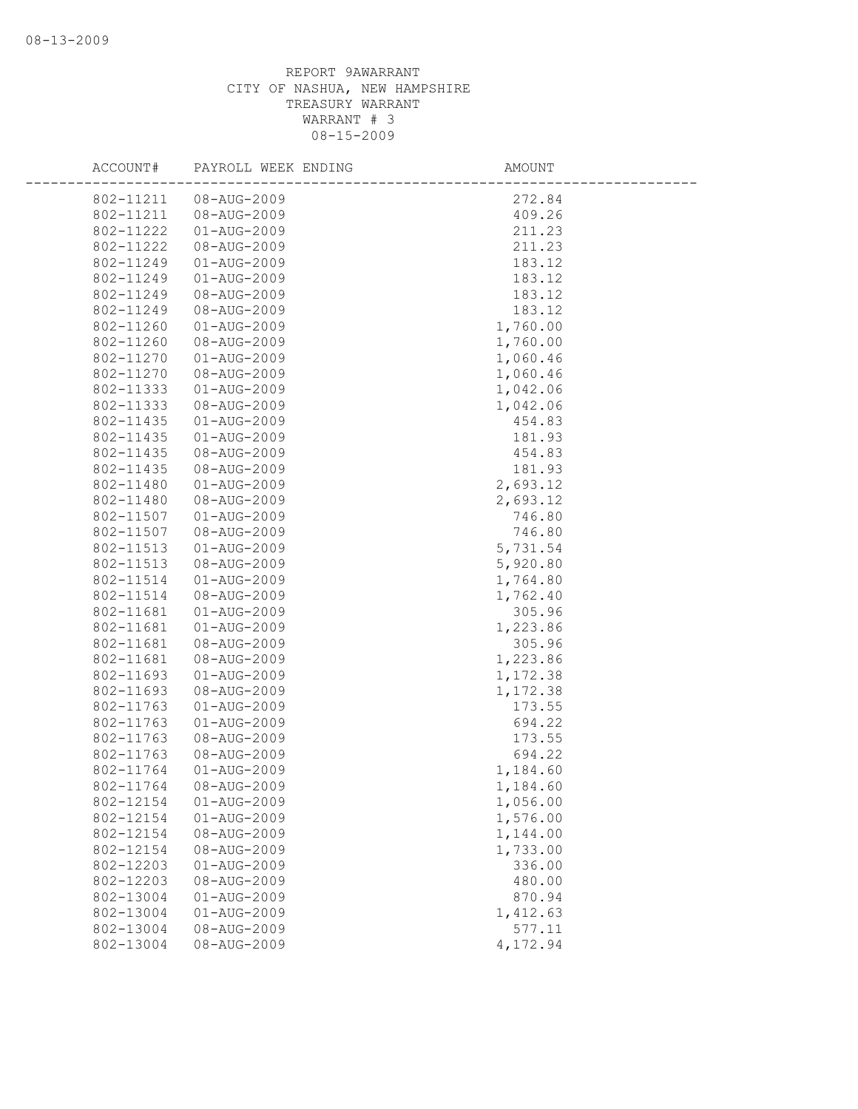| ACCOUNT#  | PAYROLL WEEK ENDING | AMOUNT   |
|-----------|---------------------|----------|
| 802-11211 | 08-AUG-2009         | 272.84   |
| 802-11211 | 08-AUG-2009         | 409.26   |
| 802-11222 | $01 - AUG - 2009$   | 211.23   |
| 802-11222 | 08-AUG-2009         | 211.23   |
| 802-11249 | $01 - AUG - 2009$   | 183.12   |
| 802-11249 | $01 - AUG - 2009$   | 183.12   |
| 802-11249 | 08-AUG-2009         | 183.12   |
| 802-11249 | 08-AUG-2009         | 183.12   |
| 802-11260 | $01 - AUG - 2009$   | 1,760.00 |
| 802-11260 | 08-AUG-2009         | 1,760.00 |
| 802-11270 | $01 - AUG - 2009$   | 1,060.46 |
| 802-11270 | 08-AUG-2009         | 1,060.46 |
| 802-11333 | 01-AUG-2009         | 1,042.06 |
| 802-11333 | 08-AUG-2009         | 1,042.06 |
| 802-11435 | $01 - AUG - 2009$   | 454.83   |
| 802-11435 | $01 - AUG - 2009$   | 181.93   |
| 802-11435 | 08-AUG-2009         | 454.83   |
| 802-11435 | 08-AUG-2009         | 181.93   |
| 802-11480 | $01 - AUG - 2009$   | 2,693.12 |
| 802-11480 | 08-AUG-2009         | 2,693.12 |
| 802-11507 | $01 - AUG - 2009$   | 746.80   |
| 802-11507 | 08-AUG-2009         | 746.80   |
| 802-11513 | 01-AUG-2009         | 5,731.54 |
| 802-11513 | 08-AUG-2009         | 5,920.80 |
| 802-11514 | $01 - AUG - 2009$   | 1,764.80 |
| 802-11514 | 08-AUG-2009         | 1,762.40 |
| 802-11681 | 01-AUG-2009         | 305.96   |
| 802-11681 | $01 - AUG - 2009$   | 1,223.86 |
| 802-11681 | 08-AUG-2009         | 305.96   |
| 802-11681 | 08-AUG-2009         | 1,223.86 |
| 802-11693 | $01 - AUG - 2009$   | 1,172.38 |
| 802-11693 | 08-AUG-2009         | 1,172.38 |
| 802-11763 | 01-AUG-2009         | 173.55   |
| 802-11763 | $01 - AUG - 2009$   | 694.22   |
| 802-11763 | 08-AUG-2009         | 173.55   |
| 802-11763 | 08-AUG-2009         | 694.22   |
| 802-11764 | $01 - AUG - 2009$   | 1,184.60 |
| 802-11764 | 08-AUG-2009         | 1,184.60 |
| 802-12154 | 01-AUG-2009         | 1,056.00 |
| 802-12154 | $01 - AUG - 2009$   | 1,576.00 |
| 802-12154 | 08-AUG-2009         | 1,144.00 |
| 802-12154 | 08-AUG-2009         | 1,733.00 |
| 802-12203 | 01-AUG-2009         | 336.00   |
| 802-12203 | 08-AUG-2009         | 480.00   |
| 802-13004 | $01 - AUG - 2009$   | 870.94   |
| 802-13004 | $01 - AUG - 2009$   | 1,412.63 |
| 802-13004 | 08-AUG-2009         | 577.11   |
| 802-13004 | 08-AUG-2009         | 4,172.94 |
|           |                     |          |